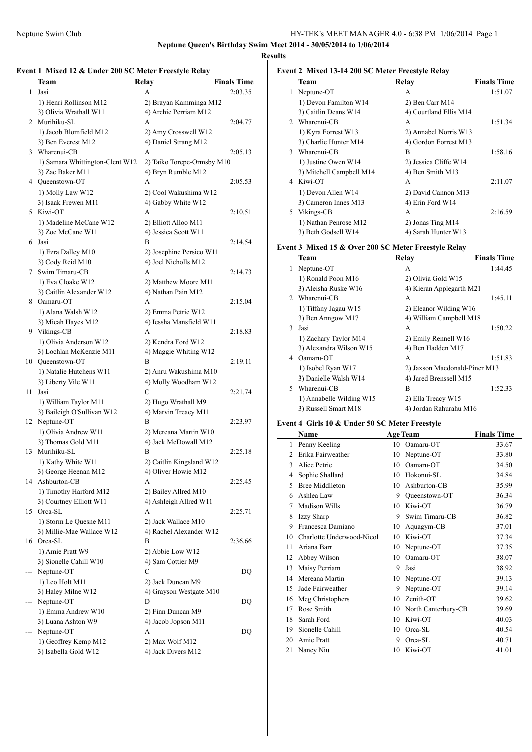**Neptune Queen's Birthday Swim Meet 2014 - 30/05/2014 to 1/06/2014**

**Results**

 $\frac{1}{2}$ 

### **Event 1 Mixed 12 & Under 200 SC Meter Freestyle Relay**

|    | Team                                              | Relay                                          | <b>Finals Time</b> |
|----|---------------------------------------------------|------------------------------------------------|--------------------|
| 1  | Jasi                                              | A                                              | 2:03.35            |
|    | 1) Henri Rollinson M12                            | 2) Brayan Kamminga M12                         |                    |
|    | 3) Olivia Wrathall W11                            | 4) Archie Perriam M12                          |                    |
|    | 2 Murihiku-SL                                     | A                                              | 2:04.77            |
|    | 1) Jacob Blomfield M12                            | 2) Amy Crosswell W12                           |                    |
|    | 3) Ben Everest M12                                | 4) Daniel Strang M12                           |                    |
|    | 3 Wharenui-CB                                     | A                                              | 2:05.13            |
|    | 1) Samara Whittington-Clent W12                   | 2) Taiko Torepe-Ormsby M10                     |                    |
|    | 3) Zac Baker M11                                  | 4) Bryn Rumble M12                             |                    |
|    | 4 Queenstown-OT                                   | A                                              | 2:05.53            |
|    | 1) Molly Law W12                                  | 2) Cool Wakushima W12                          |                    |
|    | 3) Isaak Frewen M11                               | 4) Gabby White W12                             |                    |
|    | 5 Kiwi-OT                                         | A                                              | 2:10.51            |
|    | 1) Madeline McCane W12                            | 2) Elliott Alloo M11                           |                    |
|    | 3) Zoe McCane W11                                 | 4) Jessica Scott W11                           |                    |
|    | 6 Jasi                                            | B                                              | 2:14.54            |
|    | 1) Ezra Dalley M10                                | 2) Josephine Persico W11                       |                    |
|    | 3) Cody Reid M10                                  | 4) Joel Nicholls M12                           |                    |
|    | 7 Swim Timaru-CB                                  | A                                              | 2:14.73            |
|    | 1) Eva Cloake W12                                 | 2) Matthew Moore M11                           |                    |
|    | 3) Caitlin Alexander W12<br>8 Oamaru-OT           | 4) Nathan Pain M12                             |                    |
|    | 1) Alana Walsh W12                                | A                                              | 2:15.04            |
|    | 3) Micah Hayes M12                                | 2) Emma Petrie W12<br>4) Iessha Mansfield W11  |                    |
|    | 9 Vikings-CB                                      | A                                              | 2:18.83            |
|    | 1) Olivia Anderson W12                            | 2) Kendra Ford W12                             |                    |
|    | 3) Lochlan McKenzie M11                           | 4) Maggie Whiting W12                          |                    |
|    | 10 Queenstown-OT                                  | B                                              | 2:19.11            |
|    | 1) Natalie Hutchens W11                           | 2) Anru Wakushima M10                          |                    |
|    | 3) Liberty Vile W11                               | 4) Molly Woodham W12                           |                    |
| 11 | Jasi                                              | C                                              | 2:21.74            |
|    | 1) William Taylor M11                             | 2) Hugo Wrathall M9                            |                    |
|    | 3) Baileigh O'Sullivan W12                        | 4) Marvin Treacy M11                           |                    |
|    | 12 Neptune-OT                                     | B                                              | 2:23.97            |
|    | 1) Olivia Andrew W11                              | 2) Mereana Martin W10                          |                    |
|    | 3) Thomas Gold M11                                | 4) Jack McDowall M12                           |                    |
|    | 13 Murihiku-SL                                    | B                                              | 2:25.18            |
|    | 1) Kathy White W11                                | 2) Caitlin Kingsland W12                       |                    |
|    | 3) George Heenan M12<br>14 Ashburton-CB           | 4) Oliver Howie M12                            |                    |
|    |                                                   | А                                              | 2:25.45            |
|    | 1) Timothy Harford M12<br>3) Courtney Elliott W11 | 2) Bailey Allred M10<br>4) Ashleigh Allred W11 |                    |
|    | 15 Orca-SL                                        | A                                              | 2:25.71            |
|    | 1) Storm Le Quesne M11                            | 2) Jack Wallace M10                            |                    |
|    | 3) Millie-Mae Wallace W12                         | 4) Rachel Alexander W12                        |                    |
|    | 16 Orca-SL                                        | В                                              | 2:36.66            |
|    | 1) Amie Pratt W9                                  | 2) Abbie Low W12                               |                    |
|    | 3) Sionelle Cahill W10                            | 4) Sam Cottier M9                              |                    |
|    | --- Neptune-OT                                    | C                                              | DQ                 |
|    | 1) Leo Holt M11                                   | 2) Jack Duncan M9                              |                    |
|    | 3) Haley Milne W12                                | 4) Grayson Westgate M10                        |                    |
|    | --- Neptune-OT                                    | D                                              | DQ                 |
|    | 1) Emma Andrew W10                                | 2) Finn Duncan M9                              |                    |
|    | 3) Luana Ashton W9                                | 4) Jacob Jopson M11                            |                    |
|    | Neptune-OT                                        | A                                              | DQ                 |
|    | 1) Geoffrey Kemp M12                              | 2) Max Wolf M12                                |                    |
|    | 3) Isabella Gold W12                              | 4) Jack Divers M12                             |                    |

| Event 2 Mixed 13-14 200 SC Meter Freestyle Relay |                          |                        |                    |  |  |  |
|--------------------------------------------------|--------------------------|------------------------|--------------------|--|--|--|
|                                                  | Team                     | Relay                  | <b>Finals Time</b> |  |  |  |
| 1                                                | Neptune-OT               | A                      | 1:51.07            |  |  |  |
|                                                  | 1) Devon Familton W14    | 2) Ben Carr M14        |                    |  |  |  |
|                                                  | 3) Caitlin Deans W14     | 4) Courtland Ellis M14 |                    |  |  |  |
|                                                  | 2 Wharenui-CB            | A                      | 1:51.34            |  |  |  |
|                                                  | 1) Kyra Forrest W13      | 2) Annabel Norris W13  |                    |  |  |  |
|                                                  | 3) Charlie Hunter M14    | 4) Gordon Forrest M13  |                    |  |  |  |
|                                                  | 3 Wharenui-CB            | B                      | 1:58.16            |  |  |  |
|                                                  | 1) Justine Owen W14      | 2) Jessica Cliffe W14  |                    |  |  |  |
|                                                  | 3) Mitchell Campbell M14 | 4) Ben Smith M13       |                    |  |  |  |
|                                                  | 4 Kiwi-OT                | A                      | 2:11.07            |  |  |  |
|                                                  | 1) Devon Allen W14       | 2) David Cannon M13    |                    |  |  |  |
|                                                  | 3) Cameron Innes M13     | 4) Erin Ford W14       |                    |  |  |  |
|                                                  | 5 Vikings-CB             | A                      | 2:16.59            |  |  |  |
|                                                  | 1) Nathan Penrose M12    | 2) Jonas Ting M14      |                    |  |  |  |
|                                                  | 3) Beth Godsell W14      | 4) Sarah Hunter W13    |                    |  |  |  |
|                                                  |                          |                        |                    |  |  |  |

### **Event 3 Mixed 15 & Over 200 SC Meter Freestyle Relay**

|               | $\alpha$ . That is a $\alpha$ or $\alpha$ by set that interpretation |                               |                    |  |  |  |
|---------------|----------------------------------------------------------------------|-------------------------------|--------------------|--|--|--|
|               | Team                                                                 | Relay                         | <b>Finals Time</b> |  |  |  |
| 1             | Neptune-OT                                                           | A                             | 1:44.45            |  |  |  |
|               | 1) Ronald Poon M16                                                   | 2) Olivia Gold W15            |                    |  |  |  |
|               | 3) Aleisha Ruske W16                                                 | 4) Kieran Applegarth M21      |                    |  |  |  |
| $\mathcal{L}$ | Wharenui-CB                                                          | A                             | 1:45.11            |  |  |  |
|               | 1) Tiffany Jagau W15                                                 | 2) Eleanor Wilding W16        |                    |  |  |  |
|               | 3) Ben Anngow M17                                                    | 4) William Campbell M18       |                    |  |  |  |
| 3             | Jasi                                                                 | A                             | 1:50.22            |  |  |  |
|               | 1) Zachary Taylor M14                                                | 2) Emily Rennell W16          |                    |  |  |  |
|               | 3) Alexandra Wilson W15                                              | 4) Ben Hadden M17             |                    |  |  |  |
| 4             | Oamaru-OT                                                            | A                             | 1:51.83            |  |  |  |
|               | 1) Isobel Ryan W17                                                   | 2) Jaxson Macdonald-Piner M13 |                    |  |  |  |
|               | 3) Danielle Walsh W14                                                | 4) Jared Brenssell M15        |                    |  |  |  |
| 5.            | Wharenui-CB                                                          | B                             | 1:52.33            |  |  |  |
|               | 1) Annabelle Wilding W15                                             | 2) Ella Treacy W15            |                    |  |  |  |
|               | 3) Russell Smart M18                                                 | 4) Jordan Rahurahu M16        |                    |  |  |  |
|               |                                                                      |                               |                    |  |  |  |

### **Event 4 Girls 10 & Under 50 SC Meter Freestyle**

|                | <b>Name</b>               |    | <b>Age Team</b>     | <b>Finals Time</b> |
|----------------|---------------------------|----|---------------------|--------------------|
| 1              | Penny Keeling             | 10 | Oamaru-OT           | 33.67              |
| $\mathfrak{D}$ | Erika Fairweather         | 10 | Neptune-OT          | 33.80              |
| 3              | Alice Petrie              | 10 | Oamaru-OT           | 34.50              |
| 4              | Sophie Shallard           | 10 | Hokonui-SL          | 34.84              |
| 5              | <b>Bree Middlleton</b>    | 10 | Ashburton-CB        | 35.99              |
| 6              | Ashlea Law                | 9  | Queenstown-OT       | 36.34              |
| 7              | Madison Wills             | 10 | Kiwi-OT             | 36.79              |
| 8              | Izzy Sharp                | 9  | Swim Timaru-CB      | 36.82              |
| 9              | Francesca Damiano         | 10 | Aquagym-CB          | 37.01              |
| 10             | Charlotte Underwood-Nicol | 10 | Kiwi-OT             | 37.34              |
| 11             | Ariana Barr               | 10 | Neptune-OT          | 37.35              |
| 12             | Abbey Wilson              | 10 | Oamaru-OT           | 38.07              |
| 13             | Maisy Perriam             | 9  | Jasi                | 38.92              |
| 14             | Mereana Martin            | 10 | Neptune-OT          | 39.13              |
| 15             | Jade Fairweather          | 9  | Neptune-OT          | 39.14              |
| 16             | Meg Christophers          | 10 | Zenith-OT           | 39.62              |
| 17             | Rose Smith                | 10 | North Canterbury-CB | 39.69              |
| 18             | Sarah Ford                | 10 | Kiwi-OT             | 40.03              |
| 19             | Sionelle Cahill           | 10 | Orca-SL             | 40.54              |
| 20             | Amie Pratt                | 9  | Orca-SL             | 40.71              |
| 21             | Nancy Niu                 | 10 | Kiwi-OT             | 41.01              |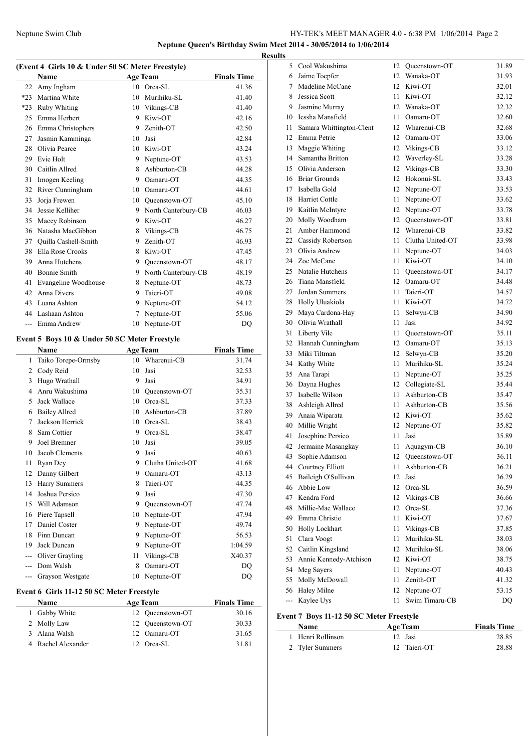### Neptune Swim Club HY-TEK's MEET MANAGER 4.0 - 6:38 PM 1/06/2014 Page 2 **Neptune Queen's Birthday Swim Meet 2014 - 30/05/2014 to 1/06/2014**

**Results**

|       | <b>Name</b>          |    | <b>Age Team</b>     | <b>Finals Time</b> |
|-------|----------------------|----|---------------------|--------------------|
| 22    | Amy Ingham           |    | 10 Orea-SL          | 41.36              |
| $*23$ | Martina White        | 10 | Murihiku-SL         | 41.40              |
| $*23$ | <b>Ruby Whiting</b>  | 10 | Vikings-CB          | 41.40              |
| 25    | Emma Herbert         | 9  | Kiwi-OT             | 42.16              |
| 26    | Emma Christophers    | 9  | Zenith-OT           | 42.50              |
| 27    | Jasmin Kamminga      | 10 | Jasi                | 42.84              |
| 28    | Olivia Pearce        | 10 | Kiwi-OT             | 43.24              |
| 29    | Evie Holt            | 9  | Neptune-OT          | 43.53              |
| 30    | Caitlin Allred       | 8  | Ashburton-CB        | 44.28              |
| 31    | Imogen Keeling       | 9  | Oamaru-OT           | 44.35              |
| 32    | River Cunningham     | 10 | Oamaru-OT           | 44.61              |
| 33    | Jorja Frewen         | 10 | Oueenstown-OT       | 45.10              |
| 34    | Jessie Kelliher      | 9  | North Canterbury-CB | 46.03              |
| 35    | Macey Robinson       | 9  | Kiwi-OT             | 46.27              |
| 36    | Natasha MacGibbon    | 8  | Vikings-CB          | 46.75              |
| 37    | Quilla Cashell-Smith | 9  | Zenith-OT           | 46.93              |
| 38    | Ella Rose Crooks     | 8  | Kiwi-OT             | 47.45              |
| 39    | Anna Hutchens        | 9  | Oueenstown-OT       | 48.17              |
| 40    | <b>Bonnie Smith</b>  | 9  | North Canterbury-CB | 48.19              |
| 41    | Evangeline Woodhouse | 8  | Neptune-OT          | 48.73              |
| 42    | <b>Anna Divers</b>   | 9  | Taieri-OT           | 49.08              |
| 43    | Luana Ashton         | 9  | Neptune-OT          | 54.12              |
| 44    | Lashaan Ashton       | 7  | Neptune-OT          | 55.06              |
| $---$ | Emma Andrew          | 10 | Neptune-OT          | DQ                 |

### **Event 5 Boys 10 & Under 50 SC Meter Freestyle**

|       | Name                 |    | <b>Age Team</b>  | <b>Finals Time</b> |
|-------|----------------------|----|------------------|--------------------|
| 1     | Taiko Torepe-Ormsby  | 10 | Wharenui-CB      | 31.74              |
| 2     | Cody Reid            | 10 | Jasi             | 32.53              |
| 3     | Hugo Wrathall        | 9  | Jasi             | 34.91              |
| 4     | Anru Wakushima       | 10 | Oueenstown-OT    | 35.31              |
| 5     | Jack Wallace         | 10 | Orca-SL          | 37.33              |
| 6     | <b>Bailey Allred</b> | 10 | Ashburton-CB     | 37.89              |
| 7     | Jackson Herrick      | 10 | $Orea-SL$        | 38.43              |
| 8     | Sam Cottier          | 9  | Orca-SL          | 38.47              |
| 9     | Joel Bremner         | 10 | Jasi             | 39.05              |
| 10    | Jacob Clements       | 9  | Jasi             | 40.63              |
| 11    | Ryan Dey             | 9  | Clutha United-OT | 41.68              |
| 12    | Danny Gilbert        | 9  | Oamaru-OT        | 43.13              |
| 13    | <b>Harry Summers</b> | 8  | Taieri-OT        | 44.35              |
| 14    | Joshua Persico       | 9  | Jasi             | 47.30              |
| 15    | Will Adamson         | 9  | Oueenstown-OT    | 47.74              |
| 16    | Piere Tapsell        | 10 | Neptune-OT       | 47.94              |
| 17    | Daniel Coster        | 9  | Neptune-OT       | 49.74              |
| 18    | Finn Duncan          | 9  | Neptune-OT       | 56.53              |
| 19    | Jack Duncan          | 9  | Neptune-OT       | 1:04.59            |
| $---$ | Oliver Grayling      | 11 | Vikings-CB       | X40.37             |
| $---$ | Dom Walsh            | 8  | Oamaru-OT        | DO                 |
|       | Grayson Westgate     | 10 | Neptune-OT       | DQ                 |
|       |                      |    |                  |                    |

### **Event 6 Girls 11-12 50 SC Meter Freestyle**

| <b>Name</b>        | <b>Age Team</b>  | <b>Finals Time</b> |
|--------------------|------------------|--------------------|
| 1 Gabby White      | 12 Oueenstown-OT | 30.16              |
| 2 Molly Law        | 12 Oueenstown-OT | 30.33              |
| 3 Alana Walsh      | 12 Oamaru-OT     | 31.65              |
| 4 Rachel Alexander | 12 Orca-SL       | 3181               |

| 5   | Cool Wakushima           | 12   | Queenstown-OT    | 31.89 |
|-----|--------------------------|------|------------------|-------|
| 6   | Jaime Toepfer            | 12   | Wanaka-OT        | 31.93 |
| 7   | Madeline McCane          |      | 12 Kiwi-OT       | 32.01 |
| 8   | Jessica Scott            | 11   | Kiwi-OT          | 32.12 |
| 9   | Jasmine Murray           |      | 12 Wanaka-OT     | 32.32 |
| 10  | Iessha Mansfield         | 11   | Oamaru-OT        | 32.60 |
| 11  | Samara Whittington-Clent |      | 12 Wharenui-CB   | 32.68 |
| 12  | Emma Petrie              |      | 12 Oamaru-OT     | 33.06 |
| 13  | Maggie Whiting           |      | 12 Vikings-CB    | 33.12 |
| 14  | Samantha Britton         |      | 12 Waverley-SL   | 33.28 |
| 15  | Olivia Anderson          | 12   | Vikings-CB       | 33.30 |
| 16  | <b>Briar Grounds</b>     | 12   | Hokonui-SL       | 33.43 |
| 17  | Isabella Gold            | 12   | Neptune-OT       | 33.53 |
| 18  | Harriet Cottle           | 11   | Neptune-OT       | 33.62 |
| 19  | Kaitlin McIntyre         | 12   | Neptune-OT       | 33.78 |
| 20  | Molly Woodham            | 12   | Queenstown-OT    | 33.81 |
| 21  | Amber Hammond            |      | 12 Wharenui-CB   | 33.82 |
| 22  | Cassidy Robertson        | 11 - | Clutha United-OT | 33.98 |
| 23  | Olivia Andrew            | 11   | Neptune-OT       | 34.03 |
| 24  | Zoe McCane               | 11   | Kiwi-OT          | 34.10 |
| 25  | Natalie Hutchens         | 11   | Queenstown-OT    | 34.17 |
| 26  | Tiana Mansfield          | 12   | Oamaru-OT        | 34.48 |
| 27  | Jordan Summers           | 11   | Taieri-OT        | 34.57 |
| 28  | Holly Uluakiola          | 11   | Kiwi-OT          | 34.72 |
| 29  | Maya Cardona-Hay         | 11   | Selwyn-CB        | 34.90 |
| 30  | Olivia Wrathall          | 11   | Jasi             | 34.92 |
| 31  | Liberty Vile             | 11   | Queenstown-OT    | 35.11 |
| 32  | Hannah Cunningham        |      | 12 Oamaru-OT     | 35.13 |
| 33  | Miki Tiltman             | 12   | Selwyn-CB        | 35.20 |
| 34  | Kathy White              | 11   | Murihiku-SL      | 35.24 |
| 35  | Ana Tarapi               | 11   | Neptune-OT       | 35.25 |
| 36  | Dayna Hughes             |      | 12 Collegiate-SL | 35.44 |
| 37  | Isabelle Wilson          | 11   | Ashburton-CB     | 35.47 |
| 38  | Ashleigh Allred          | 11 - | Ashburton-CB     | 35.56 |
| 39  | Anaia Wiparata           |      | 12 Kiwi-OT       | 35.62 |
| 40  | Millie Wright            | 12   | Neptune-OT       | 35.82 |
| 41  | Josephine Persico        | 11   | Jasi             | 35.89 |
| 42  | Jermaine Masangkay       | 11   | Aquagym-CB       | 36.10 |
| 43  | Sophie Adamson           | 12   | Oueenstown-OT    | 36.11 |
| 44  | Courtney Elliott         | 11   | Ashburton-CB     | 36.21 |
| 45  | Baileigh O'Sullivan      | 12   | Jasi             | 36.29 |
| 46  | Abbie Low                | 12   | Orca-SL          | 36.59 |
| 47  | Kendra Ford              | 12   | Vikings-CB       | 36.66 |
| 48  | Millie-Mae Wallace       | 12   | Orca-SL          | 37.36 |
| 49  | Emma Christie            | 11   | Kiwi-OT          | 37.67 |
| 50  | Holly Lockhart           | 11   | Vikings-CB       | 37.85 |
| 51  | Clara Voogt              | 11   | Murihiku-SL      | 38.03 |
| 52  | Caitlin Kingsland        | 12   | Murihiku-SL      | 38.06 |
| 53  | Annie Kennedy-Atchison   |      | 12 Kiwi-OT       | 38.75 |
| 54  | Meg Sayers               | 11   | Neptune-OT       | 40.43 |
| 55  | Molly McDowall           | 11   | Zenith-OT        | 41.32 |
| 56  | Haley Milne              | 12   | Neptune-OT       | 53.15 |
| --- | Kaylee Uys               | 11   | Swim Timaru-CB   | DQ    |
|     |                          |      |                  |       |

### **Event 7 Boys 11-12 50 SC Meter Freestyle**

| Name              | <b>Age Team</b> | <b>Finals Time</b> |
|-------------------|-----------------|--------------------|
| 1 Henri Rollinson | 12 Jasi         | 28.85              |
| 2 Tyler Summers   | 12 Taieri-OT    | 28.88              |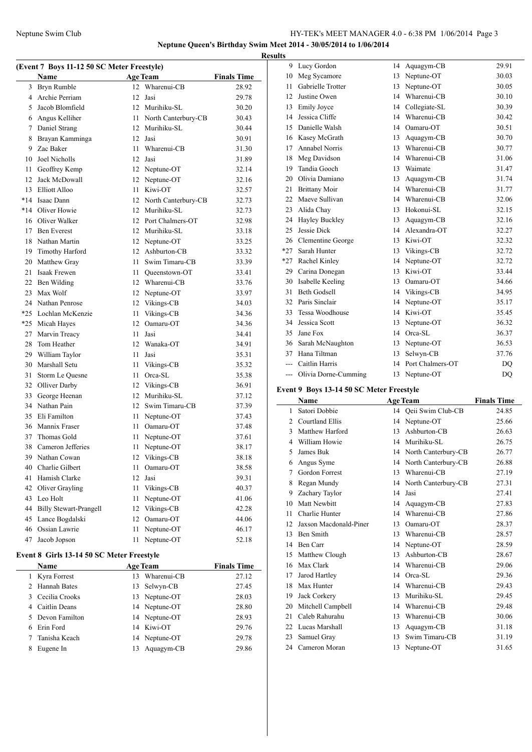### Neptune Swim Club HY-TEK's MEET MANAGER 4.0 - 6:38 PM 1/06/2014 Page 3 **Neptune Queen's Birthday Swim Meet 2014 - 30/05/2014 to 1/06/2014**

**Results**

### **(Event 7 Boys 11-12 50 SC Meter Freestyle)**

|       | Name                          |      | Age Team            | <b>Finals Time</b> |
|-------|-------------------------------|------|---------------------|--------------------|
|       | 3 Bryn Rumble                 | 12   | Wharenui-CB         | 28.92              |
|       | 4 Archie Perriam              | 12   | Jasi                | 29.78              |
| 5     | Jacob Blomfield               |      | 12 Murihiku-SL      | 30.20              |
|       | 6 Angus Kelliher              | 11   | North Canterbury-CB | 30.43              |
| 7     | Daniel Strang                 |      | 12 Murihiku-SL      | 30.44              |
| 8     | Brayan Kamminga               | 12   | Jasi                | 30.91              |
| 9     | Zac Baker                     | 11   | Wharenui-CB         | 31.30              |
| 10    | Joel Nicholls                 | 12   | Jasi                | 31.89              |
| 11    | Geoffrey Kemp                 | 12   | Neptune-OT          | 32.14              |
| 12    | Jack McDowall                 | 12   | Neptune-OT          | 32.16              |
| 13    | Elliott Alloo                 | 11   | Kiwi-OT             | 32.57              |
| $*14$ | Isaac Dann                    | 12   | North Canterbury-CB | 32.73              |
|       | *14 Oliver Howie              | 12   | Murihiku-SL         | 32.73              |
| 16    | Oliver Walker                 | 12   | Port Chalmers-OT    | 32.98              |
| 17    | <b>Ben Everest</b>            |      | 12 Murihiku-SL      | 33.18              |
| 18    | Nathan Martin                 |      | 12 Neptune-OT       | 33.25              |
| 19    | Timothy Harford               |      | 12 Ashburton-CB     | 33.32              |
| 20    | Matthew Gray                  | 11   | Swim Timaru-CB      | 33.39              |
| 21    | <b>Isaak Frewen</b>           | 11 - | Queenstown-OT       | 33.41              |
| 22    | Ben Wilding                   |      | 12 Wharenui-CB      | 33.76              |
| 23    | Max Wolf                      | 12   | Neptune-OT          | 33.97              |
| 24    | Nathan Penrose                | 12   | Vikings-CB          | 34.03              |
| $*25$ | Lochlan McKenzie              | 11   | Vikings-CB          | 34.36              |
| $*25$ | Micah Hayes                   | 12   | Oamaru-OT           | 34.36              |
| 27    | Marvin Treacy                 | 11   | Jasi                | 34.41              |
| 28    | Tom Heather                   | 12   | Wanaka-OT           | 34.91              |
| 29    | William Taylor                | 11   | Jasi                | 35.31              |
| 30    | Marshall Setu                 | 11   | Vikings-CB          | 35.32              |
| 31    | Storm Le Quesne               | 11   | Orca-SL             | 35.38              |
| 32    | Olliver Darby                 | 12   | Vikings-CB          | 36.91              |
| 33    | George Heenan                 | 12   | Murihiku-SL         | 37.12              |
| 34    | Nathan Pain                   | 12   | Swim Timaru-CB      | 37.39              |
| 35    | Eli Familton                  | 11   | Neptune-OT          | 37.43              |
| 36    | Mannix Fraser                 | 11   | Oamaru-OT           | 37.48              |
| 37    | Thomas Gold                   | 11   | Neptune-OT          | 37.61              |
| 38    | Cameron Jefferies             | 11   | Neptune-OT          | 38.17              |
| 39    | Nathan Cowan                  | 12   | Vikings-CB          | 38.18              |
| 40    | Charlie Gilbert               | 11   | Oamaru-OT           | 38.58              |
| 41    | Hamish Clarke                 | 12   | Jasi                | 39.31              |
| 42    | Oliver Grayling               | 11   | Vikings-CB          | 40.37              |
| 43    | Leo Holt                      | 11   | Neptune-OT          | 41.06              |
| 44    | <b>Billy Stewart-Prangell</b> | 12   | Vikings-CB          | 42.28              |
| 45    | Lance Bogdalski               | 12   | Oamaru-OT           | 44.06              |
| 46    | Ossian Lawrie                 | 11   | Neptune-OT          | 46.17              |
| 47    | Jacob Jopson                  | 11   | Neptune-OT          | 52.18              |

### **Event 8 Girls 13-14 50 SC Meter Freestyle**

| Name             |    | <b>Age Team</b> | <b>Finals Time</b> |
|------------------|----|-----------------|--------------------|
| 1 Kyra Forrest   | 13 | Wharenui-CB     | 27.12              |
| 2 Hannah Bates   |    | 13 Selwyn-CB    | 27.45              |
| 3 Cecilia Crooks |    | 13 Neptune-OT   | 28.03              |
| 4 Caitlin Deans  |    | 14 Neptune-OT   | 28.80              |
| 5 Devon Familton |    | 14 Neptune-OT   | 28.93              |
| 6 Erin Ford      |    | 14 Kiwi-OT      | 29.76              |
| Tanisha Keach    |    | 14 Neptune-OT   | 29.78              |
| Eugene In        |    | Aquagym-CB      | 29.86              |

| 9     | Lucy Gordon          | 14 | Aquagym-CB       | 29.91     |
|-------|----------------------|----|------------------|-----------|
| 10    | Meg Sycamore         | 13 | Neptune-OT       | 30.03     |
| 11    | Gabrielle Trotter    | 13 | Neptune-OT       | 30.05     |
| 12    | Justine Owen         | 14 | Wharenui-CB      | 30.10     |
|       | 13 Emily Joyce       | 14 | Collegiate-SL    | 30.39     |
| 14    | Jessica Cliffe       | 14 | Wharenui-CB      | 30.42     |
| 15    | Danielle Walsh       | 14 | Oamaru-OT        | 30.51     |
| 16    | Kasey McGrath        | 13 | Aquagym-CB       | 30.70     |
| 17    | Annabel Norris       | 13 | Wharenui-CB      | 30.77     |
| 18    | Meg Davidson         | 14 | Wharenui-CB      | 31.06     |
| 19    | Tandia Gooch         |    | 13 Waimate       | 31.47     |
| 20    | Olivia Damiano       | 13 | Aquagym-CB       | 31.74     |
| 21    | <b>Brittany Moir</b> | 14 | Wharenui-CB      | 31.77     |
| 22    | Maeve Sullivan       |    | 14 Wharenui-CB   | 32.06     |
| 23    | Alida Chay           | 13 | Hokonui-SL       | 32.15     |
| 24    | Hayley Buckley       | 13 | Aquagym-CB       | 32.16     |
| 25    | Jessie Dick          | 14 | Alexandra-OT     | 32.27     |
| 26    | Clementine George    | 13 | Kiwi-OT          | 32.32     |
| $*27$ | Sarah Hunter         |    | 13 Vikings-CB    | 32.72     |
| $*27$ | Rachel Kinley        | 14 | Neptune-OT       | 32.72     |
| 29    | Carina Donegan       | 13 | Kiwi-OT          | 33.44     |
| 30    | Isabelle Keeling     | 13 | Oamaru-OT        | 34.66     |
| 31    | <b>Beth Godsell</b>  | 14 | Vikings-CB       | 34.95     |
| 32    | Paris Sinclair       | 14 | Neptune-OT       | 35.17     |
| 33    | Tessa Woodhouse      | 14 | Kiwi-OT          | 35.45     |
| 34    | Jessica Scott        | 13 | Neptune-OT       | 36.32     |
| 35    | Jane Fox             | 14 | Orca-SL          | 36.37     |
| 36    | Sarah McNaughton     | 13 | Neptune-OT       | 36.53     |
| 37    | Hana Tiltman         | 13 | Selwyn-CB        | 37.76     |
| $---$ | Caitlin Harris       | 14 | Port Chalmers-OT | DQ        |
| ---   | Olivia Dorne-Cumming | 13 | Neptune-OT       | <b>DQ</b> |

### **Event 9 Boys 13-14 50 SC Meter Freestyle**

|               | Name                   |    | <b>Age Team</b>     | <b>Finals Time</b> |
|---------------|------------------------|----|---------------------|--------------------|
| 1             | Satori Dobbie          | 14 | Qeii Swim Club-CB   | 24.85              |
| $\mathcal{L}$ | <b>Courtland Ellis</b> | 14 | Neptune-OT          | 25.66              |
| 3             | Matthew Harford        | 13 | Ashburton-CB        | 26.63              |
| 4             | William Howie          | 14 | Murihiku-SL         | 26.75              |
| 5             | James Buk              | 14 | North Canterbury-CB | 26.77              |
| 6             | Angus Syme             | 14 | North Canterbury-CB | 26.88              |
| 7             | <b>Gordon Forrest</b>  | 13 | Wharenui-CB         | 27.19              |
| 8             | Regan Mundy            | 14 | North Canterbury-CB | 27.31              |
| 9             | Zachary Taylor         | 14 | Jasi                | 27.41              |
| 10            | Matt Newbitt           | 14 | Aquagym-CB          | 27.83              |
| 11            | Charlie Hunter         | 14 | Wharenui-CB         | 27.86              |
| 12            | Jaxson Macdonald-Piner | 13 | Oamaru-OT           | 28.37              |
| 13            | <b>Ben Smith</b>       | 13 | Wharenui-CB         | 28.57              |
| 14            | Ben Carr               | 14 | Neptune-OT          | 28.59              |
| 15            | Matthew Clough         | 13 | Ashburton-CB        | 28.67              |
| 16            | Max Clark              | 14 | Wharenui-CB         | 29.06              |
| 17            | Jarod Hartley          | 14 | $Orea-SL$           | 29.36              |
| 18            | Max Hunter             | 14 | Wharenui-CB         | 29.43              |
| 19            | Jack Corkery           | 13 | Murihiku-SL         | 29.45              |
| 20            | Mitchell Campbell      | 14 | Wharenui-CB         | 29.48              |
| 21            | Caleb Rahurahu         | 13 | Wharenui-CB         | 30.06              |
| 22            | Lucas Marshall         | 13 | Aquagym-CB          | 31.18              |
| 23            | Samuel Gray            | 13 | Swim Timaru-CB      | 31.19              |
| 24            | Cameron Moran          | 13 | Neptune-OT          | 31.65              |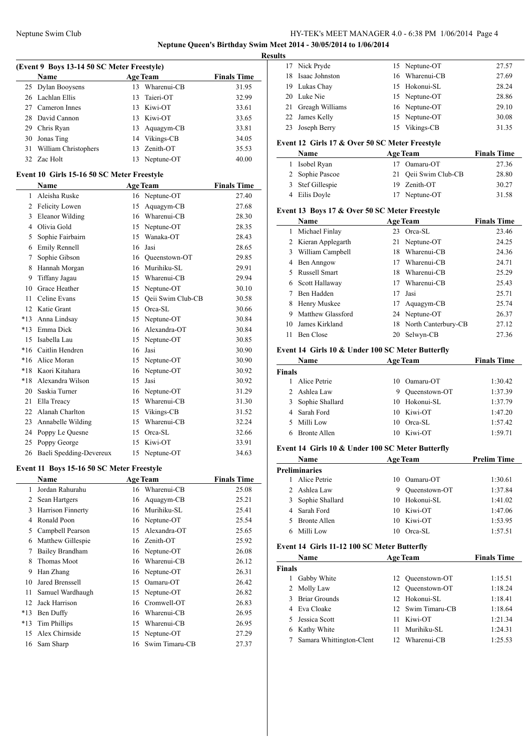#### **Neptune Queen's Birthday Swim Meet 2014 - 30/05/2014 to 1/06/2014**

**Results**

|    | (Event 9 Boys 13-14 50 SC Meter Freestyle) |    |                 |                    |
|----|--------------------------------------------|----|-----------------|--------------------|
|    | <b>Name</b>                                |    | <b>Age Team</b> | <b>Finals Time</b> |
|    | 25 Dylan Booysens                          | 13 | Wharenui-CB     | 31.95              |
|    | 26 Lachlan Ellis                           |    | 13 Taieri-OT    | 32.99              |
|    | 27 Cameron Innes                           |    | 13 Kiwi-OT      | 33.61              |
|    | 28 David Cannon                            |    | 13 Kiwi-OT      | 33.65              |
| 29 | Chris Ryan                                 |    | 13 Aquagym-CB   | 33.81              |
| 30 | Jonas Ting                                 |    | 14 Vikings-CB   | 34.05              |
| 31 | William Christophers                       |    | 13 Zenith-OT    | 35.53              |
|    | 32 Zac Holt                                |    | 13 Neptune-OT   | 40.00              |

#### **Event 10 Girls 15-16 50 SC Meter Freestyle**

|       | <b>Name</b>             |    | <b>Age Team</b>   | <b>Finals Time</b> |
|-------|-------------------------|----|-------------------|--------------------|
| 1     | Aleisha Ruske           | 16 | Neptune-OT        | 27.40              |
| 2     | Felicity Lowen          | 15 | Aquagym-CB        | 27.68              |
| 3     | Eleanor Wilding         | 16 | Wharenui-CB       | 28.30              |
| 4     | Olivia Gold             | 15 | Neptune-OT        | 28.35              |
| 5     | Sophie Fairbairn        | 15 | Wanaka-OT         | 28.43              |
| 6     | Emily Rennell           | 16 | Jasi              | 28.65              |
| 7     | Sophie Gibson           | 16 | Queenstown-OT     | 29.85              |
| 8     | Hannah Morgan           | 16 | Murihiku-SL       | 29.91              |
| 9     | Tiffany Jagau           | 15 | Wharenui-CB       | 29.94              |
| 10    | Grace Heather           | 15 | Neptune-OT        | 30.10              |
| 11    | Celine Evans            | 15 | Qeii Swim Club-CB | 30.58              |
| 12    | Katie Grant             | 15 | $Orea-SL$         | 30.66              |
| $*13$ | Anna Lindsay            | 15 | Neptune-OT        | 30.84              |
| $*13$ | Emma Dick               | 16 | Alexandra-OT      | 30.84              |
| 15    | Isabella Lau            | 15 | Neptune-OT        | 30.85              |
|       | *16 Caitlin Hendren     | 16 | Jasi              | 30.90              |
| $*16$ | Alice Moran             | 15 | Neptune-OT        | 30.90              |
|       | *18 Kaori Kitahara      | 16 | Neptune-OT        | 30.92              |
| $*18$ | Alexandra Wilson        | 15 | Jasi              | 30.92              |
| 20    | Saskia Turner           | 16 | Neptune-OT        | 31.29              |
| 21    | Ella Treacy             | 15 | Wharenui-CB       | 31.30              |
| 22    | Alanah Charlton         | 15 | Vikings-CB        | 31.52              |
| 23    | Annabelle Wilding       | 15 | Wharenui-CB       | 32.24              |
| 24    | Poppy Le Quesne         | 15 | Orca-SL           | 32.66              |
| 25    | Poppy George            | 15 | Kiwi-OT           | 33.91              |
| 26    | Baeli Spedding-Devereux | 15 | Neptune-OT        | 34.63              |

#### **Event 11 Boys 15-16 50 SC Meter Freestyle**

|       | Name              |    | <b>Age Team</b> | <b>Finals Time</b> |
|-------|-------------------|----|-----------------|--------------------|
| 1     | Jordan Rahurahu   | 16 | Wharenui-CB     | 25.08              |
| 2     | Sean Hartgers     |    | 16 Aquagym-CB   | 25.21              |
| 3     | Harrison Finnerty | 16 | Murihiku-SL     | 25.41              |
| 4     | Ronald Poon       |    | 16 Neptune-OT   | 25.54              |
| 5     | Campbell Pearson  | 15 | Alexandra-OT    | 25.65              |
| 6     | Matthew Gillespie |    | 16 Zenith-OT    | 25.92              |
| 7     | Bailey Brandham   |    | 16 Neptune-OT   | 26.08              |
| 8     | Thomas Moot       | 16 | Wharenui-CB     | 26.12              |
| 9     | Han Zhang         | 16 | Neptune-OT      | 26.31              |
| 10    | Jared Brenssell   | 15 | Oamaru-OT       | 26.42              |
| 11    | Samuel Wardhaugh  | 15 | Neptune-OT      | 26.82              |
| 12    | Jack Harrison     | 16 | Cromwell-OT     | 26.83              |
| $*13$ | Ben Duffy         | 16 | Wharenui-CB     | 26.95              |
| $*13$ | Tim Phillips      | 15 | Wharenui-CB     | 26.95              |
| 15    | Alex Chirnside    | 15 | Neptune-OT      | 27.29              |
| 16    | Sam Sharp         | 16 | Swim Timaru-CB  | 27.37              |

| w  |                                                   |                |       |
|----|---------------------------------------------------|----------------|-------|
|    | 17 Nick Pryde                                     | 15 Neptune-OT  | 27.57 |
| 18 | Isaac Johnston                                    | 16 Wharenui-CB | 27.69 |
|    | 19 Lukas Chay                                     | 15 Hokonui-SL  | 28.24 |
|    | 20 Luke Nie                                       | 15 Neptune-OT  | 28.86 |
|    | 21 Greagh Williams                                | 16 Neptune-OT  | 29.10 |
|    | 22 James Kelly                                    | 15 Neptune-OT  | 30.08 |
|    | 23 Joseph Berry                                   | 15 Vikings-CB  | 31.35 |
|    | Event 12 Cirls 17 $\&$ Over 50 SC Meter Freestyle |                |       |

## **Event 12 Girls 17 & Over 50 SC Meter Freestyle**

|  | <b>Name</b>      | <b>Age Team</b>      | <b>Finals Time</b> |
|--|------------------|----------------------|--------------------|
|  | 1 Isobel Ryan    | Oamaru-OT            | 27.36              |
|  | 2 Sophie Pascoe  | 21 Oeii Swim Club-CB | 28.80              |
|  | 3 Stef Gillespie | 19 Zenith-OT         | 30.27              |
|  | 4 Eilis Doyle    | 17 Neptune-OT        | 31.58              |

### **Event 13 Boys 17 & Over 50 SC Meter Freestyle**

|    | <b>Name</b>         |    | <b>Age Team</b>        | <b>Finals Time</b> |
|----|---------------------|----|------------------------|--------------------|
|    | Michael Finlay      |    | 23 Orca-SL             | 23.46              |
|    | 2 Kieran Applegarth |    | 21 Neptune-OT          | 24.25              |
| 3  | William Campbell    | 18 | Wharenui-CB            | 24.36              |
| 4  | Ben Anngow          | 17 | Wharenui-CB            | 24.71              |
|    | Russell Smart       | 18 | Wharenui-CB            | 25.29              |
| 6  | Scott Hallaway      | 17 | Wharenui-CB            | 25.43              |
|    | Ben Hadden          | 17 | Jasi                   | 25.71              |
| 8  | Henry Muskee        | 17 | Aquagym-CB             | 25.74              |
| 9  | Matthew Glassford   |    | 24 Neptune-OT          | 26.37              |
| 10 | James Kirkland      |    | 18 North Canterbury-CB | 27.12              |
| 11 | Ben Close           | 20 | Selwyn-CB              | 27.36              |

### **Event 14 Girls 10 & Under 100 SC Meter Butterfly**

| Name          |                     |    | <b>Age Team</b> | <b>Finals Time</b> |  |
|---------------|---------------------|----|-----------------|--------------------|--|
| <b>Finals</b> |                     |    |                 |                    |  |
|               | Alice Petrie        | 10 | Oamaru-OT       | 1:30.42            |  |
|               | 2 Ashlea Law        | 9  | Oueenstown-OT   | 1:37.39            |  |
|               | 3 Sophie Shallard   |    | 10 Hokonui-SL   | 1:37.79            |  |
|               | 4 Sarah Ford        |    | 10 Kiwi-OT      | 1:47.20            |  |
| 5.            | Milli Low           | 10 | Orca-SL         | 1:57.42            |  |
|               | <b>Bronte Allen</b> | 10 | Kiwi-OT         | 1:59.71            |  |

### **Event 14 Girls 10 & Under 100 SC Meter Butterfly**

| Name                 |                     |    | <b>Age Team</b> | <b>Prelim Time</b> |  |
|----------------------|---------------------|----|-----------------|--------------------|--|
| <b>Preliminaries</b> |                     |    |                 |                    |  |
|                      | Alice Petrie        | 10 | Oamaru-OT       | 1:30.61            |  |
|                      | 2 Ashlea Law        | 9  | Oueenstown-OT   | 1:37.84            |  |
| 3                    | Sophie Shallard     |    | 10 Hokonui-SL   | 1:41.02            |  |
|                      | 4 Sarah Ford        | 10 | Kiwi-OT         | 1:47.06            |  |
| 5.                   | <b>Bronte Allen</b> | 10 | Kiwi-OT         | 1:53.95            |  |
|                      | Milli Low           |    | Orca-SL         | 1:57.51            |  |

#### **Event 14 Girls 11-12 100 SC Meter Butterfly**

|        | Name                     |     | <b>Age Team</b>   | <b>Finals Time</b> |
|--------|--------------------------|-----|-------------------|--------------------|
| Finals |                          |     |                   |                    |
|        | Gabby White              |     | 12 Oueenstown-OT  | 1:15.51            |
|        | 2 Molly Law              |     | 12 Oueenstown-OT  | 1:18.24            |
| 3      | <b>Briar Grounds</b>     |     | 12 Hokonui-SL     | 1:18.41            |
|        | Eva Cloake               |     | 12 Swim Timaru-CB | 1:18.64            |
|        | Jessica Scott            | 11. | Kiwi-OT           | 1:21.34            |
| 6      | Kathy White              | 11  | Murihiku-SL       | 1:24.31            |
|        | Samara Whittington-Clent |     | 12 Wharenui-CB    | 1:25.53            |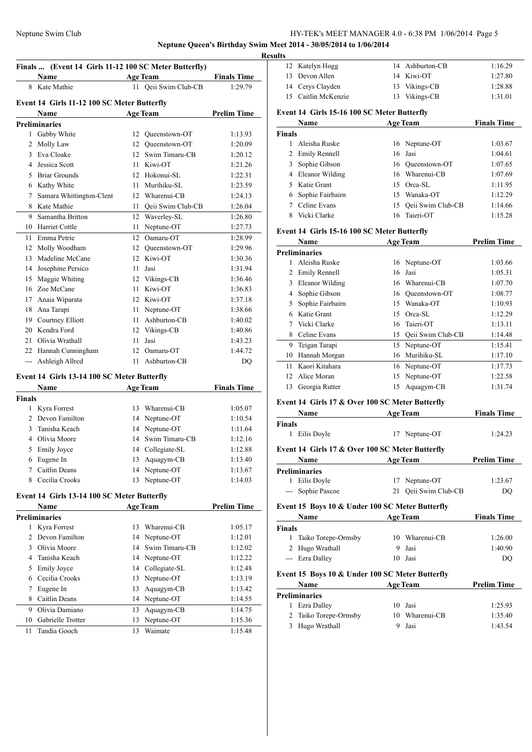#### **Neptune Queen's Birthday Swim Meet 2014 - 30/05/2014 to 1/06/2014**

|               | Finals  (Event 14 Girls 11-12 100 SC Meter Butterfly)<br>Name |    | <b>Age Team</b>      | <b>Finals Time</b> |
|---------------|---------------------------------------------------------------|----|----------------------|--------------------|
|               | 8 Kate Mathie                                                 |    | 11 Qeii Swim Club-CB | 1:29.79            |
|               |                                                               |    |                      |                    |
|               | Event 14 Girls 11-12 100 SC Meter Butterfly                   |    |                      |                    |
|               | Name                                                          |    | <b>Age Team</b>      | <b>Prelim Time</b> |
|               | <b>Preliminaries</b>                                          |    |                      |                    |
|               | 1 Gabby White                                                 |    | 12 Queenstown-OT     | 1:13.93            |
|               | 2 Molly Law                                                   |    | 12 Oueenstown-OT     | 1:20.09            |
| 3             | Eva Cloake                                                    |    | 12 Swim Timaru-CB    | 1:20.12            |
| 4             | Jessica Scott                                                 |    | 11 Kiwi-OT           | 1:21.26            |
| 5             | <b>Briar Grounds</b>                                          |    | 12 Hokonui-SL        | 1:22.31            |
|               | 6 Kathy White                                                 | 11 | Murihiku-SL          | 1:23.59            |
| 7             | Samara Whittington-Clent                                      |    | 12 Wharenui-CB       | 1:24.13            |
|               | 8 Kate Mathie                                                 |    | 11 Qeii Swim Club-CB | 1:26.04            |
| 9             | Samantha Britton                                              | 12 | Waverley-SL          | 1:26.80            |
|               | 10 Harriet Cottle                                             | 11 | Neptune-OT           | 1:27.73            |
| 11            | Emma Petrie                                                   | 12 | Oamaru-OT            | 1:28.99            |
|               | 12 Molly Woodham                                              |    | 12 Queenstown-OT     | 1:29.96            |
| 13            | Madeline McCane                                               |    | 12 Kiwi-OT           | 1:30.36            |
| 14            | Josephine Persico                                             | 11 | Jasi                 | 1:31.94            |
|               | 15 Maggie Whiting                                             |    | 12 Vikings-CB        | 1:36.46            |
|               |                                                               |    |                      | 1:36.83            |
|               | 16 Zoe McCane                                                 | 11 | Kiwi-OT              |                    |
|               | 17 Anaia Wiparata                                             |    | 12 Kiwi-OT           | 1:37.18            |
| 18            | Ana Tarapi                                                    | 11 | Neptune-OT           | 1:38.66            |
|               | 19 Courtney Elliott                                           | 11 | Ashburton-CB         | 1:40.02            |
|               | 20 Kendra Ford                                                |    | 12 Vikings-CB        | 1:40.86            |
|               | 21 Olivia Wrathall                                            | 11 | Jasi                 | 1:43.23            |
|               | 22 Hannah Cunningham                                          |    | 12 Oamaru-OT         | 1:44.72            |
| ---           | Ashleigh Allred                                               |    | 11 Ashburton-CB      | DQ                 |
|               | Event 14 Girls 13-14 100 SC Meter Butterfly                   |    |                      |                    |
|               | Name                                                          |    | <b>Age Team</b>      | <b>Finals Time</b> |
| <b>Finals</b> |                                                               |    |                      |                    |
|               | 1 Kyra Forrest                                                |    | 13 Wharenui-CB       | 1:05.07            |
|               | 2 Devon Familton                                              |    | 14 Neptune-OT        | 1:10.54            |
| 3             | Tanisha Keach                                                 |    | 14 Neptune-OT        | 1:11.64            |
|               | 4 Olivia Moore                                                |    | 14 Swim Timaru-CB    | 1:12.16            |
|               | 5 Emily Joyce                                                 |    | 14 Collegiate-SL     | 1:12.88            |
|               | 6 Eugene In                                                   |    | 13 Aquagym-CB        | 1:13.40            |
| 7             | Caitlin Deans                                                 |    | 14 Neptune-OT        | 1:13.67            |
| 8             | Cecilia Crooks                                                |    | 13 Neptune-OT        | 1:14.03            |
|               |                                                               |    |                      |                    |
|               | Event 14 Girls 13-14 100 SC Meter Butterfly<br>Name           |    | <b>Age Team</b>      | <b>Prelim Time</b> |
|               | <b>Preliminaries</b>                                          |    |                      |                    |
| 1             | Kyra Forrest                                                  | 13 | Wharenui-CB          | 1:05.17            |
|               | 2 Devon Familton                                              | 14 | Neptune-OT           | 1:12.01            |
|               | 3 Olivia Moore                                                | 14 | Swim Timaru-CB       | 1:12.02            |
|               |                                                               |    |                      |                    |
|               | 4 Tanisha Keach                                               | 14 | Neptune-OT           | 1:12.22            |
| 5             | <b>Emily Joyce</b>                                            |    | 14 Collegiate-SL     | 1:12.48            |
|               | 6 Cecilia Crooks                                              | 13 | Neptune-OT           | 1:13.19            |
| 7             | Eugene In                                                     | 13 | Aquagym-CB           | 1:13.42            |
| 8             | Caitlin Deans                                                 | 14 | Neptune-OT           | 1:14.55            |
| 9             | Olivia Damiano                                                | 13 | Aquagym-CB           | 1:14.75            |
| 10            | Gabrielle Trotter                                             | 13 | Neptune-OT           | 1:15.36            |
|               |                                                               |    |                      |                    |

| TS. |                                              |  |                 |         |  |  |
|-----|----------------------------------------------|--|-----------------|---------|--|--|
|     | 12 Katelyn Hogg                              |  | 14 Ashburton-CB | 1:16.29 |  |  |
|     | 13 Devon Allen                               |  | 14 Kiwi-OT      | 1:27.80 |  |  |
|     | 14 Cerys Clayden                             |  | 13 Vikings-CB   | 1:28.88 |  |  |
|     | 15 Caitlin McKenzie                          |  | 13 Vikings-CB   | 1:31.01 |  |  |
|     | Event 14  Girls 15-16 100 SC Meter Butterfly |  |                 |         |  |  |

### **Event 14 Girls 15-16 100 SC Meter Butterfly**

|               | Name               | <b>Age Team</b> |                      | <b>Finals Time</b> |
|---------------|--------------------|-----------------|----------------------|--------------------|
| <b>Finals</b> |                    |                 |                      |                    |
|               | Aleisha Ruske      |                 | 16 Neptune-OT        | 1:03.67            |
|               | 2 Emily Rennell    |                 | 16 Jasi              | 1:04.61            |
|               | 3 Sophie Gibson    |                 | 16 Oueenstown-OT     | 1:07.65            |
|               | 4 Eleanor Wilding  |                 | 16 Wharenui-CB       | 1:07.69            |
|               | 5 Katie Grant      |                 | 15 Orca-SL           | 1:11.95            |
|               | 6 Sophie Fairbairn |                 | 15 Wanaka-OT         | 1:12.29            |
|               | Celine Evans       |                 | 15 Oeii Swim Club-CB | 1:14.66            |
| 8             | Vicki Clarke       |                 | 16 Taieri-OT         | 1:15.28            |

### **Event 14 Girls 15-16 100 SC Meter Butterfly**

|    | Name                 | <b>Age Team</b> |                   | <b>Prelim Time</b> |
|----|----------------------|-----------------|-------------------|--------------------|
|    | <b>Preliminaries</b> |                 |                   |                    |
|    | Aleisha Ruske        |                 | 16 Neptune-OT     | 1:03.66            |
| 2  | <b>Emily Rennell</b> | 16              | Jasi              | 1:05.31            |
| 3  | Eleanor Wilding      | 16              | Wharenui-CB       | 1:07.70            |
| 4  | Sophie Gibson        |                 | 16 Oueenstown-OT  | 1:08.77            |
|    | Sophie Fairbairn     | 15              | Wanaka-OT         | 1:10.93            |
|    | Katie Grant          | 15              | Orca-SL           | 1:12.29            |
|    | Vicki Clarke         | 16              | Taieri-OT         | 1:13.11            |
| 8  | Celine Evans         | 15              | Qeii Swim Club-CB | 1:14.48            |
| 9  | Teigan Tarapi        | 15              | Neptune-OT        | 1:15.41            |
| 10 | Hannah Morgan        | 16              | Murihiku-SL       | 1:17.10            |
| 11 | Kaori Kitahara       |                 | 16 Neptune-OT     | 1:17.73            |
| 12 | Alice Moran          | 15              | Neptune-OT        | 1:22.58            |
| 13 | Georgia Rutter       | 15              | Aquagym-CB        | 1:31.74            |
|    |                      |                 |                   |                    |

# **Event 14 Girls 17 & Over 100 SC Meter Butterfly**

| <b>Name</b>   | <b>Age Team</b> | <b>Finals Time</b> |
|---------------|-----------------|--------------------|
| <b>Finals</b> |                 |                    |
| 1 Eilis Doyle | 17 Neptune-OT   | 1:24.23            |

### **Event 14 Girls 17 & Over 100 SC Meter Butterfly**

| <b>Name</b>       | <b>Age Team</b> |                      | <b>Prelim Time</b> |
|-------------------|-----------------|----------------------|--------------------|
| Preliminaries     |                 |                      |                    |
| 1 Eilis Doyle     |                 | 17 Neptune-OT        | 1:23.67            |
| --- Sophie Pascoe |                 | 21 Oeii Swim Club-CB | DO                 |

### **Event 15 Boys 10 & Under 100 SC Meter Butterfly**

|               | <b>Name</b>                                     |   | <b>Age Team</b> | <b>Finals Time</b> |  |  |
|---------------|-------------------------------------------------|---|-----------------|--------------------|--|--|
| <b>Finals</b> |                                                 |   |                 |                    |  |  |
| L             | Taiko Torepe-Ormsby                             |   | 10 Wharenui-CB  | 1:26.00            |  |  |
|               | 2 Hugo Wrathall                                 | 9 | Jasi            | 1:40.90            |  |  |
|               | --- Ezra Dalley                                 |   | 10 Jasi         | DO                 |  |  |
|               | Event 15 Boys 10 & Under 100 SC Meter Butterfly |   |                 |                    |  |  |

| <b>Name</b>           |  | <b>Prelim Time</b>                                   |  |
|-----------------------|--|------------------------------------------------------|--|
| Preliminaries         |  |                                                      |  |
| 1 Ezra Dalley         |  | 1:25.93                                              |  |
| 2 Taiko Torepe-Ormsby |  | 1:35.40                                              |  |
| 3 Hugo Wrathall       |  | 1:43.54                                              |  |
|                       |  | <b>Age Team</b><br>10 Jasi<br>10 Wharenui-CB<br>Jasi |  |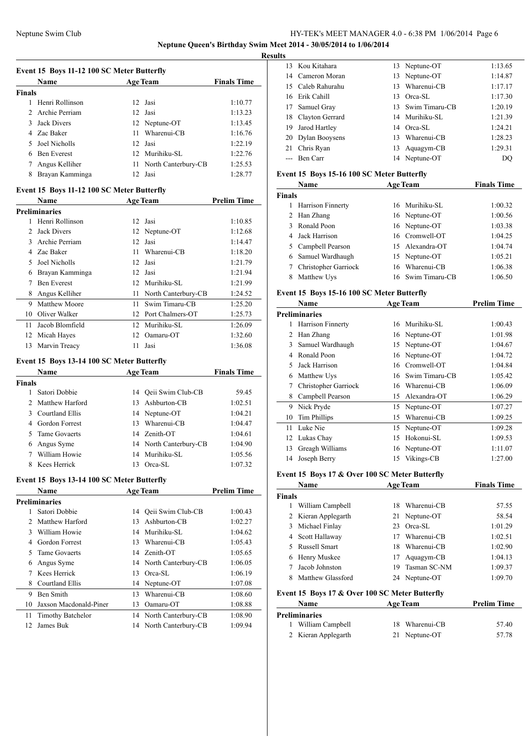### Neptune Swim Club HY-TEK's MEET MANAGER 4.0 - 6:38 PM 1/06/2014 Page 6 **Neptune Queen's Birthday Swim Meet 2014 - 30/05/2014 to 1/06/2014**

**Results**

|                | Event 15 Boys 11-12 100 SC Meter Butterfly |    |                     |                    |
|----------------|--------------------------------------------|----|---------------------|--------------------|
|                | <b>Name</b>                                |    | <b>Age Team</b>     | <b>Finals Time</b> |
| <b>Finals</b>  |                                            |    |                     |                    |
| 1              | Henri Rollinson                            | 12 | Jasi                | 1:10.77            |
| $\overline{c}$ | Archie Perriam                             | 12 | Jasi                | 1:13.23            |
| $\mathcal{F}$  | <b>Jack Divers</b>                         | 12 | Neptune-OT          | 1:13.45            |
| 4              | Zac Baker                                  | 11 | Wharenui-CB         | 1:16.76            |
| 5              | Joel Nicholls                              | 12 | Jasi                | 1:22.19            |
| 6              | <b>Ben Everest</b>                         | 12 | Murihiku-SL         | 1:22.76            |
| 7              | Angus Kelliher                             | 11 | North Canterbury-CB | 1:25.53            |
| 8              | Brayan Kamminga                            | 12 | Jasi                | 1:28.77            |
|                | Event 15 Boys 11-12 100 SC Meter Butterfly |    |                     |                    |
|                | <b>Name</b>                                |    | <b>Age Team</b>     | <b>Prelim Time</b> |
|                | <b>Preliminaries</b>                       |    |                     |                    |
| 1              | Henri Rollinson                            | 12 | Jasi                | 1:10.85            |
| $\overline{2}$ | <b>Jack Divers</b>                         | 12 | Neptune-OT          | 1:12.68            |
| $\mathcal{E}$  | Archie Perriam                             | 12 | Jasi                | 1:14.47            |
| 4              | Zac Baker                                  | 11 | Wharenui-CB         | 1:18.20            |
| 5              | Joel Nicholls                              | 12 | Jasi                | 1:21.79            |
| 6              | Brayan Kamminga                            | 12 | Jasi                | 1:21.94            |
| 7              | <b>Ben Everest</b>                         | 12 | Murihiku-SL         | 1:21.99            |
| 8              | Angus Kelliher                             | 11 | North Canterbury-CB | 1:24.52            |
| 9              | Matthew Moore                              | 11 | Swim Timaru-CB      | 1:25.20            |
| 10             | Oliver Walker                              | 12 | Port Chalmers-OT    | 1:25.73            |
| 11             | Jacob Blomfield                            | 12 | Murihiku-SL         | 1:26.09            |
| 12             | Micah Hayes                                | 12 | Oamaru-OT           | 1:32.60            |
| 13             | Marvin Treacy                              | 11 | Jasi                | 1:36.08            |
|                | Event 15 Boys 13-14 100 SC Meter Butterfly |    |                     |                    |

| <b>Name</b> |                       | <b>Age Team</b> |                        | <b>Finals Time</b> |  |
|-------------|-----------------------|-----------------|------------------------|--------------------|--|
| Finals      |                       |                 |                        |                    |  |
|             | Satori Dobbie         |                 | 14 Oeii Swim Club-CB   | 59.45              |  |
|             | Matthew Harford       |                 | 13 Ashburton-CB        | 1:02.51            |  |
|             | Courtland Ellis       |                 | 14 Neptune-OT          | 1:04.21            |  |
| 4           | <b>Gordon Forrest</b> | 13.             | Wharenui-CB            | 1:04.47            |  |
|             | Tame Govaerts         |                 | 14 Zenith-OT           | 1:04.61            |  |
| 6           | Angus Syme            |                 | 14 North Canterbury-CB | 1:04.90            |  |
|             | William Howie         |                 | 14 Murihiku-SL         | 1:05.56            |  |
|             | Kees Herrick          | 13              | Orca-SL                | 1:07.32            |  |

### **Event 15 Boys 13-14 100 SC Meter Butterfly**

|    | <b>Name</b>              |    | <b>Age Team</b>        | <b>Prelim Time</b> |
|----|--------------------------|----|------------------------|--------------------|
|    | <b>Preliminaries</b>     |    |                        |                    |
|    | Satori Dobbie            | 14 | Oeii Swim Club-CB      | 1:00.43            |
| 2  | Matthew Harford          | 13 | Ashburton-CB           | 1:02.27            |
| 3  | William Howie            | 14 | Murihiku-SL            | 1:04.62            |
| 4  | Gordon Forrest           | 13 | Wharenui-CB            | 1:05.43            |
| 5  | Tame Govaerts            |    | 14 Zenith-OT           | 1:05.65            |
| 6  | Angus Syme               |    | 14 North Canterbury-CB | 1:06.05            |
| 7  | Kees Herrick             | 13 | Orca-SL                | 1:06.19            |
| 8  | Courtland Ellis          | 14 | Neptune-OT             | 1:07.08            |
| 9  | <b>Ben Smith</b>         | 13 | Wharenui-CB            | 1:08.60            |
| 10 | Jaxson Macdonald-Piner   | 13 | Oamaru-OT              | 1:08.88            |
| 11 | <b>Timothy Batchelor</b> |    | 14 North Canterbury-CB | 1:08.90            |
| 12 | James Buk                |    | 14 North Canterbury-CB | 1:09.94            |
|    |                          |    |                        |                    |

|    | 13 Kou Kitahara   |     | 13 Neptune-OT     | 1:13.65 |
|----|-------------------|-----|-------------------|---------|
|    | 14 Cameron Moran  |     | 13 Neptune-OT     | 1:14.87 |
|    | 15 Caleb Rahurahu | 13. | Wharenui-CB       | 1:17.17 |
|    | 16 Erik Cahill    | 13. | Orca-SL           | 1:17.30 |
| 17 | Samuel Gray       |     | 13 Swim Timaru-CB | 1:20.19 |
| 18 | Clayton Gerrard   |     | 14 Murihiku-SL    | 1:21.39 |
| 19 | Jarod Hartley     |     | 14 Orca-SL        | 1:24.21 |
|    | 20 Dylan Booysens | 13. | Wharenui-CB       | 1:28.23 |
| 21 | Chris Ryan        | 13. | Aquagym-CB        | 1:29.31 |
|    | --- Ben Carr      |     | 14 Neptune-OT     | DO      |
|    |                   |     |                   |         |

### **Event 15 Boys 15-16 100 SC Meter Butterfly**

| Name          |                      | <b>Age Team</b> |                   | <b>Finals Time</b> |  |
|---------------|----------------------|-----------------|-------------------|--------------------|--|
| <b>Finals</b> |                      |                 |                   |                    |  |
| 1             | Harrison Finnerty    |                 | 16 Murihiku-SL    | 1:00.32            |  |
| 2             | Han Zhang            |                 | 16 Neptune-OT     | 1:00.56            |  |
| 3             | Ronald Poon          |                 | 16 Neptune-OT     | 1:03.38            |  |
|               | 4 Jack Harrison      |                 | 16 Cromwell-OT    | 1:04.25            |  |
|               | 5 Campbell Pearson   |                 | 15 Alexandra-OT   | 1:04.74            |  |
|               | 6 Samuel Wardhaugh   |                 | 15 Neptune-OT     | 1:05.21            |  |
| 7             | Christopher Garriock |                 | 16 Wharenui-CB    | 1:06.38            |  |
| 8             | Matthew Uys          |                 | 16 Swim Timaru-CB | 1:06.50            |  |

### **Event 15 Boys 15-16 100 SC Meter Butterfly**

|    | Name                 | <b>Age Team</b>      | <b>Prelim Time</b> |
|----|----------------------|----------------------|--------------------|
|    | <b>Preliminaries</b> |                      |                    |
| 1  | Harrison Finnerty    | Murihiku-SL<br>16    | 1:00.43            |
| 2  | Han Zhang            | Neptune-OT<br>16     | 1:01.98            |
| 3  | Samuel Wardhaugh     | Neptune-OT<br>15     | 1:04.67            |
| 4  | Ronald Poon          | Neptune-OT<br>16     | 1:04.72            |
| 5  | Jack Harrison        | Cromwell-OT<br>16    | 1:04.84            |
| 6  | Matthew Uys          | Swim Timaru-CB<br>16 | 1:05.42            |
|    | Christopher Garriock | Wharenui-CB<br>16    | 1:06.09            |
| 8  | Campbell Pearson     | Alexandra-OT<br>15   | 1:06.29            |
| 9  | Nick Pryde           | Neptune-OT<br>15     | 1:07.27            |
| 10 | Tim Phillips         | Wharenui-CB<br>15    | 1:09.25            |
| 11 | Luke Nie             | Neptune-OT<br>15     | 1:09.28            |
| 12 | Lukas Chay           | Hokonui-SL<br>15     | 1:09.53            |
| 13 | Greagh Williams      | Neptune-OT<br>16     | 1:11.07            |
| 14 | Joseph Berry         | Vikings-CB<br>15     | 1:27.00            |

#### **Event 15 Boys 17 & Over 100 SC Meter Butterfly**

|        | Name                 |     | <b>Age Team</b> | <b>Finals Time</b> |
|--------|----------------------|-----|-----------------|--------------------|
| Finals |                      |     |                 |                    |
|        | William Campbell     | 18  | Wharenui-CB     | 57.55              |
|        | 2 Kieran Applegarth  |     | 21 Neptune-OT   | 58.54              |
| 3      | Michael Finlay       |     | 23 Orea-SL      | 1:01.29            |
| 4      | Scott Hallaway       | 17  | Wharenui-CB     | 1:02.51            |
| 5.     | <b>Russell Smart</b> | 18  | Wharenui-CB     | 1:02.90            |
| 6      | Henry Muskee         | 17. | Aquagym-CB      | 1:04.13            |
|        | Jacob Johnston       | 19  | Tasman SC-NM    | 1:09.37            |
| 8      | Matthew Glassford    |     | 24 Neptune-OT   | 1:09.70            |
|        |                      |     |                 |                    |

### **Event 15 Boys 17 & Over 100 SC Meter Butterfly**

| <b>Name</b>          | <b>Age Team</b>  | <b>Prelim Time</b> |  |
|----------------------|------------------|--------------------|--|
| <b>Preliminaries</b> |                  |                    |  |
| William Campbell     | 18 Wharenui-CB   | 57.40              |  |
| 2 Kieran Applegarth  | Neptune-OT<br>21 | 57.78              |  |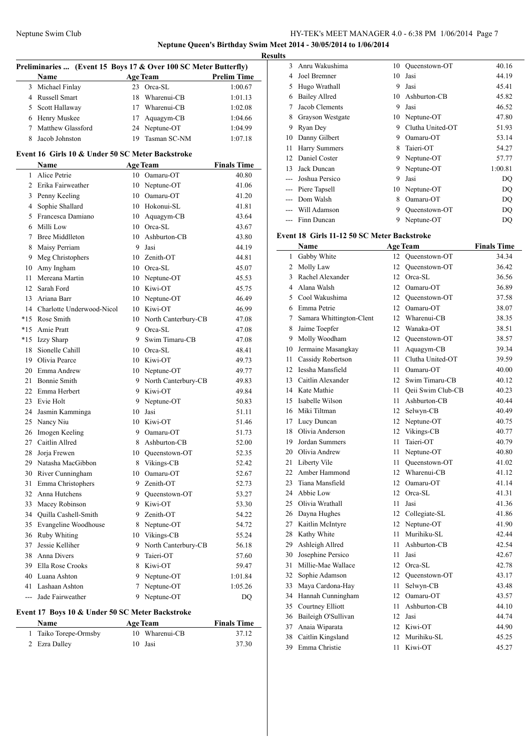**Neptune Queen's Birthday Swim Meet 2014 - 30/05/2014 to 1/06/2014 Results**

|              | Preliminaries  (Event 15 Boys 17 & Over 100 SC Meter Butterfly) |             |                        |                    |  |  |
|--------------|-----------------------------------------------------------------|-------------|------------------------|--------------------|--|--|
|              | Name                                                            |             | <b>Age Team</b>        | <b>Prelim Time</b> |  |  |
|              | 3 Michael Finlay                                                |             | 23 Orca-SL             | 1:00.67            |  |  |
|              | 4 Russell Smart                                                 | 18          | Wharenui-CB            | 1:01.13            |  |  |
| 5            | Scott Hallaway                                                  |             | 17 Wharenui-CB         | 1:02.08            |  |  |
|              | 6 Henry Muskee                                                  |             | 17 Aquagym-CB          | 1:04.66            |  |  |
| $\tau$       | Matthew Glassford                                               |             | 24 Neptune-OT          | 1:04.99            |  |  |
| 8            | Jacob Johnston                                                  | 19          | Tasman SC-NM           | 1:07.18            |  |  |
|              |                                                                 |             |                        |                    |  |  |
|              | Event 16 Girls 10 & Under 50 SC Meter Backstroke                |             |                        |                    |  |  |
|              | <b>Name</b>                                                     |             | Age Team               | <b>Finals Time</b> |  |  |
| $\mathbf{1}$ | Alice Petrie                                                    |             | 10 Oamaru-OT           | 40.80              |  |  |
|              | 2 Erika Fairweather                                             |             | 10 Neptune-OT          | 41.06              |  |  |
|              | 3 Penny Keeling                                                 |             | 10 Oamaru-OT           | 41.20              |  |  |
|              | 4 Sophie Shallard                                               |             | 10 Hokonui-SL          | 41.81              |  |  |
|              | 5 Francesca Damiano                                             |             | 10 Aquagym-CB          | 43.64              |  |  |
|              | 6 Milli Low                                                     |             | 10 Orca-SL             | 43.67              |  |  |
| 7            | <b>Bree Middlleton</b>                                          |             | 10 Ashburton-CB        | 43.80              |  |  |
| 8            | Maisy Perriam                                                   | 9           | Jasi                   | 44.19              |  |  |
| 9            | Meg Christophers                                                |             | 10 Zenith-OT           | 44.81              |  |  |
| 10           | Amy Ingham                                                      |             | 10 Orca-SL             | 45.07              |  |  |
| 11           | Mereana Martin                                                  |             | 10 Neptune-OT          | 45.53              |  |  |
| 12           | Sarah Ford                                                      |             | 10 Kiwi-OT             | 45.75              |  |  |
|              | 13 Ariana Barr                                                  |             | 10 Neptune-OT          | 46.49              |  |  |
|              | 14 Charlotte Underwood-Nicol                                    |             | 10 Kiwi-OT             | 46.99              |  |  |
|              | *15 Rose Smith                                                  |             | 10 North Canterbury-CB | 47.08              |  |  |
| $*15$        | Amie Pratt                                                      |             | 9 Orca-SL              | 47.08              |  |  |
| $*15$        | <b>Izzy Sharp</b>                                               |             | 9 Swim Timaru-CB       | 47.08              |  |  |
| 18           | Sionelle Cahill                                                 |             | 10 Orca-SL             | 48.41              |  |  |
| 19           | Olivia Pearce                                                   |             | 10 Kiwi-OT             | 49.73              |  |  |
| 20           | Emma Andrew                                                     |             | 10 Neptune-OT          | 49.77              |  |  |
| 21           | <b>Bonnie Smith</b>                                             |             | 9 North Canterbury-CB  | 49.83              |  |  |
| 22           | Emma Herbert                                                    |             | 9 Kiwi-OT              | 49.84              |  |  |
| 23           | Evie Holt                                                       | 9.          |                        | 50.83              |  |  |
|              |                                                                 |             | Neptune-OT<br>Jasi     |                    |  |  |
| 24           | Jasmin Kamminga                                                 | 10          | 10 Kiwi-OT             | 51.11              |  |  |
|              | 25 Nancy Niu                                                    |             |                        | 51.46              |  |  |
|              | 26 Imogen Keeling                                               | 9           | Oamaru-OT              | 51.73              |  |  |
| 27           | Caitlin Allred                                                  | 8           | Ashburton-CB           | 52.00              |  |  |
| 28           | Joria Frewen                                                    | 10          | Oueenstown-OT          | 52.35              |  |  |
|              | 29 Natasha MacGibbon                                            |             | 8 Vikings-CB           | 52.42              |  |  |
|              | 30 River Cunningham                                             |             | 10 Oamaru-OT           | 52.67              |  |  |
| 31           | Emma Christophers                                               |             | 9 Zenith-OT            | 52.73              |  |  |
|              | 32 Anna Hutchens                                                |             | 9 Queenstown-OT        | 53.27              |  |  |
| 33           | Macey Robinson                                                  |             | 9 Kiwi-OT              | 53.30              |  |  |
| 34           | Quilla Cashell-Smith                                            |             | 9 Zenith-OT            | 54.22              |  |  |
| 35           | Evangeline Woodhouse                                            | 8           | Neptune-OT             | 54.72              |  |  |
| 36           | <b>Ruby Whiting</b>                                             |             | 10 Vikings-CB          | 55.24              |  |  |
| 37           | Jessie Kelliher                                                 |             | 9 North Canterbury-CB  | 56.18              |  |  |
|              | 38 Anna Divers                                                  | 9.          | Taieri-OT              | 57.60              |  |  |
|              | 39 Ella Rose Crooks                                             |             | 8 Kiwi-OT              | 59.47              |  |  |
|              | 40 Luana Ashton                                                 |             | 9 Neptune-OT           | 1:01.84            |  |  |
| 41           | Lashaan Ashton                                                  | $7^{\circ}$ | Neptune-OT             | 1:05.26            |  |  |
| ---          | Jade Fairweather                                                | 9           | Neptune-OT             | DQ                 |  |  |
|              | Event 17 Boys 10 & Under 50 SC Meter Backstroke                 |             |                        |                    |  |  |
|              | Name                                                            |             | <b>Age Team</b>        | <b>Finals Time</b> |  |  |
| 1            | Taiko Torepe-Ormsby                                             | 10          | Wharenui-CB            | 37.12              |  |  |
| 2            | Ezra Dalley                                                     | 10          | Jasi                   | 37.30              |  |  |
|              |                                                                 |             |                        |                    |  |  |

| s     |                      |    |                  |         |
|-------|----------------------|----|------------------|---------|
| 3     | Anru Wakushima       | 10 | Queenstown-OT    | 40.16   |
| 4     | Joel Bremner         | 10 | Jasi             | 44.19   |
| 5     | Hugo Wrathall        | 9  | Jasi             | 45.41   |
| 6     | <b>Bailey Allred</b> | 10 | Ashburton-CB     | 45.82   |
| 7     | Jacob Clements       | 9  | Jasi             | 46.52   |
| 8     | Grayson Westgate     | 10 | Neptune-OT       | 47.80   |
| 9     | Ryan Dey             | 9  | Clutha United-OT | 51.93   |
| 10    | Danny Gilbert        | 9  | Oamaru-OT        | 53.14   |
| 11    | <b>Harry Summers</b> | 8  | Taieri-OT        | 54.27   |
| 12    | Daniel Coster        | 9  | Neptune-OT       | 57.77   |
| 13    | Jack Duncan          | 9  | Neptune-OT       | 1:00.81 |
| ---   | Joshua Persico       | 9  | Jasi             | DQ      |
|       | Piere Tapsell        | 10 | Neptune-OT       | DQ      |
| $---$ | Dom Walsh            | 8  | Oamaru-OT        | DQ      |
|       | Will Adamson         | 9  | Oueenstown-OT    | DQ      |
|       | Finn Duncan          | 9  | Neptune-OT       | DO      |

### **Event 18 Girls 11-12 50 SC Meter Backstroke**

|     | Name                     |    | <b>Age Team</b>   | <b>Finals Time</b> |
|-----|--------------------------|----|-------------------|--------------------|
| 1   | Gabby White              | 12 | Queenstown-OT     | 34.34              |
| 2   | Molly Law                | 12 | Oueenstown-OT     | 36.42              |
| 3   | Rachel Alexander         |    | 12 Orca-SL        | 36.56              |
| 4   | Alana Walsh              |    | 12 Oamaru-OT      | 36.89              |
| 5   | Cool Wakushima           |    | 12 Queenstown-OT  | 37.58              |
| 6   | Emma Petrie              |    | 12 Oamaru-OT      | 38.07              |
| 7   | Samara Whittington-Clent |    | 12 Wharenui-CB    | 38.35              |
| 8   | Jaime Toepfer            |    | 12 Wanaka-OT      | 38.51              |
| 9   | Molly Woodham            |    | 12 Queenstown-OT  | 38.57              |
| 10  | Jermaine Masangkay       | 11 | Aquagym-CB        | 39.34              |
| 11  | Cassidy Robertson        | 11 | Clutha United-OT  | 39.59              |
| 12  | Iessha Mansfield         | 11 | Oamaru-OT         | 40.00              |
| 13  | Caitlin Alexander        |    | 12 Swim Timaru-CB | 40.12              |
| 14  | Kate Mathie              | 11 | Qeii Swim Club-CB | 40.23              |
| 15  | Isabelle Wilson          | 11 | Ashburton-CB      | 40.44              |
| 16  | Miki Tiltman             |    | 12 Selwyn-CB      | 40.49              |
| 17  | Lucy Duncan              |    | 12 Neptune-OT     | 40.75              |
| 18  | Olivia Anderson          | 12 | Vikings-CB        | 40.77              |
| 19  | Jordan Summers           | 11 | Taieri-OT         | 40.79              |
| 20  | Olivia Andrew            | 11 | Neptune-OT        | 40.80              |
| 21  | Liberty Vile             | 11 | Queenstown-OT     | 41.02              |
| 22. | Amber Hammond            |    | 12 Wharenui-CB    | 41.12              |
| 23  | Tiana Mansfield          |    | 12 Oamaru-OT      | 41.14              |
| 24  | Abbie Low                |    | 12 Orca-SL        | 41.31              |
| 25  | Olivia Wrathall          | 11 | Jasi              | 41.36              |
| 26  | Dayna Hughes             |    | 12 Collegiate-SL  | 41.86              |
| 27  | Kaitlin McIntyre         |    | 12 Neptune-OT     | 41.90              |
| 28  | Kathy White              | 11 | Murihiku-SL       | 42.44              |
| 29  | Ashleigh Allred          | 11 | Ashburton-CB      | 42.54              |
| 30  | Josephine Persico        | 11 | Jasi              | 42.67              |
| 31  | Millie-Mae Wallace       |    | 12 Orca-SL        | 42.78              |
| 32  | Sophie Adamson           |    | 12 Queenstown-OT  | 43.17              |
| 33  | Maya Cardona-Hay         | 11 | Selwyn-CB         | 43.48              |
| 34  | Hannah Cunningham        |    | 12 Oamaru-OT      | 43.57              |
| 35  | Courtney Elliott         | 11 | Ashburton-CB      | 44.10              |
| 36  | Baileigh O'Sullivan      |    | 12 Jasi           | 44.74              |
| 37  | Anaia Wiparata           |    | 12 Kiwi-OT        | 44.90              |
| 38  | Caitlin Kingsland        |    | 12 Murihiku-SL    | 45.25              |
| 39  | Emma Christie            | 11 | Kiwi-OT           | 45.27              |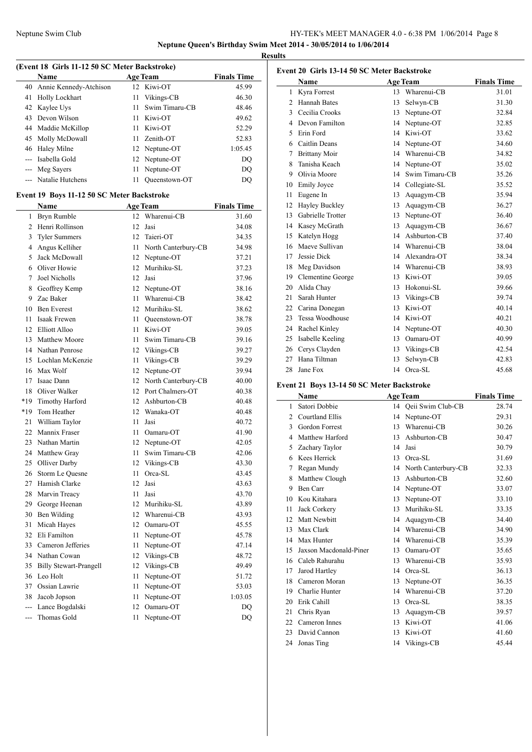**Results**

|                | (Event 18 Girls 11-12 50 SC Meter Backstroke) |      |                        |                    |
|----------------|-----------------------------------------------|------|------------------------|--------------------|
|                | Name                                          |      | <b>Age Team</b>        | <b>Finals Time</b> |
| 40             | Annie Kennedy-Atchison                        |      | 12 Kiwi-OT             | 45.99              |
| 41             | <b>Holly Lockhart</b>                         | 11   | Vikings-CB             | 46.30              |
|                | 42 Kaylee Uys                                 | 11.  | Swim Timaru-CB         | 48.46              |
|                | 43 Devon Wilson                               |      | 11 Kiwi-OT             | 49.62              |
|                | 44 Maddie McKillop                            |      | 11 Kiwi-OT             | 52.29              |
| 45             | Molly McDowall                                |      | 11 Zenith-OT           | 52.83              |
|                | 46 Haley Milne                                |      | 12 Neptune-OT          | 1:05.45            |
|                | --- Isabella Gold                             | 12   | Neptune-OT             | DQ                 |
|                | --- Meg Sayers                                | 11   | Neptune-OT             | DQ                 |
|                | --- Natalie Hutchens                          | 11   | Queenstown-OT          | <b>DQ</b>          |
|                | Event 19 Boys 11-12 50 SC Meter Backstroke    |      |                        |                    |
|                | Name                                          |      | <b>Age Team</b>        | <b>Finals Time</b> |
| 1              | Bryn Rumble                                   | 12   | Wharenui-CB            | 31.60              |
|                | 2 Henri Rollinson                             | 12   | Jasi                   | 34.08              |
| 3              | <b>Tyler Summers</b>                          |      | 12 Taieri-OT           | 34.35              |
|                | 4 Angus Kelliher                              | 11   | North Canterbury-CB    | 34.98              |
| 5              | Jack McDowall                                 |      | 12 Neptune-OT          | 37.21              |
| 6              | Oliver Howie                                  |      | 12 Murihiku-SL         | 37.23              |
| 7              | Joel Nicholls                                 | 12   | Jasi                   | 37.96              |
|                | 8 Geoffrey Kemp                               |      | 12 Neptune-OT          | 38.16              |
| 9              | Zac Baker                                     | 11 - | Wharenui-CB            | 38.42              |
| 10             | <b>Ben Everest</b>                            |      | 12 Murihiku-SL         | 38.62              |
| 11             | Isaak Frewen                                  |      | 11 Queenstown-OT       | 38.78              |
| 12             | Elliott Alloo                                 |      | 11 Kiwi-OT             | 39.05              |
| 13             | <b>Matthew Moore</b>                          | 11   | Swim Timaru-CB         | 39.16              |
|                | 14 Nathan Penrose                             |      | 12 Vikings-CB          | 39.27              |
| 15             | Lochlan McKenzie                              | 11   | Vikings-CB             | 39.29              |
|                | 16 Max Wolf                                   |      | 12 Neptune-OT          | 39.94              |
| 17             | Isaac Dann                                    |      | 12 North Canterbury-CB | 40.00              |
| 18             | Oliver Walker                                 |      | 12 Port Chalmers-OT    | 40.38              |
| *19            | Timothy Harford                               |      | 12 Ashburton-CB        | 40.48              |
| *19            | Tom Heather                                   |      | 12 Wanaka-OT           | 40.48              |
| 21             | William Taylor                                | 11   | Jasi                   | 40.72              |
| 22             | Mannix Fraser                                 |      | 11 Oamaru-OT           | 41.90              |
|                | 23 Nathan Martin                              |      | 12 Neptune-OT          | 42.05              |
|                | 24 Matthew Gray                               | 11   | Swim Timaru-CB         | 42.06              |
| 25             | <b>Olliver Darby</b>                          |      | 12 Vikings-CB          | 43.30              |
| 26             | Storm Le Quesne                               | 11   | Orca-SL                | 43.45              |
| 27             | Hamish Clarke                                 | 12   | Jasi                   | 43.63              |
| 28             | Marvin Treacy                                 | 11   | Jasi                   | 43.70              |
| 29             | George Heenan                                 | 12   | Murihiku-SL            | 43.89              |
| 30             | Ben Wilding                                   | 12   | Wharenui-CB            | 43.93              |
| 31             | Micah Hayes                                   | 12   | Oamaru-OT              | 45.55              |
| 32             | Eli Familton                                  | 11   | Neptune-OT             | 45.78              |
| 33             | Cameron Jefferies                             | 11   | Neptune-OT             | 47.14              |
| 34             | Nathan Cowan                                  | 12   | Vikings-CB             | 48.72              |
| 35             | <b>Billy Stewart-Prangell</b>                 | 12   | Vikings-CB             | 49.49              |
| 36             | Leo Holt                                      | 11   | Neptune-OT             | 51.72              |
| 37             | Ossian Lawrie                                 | 11   | Neptune-OT             | 53.03              |
| 38             | Jacob Jopson                                  | 11   | Neptune-OT             | 1:03.05            |
| $\overline{a}$ | Lance Bogdalski                               | 12   | Oamaru-OT              | DQ                 |
|                | Thomas Gold                                   | 11   | Neptune-OT             | DQ                 |
|                |                                               |      |                        |                    |

| Event 20 Girls 13-14 50 SC Meter Backstroke |                      |    |                 |                    |  |  |
|---------------------------------------------|----------------------|----|-----------------|--------------------|--|--|
|                                             | Name                 |    | <b>Age Team</b> | <b>Finals Time</b> |  |  |
| 1                                           | Kyra Forrest         | 13 | Wharenui-CB     | 31.01              |  |  |
| $\mathfrak{D}$                              | <b>Hannah Bates</b>  | 13 | Selwyn-CB       | 31.30              |  |  |
| 3                                           | Cecilia Crooks       | 13 | Neptune-OT      | 32.84              |  |  |
| 4                                           | Devon Familton       | 14 | Neptune-OT      | 32.85              |  |  |
| 5                                           | Erin Ford            | 14 | Kiwi-OT         | 33.62              |  |  |
| 6                                           | Caitlin Deans        | 14 | Neptune-OT      | 34.60              |  |  |
| 7                                           | <b>Brittany Moir</b> | 14 | Wharenui-CB     | 34.82              |  |  |
| 8                                           | Tanisha Keach        | 14 | Neptune-OT      | 35.02              |  |  |
| 9                                           | Olivia Moore         | 14 | Swim Timaru-CB  | 35.26              |  |  |
| 10                                          | <b>Emily Joyce</b>   | 14 | Collegiate-SL   | 35.52              |  |  |
| 11                                          | Eugene In            | 13 | Aquagym-CB      | 35.94              |  |  |
| 12                                          | Hayley Buckley       | 13 | Aquagym-CB      | 36.27              |  |  |
| 13                                          | Gabrielle Trotter    | 13 | Neptune-OT      | 36.40              |  |  |
| 14                                          | Kasey McGrath        | 13 | Aquagym-CB      | 36.67              |  |  |
| 15                                          | Katelyn Hogg         | 14 | Ashburton-CB    | 37.40              |  |  |
| 16                                          | Maeve Sullivan       | 14 | Wharenui-CB     | 38.04              |  |  |
| 17                                          | Jessie Dick          | 14 | Alexandra-OT    | 38.34              |  |  |
| 18                                          | Meg Davidson         |    | 14 Wharenui-CB  | 38.93              |  |  |
| 19                                          | Clementine George    | 13 | Kiwi-OT         | 39.05              |  |  |
| 20                                          | Alida Chay           | 13 | Hokonui-SL      | 39.66              |  |  |
| 21                                          | Sarah Hunter         | 13 | Vikings-CB      | 39.74              |  |  |
| 22                                          | Carina Donegan       | 13 | Kiwi-OT         | 40.14              |  |  |
| 23                                          | Tessa Woodhouse      | 14 | Kiwi-OT         | 40.21              |  |  |
| 24                                          | Rachel Kinley        | 14 | Neptune-OT      | 40.30              |  |  |
| 25                                          | Isabelle Keeling     | 13 | Oamaru-OT       | 40.99              |  |  |
| 26                                          | Cerys Clayden        | 13 | Vikings-CB      | 42.54              |  |  |
| 27                                          | Hana Tiltman         | 13 | Selwyn-CB       | 42.83              |  |  |
| 28                                          | Jane Fox             | 14 | Orca-SL         | 45.68              |  |  |

### **Event 21 Boys 13-14 50 SC Meter Backstroke**

|                | Name                   |    | <b>Age Team</b>     | <b>Finals Time</b> |
|----------------|------------------------|----|---------------------|--------------------|
| 1              | Satori Dobbie          | 14 | Qeii Swim Club-CB   | 28.74              |
| $\overline{c}$ | Courtland Ellis        | 14 | Neptune-OT          | 29.31              |
| 3              | <b>Gordon Forrest</b>  | 13 | Wharenui-CB         | 30.26              |
| 4              | Matthew Harford        | 13 | Ashburton-CB        | 30.47              |
| 5              | Zachary Taylor         | 14 | Jasi                | 30.79              |
| 6              | Kees Herrick           | 13 | Orca-SL             | 31.69              |
| 7              | Regan Mundy            | 14 | North Canterbury-CB | 32.33              |
| 8              | Matthew Clough         | 13 | Ashburton-CB        | 32.60              |
| 9              | Ben Carr               | 14 | Neptune-OT          | 33.07              |
| 10             | Kou Kitahara           | 13 | Neptune-OT          | 33.10              |
| 11             | Jack Corkery           | 13 | Murihiku-SL         | 33.35              |
| 12             | Matt Newbitt           | 14 | Aquagym-CB          | 34.40              |
| 13             | Max Clark              | 14 | Wharenui-CB         | 34.90              |
| 14             | Max Hunter             | 14 | Wharenui-CB         | 35.39              |
| 15             | Jaxson Macdonald-Piner | 13 | Oamaru-OT           | 35.65              |
| 16             | Caleb Rahurahu         | 13 | Wharenui-CB         | 35.93              |
| 17             | Jarod Hartley          | 14 | Orca-SL             | 36.13              |
| 18             | Cameron Moran          | 13 | Neptune-OT          | 36.35              |
| 19             | Charlie Hunter         | 14 | Wharenui-CB         | 37.20              |
| 20             | Erik Cahill            | 13 | Orca-SL             | 38.35              |
| 21             | Chris Ryan             | 13 | Aquagym-CB          | 39.57              |
| 22             | Cameron Innes          | 13 | Kiwi-OT             | 41.06              |
| 23             | David Cannon           | 13 | Kiwi-OT             | 41.60              |
| 24             | Jonas Ting             | 14 | Vikings-CB          | 45.44              |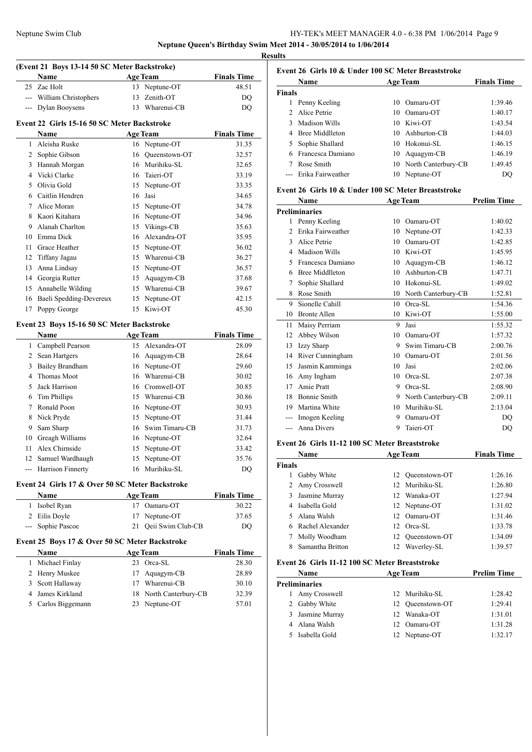**Results**

|                |                                                 |    | (Event 21 Boys 13-14 50 SC Meter Backstroke) |                    |
|----------------|-------------------------------------------------|----|----------------------------------------------|--------------------|
|                | Name                                            |    | <b>Age Team</b>                              | <b>Finals Time</b> |
|                | 25 Zac Holt                                     |    | 13 Neptune-OT                                | 48.51              |
|                | --- William Christophers                        | 13 | Zenith-OT                                    | DQ                 |
|                | --- Dylan Booysens                              |    | 13 Wharenui-CB                               | DQ                 |
|                | Event 22 Girls 15-16 50 SC Meter Backstroke     |    |                                              |                    |
|                | Name                                            |    | <b>Age Team</b>                              | <b>Finals Time</b> |
| 1              | Aleisha Ruske                                   |    | 16 Neptune-OT                                | 31.35              |
|                | 2 Sophie Gibson                                 |    | 16 Queenstown-OT                             | 32.57              |
|                | 3 Hannah Morgan                                 |    | 16 Murihiku-SL                               | 32.65              |
|                | 4 Vicki Clarke                                  |    | 16 Taieri-OT                                 | 33.19              |
| 5              | Olivia Gold                                     |    | 15 Neptune-OT                                | 33.35              |
| 6              | Caitlin Hendren                                 | 16 | Jasi                                         | 34.65              |
| 7              | Alice Moran                                     |    |                                              | 34.78              |
|                |                                                 |    | 15 Neptune-OT                                |                    |
| 8              | Kaori Kitahara                                  |    | 16 Neptune-OT                                | 34.96              |
| 9.             | Alanah Charlton                                 | 15 | Vikings-CB                                   | 35.63              |
| 10             | Emma Dick                                       | 16 | Alexandra-OT                                 | 35.95              |
| 11             | Grace Heather                                   |    | 15 Neptune-OT                                | 36.02              |
| 12             | Tiffany Jagau                                   |    | 15 Wharenui-CB                               | 36.27              |
| 13             | Anna Lindsay                                    |    | 15 Neptune-OT                                | 36.57              |
|                | 14 Georgia Rutter                               | 15 | Aquagym-CB                                   | 37.68              |
|                | 15 Annabelle Wilding                            |    | 15 Wharenui-CB                               | 39.67              |
|                | 16 Baeli Spedding-Devereux                      |    | 15 Neptune-OT                                | 42.15              |
| 17             | Poppy George                                    |    | 15 Kiwi-OT                                   | 45.30              |
|                | Event 23 Boys 15-16 50 SC Meter Backstroke      |    |                                              |                    |
|                | Name                                            |    | <b>Age Team</b>                              | <b>Finals Time</b> |
|                | 1 Campbell Pearson                              |    | 15 Alexandra-OT                              | 28.09              |
|                | 2 Sean Hartgers                                 | 16 | Aquagym-CB                                   | 28.64              |
| 3              |                                                 |    |                                              | 29.60              |
|                | <b>Bailey Brandham</b>                          |    | 16 Neptune-OT                                |                    |
| 4              | Thomas Moot                                     |    | 16 Wharenui-CB                               | 30.02              |
| 5              | Jack Harrison                                   |    | 16 Cromwell-OT                               | 30.85              |
| 6              | Tim Phillips                                    |    | 15 Wharenui-CB                               | 30.86              |
| 7              | Ronald Poon                                     |    | 16 Neptune-OT                                | 30.93              |
| 8              | Nick Pryde                                      |    | 15 Neptune-OT                                | 31.44              |
| 9.             | Sam Sharp                                       |    | 16 Swim Timaru-CB                            | 31.73              |
|                | 10 Greagh Williams                              | 16 | Neptune-OT                                   | 32.64              |
| 11             | Alex Chirnside                                  |    | 15 Neptune-OT                                | 33.42              |
|                | 12 Samuel Wardhaugh                             |    | 15 Neptune-OT                                | 35.76              |
|                | --- Harrison Finnerty                           | 16 | Murihiku-SL                                  | DQ                 |
|                | Event 24 Girls 17 & Over 50 SC Meter Backstroke |    |                                              |                    |
|                | Name                                            |    | <b>Age Team</b>                              | <b>Finals Time</b> |
| 1              | Isobel Ryan                                     |    | 17 Oamaru-OT                                 | 30.22              |
|                | 2 Eilis Doyle                                   | 17 | Neptune-OT                                   | 37.65              |
| $---$          | Sophie Pascoe                                   | 21 | Qeii Swim Club-CB                            | DQ                 |
|                |                                                 |    |                                              |                    |
|                | Event 25 Boys 17 & Over 50 SC Meter Backstroke  |    |                                              |                    |
|                | Name                                            |    | <b>Age Team</b>                              | <b>Finals Time</b> |
| 1              | Michael Finlay                                  |    | 23 Orca-SL                                   | 28.30              |
|                | Henry Muskee                                    | 17 | Aquagym-CB                                   | 28.89              |
| $\overline{2}$ | Scott Hallaway                                  |    | 17 Wharenui-CB                               | 30.10              |
| 3              | James Kirkland                                  |    | 18 North Canterbury-CB                       | 32.39              |
| 4              |                                                 |    |                                              |                    |

| 11 L.J                                              |                                                     |    |                      |                    |  |  |
|-----------------------------------------------------|-----------------------------------------------------|----|----------------------|--------------------|--|--|
|                                                     | Event 26 Girls 10 & Under 100 SC Meter Breaststroke |    |                      |                    |  |  |
|                                                     | Name                                                |    | <b>Age Team</b>      | <b>Finals Time</b> |  |  |
| Finals                                              |                                                     |    |                      |                    |  |  |
| $\mathbf{1}$                                        | Penny Keeling                                       | 10 | Oamaru-OT            | 1:39.46            |  |  |
| $\mathfrak{D}$                                      | Alice Petrie                                        | 10 | Oamaru-OT            | 1:40.17            |  |  |
| 3                                                   | Madison Wills                                       | 10 | Kiwi-OT              | 1:43.54            |  |  |
| 4                                                   | <b>Bree Middlleton</b>                              | 10 | Ashburton-CB         | 1:44.03            |  |  |
| 5                                                   | Sophie Shallard                                     | 10 | Hokonui-SL           | 1:46.15            |  |  |
| 6                                                   | Francesca Damiano                                   | 10 | Aquagym-CB           | 1:46.19            |  |  |
| 7                                                   | Rose Smith                                          | 10 | North Canterbury-CB  | 1:49.45            |  |  |
| $\overline{a}$                                      | Erika Fairweather                                   | 10 | Neptune-OT           | DQ                 |  |  |
|                                                     |                                                     |    |                      |                    |  |  |
| Event 26 Girls 10 & Under 100 SC Meter Breaststroke |                                                     |    |                      |                    |  |  |
|                                                     | <b>Name</b>                                         |    | <b>Age Team</b>      | <b>Prelim Time</b> |  |  |
|                                                     | <b>Preliminaries</b>                                |    |                      |                    |  |  |
| 1                                                   | Penny Keeling                                       | 10 | Oamaru-OT            | 1:40.02            |  |  |
| $\mathfrak{D}$                                      | Erika Fairweather                                   | 10 | Neptune-OT           | 1:42.33            |  |  |
| 3                                                   | Alice Petrie                                        | 10 | Oamaru-OT            | 1:42.85            |  |  |
| 4                                                   | <b>Madison Wills</b>                                | 10 | Kiwi-OT              | 1:45.95            |  |  |
| 5                                                   | Francesca Damiano                                   | 10 | Aquagym-CB           | 1:46.12            |  |  |
| 6                                                   | <b>Bree Middlleton</b>                              | 10 | Ashburton-CB         | 1:47.71            |  |  |
| 7                                                   | Sophie Shallard                                     | 10 | Hokonui-SL           | 1:49.02            |  |  |
| 8                                                   | Rose Smith                                          | 10 | North Canterbury-CB  | 1:52.81            |  |  |
| 9                                                   | Sionelle Cahill                                     | 10 | Orca-SL              | 1:54.36            |  |  |
| 10                                                  | <b>Bronte Allen</b>                                 | 10 | Kiwi-OT              | 1:55.00            |  |  |
| 11                                                  | Maisy Perriam                                       | 9  | Jasi                 | 1:55.32            |  |  |
| 12                                                  | Abbey Wilson                                        | 10 | Oamaru-OT            | 1:57.32            |  |  |
|                                                     | 13 Izzy Sharn                                       |    | $Q$ Swim Timaru $CR$ | 2.00.76            |  |  |

| 12 ADDEV WIISON     |   | 10 Oamaru-OT          | 1.37.32 |
|---------------------|---|-----------------------|---------|
| 13 Izzy Sharp       |   | 9 Swim Timaru-CB      | 2:00.76 |
| 14 River Cunningham |   | 10 Oamaru-OT          | 2:01.56 |
| 15 Jasmin Kamminga  |   | 10 Jasi               | 2:02.06 |
| 16 Amy Ingham       |   | 10 Orca-SL            | 2:07.38 |
| 17 Amie Pratt       | 9 | Orca-SL               | 2:08.90 |
| 18 Bonnie Smith     |   | 9 North Canterbury-CB | 2:09.11 |
| 19 Martina White    |   | 10 Murihiku-SL        | 2:13.04 |
| --- Imogen Keeling  | 9 | Oamaru-OT             | DO      |
| --- Anna Divers     | 9 | Taieri-OT             | DO      |

### **Event 26 Girls 11-12 100 SC Meter Breaststroke**

|        | Name             |     | <b>Age Team</b> | <b>Finals Time</b> |
|--------|------------------|-----|-----------------|--------------------|
| Finals |                  |     |                 |                    |
|        | Gabby White      | 12  | Oueenstown-OT   | 1:26.16            |
|        | Amy Crosswell    |     | 12 Murihiku-SL  | 1:26.80            |
| 3      | Jasmine Murray   | 12. | Wanaka-OT       | 1:27.94            |
| 4      | Isabella Gold    |     | 12 Neptune-OT   | 1:31.02            |
|        | Alana Walsh      |     | 12. Oamaru-OT   | 1:31.46            |
|        | Rachel Alexander | 12. | Orea-SL         | 1:33.78            |
|        | Molly Woodham    | 12  | Oueenstown-OT   | 1:34.09            |
| 8      | Samantha Britton | 12  | Waverley-SL     | 1:39.57            |
|        |                  |     |                 |                    |

### **Event 26 Girls 11-12 100 SC Meter Breaststroke**

| <b>Name</b> |                | <b>Age Team</b> |                  | <b>Prelim Time</b> |  |
|-------------|----------------|-----------------|------------------|--------------------|--|
|             | Preliminaries  |                 |                  |                    |  |
|             | Amy Crosswell  |                 | 12 Murihiku-SL   | 1:28.42            |  |
|             | 2 Gabby White  |                 | 12 Oueenstown-OT | 1:29.41            |  |
| 3.          | Jasmine Murray |                 | 12 Wanaka-OT     | 1:31.01            |  |
|             | 4 Alana Walsh  |                 | 12 Oamaru-OT     | 1:31.28            |  |
|             | Isabella Gold  |                 | 12 Neptune-OT    | 1:32.17            |  |
|             |                |                 |                  |                    |  |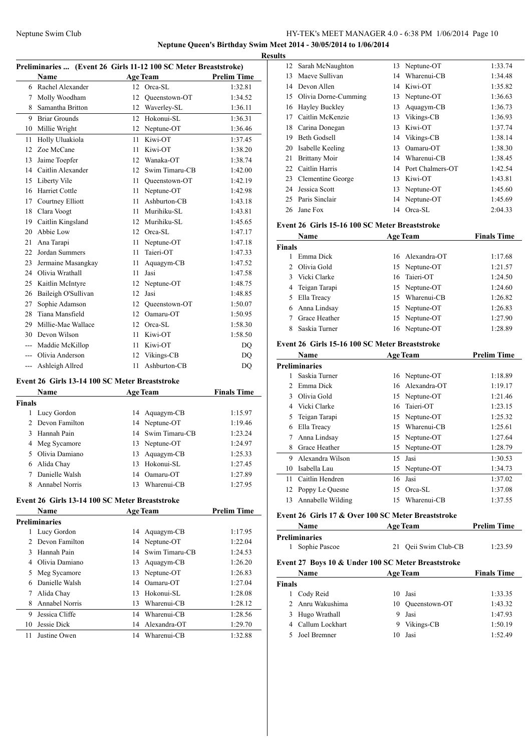**Neptune Queen's Birthday Swim Meet 2014 - 30/05/2014 to 1/06/2014**

|     | Preliminaries  (Event 26 Girls 11-12 100 SC Meter Breaststroke) |    |                 |                    |
|-----|-----------------------------------------------------------------|----|-----------------|--------------------|
|     | <b>Name</b>                                                     |    | <b>Age Team</b> | <b>Prelim Time</b> |
|     | 6 Rachel Alexander                                              |    | 12 Orca-SL      | 1:32.81            |
| 7   | Molly Woodham                                                   | 12 | Oueenstown-OT   | 1:34.52            |
| 8   | Samantha Britton                                                | 12 | Waverley-SL     | 1:36.11            |
| 9   | <b>Briar Grounds</b>                                            | 12 | Hokonui-SL      | 1:36.31            |
| 10  | Millie Wright                                                   | 12 | Neptune-OT      | 1:36.46            |
| 11  | Holly Uluakiola                                                 | 11 | Kiwi-OT         | 1:37.45            |
| 12  | Zoe McCane                                                      | 11 | Kiwi-OT         | 1:38.20            |
| 13  | Jaime Toepfer                                                   | 12 | Wanaka-OT       | 1:38.74            |
| 14  | Caitlin Alexander                                               | 12 | Swim Timaru-CB  | 1:42.00            |
| 15  | Liberty Vile                                                    | 11 | Queenstown-OT   | 1:42.19            |
| 16  | Harriet Cottle                                                  | 11 | Neptune-OT      | 1:42.98            |
| 17  | Courtney Elliott                                                | 11 | Ashburton-CB    | 1:43.18            |
| 18  | Clara Voogt                                                     | 11 | Murihiku-SL     | 1:43.81            |
| 19  | Caitlin Kingsland                                               | 12 | Murihiku-SL     | 1:45.65            |
| 20  | Abbie Low                                                       | 12 | Orca-SL         | 1:47.17            |
| 21  | Ana Tarapi                                                      | 11 | Neptune-OT      | 1:47.18            |
| 22  | Jordan Summers                                                  | 11 | Taieri-OT       | 1:47.33            |
| 23  | Jermaine Masangkay                                              | 11 | Aquagym-CB      | 1:47.52            |
| 24  | Olivia Wrathall                                                 | 11 | Jasi            | 1:47.58            |
| 25  | Kaitlin McIntyre                                                | 12 | Neptune-OT      | 1:48.75            |
| 26  | Baileigh O'Sullivan                                             | 12 | Jasi            | 1:48.85            |
| 27  | Sophie Adamson                                                  | 12 | Queenstown-OT   | 1:50.07            |
| 28  | Tiana Mansfield                                                 | 12 | Oamaru-OT       | 1:50.95            |
| 29  | Millie-Mae Wallace                                              | 12 | Orca-SL         | 1:58.30            |
| 30  | Devon Wilson                                                    | 11 | Kiwi-OT         | 1:58.50            |
| --- | Maddie McKillop                                                 | 11 | Kiwi-OT         | DQ                 |
| --- | Olivia Anderson                                                 | 12 | Vikings-CB      | DQ                 |
| --- | Ashleigh Allred                                                 | 11 | Ashburton-CB    | DO                 |

#### **Event 26 Girls 13-14 100 SC Meter Breaststroke**

|               | Name             |    | <b>Age Team</b>   | <b>Finals Time</b> |
|---------------|------------------|----|-------------------|--------------------|
| <b>Finals</b> |                  |    |                   |                    |
|               | Lucy Gordon      |    | 14 Aquagym-CB     | 1:15.97            |
|               | 2 Devon Familton |    | 14 Neptune-OT     | 1:19.46            |
| 3             | Hannah Pain      |    | 14 Swim Timaru-CB | 1:23.24            |
|               | 4 Meg Sycamore   |    | 13 Neptune-OT     | 1:24.97            |
| 5.            | Olivia Damiano   |    | 13 Aquagym-CB     | 1:25.33            |
| 6             | Alida Chay       |    | 13 Hokonui-SL     | 1:27.45            |
|               | Danielle Walsh   | 14 | Oamaru-OT         | 1:27.89            |
| 8             | Annabel Norris   |    | Wharenui-CB       | 1:27.95            |

# **Event 26 Girls 13-14 100 SC Meter Breaststroke**

|               | Name           |    | <b>Age Team</b> | <b>Prelim Time</b> |
|---------------|----------------|----|-----------------|--------------------|
|               | Preliminaries  |    |                 |                    |
| 1             | Lucy Gordon    |    | 14 Aquagym-CB   | 1:17.95            |
| $\mathcal{L}$ | Devon Familton |    | 14 Neptune-OT   | 1:22.04            |
| 3             | Hannah Pain    | 14 | Swim Timaru-CB  | 1:24.53            |
| 4             | Olivia Damiano | 13 | Aquagym-CB      | 1:26.20            |
| 5             | Meg Sycamore   | 13 | Neptune-OT      | 1:26.83            |
| 6             | Danielle Walsh | 14 | Oamaru-OT       | 1:27.04            |
| 7             | Alida Chay     | 13 | Hokomui-SL      | 1:28.08            |
| 8             | Annabel Norris | 13 | Wharenui-CB     | 1:28.12            |
| 9             | Jessica Cliffe | 14 | Wharenui-CB     | 1:28.56            |
| 10            | Jessie Dick    | 14 | Alexandra-OT    | 1:29.70            |
| 11            | Justine Owen   | 14 | Wharenui-CB     | 1:32.88            |
|               |                |    |                 |                    |

| <b>Results</b> |                      |    |                  |         |
|----------------|----------------------|----|------------------|---------|
| 12             | Sarah McNaughton     | 13 | Neptune-OT       | 1:33.74 |
| 13             | Maeve Sullivan       | 14 | Wharenui-CB      | 1:34.48 |
| 14             | Devon Allen          | 14 | Kiwi-OT          | 1:35.82 |
| 15             | Olivia Dorne-Cumming | 13 | Neptune-OT       | 1:36.63 |
| 16             | Hayley Buckley       | 13 | Aquagym-CB       | 1:36.73 |
| 17             | Caitlin McKenzie     | 13 | Vikings-CB       | 1:36.93 |
| 18             | Carina Donegan       | 13 | Kiwi-OT          | 1:37.74 |
| 19             | <b>Beth Godsell</b>  | 14 | Vikings-CB       | 1:38.14 |
| 20             | Isabelle Keeling     | 13 | Oamaru-OT        | 1:38.30 |
| 21             | <b>Brittany Moir</b> | 14 | Wharenui-CB      | 1:38.45 |
| 22             | Caitlin Harris       | 14 | Port Chalmers-OT | 1:42.54 |
| 23             | Clementine George    | 13 | Kiwi-OT          | 1:43.81 |
| 24             | Jessica Scott        | 13 | Neptune-OT       | 1:45.60 |
| 25             | Paris Sinclair       | 14 | Neptune-OT       | 1:45.69 |
| 26             | Jane Fox             | 14 | Orca-SL          | 2:04.33 |

#### **Event 26 Girls 15-16 100 SC Meter Breaststroke**

|               | Name            | <b>Age Team</b> | <b>Finals Time</b> |
|---------------|-----------------|-----------------|--------------------|
| <b>Finals</b> |                 |                 |                    |
|               | Emma Dick       | 16 Alexandra-OT | 1:17.68            |
|               | 2 Olivia Gold   | 15 Neptune-OT   | 1:21.57            |
|               | 3 Vicki Clarke  | 16 Taieri-OT    | 1:24.50            |
|               | 4 Teigan Tarapi | 15 Neptune-OT   | 1:24.60            |
| 5             | Ella Treacy     | 15 Wharenui-CB  | 1:26.82            |
| 6             | Anna Lindsay    | 15 Neptune-OT   | 1:26.83            |
|               | Grace Heather   | 15 Neptune-OT   | 1:27.90            |
|               | Saskia Turner   | 16 Neptune-OT   | 1:28.89            |
|               |                 |                 |                    |

### **Event 26 Girls 15-16 100 SC Meter Breaststroke**

|               | Name                 |    | <b>Age Team</b> | <b>Prelim Time</b> |
|---------------|----------------------|----|-----------------|--------------------|
|               | <b>Preliminaries</b> |    |                 |                    |
|               | Saskia Turner        |    | 16 Neptune-OT   | 1:18.89            |
| $\mathcal{L}$ | Emma Dick            | 16 | Alexandra-OT    | 1:19.17            |
| 3             | Olivia Gold          |    | 15 Neptune-OT   | 1:21.46            |
| 4             | Vicki Clarke         | 16 | Taieri-OT       | 1:23.15            |
| 5             | Teigan Tarapi        |    | 15 Neptune-OT   | 1:25.32            |
| 6             | Ella Treacy          | 15 | Wharenui-CB     | 1:25.61            |
| 7             | Anna Lindsay         |    | 15 Neptune-OT   | 1:27.64            |
| 8             | Grace Heather        | 15 | Neptune-OT      | 1:28.79            |
| 9             | Alexandra Wilson     | 15 | Jasi            | 1:30.53            |
| 10            | Isabella Lau         | 15 | Neptune-OT      | 1:34.73            |
| 11            | Caitlin Hendren      | 16 | Jasi            | 1:37.02            |
| 12            | Poppy Le Quesne      | 15 | Orca-SL         | 1:37.08            |
| 13            | Annabelle Wilding    | 15 | Wharenui-CB     | 1:37.55            |
|               |                      |    |                 |                    |

### **Event 26 Girls 17 & Over 100 SC Meter Breaststroke**

|               | <b>Name</b>                                        |    | <b>Age Team</b>   | <b>Prelim Time</b> |
|---------------|----------------------------------------------------|----|-------------------|--------------------|
|               | <b>Preliminaries</b>                               |    |                   |                    |
|               | Sophie Pascoe                                      | 21 | Qeii Swim Club-CB | 1:23.59            |
|               | Event 27 Boys 10 & Under 100 SC Meter Breaststroke |    |                   |                    |
|               | <b>Name</b>                                        |    | <b>Age Team</b>   | <b>Finals Time</b> |
| <b>Finals</b> |                                                    |    |                   |                    |
|               | Cody Reid                                          |    | 10 Jasi           | 1:33.35            |
|               | 2 Anru Wakushima                                   | 10 | Oueenstown-OT     | 1:43.32            |
|               | Hugo Wrathall                                      |    | Jasi              | 1:47.93            |

| 4   Callum Lockhart | 9 Vikings-CB | 1:50.19 |
|---------------------|--------------|---------|
| 5 Joel Bremner      | 10 Jasi      | 1:52.49 |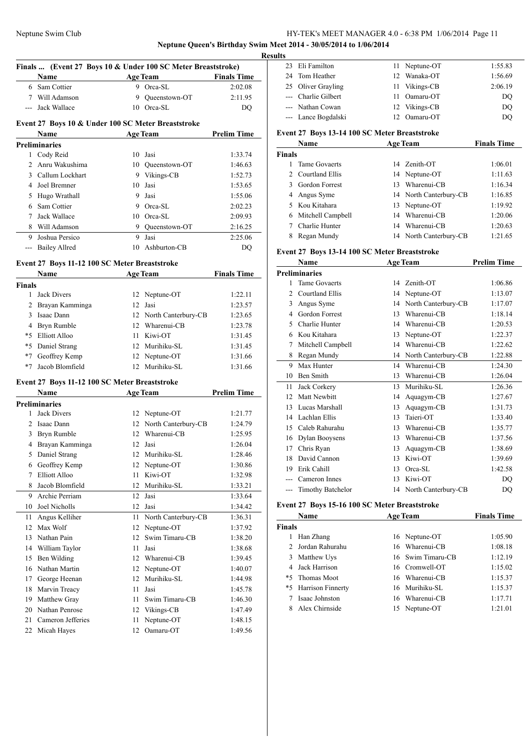#### **Neptune Queen's Birthday Swim Meet 2014 - 30/05/2014 to 1/06/2014**

|               | Finals  (Event 27 Boys 10 & Under 100 SC Meter Breaststroke) |    |                        |                    |
|---------------|--------------------------------------------------------------|----|------------------------|--------------------|
|               | Name Age Team Finals Time                                    |    |                        |                    |
|               | 6 Sam Cottier                                                |    | 9 Orca-SL              | 2:02.08            |
|               | 7 Will Adamson                                               |    | 9 Queenstown-OT        | 2:11.95            |
|               | --- Jack Wallace                                             |    | 10 Orca-SL             | DO                 |
|               | Event 27 Boys 10 & Under 100 SC Meter Breaststroke           |    |                        |                    |
|               | Name                                                         |    | Age Team               | <b>Prelim Time</b> |
|               | <b>Preliminaries</b>                                         |    |                        |                    |
|               | 1 Cody Reid                                                  |    | 10 Jasi                | 1:33.74            |
|               | 2 Anru Wakushima                                             |    | 10 Queenstown-OT       | 1:46.63            |
|               | 3 Callum Lockhart                                            |    | 9 Vikings-CB           | 1:52.73            |
|               | 4 Joel Bremner                                               |    | 10 Jasi                | 1:53.65            |
|               | 5 Hugo Wrathall                                              |    | 9 Jasi                 | 1:55.06            |
|               | 6 Sam Cottier                                                |    | 9 Orca-SL              | 2:02.23            |
|               | 7 Jack Wallace                                               |    | 10 Orca-SL             | 2:09.93            |
|               | 8 Will Adamson                                               |    | 9 Queenstown-OT        | 2:16.25            |
|               | 9 Joshua Persico                                             | 9  | Jasi                   | 2:25.06            |
|               | --- Bailey Allred                                            |    | 10 Ashburton-CB        | DQ                 |
|               | Event 27 Boys 11-12 100 SC Meter Breaststroke                |    |                        |                    |
|               | Name Age Team Finals Time                                    |    |                        |                    |
| <b>Finals</b> |                                                              |    |                        |                    |
|               | 1 Jack Divers                                                |    | 12 Neptune-OT          | 1:22.11            |
|               | 2 Brayan Kamminga                                            |    | 12 Jasi                | 1:23.57            |
|               | 3 Isaac Dann                                                 |    | 12 North Canterbury-CB | 1:23.65            |
|               | 4 Bryn Rumble                                                |    | 12 Wharenui-CB         | 1:23.78            |
|               | *5 Elliott Alloo                                             |    | 11 Kiwi-OT             | 1:31.45            |
|               | *5 Daniel Strang                                             |    | 12 Murihiku-SL         | 1:31.45            |
|               | *7 Geoffrey Kemp                                             |    | 12 Neptune-OT          | 1:31.66            |
|               | *7 Jacob Blomfield                                           |    | 12 Murihiku-SL         | 1:31.66            |
|               |                                                              |    |                        |                    |
|               | Event 27 Boys 11-12 100 SC Meter Breaststroke                |    |                        |                    |
|               | Name Age Team                                                |    |                        | <b>Prelim Time</b> |
|               | <b>Preliminaries</b>                                         |    |                        |                    |
|               | 1 Jack Divers                                                |    | 12 Neptune-OT          | 1:21.77            |
|               | 2 Isaac Dann                                                 |    | 12 North Canterbury-CB | 1:24.79            |
|               | 3 Bryn Rumble                                                |    | 12 Wharenui-CB         | 1:25.95            |
|               | 4 Brayan Kamminga                                            |    | 12 Jasi                | 1:26.04            |
| 5             | Daniel Strang                                                |    | 12 Murihiku-SL         | 1:28.46            |
| 6             | Geoffrey Kemp                                                | 12 | Neptune-OT             | 1:30.86            |
| 7             | <b>Elliott Alloo</b>                                         | 11 | Kiwi-OT                | 1:32.98            |
| 8             | Jacob Blomfield                                              | 12 | Murihiku-SL            | 1:33.21            |
| 9             | Archie Perriam                                               | 12 | Jasi                   | 1:33.64            |
| 10            | Joel Nicholls                                                | 12 | Jasi                   | 1:34.42            |
| 11            | Angus Kelliher                                               | 11 | North Canterbury-CB    | 1:36.31            |
| 12            | Max Wolf                                                     | 12 | Neptune-OT             | 1:37.92            |
| 13            | Nathan Pain                                                  | 12 | Swim Timaru-CB         | 1:38.20            |
| 14            | William Taylor                                               | 11 | Jasi                   | 1:38.68            |
| 15            | Ben Wilding                                                  | 12 | Wharenui-CB            | 1:39.45            |
| 16            | Nathan Martin                                                | 12 | Neptune-OT             | 1:40.07            |
| 17            | George Heenan                                                | 12 | Murihiku-SL            | 1:44.98            |
| 18            | Marvin Treacy                                                | 11 | Jasi                   | 1:45.78            |
| 19            | Matthew Gray                                                 | 11 | Swim Timaru-CB         | 1:46.30            |
|               | 20 Nathan Penrose                                            |    | 12 Vikings-CB          | 1:47.49            |
| 21            | Cameron Jefferies                                            | 11 | Neptune-OT             | 1:48.15            |

| 23            | Eli Familton                                  | 11 | Neptune-OT             | 1:55.83            |
|---------------|-----------------------------------------------|----|------------------------|--------------------|
| 24            | Tom Heather                                   | 12 | Wanaka-OT              | 1:56.69            |
| 25            | Oliver Grayling                               | 11 | Vikings-CB             | 2:06.19            |
| ---           | Charlie Gilbert                               | 11 | Oamaru-OT              | DQ                 |
| $---$         | Nathan Cowan                                  | 12 | Vikings-CB             | DQ                 |
|               | Lance Bogdalski                               | 12 | Oamaru-OT              | DQ                 |
|               | Event 27 Boys 13-14 100 SC Meter Breaststroke |    |                        |                    |
|               | <b>Name</b>                                   |    | <b>Age Team</b>        | <b>Finals Time</b> |
| Finals        |                                               |    |                        |                    |
|               |                                               |    |                        |                    |
| 1             | <b>Tame Govaerts</b>                          | 14 | Zenith-OT              | 1:06.01            |
| $\mathcal{L}$ | Courtland Ellis                               | 14 | Neptune-OT             | 1:11.63            |
| 3             | Gordon Forrest                                | 13 | Wharenui-CB            | 1:16.34            |
| 4             | Angus Syme                                    |    | 14 North Canterbury-CB | 1:16.85            |
| 5             | Kou Kitahara                                  | 13 | Neptune-OT             | 1:19.92            |
| 6             | Mitchell Campbell                             | 14 | Wharenui-CB            | 1:20.06            |
| 7             | Charlie Hunter                                | 14 | Wharenui-CB            | 1:20.63            |
| 8             | Regan Mundy                                   |    | 14 North Canterbury-CB | 1:21.65            |

### **Event 27 Boys 13-14 100 SC Meter Breaststroke**

|               | Name                     |    | <b>Age Team</b>     | <b>Prelim Time</b> |
|---------------|--------------------------|----|---------------------|--------------------|
|               | <b>Preliminaries</b>     |    |                     |                    |
| 1             | <b>Tame Govaerts</b>     | 14 | Zenith-OT           | 1:06.86            |
| $\mathcal{L}$ | Courtland Ellis          |    | 14 Neptune-OT       | 1:13.07            |
| 3             | Angus Syme               | 14 | North Canterbury-CB | 1:17.07            |
| 4             | Gordon Forrest           | 13 | Wharenui-CB         | 1:18.14            |
| 5             | Charlie Hunter           | 14 | Wharenui-CB         | 1:20.53            |
| 6             | Kou Kitahara             | 13 | Neptune-OT          | 1:22.37            |
| 7             | Mitchell Campbell        | 14 | Wharenui-CB         | 1:22.62            |
| 8             | Regan Mundy              | 14 | North Canterbury-CB | 1:22.88            |
| 9             | Max Hunter               | 14 | Wharenui-CB         | 1:24.30            |
| 10            | <b>Ben Smith</b>         | 13 | Wharenui-CB         | 1:26.04            |
| 11            | Jack Corkery             | 13 | Murihiku-SL         | 1:26.36            |
| 12            | Matt Newbitt             | 14 | Aquagym-CB          | 1:27.67            |
| 13            | Lucas Marshall           | 13 | Aquagym-CB          | 1:31.73            |
| 14            | Lachlan Ellis            | 13 | Taieri-OT           | 1:33.40            |
| 15            | Caleb Rahurahu           | 13 | Wharenui-CB         | 1:35.77            |
| 16            | Dylan Booysens           | 13 | Wharenui-CB         | 1:37.56            |
| 17            | Chris Ryan               | 13 | Aquagym-CB          | 1:38.69            |
| 18            | David Cannon             | 13 | Kiwi-OT             | 1:39.69            |
| 19            | Erik Cahill              | 13 | Orca-SL             | 1:42.58            |
|               | Cameron Innes            | 13 | Kiwi-OT             | DQ                 |
| ---           | <b>Timothy Batchelor</b> | 14 | North Canterbury-CB | DQ                 |

### **Event 27 Boys 15-16 100 SC Meter Breaststroke**

|               | Name                 | <b>Age Team</b>   | <b>Finals Time</b> |
|---------------|----------------------|-------------------|--------------------|
| <b>Finals</b> |                      |                   |                    |
|               | Han Zhang            | 16 Neptune-OT     | 1:05.90            |
|               | 2 Jordan Rahurahu    | 16 Wharenui-CB    | 1:08.18            |
| 3             | Matthew Uys          | 16 Swim Timaru-CB | 1:12.19            |
|               | 4 Jack Harrison      | 16 Cromwell-OT    | 1:15.02            |
|               | *5 Thomas Moot       | 16 Wharenui-CB    | 1:15.37            |
|               | *5 Harrison Finnerty | 16 Murihiku-SL    | 1:15.37            |
|               | Isaac Johnston       | 16 Wharenui-CB    | 1:17.71            |
|               | Alex Chirnside       | Neptune-OT<br>15  | 1:21.01            |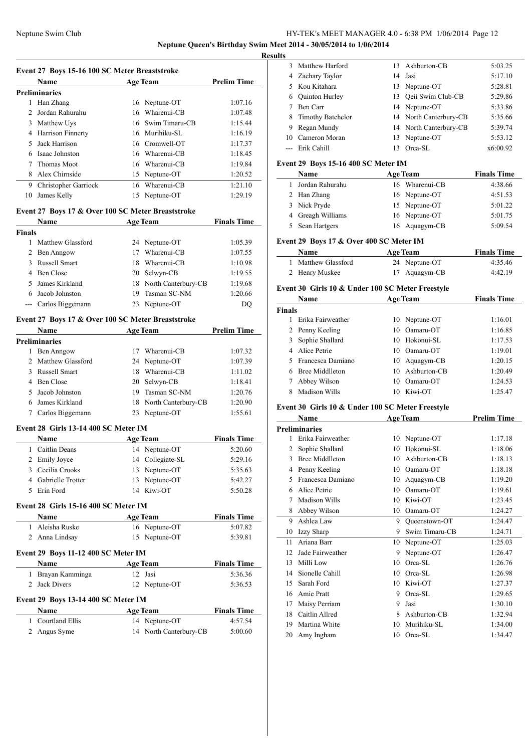### Neptune Swim Club HY-TEK's MEET MANAGER 4.0 - 6:38 PM 1/06/2014 Page 12 **Neptune Queen's Birthday Swim Meet 2014 - 30/05/2014 to 1/06/2014**

**Results**

| Event 27 Boys 15-16 100 SC Meter Breaststroke |                          |     |                   |                    |  |
|-----------------------------------------------|--------------------------|-----|-------------------|--------------------|--|
|                                               | <b>Name</b>              |     | <b>Age Team</b>   | <b>Prelim Time</b> |  |
|                                               | <b>Preliminaries</b>     |     |                   |                    |  |
| 1                                             | Han Zhang                |     | 16 Neptune-OT     | 1:07.16            |  |
| $\mathfrak{D}$                                | Jordan Rahurahu          |     | 16 Wharenui-CB    | 1:07.48            |  |
| 3                                             | Matthew Uys              |     | 16 Swim Timaru-CB | 1:15.44            |  |
| 4                                             | <b>Harrison Finnerty</b> |     | 16 Murihiku-SL    | 1:16.19            |  |
| 5                                             | Jack Harrison            |     | 16 Cromwell-OT    | 1:17.37            |  |
| 6                                             | Isaac Johnston           |     | 16 Wharenui-CB    | 1:18.45            |  |
|                                               | Thomas Moot              |     | 16 Wharenui-CB    | 1:19.84            |  |
| 8                                             | Alex Chirnside           |     | 15 Neptune-OT     | 1:20.52            |  |
| 9                                             | Christopher Garriock     | 16. | Wharenui-CB       | 1:21.10            |  |
| 10                                            | James Kelly              |     | 15 Neptune-OT     | 1:29.19            |  |

### **Event 27 Boys 17 & Over 100 SC Meter Breaststroke**

|        | <b>Name</b>          |     | <b>Age Team</b>        | <b>Finals Time</b> |
|--------|----------------------|-----|------------------------|--------------------|
| Finals |                      |     |                        |                    |
|        | Matthew Glassford    |     | 24 Neptune-OT          | 1:05.39            |
|        | 2 Ben Anngow         | 17  | Wharenui-CB            | 1:07.55            |
| 3      | <b>Russell Smart</b> | 18. | Wharenui-CB            | 1:10.98            |
| 4      | Ben Close            |     | 20 Selwyn-CB           | 1:19.55            |
| 5.     | James Kirkland       |     | 18 North Canterbury-CB | 1:19.68            |
| 6      | Jacob Johnston       | 19  | Tasman SC-NM           | 1:20.66            |
|        | --- Carlos Biggemann |     | 23 Neptune-OT          | DO                 |

#### **Event 27 Boys 17 & Over 100 SC Meter Breaststroke**

|                      | <b>Name</b>         |     | <b>Age Team</b>        | <b>Prelim Time</b> |
|----------------------|---------------------|-----|------------------------|--------------------|
| <b>Preliminaries</b> |                     |     |                        |                    |
|                      | Ben Anngow          | 17  | Wharenui-CB            | 1:07.32            |
|                      | 2 Matthew Glassford |     | 24 Neptune-OT          | 1:07.39            |
| 3                    | Russell Smart       | 18. | Wharenui-CB            | 1:11.02            |
|                      | 4 Ben Close         |     | 20 Selwyn-CB           | 1:18.41            |
|                      | 5 Jacob Johnston    | 19. | Tasman SC-NM           | 1:20.76            |
|                      | 6 James Kirkland    |     | 18 North Canterbury-CB | 1:20.90            |
|                      | Carlos Biggemann    |     | 23 Neptune-OT          | 1:55.61            |

#### **Event 28 Girls 13-14 400 SC Meter IM**

| <b>Name</b>         | <b>Age Team</b>  | <b>Finals Time</b> |
|---------------------|------------------|--------------------|
| 1 Caitlin Deans     | 14 Neptune-OT    | 5:20.60            |
| 2 Emily Joyce       | 14 Collegiate-SL | 5:29.16            |
| 3 Cecilia Crooks    | 13 Neptune-OT    | 5:35.63            |
| 4 Gabrielle Trotter | 13 Neptune-OT    | 5:42.27            |
| 5 Erin Ford         | 14 Kiwi-OT       | 5:50.28            |

#### **Event 28 Girls 15-16 400 SC Meter IM**

| Name            | <b>Age Team</b> | <b>Finals Time</b> |
|-----------------|-----------------|--------------------|
| 1 Aleisha Ruske | 16 Neptune-OT   | 5:07.82            |
| 2 Anna Lindsay  | 15 Neptune-OT   | 5:39.81            |

### **Event 29 Boys 11-12 400 SC Meter IM**

| <b>Name</b>       | <b>Age Team</b> | <b>Finals Time</b> |
|-------------------|-----------------|--------------------|
| 1 Brayan Kamminga | 12 Jasi         | 5:36.36            |
| 2 Jack Divers     | 12 Neptune-OT   | 5:36.53            |

### **Event 29 Boys 13-14 400 SC Meter IM**

| Name              | <b>Age Team</b>        | <b>Finals Time</b> |
|-------------------|------------------------|--------------------|
| 1 Courtland Ellis | 14 Neptune-OT          | 4:57.54            |
| 2 Angus Syme      | 14 North Canterbury-CB | 5:00.60            |

|    | 3 Matthew Harford   |    | 13 Ashburton-CB        | 5:03.25  |
|----|---------------------|----|------------------------|----------|
|    | 4 Zachary Taylor    |    | 14 Jasi                | 5:17.10  |
|    | 5 Kou Kitahara      |    | 13 Neptune-OT          | 5:28.81  |
|    | 6 Ouinton Hurley    |    | 13 Qeii Swim Club-CB   | 5:29.86  |
|    | Ben Carr            |    | 14 Neptune-OT          | 5:33.86  |
|    | 8 Timothy Batchelor |    | 14 North Canterbury-CB | 5:35.66  |
| 9  | Regan Mundy         |    | 14 North Canterbury-CB | 5:39.74  |
| 10 | Cameron Moran       |    | 13 Neptune-OT          | 5:53.12  |
|    | --- Erik Cahill     | 13 | Orca-SL                | x6:00.92 |
|    |                     |    |                        |          |

### **Event 29 Boys 15-16 400 SC Meter IM**

| <b>Name</b>       | <b>Age Team</b> | <b>Finals Time</b> |
|-------------------|-----------------|--------------------|
| 1 Jordan Rahurahu | 16 Wharenui-CB  | 4:38.66            |
| 2 Han Zhang       | 16 Neptune-OT   | 4:51.53            |
| 3 Nick Pryde      | 15 Neptune-OT   | 5:01.22            |
| 4 Greagh Williams | 16 Neptune-OT   | 5:01.75            |
| 5 Sean Hartgers   | 16 Aquagym-CB   | 5:09.54            |

### **Event 29 Boys 17 & Over 400 SC Meter IM**

| <b>Name</b>         | <b>Age Team</b> | <b>Finals Time</b> |
|---------------------|-----------------|--------------------|
| 1 Matthew Glassford | 24 Neptune-OT   | 4:35.46            |
| 2 Henry Muskee      | 17 Aquagym-CB   | 4:42.19            |

#### **Event 30 Girls 10 & Under 100 SC Meter Freestyle**

|               | <b>Name</b>          |     | <b>Age Team</b> | <b>Finals Time</b> |
|---------------|----------------------|-----|-----------------|--------------------|
| <b>Finals</b> |                      |     |                 |                    |
|               | Erika Fairweather    |     | 10 Neptune-OT   | 1:16.01            |
|               | 2 Penny Keeling      | 10  | Oamaru-OT       | 1:16.85            |
| 3.            | Sophie Shallard      | 10. | Hokonui-SL      | 1:17.53            |
|               | 4 Alice Petrie       | 10. | Oamaru-OT       | 1:19.01            |
|               | 5 Francesca Damiano  |     | 10 Aquagym-CB   | 1:20.15            |
|               | Bree Middlleton      |     | 10 Ashburton-CB | 1:20.49            |
|               | Abbey Wilson         | 10  | Oamaru-OT       | 1:24.53            |
|               | <b>Madison Wills</b> | 10  | Kiwi-OT         | 1:25.47            |

#### **Event 30 Girls 10 & Under 100 SC Meter Freestyle**

|    | Name<br><b>Age Team</b> |    |                | <b>Prelim Time</b> |
|----|-------------------------|----|----------------|--------------------|
|    | <b>Preliminaries</b>    |    |                |                    |
| 1  | Erika Fairweather       | 10 | Neptune-OT     | 1:17.18            |
| 2  | Sophie Shallard         | 10 | Hokonui-SL     | 1:18.06            |
| 3  | <b>Bree Middlleton</b>  | 10 | Ashburton-CB   | 1:18.13            |
| 4  | Penny Keeling           | 10 | Oamaru-OT      | 1:18.18            |
| 5  | Francesca Damiano       | 10 | Aquagym-CB     | 1:19.20            |
| 6  | Alice Petrie            | 10 | Oamaru-OT      | 1:19.61            |
| 7  | Madison Wills           | 10 | Kiwi-OT        | 1:23.45            |
| 8  | Abbey Wilson            | 10 | Oamaru-OT      | 1:24.27            |
| 9  | Ashlea Law              | 9  | Queenstown-OT  | 1:24.47            |
| 10 | Izzy Sharp              | 9  | Swim Timaru-CB | 1:24.71            |
| 11 | Ariana Barr             | 10 | Neptune-OT     | 1:25.03            |
| 12 | Jade Fairweather        | 9  | Neptune-OT     | 1:26.47            |
| 13 | Milli Low               | 10 | Orca-SL        | 1:26.76            |
| 14 | Sionelle Cahill         | 10 | Orca-SL        | 1:26.98            |
| 15 | Sarah Ford              | 10 | Kiwi-OT        | 1:27.37            |
| 16 | Amie Pratt              | 9  | Orca-SL        | 1:29.65            |
| 17 | Maisy Perriam           | 9  | Jasi           | 1:30.10            |
| 18 | Caitlin Allred          | 8  | Ashburton-CB   | 1:32.94            |
| 19 | Martina White           | 10 | Murihiku-SL    | 1:34.00            |
| 20 | Amy Ingham              | 10 | Orca-SL        | 1:34.47            |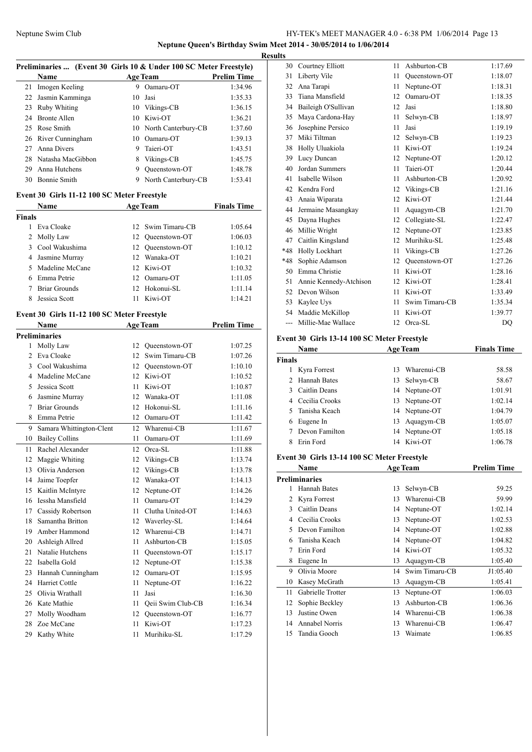**Neptune Queen's Birthday Swim Meet 2014 - 30/05/2014 to 1/06/2014**

**Results**

|    | Preliminaries  (Event 30 Girls 10 & Under 100 SC Meter Freestyle) |    |                        |                    |  |  |
|----|-------------------------------------------------------------------|----|------------------------|--------------------|--|--|
|    | <b>Name</b>                                                       |    | <b>Age Team</b>        | <b>Prelim Time</b> |  |  |
| 21 | Imogen Keeling                                                    | 9  | Oamaru-OT              | 1:34.96            |  |  |
| 22 | Jasmin Kamminga                                                   |    | 10 Jasi                | 1:35.33            |  |  |
| 23 | Ruby Whiting                                                      | 10 | Vikings-CB             | 1:36.15            |  |  |
| 24 | <b>Bronte Allen</b>                                               |    | 10 Kiwi-OT             | 1:36.21            |  |  |
|    | 25 Rose Smith                                                     |    | 10 North Canterbury-CB | 1:37.60            |  |  |
|    | 26 River Cunningham                                               | 10 | Oamaru-OT              | 1:39.13            |  |  |
| 27 | Anna Divers                                                       | 9  | Taieri-OT              | 1:43.51            |  |  |
|    | 28 Natasha MacGibbon                                              | 8  | Vikings-CB             | 1:45.75            |  |  |
| 29 | Anna Hutchens                                                     | 9  | Oueenstown-OT          | 1:48.78            |  |  |
| 30 | <b>Bonnie Smith</b>                                               | 9  | North Canterbury-CB    | 1:53.41            |  |  |

#### **Event 30 Girls 11-12 100 SC Meter Freestyle**

|               | Name                 | <b>Age Team</b> |                   | <b>Finals Time</b> |  |  |
|---------------|----------------------|-----------------|-------------------|--------------------|--|--|
| <b>Finals</b> |                      |                 |                   |                    |  |  |
|               | Eva Cloake           |                 | 12 Swim Timaru-CB | 1:05.64            |  |  |
|               | 2 Molly Law          |                 | 12 Oueenstown-OT  | 1:06.03            |  |  |
|               | 3 Cool Wakushima     |                 | 12 Oueenstown-OT  | 1:10.12            |  |  |
|               | 4 Jasmine Murray     |                 | 12 Wanaka-OT      | 1:10.21            |  |  |
|               | 5 Madeline McCane    |                 | 12 Kiwi-OT        | 1:10.32            |  |  |
|               | Emma Petrie          | 12.             | Oamaru-OT         | 1:11.05            |  |  |
|               | <b>Briar Grounds</b> |                 | 12 Hokonui-SL     | 1:11.14            |  |  |
|               | Jessica Scott        |                 | Kiwi-OT           | 1:14.21            |  |  |

# **Event 30 Girls 11-12 100 SC Meter Freestyle**

|                | <b>Name</b>              |    | Age Team          | <b>Prelim Time</b> |
|----------------|--------------------------|----|-------------------|--------------------|
|                | <b>Preliminaries</b>     |    |                   |                    |
| 1              | Molly Law                | 12 | Oueenstown-OT     | 1:07.25            |
| $\overline{c}$ | Eva Cloake               | 12 | Swim Timaru-CB    | 1:07.26            |
| 3              | Cool Wakushima           | 12 | Queenstown-OT     | 1:10.10            |
| 4              | Madeline McCane          | 12 | Kiwi-OT           | 1:10.52            |
| 5              | Jessica Scott            | 11 | Kiwi-OT           | 1:10.87            |
| 6              | Jasmine Murray           | 12 | Wanaka-OT         | 1:11.08            |
| 7              | <b>Briar Grounds</b>     | 12 | Hokonui-SL        | 1:11.16            |
| 8              | Emma Petrie              | 12 | Oamaru-OT         | 1:11.42            |
| 9              | Samara Whittington-Clent | 12 | Wharenui-CB       | 1:11.67            |
| 10             | <b>Bailey Collins</b>    | 11 | Oamaru-OT         | 1:11.69            |
| 11             | Rachel Alexander         | 12 | Orca-SL           | 1:11.88            |
| 12             | Maggie Whiting           | 12 | Vikings-CB        | 1:13.74            |
| 13             | Olivia Anderson          | 12 | Vikings-CB        | 1:13.78            |
| 14             | Jaime Toepfer            | 12 | Wanaka-OT         | 1:14.13            |
| 15             | Kaitlin McIntyre         | 12 | Neptune-OT        | 1:14.26            |
| 16             | Iessha Mansfield         | 11 | Oamaru-OT         | 1:14.29            |
| 17             | Cassidy Robertson        | 11 | Clutha United-OT  | 1:14.63            |
| 18             | Samantha Britton         |    | 12 Waverley-SL    | 1:14.64            |
| 19             | Amber Hammond            | 12 | Wharenui-CB       | 1:14.71            |
| 20             | Ashleigh Allred          | 11 | Ashburton-CB      | 1:15.05            |
| 21             | Natalie Hutchens         | 11 | Queenstown-OT     | 1:15.17            |
| 22             | Isabella Gold            | 12 | Neptune-OT        | 1:15.38            |
| 23             | Hannah Cunningham        | 12 | Oamaru-OT         | 1:15.95            |
| 24             | Harriet Cottle           | 11 | Neptune-OT        | 1:16.22            |
| 25             | Olivia Wrathall          | 11 | Jasi              | 1:16.30            |
| 26             | Kate Mathie              | 11 | Qeii Swim Club-CB | 1:16.34            |
| 27             | Molly Woodham            | 12 | Queenstown-OT     | 1:16.77            |
| 28             | Zoe McCane               | 11 | Kiwi-OT           | 1:17.23            |
| 29             | Kathy White              | 11 | Murihiku-SL       | 1:17.29            |

| 30    | Courtney Elliott       | 11 | Ashburton-CB   | 1:17.69 |
|-------|------------------------|----|----------------|---------|
| 31    | Liberty Vile           | 11 | Oueenstown-OT  | 1:18.07 |
| 32    | Ana Tarapi             | 11 | Neptune-OT     | 1:18.31 |
| 33    | Tiana Mansfield        | 12 | Oamaru-OT      | 1:18.35 |
| 34    | Baileigh O'Sullivan    | 12 | Jasi           | 1:18.80 |
| 35    | Maya Cardona-Hay       | 11 | Selwyn-CB      | 1:18.97 |
| 36    | Josephine Persico      | 11 | Jasi           | 1:19.19 |
| 37    | Miki Tiltman           | 12 | Selwyn-CB      | 1:19.23 |
| 38    | Holly Uluakiola        | 11 | Kiwi-OT        | 1:19.24 |
| 39    | Lucy Duncan            | 12 | Neptune-OT     | 1:20.12 |
| 40    | Jordan Summers         | 11 | Taieri-OT      | 1:20.44 |
| 41    | Isabelle Wilson        | 11 | Ashburton-CB   | 1:20.92 |
| 42    | Kendra Ford            | 12 | Vikings-CB     | 1:21.16 |
| 43    | Anaia Wiparata         | 12 | Kiwi-OT        | 1:21.44 |
| 44    | Jermaine Masangkay     | 11 | Aquagym-CB     | 1:21.70 |
| 45    | Dayna Hughes           | 12 | Collegiate-SL  | 1:22.47 |
| 46    | Millie Wright          | 12 | Neptune-OT     | 1:23.85 |
| 47    | Caitlin Kingsland      | 12 | Murihiku-SL    | 1:25.48 |
| $*48$ | Holly Lockhart         | 11 | Vikings-CB     | 1:27.26 |
| $*48$ | Sophie Adamson         | 12 | Oueenstown-OT  | 1:27.26 |
| 50    | Emma Christie          | 11 | Kiwi-OT        | 1:28.16 |
| 51    | Annie Kennedy-Atchison | 12 | Kiwi-OT        | 1:28.41 |
| 52    | Devon Wilson           | 11 | Kiwi-OT        | 1:33.49 |
| 53    | Kaylee Uys             | 11 | Swim Timaru-CB | 1:35.34 |
| 54    | Maddie McKillop        | 11 | Kiwi-OT        | 1:39.77 |
| ---   | Millie-Mae Wallace     | 12 | Orca-SL        | DQ      |

### **Event 30 Girls 13-14 100 SC Meter Freestyle**

|               | Name             |     | <b>Age Team</b> | <b>Finals Time</b> |  |  |
|---------------|------------------|-----|-----------------|--------------------|--|--|
| <b>Finals</b> |                  |     |                 |                    |  |  |
|               | Kyra Forrest     | 13. | Wharenui-CB     | 58.58              |  |  |
| $2^{\circ}$   | Hannah Bates     |     | 13 Selwyn-CB    | 58.67              |  |  |
|               | Caitlin Deans    |     | 14 Neptune-OT   | 1:01.91            |  |  |
|               | 4 Cecilia Crooks |     | 13 Neptune-OT   | 1:02.14            |  |  |
|               | Tanisha Keach    |     | 14 Neptune-OT   | 1:04.79            |  |  |
|               | Eugene In        |     | 13 Aquagym-CB   | 1:05.07            |  |  |
|               | Devon Familton   |     | 14 Neptune-OT   | 1:05.18            |  |  |
|               | Erin Ford        |     | 14 Kiwi-OT      | 1:06.78            |  |  |

### **Event 30 Girls 13-14 100 SC Meter Freestyle**

|    | Name                 |    | <b>Age Team</b> | <b>Prelim Time</b> |
|----|----------------------|----|-----------------|--------------------|
|    | <b>Preliminaries</b> |    |                 |                    |
| 1  | Hannah Bates         | 13 | Selwyn-CB       | 59.25              |
| 2  | Kyra Forrest         | 13 | Wharenui-CB     | 59.99              |
| 3  | Caitlin Deans        | 14 | Neptune-OT      | 1:02.14            |
| 4  | Cecilia Crooks       | 13 | Neptune-OT      | 1:02.53            |
| 5  | Devon Familton       | 14 | Neptune-OT      | 1:02.88            |
| 6  | Tanisha Keach        | 14 | Neptune-OT      | 1:04.82            |
| 7  | Erin Ford            | 14 | Kiwi-OT         | 1:05.32            |
| 8  | Eugene In            | 13 | Aquagym-CB      | 1:05.40            |
| 9  | Olivia Moore         | 14 | Swim Timaru-CB  | J1:05.40           |
| 10 | Kasey McGrath        | 13 | Aquagym-CB      | 1:05.41            |
| 11 | Gabrielle Trotter    | 13 | Neptune-OT      | 1:06.03            |
| 12 | Sophie Beckley       | 13 | Ashburton-CB    | 1:06.36            |
| 13 | Justine Owen         | 14 | Wharenui-CB     | 1:06.38            |
| 14 | Annabel Norris       | 13 | Wharenui-CB     | 1:06.47            |
| 15 | Tandia Gooch         | 13 | Waimate         | 1:06.85            |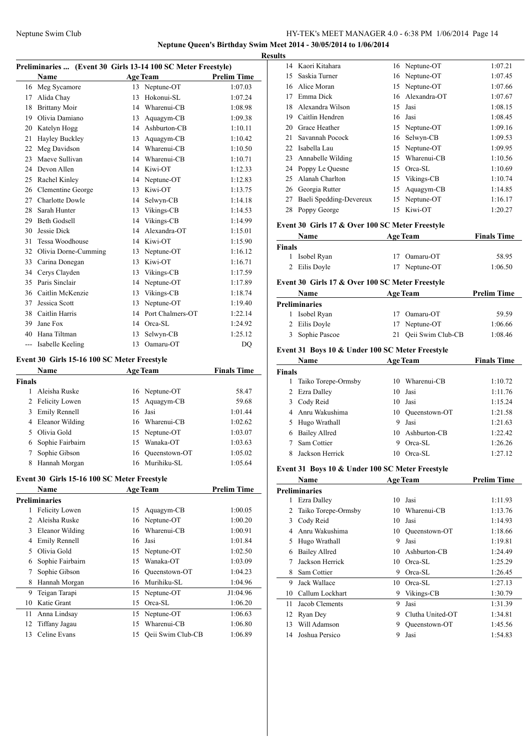**Neptune Queen's Birthday Swim Meet 2014 - 30/05/2014 to 1/06/2014**

| Preliminaries  (Event 30 Girls 13-14 100 SC Meter Freestyle) |                        |    |                  |                    |  |
|--------------------------------------------------------------|------------------------|----|------------------|--------------------|--|
|                                                              | Name                   |    | <b>Age Team</b>  | <b>Prelim Time</b> |  |
| 16                                                           | Meg Sycamore           | 13 | Neptune-OT       | 1:07.03            |  |
| 17                                                           | Alida Chay             | 13 | Hokonui-SL       | 1:07.24            |  |
| 18                                                           | <b>Brittany Moir</b>   | 14 | Wharenui-CB      | 1:08.98            |  |
| 19                                                           | Olivia Damiano         | 13 | Aquagym-CB       | 1:09.38            |  |
| 20                                                           | Katelyn Hogg           | 14 | Ashburton-CB     | 1:10.11            |  |
| 21                                                           | Hayley Buckley         | 13 | Aquagym-CB       | 1:10.42            |  |
| 22                                                           | Meg Davidson           | 14 | Wharenui-CB      | 1:10.50            |  |
| 23                                                           | Maeve Sullivan         | 14 | Wharenui-CB      | 1:10.71            |  |
| 24                                                           | Devon Allen            | 14 | Kiwi-OT          | 1:12.33            |  |
| 25                                                           | Rachel Kinley          | 14 | Neptune-OT       | 1:12.83            |  |
| 26                                                           | Clementine George      | 13 | Kiwi-OT          | 1:13.75            |  |
| 27                                                           | <b>Charlotte Dowle</b> | 14 | Selwyn-CB        | 1:14.18            |  |
| 28                                                           | Sarah Hunter           | 13 | Vikings-CB       | 1:14.53            |  |
| 29                                                           | <b>Beth Godsell</b>    | 14 | Vikings-CB       | 1:14.99            |  |
| 30                                                           | Jessie Dick            | 14 | Alexandra-OT     | 1:15.01            |  |
| 31                                                           | Tessa Woodhouse        | 14 | Kiwi-OT          | 1:15.90            |  |
| 32                                                           | Olivia Dorne-Cumming   | 13 | Neptune-OT       | 1:16.12            |  |
| 33                                                           | Carina Donegan         | 13 | Kiwi-OT          | 1:16.71            |  |
| 34                                                           | Cerys Clayden          | 13 | Vikings-CB       | 1:17.59            |  |
| 35                                                           | Paris Sinclair         | 14 | Neptune-OT       | 1:17.89            |  |
| 36                                                           | Caitlin McKenzie       | 13 | Vikings-CB       | 1:18.74            |  |
| 37                                                           | Jessica Scott          | 13 | Neptune-OT       | 1:19.40            |  |
| 38                                                           | Caitlin Harris         | 14 | Port Chalmers-OT | 1:22.14            |  |
| 39                                                           | Jane Fox               | 14 | Orca-SL          | 1:24.92            |  |
| 40                                                           | Hana Tiltman           | 13 | Selwyn-CB        | 1:25.12            |  |
| ---                                                          | Isabelle Keeling       | 13 | Oamaru-OT        | DO                 |  |

#### **Event 30 Girls 15-16 100 SC Meter Freestyle**

|        | Name                  |     | <b>Age Team</b>  | <b>Finals Time</b> |
|--------|-----------------------|-----|------------------|--------------------|
| Finals |                       |     |                  |                    |
|        | Aleisha Ruske         |     | 16 Neptune-OT    | 58.47              |
| 2      | <b>Felicity Lowen</b> |     | 15 Aquagym-CB    | 59.68              |
| 3      | Emily Rennell         |     | 16 Jasi          | 1:01.44            |
| 4      | Eleanor Wilding       |     | 16 Wharenui-CB   | 1:02.62            |
|        | Olivia Gold           |     | 15 Neptune-OT    | 1:03.07            |
| 6      | Sophie Fairbairn      | 15. | Wanaka-OT        | 1:03.63            |
|        | Sophie Gibson         |     | 16 Oueenstown-OT | 1:05.02            |
| 8      | Hannah Morgan         |     | 16 Murihiku-SL   | 1:05.64            |

#### **Event 30 Girls 15-16 100 SC Meter Freestyle**

|                | <b>Name</b>           |    | <b>Age Team</b>   | <b>Prelim Time</b> |
|----------------|-----------------------|----|-------------------|--------------------|
|                | <b>Preliminaries</b>  |    |                   |                    |
| 1              | <b>Felicity Lowen</b> | 15 | Aquagym-CB        | 1:00.05            |
| $\mathfrak{D}$ | Aleisha Ruske         | 16 | Neptune-OT        | 1:00.20            |
| 3              | Eleanor Wilding       | 16 | Wharenui-CB       | 1:00.91            |
| 4              | Emily Rennell         |    | 16 Jasi           | 1:01.84            |
| 5              | Olivia Gold           | 15 | Neptune-OT        | 1:02.50            |
| 6              | Sophie Fairbairn      | 15 | Wanaka-OT         | 1:03.09            |
| 7              | Sophie Gibson         | 16 | Oueenstown-OT     | 1:04.23            |
| 8              | Hannah Morgan         | 16 | Murihiku-SL       | 1:04.96            |
| 9              | Teigan Tarapi         |    | 15 Neptune-OT     | J1:04.96           |
| 10             | Katie Grant           | 15 | Orca-SL           | 1:06.20            |
| 11             | Anna Lindsay          |    | 15 Neptune-OT     | 1:06.63            |
| 12             | Tiffany Jagau         | 15 | Wharenui-CB       | 1:06.80            |
| 13             | Celine Evans          | 15 | Qeii Swim Club-CB | 1:06.89            |

| <b>Results</b> |                         |    |                 |         |
|----------------|-------------------------|----|-----------------|---------|
|                | 14 Kaori Kitahara       |    | 16 Neptune-OT   | 1:07.21 |
| 15             | Saskia Turner           |    | 16 Neptune-OT   | 1:07.45 |
| 16             | Alice Moran             |    | 15 Neptune-OT   | 1:07.66 |
| 17             | Emma Dick               |    | 16 Alexandra-OT | 1:07.67 |
| 18.            | Alexandra Wilson        |    | 15 Jasi         | 1:08.15 |
| 19             | Caitlin Hendren         |    | 16 Jasi         | 1:08.45 |
| 20             | Grace Heather           |    | 15 Neptune-OT   | 1:09.16 |
| 21             | Savannah Pocock         | 16 | Selwyn-CB       | 1:09.53 |
| 22             | Isabella Lau            |    | 15 Neptune-OT   | 1:09.95 |
|                | 23 Annabelle Wilding    |    | 15 Wharenui-CB  | 1:10.56 |
|                | 24 Poppy Le Quesne      | 15 | Orca-SL         | 1:10.69 |
| 25             | Alanah Charlton         |    | 15 Vikings-CB   | 1:10.74 |
|                | 26 Georgia Rutter       | 15 | Aquagym-CB      | 1:14.85 |
| 27             | Baeli Spedding-Devereux | 15 | Neptune-OT      | 1:16.17 |
| 28             | Poppy George            | 15 | Kiwi-OT         | 1:20.27 |

#### **Event 30 Girls 17 & Over 100 SC Meter Freestyle**

| Name          | <b>Age Team</b> | <b>Finals Time</b> |
|---------------|-----------------|--------------------|
| Finals        |                 |                    |
| 1 Isobel Ryan | 17 Oamaru-OT    | 58.95              |
| 2 Eilis Doyle | 17 Neptune-OT   | 1:06.50            |

### **Event 30 Girls 17 & Over 100 SC Meter Freestyle**

| Name |                 | <b>Age Team</b>      |         |
|------|-----------------|----------------------|---------|
|      | Preliminaries   |                      |         |
|      | Isobel Ryan     | 17 Oamaru-OT         | 59.59   |
|      | 2 Eilis Doyle   | 17 Neptune-OT        | 1:06.66 |
|      | 3 Sophie Pascoe | 21 Qeii Swim Club-CB | 1:08.46 |

### **Event 31 Boys 10 & Under 100 SC Meter Freestyle**

|               | Name                 |     | <b>Age Team</b>  | <b>Finals Time</b> |
|---------------|----------------------|-----|------------------|--------------------|
| <b>Finals</b> |                      |     |                  |                    |
|               | Taiko Torepe-Ormsby  |     | 10 Wharenui-CB   | 1:10.72            |
|               | 2 Ezra Dalley        | 10. | Jasi             | 1:11.76            |
| 3             | Cody Reid            |     | 10 Jasi          | 1:15.24            |
|               | 4 Anru Wakushima     |     | 10 Oueenstown-OT | 1:21.58            |
| 5             | Hugo Wrathall        | 9   | Jasi             | 1:21.63            |
| 6             | <b>Bailey Allred</b> |     | 10 Ashburton-CB  | 1:22.42            |
|               | Sam Cottier          | 9   | Orca-SL          | 1:26.26            |
|               | Jackson Herrick      | 10  | Orca-SL          | 1:27.12            |

### **Event 31 Boys 10 & Under 100 SC Meter Freestyle**

|    | <b>Name</b>          |    | <b>Age Team</b>  | <b>Prelim Time</b> |
|----|----------------------|----|------------------|--------------------|
|    | <b>Preliminaries</b> |    |                  |                    |
| 1  | Ezra Dalley          | 10 | Jasi             | 1:11.93            |
| 2  | Taiko Torepe-Ormsby  | 10 | Wharenui-CB      | 1:13.76            |
| 3  | Cody Reid            | 10 | Jasi             | 1:14.93            |
| 4  | Anru Wakushima       | 10 | Queenstown-OT    | 1:18.66            |
| 5  | Hugo Wrathall        | 9  | Jasi             | 1:19.81            |
| 6  | <b>Bailey Allred</b> | 10 | Ashburton-CB     | 1:24.49            |
| 7  | Jackson Herrick      | 10 | Orca-SL          | 1:25.29            |
| 8  | Sam Cottier          | 9  | Orca-SL          | 1:26.45            |
| 9  | Jack Wallace         | 10 | Orca-SL          | 1:27.13            |
| 10 | Callum Lockhart      | 9  | Vikings-CB       | 1:30.79            |
| 11 | Jacob Clements       | 9  | Jasi             | 1:31.39            |
| 12 | Ryan Dey             | 9  | Clutha United-OT | 1:34.81            |
| 13 | Will Adamson         | 9  | Oueenstown-OT    | 1:45.56            |
| 14 | Joshua Persico       | 9  | Jasi             | 1:54.83            |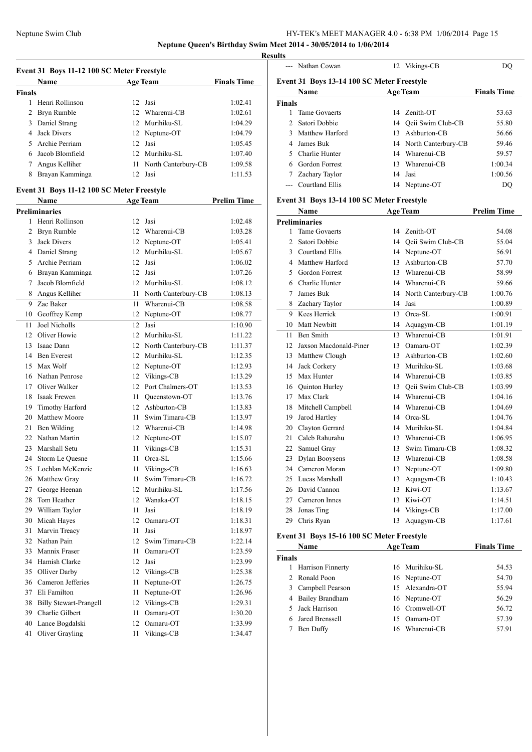**Neptune Queen's Birthday Swim Meet 2014 - 30/05/2014 to 1/06/2014**

**Resul** 

|                    | Event 31 Boys 11-12 100 SC Meter Freestyle         |      |                        |                    |
|--------------------|----------------------------------------------------|------|------------------------|--------------------|
|                    | Name                                               |      | <b>Age Team</b>        | <b>Finals Time</b> |
| <b>Finals</b><br>1 | Henri Rollinson                                    | 12   | Jasi                   | 1:02.41            |
| $\overline{2}$     | Bryn Rumble                                        | 12   | Wharenui-CB            | 1:02.61            |
| 3                  | Daniel Strang                                      |      | 12 Murihiku-SL         | 1:04.29            |
| $\overline{4}$     | <b>Jack Divers</b>                                 |      | 12 Neptune-OT          | 1:04.79            |
| 5                  | Archie Perriam                                     |      | 12 Jasi                | 1:05.45            |
| 6                  | Jacob Blomfield                                    |      | 12 Murihiku-SL         | 1:07.40            |
| 7                  | Angus Kelliher                                     | 11   | North Canterbury-CB    | 1:09.58            |
| 8                  | Brayan Kamminga                                    |      | 12 Jasi                | 1:11.53            |
|                    |                                                    |      |                        |                    |
|                    | Event 31 Boys 11-12 100 SC Meter Freestyle<br>Name |      | <b>Age Team</b>        | <b>Prelim Time</b> |
|                    | <b>Preliminaries</b>                               |      |                        |                    |
|                    | 1 Henri Rollinson                                  | 12   | Jasi                   | 1:02.48            |
| 2                  | Bryn Rumble                                        |      | 12 Wharenui-CB         | 1:03.28            |
| 3                  | <b>Jack Divers</b>                                 | 12   | Neptune-OT             | 1:05.41            |
|                    | 4 Daniel Strang                                    | 12   | Murihiku-SL            | 1:05.67            |
| 5.                 | Archie Perriam                                     | 12   | Jasi                   | 1:06.02            |
| 6                  | Brayan Kamminga                                    | 12   | Jasi                   | 1:07.26            |
| 7                  | Jacob Blomfield                                    |      | 12 Murihiku-SL         | 1:08.12            |
| 8                  | Angus Kelliher                                     |      | 11 North Canterbury-CB | 1:08.13            |
| 9                  | Zac Baker                                          | 11   | Wharenui-CB            | 1:08.58            |
|                    | 10 Geoffrey Kemp                                   | 12   | Neptune-OT             | 1:08.77            |
| 11                 | Joel Nicholls                                      | 12   | Jasi                   | 1:10.90            |
| 12                 | Oliver Howie                                       |      | 12 Murihiku-SL         | 1:11.22            |
| 13                 | Isaac Dann                                         |      | 12 North Canterbury-CB | 1:11.37            |
| 14                 | <b>Ben Everest</b>                                 |      | 12 Murihiku-SL         | 1:12.35            |
| 15                 | Max Wolf                                           |      | 12 Neptune-OT          | 1:12.93            |
| 16                 | Nathan Penrose                                     |      | 12 Vikings-CB          | 1:13.29            |
| 17                 | Oliver Walker                                      | 12   | Port Chalmers-OT       | 1:13.53            |
| 18                 | Isaak Frewen                                       | 11 - | Queenstown-OT          | 1:13.76            |
| 19                 | Timothy Harford                                    |      | 12 Ashburton-CB        | 1:13.83            |
| 20                 | Matthew Moore                                      | 11 - | Swim Timaru-CB         | 1:13.97            |
| 21                 | Ben Wilding                                        |      | 12 Wharenui-CB         | 1:14.98            |
|                    | 22 Nathan Martin                                   |      | 12 Neptune-OT          | 1:15.07            |
| 23                 | Marshall Setu                                      | 11   | Vikings-CB             | 1:15.31            |
|                    | 24 Storm Le Quesne                                 |      | 11 Orca-SL             | 1:15.66            |
|                    | 25 Lochlan McKenzie                                | 11   | Vikings-CB             | 1:16.63            |
| 26                 | Matthew Gray                                       | 11   | Swim Timaru-CB         | 1:16.72            |
| 27                 | George Heenan                                      | 12   | Murihiku-SL            | 1:17.56            |
| 28                 | Tom Heather                                        |      | 12 Wanaka-OT           | 1:18.15            |
| 29                 | William Taylor                                     | 11   | Jasi                   | 1:18.19            |
| 30                 | Micah Hayes                                        | 12   | Oamaru-OT              | 1:18.31            |
| 31                 | Marvin Treacy                                      | 11   | Jasi                   | 1:18.97            |
| 32                 | Nathan Pain                                        | 12   | Swim Timaru-CB         | 1:22.14            |
| 33                 | Mannix Fraser                                      | 11   | Oamaru-OT              | 1:23.59            |
| 34                 | Hamish Clarke                                      | 12   | Jasi                   | 1:23.99            |
| 35                 | Olliver Darby                                      | 12   | Vikings-CB             | 1:25.38            |
|                    | 36 Cameron Jefferies                               | 11   | Neptune-OT             | 1:26.75            |
| 37                 | Eli Familton                                       | 11   | Neptune-OT             | 1:26.96            |
| 38                 | <b>Billy Stewart-Prangell</b>                      | 12   | Vikings-CB             | 1:29.31            |
| 39                 | Charlie Gilbert                                    | 11   | Oamaru-OT              | 1:30.20            |
| 40                 | Lance Bogdalski                                    | 12   | Oamaru-OT              | 1:33.99            |
| 41                 | Oliver Grayling                                    | 11   | Vikings-CB             | 1:34.47            |
|                    |                                                    |      |                        |                    |

| ults           |                                            |    |                        |                    |
|----------------|--------------------------------------------|----|------------------------|--------------------|
|                | --- Nathan Cowan                           |    | 12 Vikings-CB          | DQ                 |
|                | Event 31 Boys 13-14 100 SC Meter Freestyle |    |                        |                    |
|                | <b>Name</b>                                |    | <b>Age Team</b>        | <b>Finals Time</b> |
| <b>Finals</b>  |                                            |    |                        |                    |
| 1              | <b>Tame Govaerts</b>                       |    | 14 Zenith-OT           | 53.63              |
| $\mathfrak{D}$ | Satori Dobbie                              |    | 14 Oeii Swim Club-CB   | 55.80              |
| 3              | <b>Matthew Harford</b>                     |    | 13 Ashburton-CB        | 56.66              |
| 4              | James Buk                                  |    | 14 North Canterbury-CB | 59.46              |
| 5              | Charlie Hunter                             |    | 14 Wharenui-CB         | 59.57              |
| 6              | <b>Gordon Forrest</b>                      | 13 | Wharenui-CB            | 1:00.34            |
|                | 7 Zachary Taylor                           |    | 14 Jasi                | 1:00.56            |
|                | --- Courtland Ellis                        |    | 14 Neptune-OT          | DQ                 |
|                | Event 31 Boys 13-14 100 SC Meter Freestyle |    |                        |                    |
|                | <b>Name</b>                                |    | <b>Age Team</b>        | <b>Prelim Time</b> |
|                | <b>Preliminaries</b>                       |    |                        |                    |
| 1              | <b>Tame Govaerts</b>                       |    | 14 Zenith-OT           | 54.08              |
| $\overline{c}$ | Satori Dobbie                              |    | 14 Oeii Swim Club-CB   | 55.04              |
| 3              | Courtland Ellis                            |    | 14 Neptune-OT          | 56.91              |
|                | 4 Matthew Harford                          |    | 13 Ashburton-CB        | 57.70              |
| 5              | <b>Gordon Forrest</b>                      |    | 13 Wharenui-CB         | 58.99              |
| 6              | Charlie Hunter                             |    | 14 Wharenui-CB         | 59.66              |
| 7              | James Buk                                  |    | 14 North Canterbury-CB | 1:00.76            |
|                | 8 Zachary Taylor                           |    | 14 Jasi                | 1:00.89            |
|                | 9 Kees Herrick                             |    | 13 Orca-SL             | 1:00.91            |
| 10             | Matt Newbitt                               |    | 14 Aquagym-CB          | 1:01.19            |
| 11             | <b>Ben Smith</b>                           |    | 13 Wharenui-CB         | 1:01.91            |
|                | 12 Jaxson Macdonald-Piner                  |    | 13 Oamaru-OT           | 1:02.39            |
|                | 13 Matthew Clough                          | 13 | Ashburton-CB           | 1:02.60            |
|                | 14 Jack Corkery                            | 13 | Murihiku-SL            | 1:03.68            |
|                | 15 Max Hunter                              |    | 14 Wharenui-CB         | 1:03.85            |
|                | 16 Quinton Hurley                          |    | 13 Oeii Swim Club-CB   | 1:03.99            |
|                | 17 Max Clark                               |    | 14 Wharenui-CB         | 1:04.16            |
| 18             | Mitchell Campbell                          |    | 14 Wharenui-CB         | 1:04.69            |
|                | 19 Jarod Hartley                           |    | 14 Orca-SL             | 1:04.76            |
|                | 20 Clayton Gerrard                         |    | 14 Murihiku-SL         | 1:04.84            |
| 21             | Caleb Rahurahu                             |    | 13 Wharenui-CB         | 1:06.95            |
|                | 22 Samuel Gray                             |    | 13 Swim Timaru-CB      | 1:08.32            |
|                | 23 Dylan Booysens                          |    | 13 Wharenui-CB         | 1:08.58            |
|                | 24 Cameron Moran                           |    | 13 Neptune-OT          | 1:09.80            |
| 25             | Lucas Marshall                             | 13 | Aquagym-CB             | 1:10.43            |
| 26             | David Cannon                               | 13 | Kiwi-OT                | 1:13.67            |

#### **Event 31 Boys 15-16 100 SC Meter Freestyle**

| Name                     | <b>Age Team</b>    | <b>Finals Time</b> |
|--------------------------|--------------------|--------------------|
| <b>Finals</b>            |                    |                    |
| <b>Harrison Finnerty</b> | 16 Murihiku-SL     | 54.53              |
| 2 Ronald Poon            | 16 Neptune-OT      | 54.70              |
| Campbell Pearson<br>3.   | 15 Alexandra-OT    | 55.94              |
| 4 Bailey Brandham        | 16 Neptune-OT      | 56.29              |
| 5 Jack Harrison          | 16 Cromwell-OT     | 56.72              |
| Jared Brenssell          | 15 Oamaru-OT       | 57.39              |
| Ben Duffy                | Wharenui-CB<br>16. | 57.91              |
|                          |                    |                    |

27 Cameron Innes 13 Kiwi-OT 1:14.51 Jonas Ting 14 Vikings-CB 1:17.00 Chris Ryan 13 Aquagym-CB 1:17.61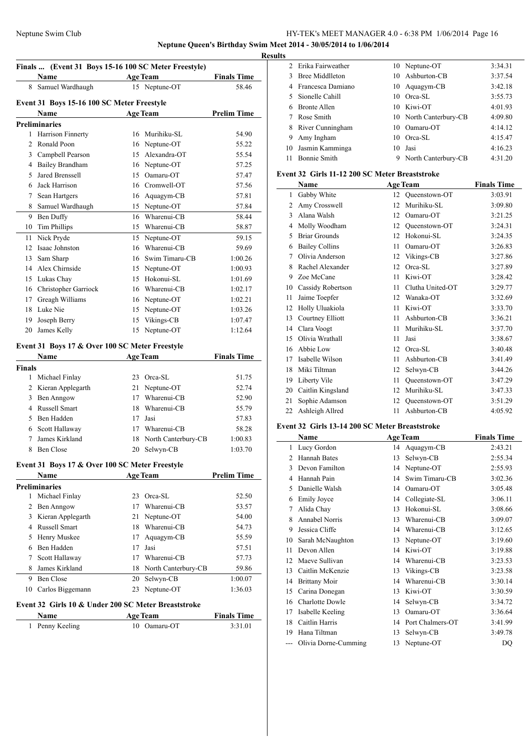**Neptune Queen's Birthday Swim Meet 2014 - 30/05/2014 to 1/06/2014**

|        | Finals  (Event 31 Boys 15-16 100 SC Meter Freestyle)<br>Name |    |                                  | <b>Finals Time</b> |
|--------|--------------------------------------------------------------|----|----------------------------------|--------------------|
|        | 8 Samuel Wardhaugh                                           |    | <b>Age Team</b><br>15 Neptune-OT | 58.46              |
|        |                                                              |    |                                  |                    |
|        | Event 31 Boys 15-16 100 SC Meter Freestyle                   |    |                                  |                    |
|        | <b>Name</b>                                                  |    | <b>Age Team</b>                  | <b>Prelim Time</b> |
|        | <b>Preliminaries</b>                                         |    |                                  |                    |
|        | 1 Harrison Finnerty                                          |    | 16 Murihiku-SL                   | 54.90              |
|        | 2 Ronald Poon                                                |    | 16 Neptune-OT                    | 55.22              |
|        | 3 Campbell Pearson                                           |    | 15 Alexandra-OT                  | 55.54              |
|        | 4 Bailey Brandham                                            |    | 16 Neptune-OT                    | 57.25              |
| 5      | Jared Brenssell                                              |    | 15 Oamaru-OT                     | 57.47              |
|        | 6 Jack Harrison                                              |    | 16 Cromwell-OT                   | 57.56              |
|        | 7 Sean Hartgers                                              |    | 16 Aquagym-CB                    | 57.81              |
|        | 8 Samuel Wardhaugh                                           |    | 15 Neptune-OT                    | 57.84              |
|        | 9 Ben Duffy                                                  | 16 | Wharenui-CB                      | 58.44              |
| 10     | <b>Tim Phillips</b>                                          |    | 15 Wharenui-CB                   | 58.87              |
|        | 11 Nick Pryde                                                |    | 15 Neptune-OT                    | 59.15              |
|        | 12 Isaac Johnston                                            |    | 16 Wharenui-CB                   | 59.69              |
|        | 13 Sam Sharp                                                 |    | 16 Swim Timaru-CB                | 1:00.26            |
|        | 14 Alex Chirnside                                            |    | 15 Neptune-OT                    | 1:00.93            |
|        | 15 Lukas Chay                                                |    | 15 Hokonui-SL                    | 1:01.69            |
|        | 16 Christopher Garriock                                      |    | 16 Wharenui-CB                   | 1:02.17            |
| 17     | Greagh Williams                                              |    | 16 Neptune-OT                    | 1:02.21            |
|        | 18 Luke Nie                                                  |    | 15 Neptune-OT                    | 1:03.26            |
|        | 19 Joseph Berry                                              |    | 15 Vikings-CB                    | 1:07.47            |
|        | 20 James Kelly                                               |    | 15 Neptune-OT                    | 1:12.64            |
|        | Event 31 Boys 17 & Over 100 SC Meter Freestyle               |    |                                  |                    |
|        | <b>Name</b>                                                  |    | <b>Age Team</b>                  | <b>Finals Time</b> |
| Finals |                                                              |    |                                  |                    |
|        | 1 Michael Finlay                                             |    | 23 Orca-SL                       | 51.75              |
|        | 2 Kieran Applegarth                                          |    | 21 Neptune-OT                    | 52.74              |
|        | 3 Ben Anngow                                                 |    | 17 Wharenui-CB                   | 52.90              |
| 4      | <b>Russell Smart</b>                                         |    | 18 Wharenui-CB                   | 55.79              |
| 5      | Ben Hadden                                                   | 17 | Jasi                             | 57.83              |
|        | 6 Scott Hallaway                                             |    | 17 Wharenui-CB                   | 58.28              |
| 7      | James Kirkland                                               |    | 18 North Canterbury-CB           | 1:00.83            |
| 8      | Ben Close                                                    |    | 20 Selwyn-CB                     | 1:03.70            |
|        | Event 31 Boys 17 & Over 100 SC Meter Freestyle               |    |                                  |                    |
|        | <b>Name</b>                                                  |    | <b>Age Team</b>                  | <b>Prelim Time</b> |
|        | <b>Preliminaries</b>                                         |    |                                  |                    |
| 1      | Michael Finlay                                               |    | 23 Orca-SL                       | 52.50              |
|        | 2 Ben Anngow                                                 | 17 | Wharenui-CB                      | 53.57              |
|        | 3 Kieran Applegarth                                          | 21 | Neptune-OT                       | 54.00              |
|        | 4 Russell Smart                                              |    | 18 Wharenui-CB                   | 54.73              |
| 5      | Henry Muskee                                                 | 17 | Aquagym-CB                       | 55.59              |
| 6      | Ben Hadden                                                   | 17 | Jasi                             | 57.51              |
| 7      | Scott Hallaway                                               |    | 17 Wharenui-CB                   | 57.73              |
| 8      | James Kirkland                                               |    | 18 North Canterbury-CB           | 59.86              |
|        | Ben Close                                                    | 20 | Selwyn-CB                        | 1:00.07            |
| 9.     | 10 Carlos Biggemann                                          |    | 23 Neptune-OT                    | 1:36.03            |
|        |                                                              |    |                                  |                    |
|        | Event 32 Girls 10 & Under 200 SC Meter Breaststroke          |    |                                  |                    |
|        | Name                                                         |    | Age Team                         | <b>Finals Time</b> |

|    | 2 Erika Fairweather |    | 10 Neptune-OT          | 3:34.31 |
|----|---------------------|----|------------------------|---------|
| 3  | Bree Middlleton     |    | 10 Ashburton-CB        | 3:37.54 |
|    | 4 Francesca Damiano |    | 10 Aquagym-CB          | 3:42.18 |
| 5. | Sionelle Cahill     |    | 10 Orca-SL             | 3:55.73 |
| 6  | <b>Bronte Allen</b> |    | 10 Kiwi-OT             | 4:01.93 |
|    | Rose Smith          |    | 10 North Canterbury-CB | 4:09.80 |
|    | 8 River Cunningham  | 10 | Oamaru-OT              | 4:14.12 |
| 9  | Amy Ingham          |    | 10 Orca-SL             | 4:15.47 |
| 10 | Jasmin Kamminga     |    | 10 Jasi                | 4:16.23 |
| 11 | <b>Bonnie Smith</b> | 9  | North Canterbury-CB    | 4:31.20 |
|    |                     |    |                        |         |

### **Event 32 Girls 11-12 200 SC Meter Breaststroke**

|    | Name                  | <b>Age Team</b> |                  | <b>Finals Time</b> |
|----|-----------------------|-----------------|------------------|--------------------|
| 1  | Gabby White           | 12              | Queenstown-OT    | 3:03.91            |
| 2  | Amy Crosswell         | 12              | Murihiku-SL      | 3:09.80            |
| 3  | Alana Walsh           | 12              | Oamaru-OT        | 3:21.25            |
| 4  | Molly Woodham         | 12              | Queenstown-OT    | 3:24.31            |
| 5  | <b>Briar Grounds</b>  | 12              | Hokonui-SL       | 3:24.35            |
| 6  | <b>Bailey Collins</b> | 11              | Oamaru-OT        | 3:26.83            |
| 7  | Olivia Anderson       | 12              | Vikings-CB       | 3:27.86            |
| 8  | Rachel Alexander      | 12              | Orca-SL          | 3:27.89            |
| 9  | Zoe McCane            | 11              | Kiwi-OT          | 3:28.42            |
| 10 | Cassidy Robertson     | 11              | Clutha United-OT | 3:29.77            |
| 11 | Jaime Toepfer         | 12              | Wanaka-OT        | 3:32.69            |
| 12 | Holly Uluakiola       | 11              | Kiwi-OT          | 3:33.70            |
| 13 | Courtney Elliott      | 11              | Ashburton-CB     | 3:36.21            |
| 14 | Clara Voogt           | 11              | Murihiku-SL      | 3:37.70            |
| 15 | Olivia Wrathall       | 11              | Jasi             | 3:38.67            |
| 16 | Abbie Low             | 12              | Orca-SL          | 3:40.48            |
| 17 | Isabelle Wilson       | 11              | Ashburton-CB     | 3:41.49            |
| 18 | Miki Tiltman          | 12              | Selwyn-CB        | 3:44.26            |
| 19 | Liberty Vile          | 11              | Queenstown-OT    | 3:47.29            |
| 20 | Caitlin Kingsland     | 12              | Murihiku-SL      | 3:47.33            |
| 21 | Sophie Adamson        | 12              | Queenstown-OT    | 3:51.29            |
| 22 | Ashleigh Allred       | 11              | Ashburton-CB     | 4:05.92            |

#### **Event 32 Girls 13-14 200 SC Meter Breaststroke**

|               | Name                   | <b>Age Team</b> |                  | <b>Finals Time</b> |
|---------------|------------------------|-----------------|------------------|--------------------|
| 1             | Lucy Gordon            | 14              | Aquagym-CB       | 2:43.21            |
| $\mathcal{L}$ | <b>Hannah Bates</b>    | 13              | Selwyn-CB        | 2:55.34            |
| 3             | Devon Familton         | 14              | Neptune-OT       | 2:55.93            |
| 4             | Hannah Pain            | 14              | Swim Timaru-CB   | 3:02.36            |
| 5             | Danielle Walsh         | 14              | Oamaru-OT        | 3:05.48            |
| 6             | <b>Emily Joyce</b>     | 14              | Collegiate-SL    | 3:06.11            |
| 7             | Alida Chay             | 13              | Hokonui-SL       | 3:08.66            |
| 8             | <b>Annabel Norris</b>  | 13              | Wharenui-CB      | 3:09.07            |
| 9             | Jessica Cliffe         | 14              | Wharenui-CB      | 3:12.65            |
| 10            | Sarah McNaughton       | 13              | Neptune-OT       | 3:19.60            |
| 11            | Devon Allen            | 14              | Kiwi-OT          | 3:19.88            |
| 12            | Maeve Sullivan         | 14              | Wharenui-CB      | 3:23.53            |
| 13            | Caitlin McKenzie       | 13              | Vikings-CB       | 3:23.58            |
| 14            | <b>Brittany Moir</b>   | 14              | Wharenui-CB      | 3:30.14            |
| 15            | Carina Donegan         | 13              | Kiwi-OT          | 3:30.59            |
| 16            | <b>Charlotte Dowle</b> | 14              | Selwyn-CB        | 3:34.72            |
| 17            | Isabelle Keeling       | 13              | Oamaru-OT        | 3:36.64            |
| 18            | Caitlin Harris         | 14              | Port Chalmers-OT | 3:41.99            |
| 19            | Hana Tiltman           | 13              | Selwyn-CB        | 3:49.78            |
|               | Olivia Dorne-Cumming   | 13              | Neptune-OT       | DQ                 |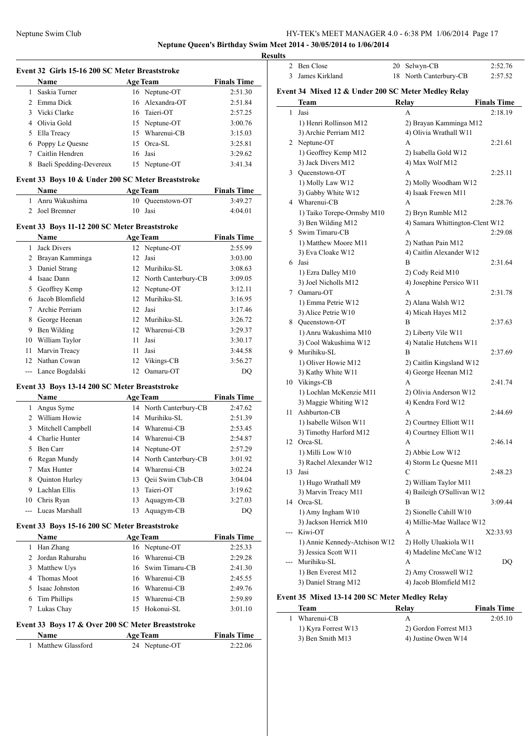**Neptune Queen's Birthday Swim Meet 2014 - 30/05/2014 to 1/06/2014**

**Results**

|               | <b>Name</b>                                        |    | <b>Age Team</b> | <b>Finals Time</b> |
|---------------|----------------------------------------------------|----|-----------------|--------------------|
| 1             | Saskia Turner                                      |    | 16 Neptune-OT   | 2:51.30            |
|               | 2 Emma Dick                                        |    | 16 Alexandra-OT | 2:51.84            |
| $\mathcal{F}$ | Vicki Clarke                                       |    | 16 Taieri-OT    | 2:57.25            |
| 4             | Olivia Gold                                        |    | 15 Neptune-OT   | 3:00.76            |
| 5             | Ella Treacy                                        |    | 15 Wharenui-CB  | 3:15.03            |
| 6             | Poppy Le Quesne                                    |    | 15 Orca-SL      | 3:25.81            |
| 7             | Caitlin Hendren                                    |    | 16 Jasi         | 3:29.62            |
| 8             | Baeli Spedding-Devereux                            |    | 15 Neptune-OT   | 3:41.34            |
|               | Event 33 Boys 10 & Under 200 SC Meter Breaststroke |    |                 |                    |
|               | <b>Name</b>                                        |    | <b>Age Team</b> | <b>Finals Time</b> |
|               | Anru Wakushima                                     | 10 | Oueenstown-OT   | 3:49.27            |

## 2 Joel Bremner 10 Jasi 4:04.01

### **Event 33 Boys 11-12 200 SC Meter Breaststroke**

|    | <b>Name</b>        |     | <b>Age Team</b>        | <b>Finals Time</b> |
|----|--------------------|-----|------------------------|--------------------|
| 1  | <b>Jack Divers</b> |     | 12 Neptune-OT          | 2:55.99            |
| 2  | Brayan Kamminga    | 12  | Jasi                   | 3:03.00            |
| 3  | Daniel Strang      | 12  | Murihiku-SL            | 3:08.63            |
| 4  | Isaac Dann         |     | 12 North Canterbury-CB | 3:09.05            |
| 5  | Geoffrey Kemp      |     | 12 Neptune-OT          | 3:12.11            |
| 6  | Jacob Blomfield    |     | 12 Murihiku-SL         | 3:16.95            |
|    | Archie Perriam     | 12. | Jasi                   | 3:17.46            |
| 8  | George Heenan      |     | 12 Murihiku-SL         | 3:26.72            |
| 9  | Ben Wilding        | 12  | Wharenui-CB            | 3:29.37            |
| 10 | William Taylor     | 11  | Jasi                   | 3:30.17            |
| 11 | Marvin Treacy      | 11  | Jasi                   | 3:44.58            |
|    | 12 Nathan Cowan    |     | 12 Vikings-CB          | 3:56.27            |
|    | Lance Bogdalski    | 12  | Oamaru-OT              | DQ                 |

### **Event 33 Boys 13-14 200 SC Meter Breaststroke**

|                | <b>Name</b>           |    | <b>Age Team</b>        | <b>Finals Time</b> |
|----------------|-----------------------|----|------------------------|--------------------|
| 1              | Angus Syme            |    | 14 North Canterbury-CB | 2:47.62            |
| $\mathfrak{D}$ | William Howie         |    | 14 Murihiku-SL         | 2:51.39            |
| 3              | Mitchell Campbell     |    | 14 Wharenui-CB         | 2:53.45            |
| 4              | Charlie Hunter        |    | 14 Wharenui-CB         | 2:54.87            |
| 5              | Ben Carr              |    | 14 Neptune-OT          | 2:57.29            |
| 6              | Regan Mundy           |    | 14 North Canterbury-CB | 3:01.92            |
| 7              | Max Hunter            | 14 | Wharenui-CB            | 3:02.24            |
| 8              | <b>Quinton Hurley</b> | 13 | Qeii Swim Club-CB      | 3:04.04            |
| 9              | Lachlan Ellis         | 13 | Taieri-OT              | 3:19.62            |
| 10             | Chris Ryan            | 13 | Aquagym-CB             | 3:27.03            |
|                | --- Lucas Marshall    | 13 | Aquagym-CB             | DO                 |

#### **Event 33 Boys 15-16 200 SC Meter Breaststroke**

|   | <b>Name</b>       | <b>Age Team</b> |                   | <b>Finals Time</b> |
|---|-------------------|-----------------|-------------------|--------------------|
| 1 | Han Zhang         |                 | 16 Neptune-OT     | 2:25.33            |
|   | 2 Jordan Rahurahu |                 | 16 Wharenui-CB    | 2:29.28            |
| 3 | Matthew Uys       |                 | 16 Swim Timaru-CB | 2:41.30            |
|   | 4 Thomas Moot     |                 | 16 Wharenui-CB    | 2:45.55            |
|   | 5 Isaac Johnston  |                 | 16 Wharenui-CB    | 2:49.76            |
|   | 6 Tim Phillips    |                 | 15 Wharenui-CB    | 2:59.89            |
|   | Lukas Chay        |                 | 15 Hokonui-SL     | 3:01.10            |

### **Event 33 Boys 17 & Over 200 SC Meter Breaststroke**

 $\overline{\phantom{0}}$ 

| Name              | <b>Age Team</b> | <b>Finals Time</b> |
|-------------------|-----------------|--------------------|
| Matthew Glassford | 24 Neptune-OT   | 2:22.06            |

| 2   | Ben Close                                           | 20 | Selwyn-CB                       | 2:52.76            |
|-----|-----------------------------------------------------|----|---------------------------------|--------------------|
| 3   | James Kirkland                                      | 18 | North Canterbury-CB             | 2:57.52            |
|     | Event 34 Mixed 12 & Under 200 SC Meter Medley Relay |    |                                 |                    |
|     | Team                                                |    | Relay                           | <b>Finals Time</b> |
| 1   | Jasi                                                |    | А                               | 2:18.19            |
|     | 1) Henri Rollinson M12                              |    | 2) Brayan Kamminga M12          |                    |
|     | 3) Archie Perriam M12                               |    | 4) Olivia Wrathall W11          |                    |
|     | 2 Neptune-OT                                        |    | A                               | 2:21.61            |
|     | 1) Geoffrey Kemp M12                                |    | 2) Isabella Gold W12            |                    |
|     | 3) Jack Divers M12                                  |    | 4) Max Wolf M12                 |                    |
|     | 3 Queenstown-OT                                     |    | A                               | 2:25.11            |
|     | 1) Molly Law W12                                    |    | 2) Molly Woodham W12            |                    |
|     | 3) Gabby White W12                                  |    | 4) Isaak Frewen M11             |                    |
|     | 4 Wharenui-CB                                       |    | A                               | 2:28.76            |
|     | 1) Taiko Torepe-Ormsby M10                          |    | 2) Bryn Rumble M12              |                    |
|     | 3) Ben Wilding M12                                  |    | 4) Samara Whittington-Clent W12 |                    |
|     | 5 Swim Timaru-CB                                    |    | A                               | 2:29.08            |
|     | 1) Matthew Moore M11                                |    | 2) Nathan Pain M12              |                    |
|     | 3) Eva Cloake W12                                   |    | 4) Caitlin Alexander W12        |                    |
|     | 6 Jasi                                              |    | В                               | 2:31.64            |
|     | 1) Ezra Dalley M10                                  |    | 2) Cody Reid M10                |                    |
|     | 3) Joel Nicholls M12                                |    | 4) Josephine Persico W11        |                    |
|     | 7 Oamaru-OT                                         |    | A                               | 2:31.78            |
|     | 1) Emma Petrie W12                                  |    | 2) Alana Walsh W12              |                    |
|     | 3) Alice Petrie W10                                 |    | 4) Micah Hayes M12              |                    |
|     | 8 Queenstown-OT                                     |    | B                               | 2:37.63            |
|     | 1) Anru Wakushima M10                               |    | 2) Liberty Vile W11             |                    |
|     | 3) Cool Wakushima W12                               |    | 4) Natalie Hutchens W11         |                    |
|     | 9 Murihiku-SL                                       |    | B                               | 2:37.69            |
|     | 1) Oliver Howie M12                                 |    | 2) Caitlin Kingsland W12        |                    |
|     | 3) Kathy White W11                                  |    | 4) George Heenan M12            |                    |
|     | 10 Vikings-CB                                       |    | A                               | 2:41.74            |
|     | 1) Lochlan McKenzie M11                             |    | 2) Olivia Anderson W12          |                    |
|     | 3) Maggie Whiting W12                               |    | 4) Kendra Ford W12              |                    |
| 11  | Ashburton-CB                                        |    | A                               | 2:44.69            |
|     | 1) Isabelle Wilson W11                              |    | 2) Courtney Elliott W11         |                    |
|     | 3) Timothy Harford M12                              |    | 4) Courtney Elliott W11         |                    |
|     | 12 Orca-SL                                          |    | A                               | 2:46.14            |
|     | 1) Milli Low W10                                    |    | 2) Abbie Low W12                |                    |
|     | 3) Rachel Alexander W12                             |    | 4) Storm Le Quesne M11          |                    |
| 13  | Jasi                                                |    | С                               | 2:48.23            |
|     | 1) Hugo Wrathall M9                                 |    | 2) William Taylor M11           |                    |
|     | 3) Marvin Treacy M11                                |    | 4) Baileigh O'Sullivan W12      |                    |
|     | 14 Orca-SL                                          |    | B                               | 3:09.44            |
|     | 1) Amy Ingham W10                                   |    | 2) Sionelle Cahill W10          |                    |
|     | 3) Jackson Herrick M10                              |    | 4) Millie-Mae Wallace W12       |                    |
| --- | Kiwi-OT                                             |    | А                               | X2:33.93           |
|     | 1) Annie Kennedy-Atchison W12                       |    | 2) Holly Uluakiola W11          |                    |
|     | 3) Jessica Scott W11                                |    | 4) Madeline McCane W12          |                    |
|     | Murihiku-SL                                         |    | A                               | DQ                 |
|     | 1) Ben Everest M12                                  |    | 2) Amy Crosswell W12            |                    |
|     | 3) Daniel Strang M12                                |    | 4) Jacob Blomfield M12          |                    |

### **Event 35 Mixed 13-14 200 SC Meter Medley Relay**

 $\frac{1}{2}$ 

|  | Team                | Relay                 | <b>Finals Time</b> |
|--|---------------------|-----------------------|--------------------|
|  | Wharenui-CB         |                       | 2:05.10            |
|  | 1) Kyra Forrest W13 | 2) Gordon Forrest M13 |                    |
|  | 3) Ben Smith M13    | 4) Justine Owen W14   |                    |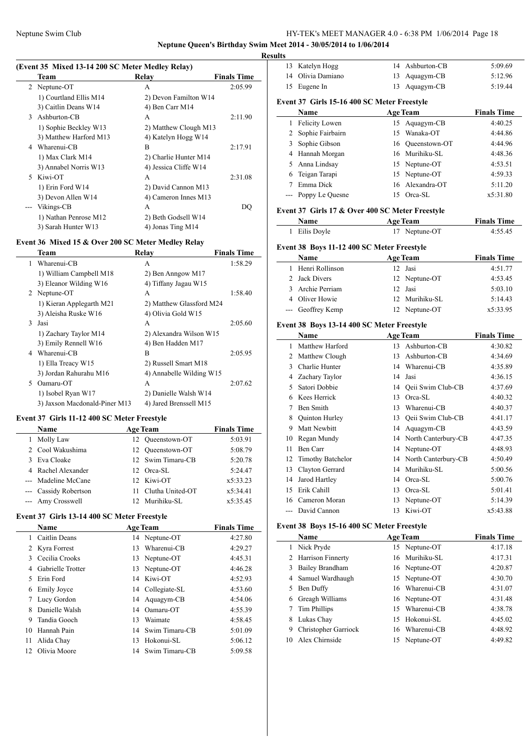$\overline{a}$ 

 $\overline{\phantom{a}}$ 

### Neptune Swim Club HY-TEK's MEET MANAGER 4.0 - 6:38 PM 1/06/2014 Page 18

**Neptune Queen's Birthday Swim Meet 2014 - 30/05/2014 to 1/06/2014**

### **(Event 35 Mixed 13-14 200 SC Meter Medley Relay)**

|                | Team                   | Relay                 | <b>Finals Time</b> |
|----------------|------------------------|-----------------------|--------------------|
| $\overline{2}$ | Neptune-OT             | A                     | 2:05.99            |
|                | 1) Courtland Ellis M14 | 2) Devon Familton W14 |                    |
|                | 3) Caitlin Deans W14   | 4) Ben Carr M14       |                    |
| 3              | Ashburton-CB           | A                     | 2:11.90            |
|                | 1) Sophie Beckley W13  | 2) Matthew Clough M13 |                    |
|                | 3) Matthew Harford M13 | 4) Katelyn Hogg W14   |                    |
| 4              | Wharenui-CB            | B                     | 2:17.91            |
|                | 1) Max Clark M14       | 2) Charlie Hunter M14 |                    |
|                | 3) Annabel Norris W13  | 4) Jessica Cliffe W14 |                    |
| 5              | Kiwi-OT                | A                     | 2:31.08            |
|                | 1) Erin Ford W14       | 2) David Cannon M13   |                    |
|                | 3) Devon Allen W14     | 4) Cameron Innes M13  |                    |
|                | --- Vikings-CB         | A                     | DO                 |
|                | 1) Nathan Penrose M12  | 2) Beth Godsell W14   |                    |
|                | 3) Sarah Hunter W13    | 4) Jonas Ting M14     |                    |

### **Event 36 Mixed 15 & Over 200 SC Meter Medley Relay**

|    | Team                          | Relay                    | <b>Finals Time</b> |
|----|-------------------------------|--------------------------|--------------------|
| 1  | Wharenui-CB                   | A                        | 1:58.29            |
|    | 1) William Campbell M18       | 2) Ben Anngow M17        |                    |
|    | 3) Eleanor Wilding W16        | 4) Tiffany Jagau W15     |                    |
|    | 2 Neptune-OT                  | A                        | 1:58.40            |
|    | 1) Kieran Applegarth M21      | 2) Matthew Glassford M24 |                    |
|    | 3) Aleisha Ruske W16          | 4) Olivia Gold W15       |                    |
| 3  | Jasi                          | A                        | 2:05.60            |
|    | 1) Zachary Taylor M14         | 2) Alexandra Wilson W15  |                    |
|    | 3) Emily Rennell W16          | 4) Ben Hadden M17        |                    |
|    | 4 Wharenui-CB                 | R                        | 2:05.95            |
|    | 1) Ella Treacy W15            | 2) Russell Smart M18     |                    |
|    | 3) Jordan Rahurahu M16        | 4) Annabelle Wilding W15 |                    |
| 5. | Oamaru-OT                     | A                        | 2:07.62            |
|    | 1) Isobel Ryan W17            | 2) Danielle Walsh W14    |                    |
|    | 3) Jaxson Macdonald-Piner M13 | 4) Jared Brenssell M15   |                    |

#### **Event 37 Girls 11-12 400 SC Meter Freestyle**

| <b>Name</b>           |    | <b>Age Team</b>   | <b>Finals Time</b> |
|-----------------------|----|-------------------|--------------------|
| Molly Law             | 12 | Oueenstown-OT     | 5:03.91            |
| 2 Cool Wakushima      |    | 12 Oueenstown-OT  | 5:08.79            |
| 3 Eva Cloake          |    | 12 Swim Timaru-CB | 5:20.78            |
| 4 Rachel Alexander    |    | 12 Orca-SL        | 5:24.47            |
| --- Madeline McCane   |    | 12 Kiwi-OT        | x5:33.23           |
| --- Cassidy Robertson | 11 | Clutha United-OT  | x5:34.41           |
| --- Amy Crosswell     |    | 12 Murihiku-SL    | x5:35.45           |

### **Event 37 Girls 13-14 400 SC Meter Freestyle**

|     | <b>Name</b>       |    | <b>Age Team</b>   | <b>Finals Time</b> |
|-----|-------------------|----|-------------------|--------------------|
|     | Caitlin Deans     |    | 14 Neptune-OT     | 4:27.80            |
|     | 2 Kyra Forrest    | 13 | Wharenui-CB       | 4:29.27            |
|     | Cecilia Crooks    |    | 13 Neptune-OT     | 4:45.31            |
| 4   | Gabrielle Trotter | 13 | Neptune-OT        | 4:46.28            |
| 5.  | Erin Ford         |    | 14 Kiwi-OT        | 4:52.93            |
| 6   | Emily Joyce       |    | 14 Collegiate-SL  | 4:53.60            |
|     | Lucy Gordon       |    | 14 Aquagym-CB     | 4:54.06            |
| 8   | Danielle Walsh    | 14 | Oamaru-OT         | 4:55.39            |
| 9   | Tandia Gooch      | 13 | Waimate           | 4:58.45            |
| 10  | Hannah Pain       |    | 14 Swim Timaru-CB | 5:01.09            |
| 11  | Alida Chay        | 13 | Hokonui-SL        | 5:06.12            |
| 12. | Olivia Moore      |    | 14 Swim Timaru-CB | 5:09.58            |

| <b>Results</b> |                                                 |    |                        |                    |
|----------------|-------------------------------------------------|----|------------------------|--------------------|
|                | 13 Katelyn Hogg                                 |    | 14 Ashburton-CB        | 5:09.69            |
|                | 14 Olivia Damiano                               | 13 | Aquagym-CB             | 5:12.96            |
| 15             | Eugene In                                       | 13 | Aquagym-CB             | 5:19.44            |
|                | Event 37 Girls 15-16 400 SC Meter Freestyle     |    |                        |                    |
|                | Name                                            |    | <b>Age Team</b>        | <b>Finals Time</b> |
|                | 1 Felicity Lowen                                | 15 | Aquagym-CB             | 4:40.25            |
|                | 2 Sophie Fairbairn                              |    | 15 Wanaka-OT           | 4:44.86            |
|                | 3 Sophie Gibson                                 |    | 16 Oueenstown-OT       | 4:44.96            |
|                | 4 Hannah Morgan                                 |    | 16 Murihiku-SL         | 4:48.36            |
|                | 5 Anna Lindsay                                  |    | 15 Neptune-OT          | 4:53.51            |
|                | 6 Teigan Tarapi                                 |    | 15 Neptune-OT          | 4:59.33            |
|                | 7 Emma Dick                                     |    | 16 Alexandra-OT        | 5:11.20            |
| ---            | Poppy Le Quesne                                 |    | 15 Orca-SL             | x5:31.80           |
|                | Event 37 Girls 17 & Over 400 SC Meter Freestyle |    |                        |                    |
|                | Name                                            |    | <b>Age Team</b>        | <b>Finals Time</b> |
| 1              | Eilis Doyle                                     |    | 17 Neptune-OT          | 4:55.45            |
|                | Event 38 Boys 11-12 400 SC Meter Freestyle      |    |                        |                    |
|                | Name                                            |    | <b>Age Team</b>        | <b>Finals Time</b> |
| 1              | Henri Rollinson                                 |    | 12 Jasi                | 4:51.77            |
|                | 2 Jack Divers                                   |    | 12 Neptune-OT          | 4:53.45            |
|                | 3 Archie Perriam                                |    | 12 Jasi                | 5:03.10            |
|                | 4 Oliver Howie                                  |    | 12 Murihiku-SL         | 5:14.43            |
|                | --- Geoffrey Kemp                               |    | 12 Neptune-OT          | x5:33.95           |
|                | Event 38 Boys 13-14 400 SC Meter Freestyle      |    |                        |                    |
|                | <b>Name</b>                                     |    | <b>Age Team</b>        | <b>Finals Time</b> |
| 1              | Matthew Harford                                 |    | 13 Ashburton-CB        | 4:30.82            |
|                | 2 Matthew Clough                                | 13 | Ashburton-CB           | 4:34.69            |
|                | 3 Charlie Hunter                                |    | 14 Wharenui-CB         | 4:35.89            |
|                | 4 Zachary Taylor                                |    | 14 Jasi                | 4:36.15            |
|                | 5 Satori Dobbie                                 |    | 14 Oeii Swim Club-CB   | 4:37.69            |
|                | 6 Kees Herrick                                  |    | 13 Orca-SL             | 4:40.32            |
|                | 7 Ben Smith                                     |    | 13 Wharenui-CB         | 4:40.37            |
|                | 8 Quinton Hurley                                |    | 13 Qeii Swim Club-CB   | 4:41.17            |
|                | 9 Matt Newbitt                                  |    | 14 Aquagym-CB          | 4:43.59            |
|                | 10 Regan Mundy                                  |    | 14 North Canterbury-CB | 4:47.35            |
|                | 11 Ben Carr                                     |    | 14 Neptune-OT          | 4:48.93            |
|                | 12 Timothy Batchelor                            |    | 14 North Canterbury-CB | 4:50.49            |
|                | 13 Clayton Gerrard                              |    | 14 Murihiku-SL         | 5:00.56            |
| 14             | Jarod Hartley                                   |    | 14 Orca-SL             | 5:00.76            |

#### **Event 38 Boys 15-16 400 SC Meter Freestyle**

|    | Name                 | <b>Age Team</b>   | <b>Finals Time</b> |
|----|----------------------|-------------------|--------------------|
| 1  | Nick Pryde           | 15 Neptune-OT     | 4:17.18            |
|    | 2 Harrison Finnerty  | 16 Murihiku-SL    | 4:17.31            |
|    | 3 Bailey Brandham    | 16 Neptune-OT     | 4:20.87            |
|    | 4 Samuel Wardhaugh   | 15 Neptune-OT     | 4:30.70            |
| 5. | Ben Duffy            | 16 Wharenui-CB    | 4:31.07            |
| 6. | Greagh Williams      | 16 Neptune-OT     | 4:31.48            |
|    | Tim Phillips         | Wharemui-CB<br>15 | 4:38.78            |
| 8  | Lukas Chay           | Hokonui-SL<br>15  | 4:45.02            |
| 9  | Christopher Garriock | 16 Wharenui-CB    | 4:48.92            |
|    | 10 Alex Chirnside    | Neptune-OT<br>15  | 4:49.82            |

15 Erik Cahill 13 Orca-SL 5:01.41 16 Cameron Moran 13 Neptune-OT 5:14.39 --- David Cannon 13 Kiwi-OT x5:43.88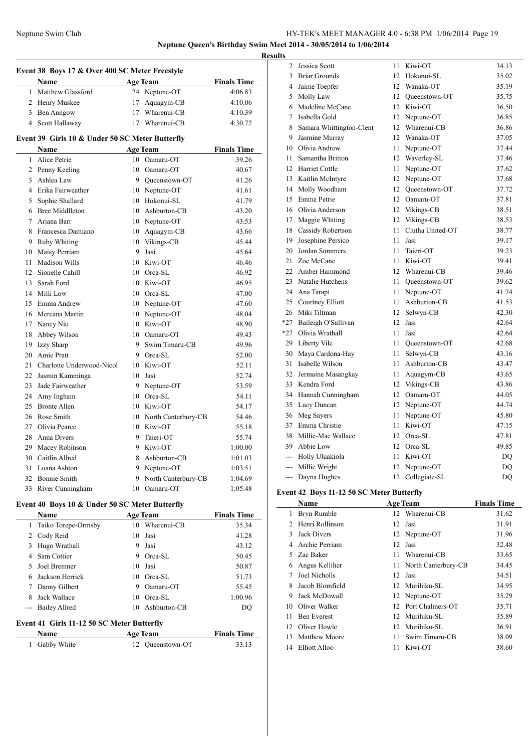### Neptune Swim Club HY-TEK's MEET MANAGER 4.0 - 6:38 PM 1/06/2014 Page 19 **Neptune Queen's Birthday Swim Meet 2014 - 30/05/2014 to 1/06/2014**

**Results**

|          | Event 38 Boys 17 & Over 400 SC Meter Freestyle<br><b>Name</b> |    | <b>Age Team</b>                | <b>Finals Time</b> |
|----------|---------------------------------------------------------------|----|--------------------------------|--------------------|
| 1        | Matthew Glassford                                             | 24 | Neptune-OT                     | 4:06.83            |
|          | 2 Henry Muskee                                                | 17 | Aquagym-CB                     | 4:10.06            |
|          | 3 Ben Anngow                                                  | 17 | Wharenui-CB                    | 4:10.39            |
|          | 4 Scott Hallaway                                              | 17 | Wharenui-CB                    | 4:30.72            |
|          |                                                               |    |                                |                    |
|          | Event 39 Girls 10 & Under 50 SC Meter Butterfly<br>Name       |    | <b>Age Team</b>                | <b>Finals Time</b> |
| 1        | Alice Petrie                                                  |    | 10 Oamaru-OT                   | 39.26              |
|          | 2 Penny Keeling                                               |    | 10 Oamaru-OT                   | 40.67              |
|          | 3 Ashlea Law                                                  |    | 9 Oueenstown-OT                | 41.26              |
|          | 4 Erika Fairweather                                           |    | 10 Neptune-OT                  | 41.61              |
|          | 5 Sophie Shallard                                             |    | 10 Hokonui-SL                  | 41.79              |
|          | 6 Bree Middlleton                                             |    | 10 Ashburton-CB                | 43.20              |
| $\tau$   | Ariana Barr                                                   |    | 10 Neptune-OT                  | 43.53              |
| 8        | Francesca Damiano                                             |    | 10 Aquagym-CB                  | 43.66              |
| 9        | <b>Ruby Whiting</b>                                           |    | 10 Vikings-CB                  | 45.44              |
| 10       | Maisy Perriam                                                 | 9  | Jasi                           | 45.64              |
| 11       | Madison Wills                                                 | 10 | Kiwi-OT                        | 46.46              |
| 12       | Sionelle Cahill                                               |    | 10 Orca-SL                     | 46.92              |
| 13       | Sarah Ford                                                    |    | 10 Kiwi-OT                     |                    |
|          | 14 Milli Low                                                  |    | 10 Orca-SL                     | 46.95<br>47.00     |
| 15       | Emma Andrew                                                   |    |                                | 47.60              |
|          | 16 Mereana Martin                                             |    | 10 Neptune-OT<br>10 Neptune-OT |                    |
|          |                                                               |    | 10 Kiwi-OT                     | 48.04              |
|          | 17 Nancy Niu<br>Abbey Wilson                                  |    | 10 Oamaru-OT                   | 48.90              |
| 18       |                                                               |    | 9 Swim Timaru-CB               | 49.43              |
| 19<br>20 | Izzy Sharp<br>Amie Pratt                                      |    |                                | 49.96              |
|          |                                                               |    | 9 Orca-SL                      | 52.00              |
| 21       | Charlotte Underwood-Nicol                                     |    | 10 Kiwi-OT                     | 52.11              |
| 22       | Jasmin Kamminga                                               | 10 | Jasi                           | 52.74              |
| 23       | Jade Fairweather                                              |    | 9 Neptune-OT                   | 53.59              |
| 24       | Amy Ingham<br><b>Bronte Allen</b>                             |    | 10 Orca-SL                     | 54.11              |
| 25       |                                                               |    | 10 Kiwi-OT                     | 54.17              |
| 26       | Rose Smith                                                    |    | 10 North Canterbury-CB         | 54.46              |
| 27       | Olivia Pearce                                                 |    | 10 Kiwi-OT                     | 55.18              |
|          | 28 Anna Divers                                                | 9  | Taieri-OT                      | 55.74              |
|          | 29 Macey Robinson                                             | 9  | Kiwi-OT                        | 1:00.00            |
|          | 30 Caitlin Allred                                             |    | 8 Ashburton-CB                 | 1:01.03            |
| 31       | Luana Ashton                                                  |    | 9 Neptune-OT                   | 1:03.51            |
| 32       | <b>Bonnie Smith</b>                                           | 9. | North Canterbury-CB            | 1:04.69            |
|          | 33 River Cunningham                                           | 10 | Oamaru-OT                      | 1:05.48            |
|          | Event 40 Boys 10 & Under 50 SC Meter Butterfly                |    |                                |                    |
|          | Name                                                          |    | <b>Age Team</b>                | <b>Finals Time</b> |
| 1        | Taiko Torepe-Ormsby                                           | 10 | Wharenui-CB                    | 35.34              |
|          | 2 Cody Reid                                                   | 10 | Jasi                           | 41.28              |
|          | 3 Hugo Wrathall                                               | 9  | Jasi                           | 43.12              |
|          | 4 Sam Cottier                                                 |    | 9 Orca-SL                      | 50.45              |
| 5        | Joel Bremner                                                  |    | 10 Jasi                        | 50.87              |
| 6        | Jackson Herrick                                               |    | 10 Orca-SL                     | 51.73              |
| 7        | Danny Gilbert                                                 |    | 9 Oamaru-OT                    | 55.45              |

### **Event 41 Girls 11-12 50 SC Meter Butterfly**

| <b>Name</b>   | <b>Age Team</b>  |       |
|---------------|------------------|-------|
| 1 Gabby White | 12 Oueenstown-OT | 33.13 |

 Jack Wallace 10 Orca-SL 1:00.96 --- Bailey Allred 10 Ashburton-CB DQ

| 2              | Jessica Scott            | 11               | Kiwi-OT          | 34.13 |
|----------------|--------------------------|------------------|------------------|-------|
| 3              | <b>Briar Grounds</b>     | 12 <sup>12</sup> | Hokonui-SL       | 35.02 |
| $\overline{4}$ | Jaime Toepfer            |                  | 12 Wanaka-OT     | 35.19 |
| 5              | Molly Law                |                  | 12 Queenstown-OT | 35.75 |
| 6              | Madeline McCane          |                  | 12 Kiwi-OT       | 36.50 |
| 7              | Isabella Gold            |                  | 12 Neptune-OT    | 36.85 |
| 8              | Samara Whittington-Clent | 12 <sup>2</sup>  | Wharenui-CB      | 36.86 |
| 9.             | Jasmine Murray           | 12 <sup>7</sup>  | Wanaka-OT        | 37.05 |
|                | 10 Olivia Andrew         | 11               | Neptune-OT       | 37.44 |
| 11             | Samantha Britton         |                  | 12 Waverley-SL   | 37.46 |
| 12             | <b>Harriet Cottle</b>    | 11               | Neptune-OT       | 37.62 |
| 13             | Kaitlin McIntyre         |                  | 12 Neptune-OT    | 37.68 |
| 14             | Molly Woodham            | 12               | Queenstown-OT    | 37.72 |
| 15             | Emma Petrie              | 12               | Oamaru-OT        | 37.81 |
|                | 16 Olivia Anderson       |                  | 12 Vikings-CB    | 38.51 |
| 17             | Maggie Whiting           |                  | 12 Vikings-CB    | 38.53 |
|                | 18 Cassidy Robertson     | 11               | Clutha United-OT | 38.77 |
| 19             | Josephine Persico        | 11               | Jasi             | 39.17 |
| 20             | Jordan Summers           | 11               | Taieri-OT        | 39.23 |
| 21             | Zoe McCane               | 11               | Kiwi-OT          | 39.41 |
|                | 22 Amber Hammond         | 12               | Wharenui-CB      | 39.46 |
| 23             | Natalie Hutchens         | 11               | Queenstown-OT    | 39.62 |
|                | 24 Ana Tarapi            | 11               | Neptune-OT       | 41.24 |
|                | 25 Courtney Elliott      | 11               | Ashburton-CB     | 41.53 |
| 26             | Miki Tiltman             | 12               | Selwyn-CB        | 42.30 |
| *27            | Baileigh O'Sullivan      | 12               | Jasi             | 42.64 |
|                | *27 Olivia Wrathall      | 11               | Jasi             | 42.64 |
| 29             | Liberty Vile             | 11               | Queenstown-OT    | 42.68 |
| 30             | Maya Cardona-Hay         | 11               | Selwyn-CB        | 43.16 |
| 31             | Isabelle Wilson          | 11               | Ashburton-CB     | 43.47 |
| 32             | Jermaine Masangkay       | 11 -             | Aquagym-CB       | 43.65 |
| 33             | Kendra Ford              |                  | 12 Vikings-CB    | 43.86 |
| 34             | Hannah Cunningham        | 12               | Oamaru-OT        | 44.05 |
| 35             | Lucy Duncan              | 12               | Neptune-OT       | 44.74 |
| 36             | Meg Sayers               | 11               | Neptune-OT       | 45.80 |
| 37             | Emma Christie            | 11               | Kiwi-OT          | 47.15 |
| 38             | Millie-Mae Wallace       | 12               | Orca-SL          | 47.81 |
| 39             | Abbie Low                | 12               | Orca-SL          | 49.85 |
|                | --- Holly Uluakiola      | 11               | Kiwi-OT          | DQ    |
|                | --- Millie Wright        | 12               | Neptune-OT       | DQ    |
| $\overline{a}$ | Dayna Hughes             | 12               | Collegiate-SL    | DQ    |

### **Event 42 Boys 11-12 50 SC Meter Butterfly**

|    | <b>Name</b>        |     | <b>Age Team</b>     | <b>Finals Time</b> |
|----|--------------------|-----|---------------------|--------------------|
| 1  | Bryn Rumble        | 12  | Wharenui-CB         | 31.62              |
|    | Henri Rollinson    | 12  | Jasi                | 31.91              |
| 3  | Jack Divers        |     | 12 Neptune-OT       | 31.96              |
| 4  | Archie Perriam     | 12  | Jasi                | 32.48              |
| 5. | Zac Baker          | 11  | Wharenui-CB         | 33.65              |
| 6  | Angus Kelliher     | 11  | North Canterbury-CB | 34.45              |
|    | Joel Nicholls      | 12  | Jasi                | 34.51              |
| 8  | Jacob Blomfield    |     | 12 Murihiku-SL      | 34.95              |
| 9  | Jack McDowall      |     | 12 Neptune-OT       | 35.29              |
| 10 | Oliver Walker      | 12. | Port Chalmers-OT    | 35.71              |
| 11 | <b>Ben Everest</b> | 12. | Murihiku-SL         | 35.89              |
| 12 | Oliver Howie       | 12  | Murihiku-SL         | 36.91              |
| 13 | Matthew Moore      | 11  | Swim Timaru-CB      | 38.09              |
| 14 | Elliott Alloo      | 11  | Kiwi-OT             | 38.60              |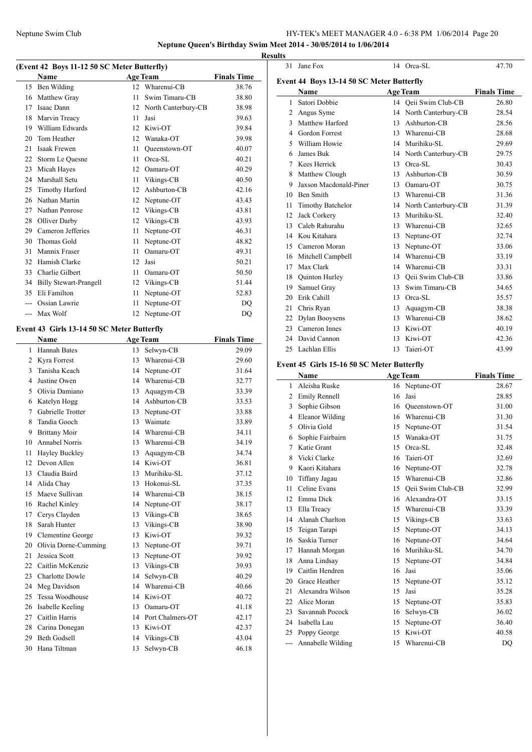**Neptune Queen's Birthday Swim Meet 2014 - 30/05/2014 to 1/06/2014**

**Results**

### **(Event 42 Boys 11-12 50 SC Meter Butterfly)**

|    | <b>Name</b>                   |    | <b>Age Team</b>     | <b>Finals Time</b> |
|----|-------------------------------|----|---------------------|--------------------|
| 15 | Ben Wilding                   | 12 | Wharenui-CB         | 38.76              |
| 16 | Matthew Gray                  | 11 | Swim Timaru-CB      | 38.80              |
| 17 | Isaac Dann                    | 12 | North Canterbury-CB | 38.98              |
| 18 | Marvin Treacy                 | 11 | Jasi                | 39.63              |
| 19 | William Edwards               | 12 | Kiwi-OT             | 39.84              |
| 20 | Tom Heather                   | 12 | Wanaka-OT           | 39.98              |
| 21 | Isaak Frewen                  | 11 | Queenstown-OT       | 40.07              |
| 22 | Storm Le Ouesne               | 11 | $Orea-SL$           | 40.21              |
| 23 | Micah Hayes                   | 12 | Oamaru-OT           | 40.29              |
| 24 | Marshall Setu                 | 11 | Vikings-CB          | 40.50              |
| 25 | <b>Timothy Harford</b>        | 12 | Ashburton-CB        | 42.16              |
| 26 | Nathan Martin                 | 12 | Neptune-OT          | 43.43              |
| 27 | Nathan Penrose                | 12 | Vikings-CB          | 43.81              |
| 28 | Olliver Darby                 | 12 | Vikings-CB          | 43.93              |
| 29 | Cameron Jefferies             | 11 | Neptune-OT          | 46.31              |
| 30 | Thomas Gold                   | 11 | Neptune-OT          | 48.82              |
| 31 | Mannix Fraser                 | 11 | Oamaru-OT           | 49.31              |
| 32 | Hamish Clarke                 | 12 | Jasi                | 50.21              |
| 33 | Charlie Gilbert               | 11 | Oamaru-OT           | 50.50              |
| 34 | <b>Billy Stewart-Prangell</b> | 12 | Vikings-CB          | 51.44              |
| 35 | Eli Familton                  | 11 | Neptune-OT          | 52.83              |
|    | Ossian Lawrie                 | 11 | Neptune-OT          | D <sub>O</sub>     |
|    | Max Wolf                      | 12 | Neptune-OT          | DQ                 |
|    |                               |    |                     |                    |

### **Event 43 Girls 13-14 50 SC Meter Butterfly**

 $\frac{1}{1}$ 

|                | Name                   |    | <b>Age Team</b>  | <b>Finals Time</b> |
|----------------|------------------------|----|------------------|--------------------|
| 1              | <b>Hannah Bates</b>    | 13 | Selwyn-CB        | 29.09              |
| $\overline{2}$ | Kyra Forrest           | 13 | Wharenui-CB      | 29.60              |
| 3              | Tanisha Keach          | 14 | Neptune-OT       | 31.64              |
| 4              | Justine Owen           | 14 | Wharenui-CB      | 32.77              |
| 5              | Olivia Damiano         | 13 | Aquagym-CB       | 33.39              |
| 6              | Katelyn Hogg           | 14 | Ashburton-CB     | 33.53              |
| 7              | Gabrielle Trotter      | 13 | Neptune-OT       | 33.88              |
| 8              | Tandia Gooch           | 13 | Waimate          | 33.89              |
| 9              | <b>Brittany Moir</b>   | 14 | Wharenui-CB      | 34.11              |
| 10             | <b>Annabel Norris</b>  | 13 | Wharenui-CB      | 34.19              |
| 11             | Hayley Buckley         | 13 | Aquagym-CB       | 34.74              |
| 12             | Devon Allen            | 14 | Kiwi-OT          | 36.81              |
| 13             | Claudia Baird          | 13 | Murihiku-SL      | 37.12              |
| 14             | Alida Chay             | 13 | Hokonui-SL       | 37.35              |
| 15             | Maeve Sullivan         | 14 | Wharenui-CB      | 38.15              |
| 16             | Rachel Kinley          | 14 | Neptune-OT       | 38.17              |
| 17             | Cerys Clayden          | 13 | Vikings-CB       | 38.65              |
| 18             | Sarah Hunter           | 13 | Vikings-CB       | 38.90              |
| 19             | Clementine George      | 13 | Kiwi-OT          | 39.32              |
| 20             | Olivia Dorne-Cumming   | 13 | Neptune-OT       | 39.71              |
| 21             | Jessica Scott          | 13 | Neptune-OT       | 39.92              |
| 22             | Caitlin McKenzie       | 13 | Vikings-CB       | 39.93              |
| 23             | <b>Charlotte Dowle</b> | 14 | Selwyn-CB        | 40.29              |
| 24             | Meg Davidson           | 14 | Wharenui-CB      | 40.66              |
| 25             | Tessa Woodhouse        | 14 | Kiwi-OT          | 40.72              |
| 26             | Isabelle Keeling       | 13 | Oamaru-OT        | 41.18              |
| 27             | Caitlin Harris         | 14 | Port Chalmers-OT | 42.17              |
| 28             | Carina Donegan         | 13 | Kiwi-OT          | 42.37              |
| 29             | <b>Beth Godsell</b>    | 14 | Vikings-CB       | 43.04              |
| 30             | Hana Tiltman           | 13 | Selwyn-CB        | 46.18              |

| 31 | Jane Fox                                  |    | 14 Orca-SL           | 47.70              |
|----|-------------------------------------------|----|----------------------|--------------------|
|    | Event 44 Boys 13-14 50 SC Meter Butterfly |    |                      |                    |
|    | Name                                      |    | <b>Age Team</b>      | <b>Finals Time</b> |
| 1  | Satori Dobbie                             |    | 14 Oeii Swim Club-CB | 26.80              |
| 2  | Angus Syme                                | 14 | North Canterbury-CB  | 28.54              |
| 3  | Matthew Harford                           | 13 | Ashburton-CB         | 28.56              |
| 4  | Gordon Forrest                            | 13 | Wharenui-CB          | 28.68              |
| 5  | William Howie                             | 14 | Murihiku-SL          | 29.69              |
| 6  | James Buk                                 | 14 | North Canterbury-CB  | 29.75              |
| 7  | Kees Herrick                              | 13 | $Orea-SL$            | 30.43              |
| 8  | Matthew Clough                            | 13 | Ashburton-CB         | 30.59              |
| 9  | Jaxson Macdonald-Piner                    | 13 | Oamaru-OT            | 30.75              |
| 10 | <b>Ben Smith</b>                          | 13 | Wharenui-CB          | 31.36              |
| 11 | <b>Timothy Batchelor</b>                  | 14 | North Canterbury-CB  | 31.39              |
| 12 | Jack Corkery                              | 13 | Murihiku-SL          | 32.40              |
| 13 | Caleb Rahurahu                            | 13 | Wharenui-CB          | 32.65              |
| 14 | Kou Kitahara                              | 13 | Neptune-OT           | 32.74              |
| 15 | Cameron Moran                             | 13 | Neptune-OT           | 33.06              |
| 16 | Mitchell Campbell                         | 14 | Wharenui-CB          | 33.19              |
| 17 | Max Clark                                 | 14 | Wharenui-CB          | 33.31              |
| 18 | Quinton Hurley                            | 13 | Qeii Swim Club-CB    | 33.86              |
| 19 | Samuel Gray                               | 13 | Swim Timaru-CB       | 34.65              |
| 20 | Erik Cahill                               | 13 | Orca-SL              | 35.57              |
| 21 | Chris Ryan                                | 13 | Aquagym-CB           | 38.38              |
| 22 | Dylan Booysens                            | 13 | Wharenui-CB          | 38.62              |
| 23 | Cameron Innes                             | 13 | Kiwi-OT              | 40.19              |
| 24 | David Cannon                              | 13 | Kiwi-OT              | 42.36              |
| 25 | Lachlan Ellis                             | 13 | Taieri-OT            | 43.99              |
|    |                                           |    |                      |                    |

### **Event 45 Girls 15-16 50 SC Meter Butterfly**

|                | <b>Name</b>          |    | <b>Age Team</b>   | <b>Finals Time</b> |
|----------------|----------------------|----|-------------------|--------------------|
| 1              | Aleisha Ruske        | 16 | Neptune-OT        | 28.67              |
| $\overline{c}$ | <b>Emily Rennell</b> | 16 | Jasi              | 28.85              |
| 3              | Sophie Gibson        | 16 | Queenstown-OT     | 31.00              |
| 4              | Eleanor Wilding      | 16 | Wharenui-CB       | 31.30              |
| 5              | Olivia Gold          | 15 | Neptune-OT        | 31.54              |
| 6              | Sophie Fairbairn     | 15 | Wanaka-OT         | 31.75              |
| 7              | Katie Grant          | 15 | Orca-SL           | 32.48              |
| 8              | Vicki Clarke         | 16 | Taieri-OT         | 32.69              |
| 9              | Kaori Kitahara       | 16 | Neptune-OT        | 32.78              |
| 10             | Tiffany Jagau        | 15 | Wharenui-CB       | 32.86              |
| 11             | Celine Evans         | 15 | Qeii Swim Club-CB | 32.99              |
| 12             | Emma Dick            | 16 | Alexandra-OT      | 33.15              |
| 13             | Ella Treacy          | 15 | Wharenui-CB       | 33.39              |
| 14             | Alanah Charlton      | 15 | Vikings-CB        | 33.63              |
| 15             | Teigan Tarapi        | 15 | Neptune-OT        | 34.13              |
| 16             | Saskia Turner        | 16 | Neptune-OT        | 34.64              |
| 17             | Hannah Morgan        | 16 | Murihiku-SL       | 34.70              |
| 18             | Anna Lindsay         | 15 | Neptune-OT        | 34.84              |
| 19             | Caitlin Hendren      | 16 | Jasi              | 35.06              |
| 20             | Grace Heather        | 15 | Neptune-OT        | 35.12              |
| 2.1            | Alexandra Wilson     | 15 | Jasi              | 35.28              |
| 22             | Alice Moran          | 15 | Neptune-OT        | 35.83              |
| 23             | Savannah Pocock      | 16 | Selwyn-CB         | 36.02              |
| 24             | Isabella Lau         | 15 | Neptune-OT        | 36.40              |
| 25             | Poppy George         | 15 | Kiwi-OT           | 40.58              |
| ---            | Annabelle Wilding    | 15 | Wharenui-CB       | DQ                 |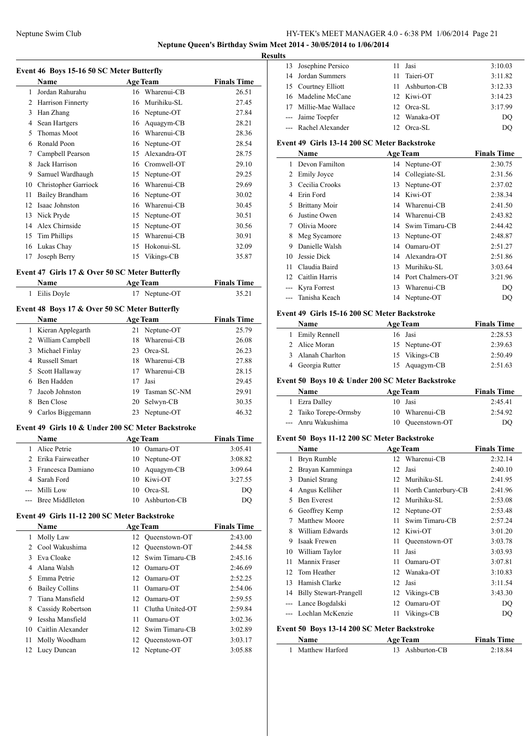**Neptune Queen's Birthday Swim Meet 2014 - 30/05/2014 to 1/06/2014 Results**

 $\overline{a}$ 

 $\overline{\phantom{a}}$ 

 $\overline{\phantom{0}}$ 

**Event 46 Boys 15-16 50 SC Meter Butterfly**

|    | <b>Name</b>          |    | <b>Age Team</b> | <b>Finals Time</b> |
|----|----------------------|----|-----------------|--------------------|
| 1  | Jordan Rahurahu      |    | 16 Wharenui-CB  | 26.51              |
| 2  | Harrison Finnerty    | 16 | Murihiku-SL     | 27.45              |
| 3  | Han Zhang            | 16 | Neptune-OT      | 27.84              |
| 4  | Sean Hartgers        | 16 | Aquagym-CB      | 28.21              |
| 5  | Thomas Moot          | 16 | Wharenui-CB     | 28.36              |
| 6  | Ronald Poon          | 16 | Neptune-OT      | 28.54              |
| 7  | Campbell Pearson     | 15 | Alexandra-OT    | 28.75              |
| 8  | Jack Harrison        | 16 | Cromwell-OT     | 29.10              |
| 9  | Samuel Wardhaugh     | 15 | Neptune-OT      | 29.25              |
| 10 | Christopher Garriock | 16 | Wharenui-CB     | 29.69              |
| 11 | Bailey Brandham      | 16 | Neptune-OT      | 30.02              |
| 12 | Isaac Johnston       | 16 | Wharenui-CB     | 30.45              |
| 13 | Nick Pryde           | 15 | Neptune-OT      | 30.51              |
| 14 | Alex Chirnside       | 15 | Neptune-OT      | 30.56              |
| 15 | Tim Phillips         | 15 | Wharenui-CB     | 30.91              |
| 16 | Lukas Chay           | 15 | Hokonui-SL      | 32.09              |
| 17 | Joseph Berry         |    | 15 Vikings-CB   | 35.87              |

### **Event 47 Girls 17 & Over 50 SC Meter Butterfly**

| <b>Name</b>   | <b>Age Team</b> | <b>Finals Time</b> |
|---------------|-----------------|--------------------|
| 1 Eilis Doyle | 17 Neptune-OT   | 35.21              |

### **Event 48 Boys 17 & Over 50 SC Meter Butterfly**

|   | <b>Name</b>       | <b>Age Team</b> | <b>Finals Time</b> |       |
|---|-------------------|-----------------|--------------------|-------|
| L | Kieran Applegarth |                 | 21 Neptune-OT      | 25.79 |
| 2 | William Campbell  | 18              | Wharenui-CB        | 26.08 |
| 3 | Michael Finlay    | 23              | Orca-SL            | 26.23 |
| 4 | Russell Smart     | 18              | Wharenui-CB        | 27.88 |
|   | 5 Scott Hallaway  | 17              | Wharenui-CB        | 28.15 |
| 6 | Ben Hadden        | 17              | Jasi               | 29.45 |
|   | Jacob Johnston    | 19              | Tasman SC-NM       | 29.91 |
| 8 | Ben Close         | 20              | Selwyn-CB          | 30.35 |
| 9 | Carlos Biggemann  |                 | 23 Neptune-OT      | 46.32 |

#### **Event 49 Girls 10 & Under 200 SC Meter Backstroke**

| <b>Name</b>         |    | <b>Age Team</b> | <b>Finals Time</b> |
|---------------------|----|-----------------|--------------------|
| Alice Petrie        | 10 | Oamaru-OT       | 3:05.41            |
| 2 Erika Fairweather |    | 10 Neptune-OT   | 3:08.82            |
| 3 Francesca Damiano |    | 10 Aquagym-CB   | 3:09.64            |
| 4 Sarah Ford        |    | 10 Kiwi-OT      | 3:27.55            |
| --- Milli Low       | 10 | Orca-SL         | DO                 |
| --- Bree Middlleton |    | Ashburton-CB    | DO                 |

### **Event 49 Girls 11-12 200 SC Meter Backstroke**

|    | <b>Name</b>           |    | <b>Age Team</b>   | <b>Finals Time</b> |
|----|-----------------------|----|-------------------|--------------------|
|    | Molly Law             |    | 12 Queenstown-OT  | 2:43.00            |
|    | Cool Wakushima        |    | 12 Oueenstown-OT  | 2:44.58            |
| 3  | Eva Cloake            |    | 12 Swim Timaru-CB | 2:45.16            |
| 4  | Alana Walsh           |    | 12 Oamaru-OT      | 2:46.69            |
| 5. | Emma Petrie           |    | 12 Oamaru-OT      | 2:52.25            |
| 6  | <b>Bailey Collins</b> | 11 | Oamaru-OT         | 2:54.06            |
|    | Tiana Mansfield       |    | 12 Oamaru-OT      | 2:59.55            |
| 8  | Cassidy Robertson     | 11 | Clutha United-OT  | 2:59.84            |
| 9  | Iessha Mansfield      | 11 | Oamaru-OT         | 3:02.36            |
| 10 | Caitlin Alexander     |    | 12 Swim Timaru-CB | 3:02.89            |
| 11 | Molly Woodham         |    | 12 Oueenstown-OT  | 3:03.17            |
| 12 | Lucy Duncan           |    | 12 Neptune-OT     | 3:05.88            |
|    |                       |    |                   |                    |

| w |                       |     |                 |         |
|---|-----------------------|-----|-----------------|---------|
|   | 13 Josephine Persico  |     | 11 Jasi         | 3:10.03 |
|   | 14 Jordan Summers     | 11. | Taieri-OT       | 3:11.82 |
|   | 15 Courtney Elliott   |     | 11 Ashburton-CB | 3:12.33 |
|   | 16 Madeline McCane    |     | 12 Kiwi-OT      | 3:14.23 |
|   | 17 Millie-Mae Wallace |     | 12 Orea-SL      | 3:17.99 |
|   | --- Jaime Toepfer     |     | 12 Wanaka-OT    | DO      |
|   | --- Rachel Alexander  |     | Orca-SL         | DO      |

#### **Event 49 Girls 13-14 200 SC Meter Backstroke**

|    | Name                 |    | <b>Age Team</b>  | <b>Finals Time</b> |
|----|----------------------|----|------------------|--------------------|
| 1  | Devon Familton       |    | 14 Neptune-OT    | 2:30.75            |
| 2  | <b>Emily Joyce</b>   |    | 14 Collegiate-SL | 2:31.56            |
| 3  | Cecilia Crooks       | 13 | Neptune-OT       | 2:37.02            |
| 4  | Erin Ford            | 14 | Kiwi-OT          | 2:38.34            |
| 5  | <b>Brittany Moir</b> | 14 | Wharenui-CB      | 2:41.50            |
| 6  | Justine Owen         | 14 | Wharenui-CB      | 2:43.82            |
|    | Olivia Moore         | 14 | Swim Timaru-CB   | 2:44.42            |
| 8  | Meg Sycamore         | 13 | Neptune-OT       | 2:48.87            |
| 9  | Danielle Walsh       | 14 | Oamaru-OT        | 2:51.27            |
| 10 | Jessie Dick          | 14 | Alexandra-OT     | 2:51.86            |
| 11 | Claudia Baird        | 13 | Murihiku-SL      | 3:03.64            |
| 12 | Caitlin Harris       | 14 | Port Chalmers-OT | 3:21.96            |
|    | Kyra Forrest         | 13 | Wharenui-CB      | DO                 |
|    | Tanisha Keach        |    | 14 Neptune-OT    | DO                 |

#### **Event 49 Girls 15-16 200 SC Meter Backstroke**

| <b>Name</b>       | <b>Age Team</b> | <b>Finals Time</b> |
|-------------------|-----------------|--------------------|
| 1 Emily Rennell   | 16 Jasi         | 2:28.53            |
| 2 Alice Moran     | 15 Neptune-OT   | 2:39.63            |
| 3 Alanah Charlton | 15 Vikings-CB   | 2:50.49            |
| 4 Georgia Rutter  | 15 Aquagym-CB   | 2:51.63            |

### **Event 50 Boys 10 & Under 200 SC Meter Backstroke**

| <b>Name</b>           | <b>Age Team</b>  | <b>Finals Time</b> |
|-----------------------|------------------|--------------------|
| 1 Ezra Dalley         | 10 Jasi          | 2:45.41            |
| 2 Taiko Torepe-Ormsby | 10 Wharenui-CB   | 2:54.92            |
| --- Anru Wakushima    | 10 Queenstown-OT | DO                 |

### **Event 50 Boys 11-12 200 SC Meter Backstroke**

|    | Name                                                              |    | <b>Age Team</b>     | <b>Finals Time</b> |
|----|-------------------------------------------------------------------|----|---------------------|--------------------|
| 1  | Bryn Rumble                                                       | 12 | Wharenui-CB         | 2:32.14            |
| 2  | Brayan Kamminga                                                   | 12 | Jasi                | 2:40.10            |
| 3  | Daniel Strang                                                     | 12 | Murihiku-SL         | 2:41.95            |
| 4  | Angus Kelliher                                                    | 11 | North Canterbury-CB | 2:41.96            |
| 5  | <b>Ben Everest</b>                                                | 12 | Murihiku-SL         | 2:53.08            |
| 6  | Geoffrey Kemp                                                     | 12 | Neptune-OT          | 2:53.48            |
| 7  | Matthew Moore                                                     | 11 | Swim Timaru-CB      | 2:57.24            |
| 8  | William Edwards                                                   | 12 | Kiwi-OT             | 3:01.20            |
| 9  | Isaak Frewen                                                      | 11 | Queenstown-OT       | 3:03.78            |
| 10 | William Taylor                                                    | 11 | Jasi                | 3:03.93            |
| 11 | Mannix Fraser                                                     | 11 | Oamaru-OT           | 3:07.81            |
| 12 | Tom Heather                                                       | 12 | Wanaka-OT           | 3:10.83            |
| 13 | Hamish Clarke                                                     | 12 | Jasi                | 3:11.54            |
| 14 | <b>Billy Stewart-Prangell</b>                                     | 12 | Vikings-CB          | 3:43.30            |
|    | Lance Bogdalski                                                   | 12 | Oamaru-OT           | DQ                 |
|    | Lochlan McKenzie                                                  | 11 | Vikings-CB          | DQ                 |
|    | $\mathbf{r}$ and $\mathbf{r}$<br>$13.113000011$ $\cdots$ $\cdots$ |    |                     |                    |

#### **Event 50 Boys 13-14 200 SC Meter Backstroke Name Age Team Finals Time**

| Name            | Age leam        | <b>Finals lime</b> |
|-----------------|-----------------|--------------------|
| Matthew Harford | 13 Ashburton-CB | 2:18.84            |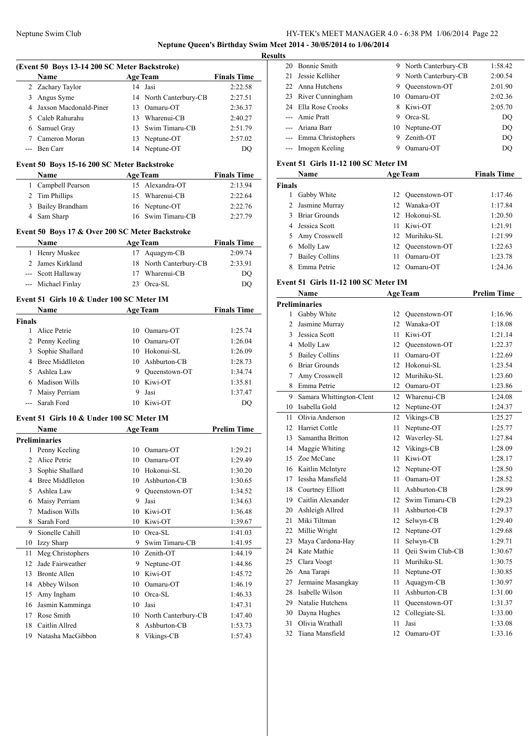**Neptune Queen's Birthday Swim Meet 2014 - 30/05/2014 to 1/06/2014**

|        |                                                 |    |                              | <b>Results</b>     |
|--------|-------------------------------------------------|----|------------------------------|--------------------|
|        | (Event 50 Boys 13-14 200 SC Meter Backstroke)   |    |                              |                    |
|        | Name                                            |    | <b>Example 2018</b> Age Team | <b>Finals Time</b> |
|        | 2 Zachary Taylor                                |    | 14 Jasi                      | 2:22.58            |
|        | 3 Angus Syme                                    |    | 14 North Canterbury-CB       | 2:27.51            |
|        | 4 Jaxson Macdonald-Piner                        |    | 13 Oamaru-OT                 | 2:36.37            |
|        | 5 Caleb Rahurahu                                |    | 13 Wharenui-CB               | 2:40.27            |
|        | 6 Samuel Gray                                   |    | 13 Swim Timaru-CB            | 2:51.79            |
|        | 7 Cameron Moran                                 |    | 13 Neptune-OT                | 2:57.02            |
|        | --- Ben Carr                                    |    | 14 Neptune-OT                | DQ                 |
|        | Event 50 Boys 15-16 200 SC Meter Backstroke     |    |                              |                    |
|        | Name                                            |    | <b>Age Team</b>              | <b>Finals Time</b> |
|        | 1 Campbell Pearson                              |    | 15 Alexandra-OT              | 2:13.94            |
|        | 2 Tim Phillips                                  |    | 15 Wharenui-CB               | 2:22.64            |
|        | 3 Bailey Brandham                               |    | 16 Neptune-OT                | 2:22.76            |
|        | 4 Sam Sharp                                     |    | 16 Swim Timaru-CB            | 2:27.79            |
|        |                                                 |    |                              |                    |
|        | Event 50 Boys 17 & Over 200 SC Meter Backstroke |    |                              |                    |
|        | Name                                            |    | <b>Age Team</b>              | <b>Finals Time</b> |
|        | 1 Henry Muskee                                  |    | 17 Aquagym-CB                | 2:09.74            |
|        | 2 James Kirkland                                |    | 18 North Canterbury-CB       | 2:33.91            |
|        | --- Scott Hallaway                              |    | 17 Wharenui-CB               | DQ                 |
|        | --- Michael Finlay                              |    | 23 Orca-SL                   | DQ                 |
|        | Event 51 Girls 10 & Under 100 SC Meter IM       |    |                              |                    |
|        | Name                                            |    | Age Team                     | <b>Finals Time</b> |
| Finals |                                                 |    |                              |                    |
|        | 1 Alice Petrie                                  |    | 10 Oamaru-OT                 | 1:25.74            |
|        | 2 Penny Keeling                                 |    | 10 Oamaru-OT                 | 1:26.04            |
|        | 3 Sophie Shallard                               |    | 10 Hokonui-SL                | 1:26.09            |
|        | 4 Bree Middlleton                               |    | 10 Ashburton-CB              | 1:28.73            |
|        | 5 Ashlea Law                                    |    | 9 Queenstown-OT              | 1:34.74            |
|        | 6 Madison Wills                                 |    | 10 Kiwi-OT                   | 1:35.81            |
|        | 7 Maisy Perriam                                 |    | 9 Jasi                       | 1:37.47            |
|        | --- Sarah Ford                                  |    | 10 Kiwi-OT                   | DQ                 |
|        | Event 51 Girls 10 & Under 100 SC Meter IM       |    |                              |                    |
|        | <b>Age Team</b><br>Name                         |    |                              | <b>Prelim Time</b> |
|        | <b>Preliminaries</b>                            |    |                              |                    |
|        | 1 Penny Keeling                                 |    | 10 Oamaru-OT                 | 1:29.21            |
| 2      | Alice Petrie                                    |    | 10 Oamaru-OT                 | 1:29.49            |
| 3      | Sophie Shallard                                 |    | 10 Hokonui-SL                | 1:30.20            |
| 4      | <b>Bree Middlleton</b>                          | 10 | Ashburton-CB                 | 1:30.65            |
| 5      | Ashlea Law                                      |    | 9 Queenstown-OT              | 1:34.52            |
|        | 6 Maisy Perriam                                 | 9. | Jasi                         | 1:34.63            |
| 7      | Madison Wills                                   |    | 10 Kiwi-OT                   | 1:36.48            |
| 8      | Sarah Ford                                      | 10 | Kiwi-OT                      | 1:39.67            |
| 9      | Sionelle Cahill                                 |    | 10 Orca-SL                   | 1:41.03            |
| 10     | Izzy Sharp                                      | 9  | Swim Timaru-CB               | 1:41.95            |
| 11     | Meg Christophers                                |    | 10 Zenith-OT                 | 1:44.19            |
| 12     | Jade Fairweather                                |    | 9 Neptune-OT                 | 1:44.86            |
| 13     | <b>Bronte Allen</b>                             |    | 10 Kiwi-OT                   | 1:45.72            |
| 14     | Abbey Wilson                                    |    | 10 Oamaru-OT                 | 1:46.19            |
| 15     | Amy Ingham                                      |    | 10 Orca-SL                   | 1:46.33            |
| 16     | Jasmin Kamminga                                 |    | 10 Jasi                      | 1:47.31            |
| 17     | Rose Smith                                      |    | 10 North Canterbury-CB       | 1:47.40            |
| 18     | Caitlin Allred                                  | 8  | Ashburton-CB                 |                    |
|        | 19 Natasha MacGibbon                            |    |                              | 1:53.73            |
|        |                                                 |    | 8 Vikings-CB                 | 1:57.43            |

| s |                       |    |                       |         |
|---|-----------------------|----|-----------------------|---------|
|   | 20 Bonnie Smith       |    | 9 North Canterbury-CB | 1:58.42 |
|   | 21 Jessie Kelliher    |    | 9 North Canterbury-CB | 2:00.54 |
|   | 22 Anna Hutchens      | 9  | Oueenstown-OT         | 2:01.90 |
|   | 23 River Cunningham   | 10 | Oamaru-OT             | 2:02.36 |
|   | 24 Ella Rose Crooks   |    | 8 Kiwi-OT             | 2:05.70 |
|   | --- Amie Pratt        | 9  | Orca-SL               | DO      |
|   | --- Ariana Barr       |    | 10 Neptune-OT         | DO      |
|   | --- Emma Christophers | 9  | Zenith-OT             | DO      |
|   | --- Imogen Keeling    |    | Oamaru-OT             | DO      |

### **Event 51 Girls 11-12 100 SC Meter IM**

|               | <b>Age Team</b><br>Name |     | <b>Finals Time</b> |         |
|---------------|-------------------------|-----|--------------------|---------|
| <b>Finals</b> |                         |     |                    |         |
|               | Gabby White             |     | 12 Oueenstown-OT   | 1:17.46 |
|               | 2 Jasmine Murray        |     | 12. Wanaka-OT      | 1:17.84 |
| 3             | <b>Briar Grounds</b>    |     | 12 Hokonui-SL      | 1:20.50 |
|               | 4 Jessica Scott         | 11  | Kiwi-OT            | 1:21.91 |
| 5             | Amy Crosswell           |     | 12 Murihiku-SL     | 1:21.99 |
| 6             | Molly Law               |     | 12 Oueenstown-OT   | 1:22.63 |
|               | <b>Bailey Collins</b>   | 11  | Oamaru-OT          | 1:23.78 |
|               | Emma Petrie             | 12. | Oamaru-OT          | 1:24.36 |

### **Event 51 Girls 11-12 100 SC Meter IM**

|    | Name                     |                  | <b>Age Team</b>   | <b>Prelim Time</b> |
|----|--------------------------|------------------|-------------------|--------------------|
|    | <b>Preliminaries</b>     |                  |                   |                    |
|    | 1 Gabby White            | 12               | Oueenstown-OT     | 1:16.96            |
| 2  | Jasmine Murray           | 12               | Wanaka-OT         | 1:18.08            |
| 3  | Jessica Scott            | 11               | Kiwi-OT           | 1:21.14            |
|    | 4 Molly Law              | 12               | Queenstown-OT     | 1:22.37            |
| 5  | <b>Bailey Collins</b>    | 11               | Oamaru-OT         | 1:22.69            |
| 6  | <b>Briar Grounds</b>     | 12 <sup>2</sup>  | Hokonui-SL        | 1:23.54            |
| 7  | Amy Crosswell            | 12 <sup>2</sup>  | Murihiku-SL       | 1:23.60            |
| 8  | Emma Petrie              | 12               | Oamaru-OT         | 1:23.86            |
| 9  | Samara Whittington-Clent | 12               | Wharenui-CB       | 1:24.08            |
| 10 | Isabella Gold            | 12               | Neptune-OT        | 1:24.37            |
| 11 | Olivia Anderson          | 12               | Vikings-CB        | 1:25.27            |
| 12 | <b>Harriet Cottle</b>    | 11               | Neptune-OT        | 1:25.77            |
|    | 13 Samantha Britton      | 12               | Waverley-SL       | 1:27.84            |
|    | 14 Maggie Whiting        | 12               | Vikings-CB        | 1:28.09            |
|    | 15 Zoe McCane            | 11               | Kiwi-OT           | 1:28.17            |
|    | 16 Kaitlin McIntyre      | 12               | Neptune-OT        | 1:28.50            |
| 17 | Iessha Mansfield         | 11               | Oamaru-OT         | 1:28.52            |
|    | 18 Courtney Elliott      | 11               | Ashburton-CB      | 1:28.99            |
|    | 19 Caitlin Alexander     | 12               | Swim Timaru-CB    | 1:29.23            |
| 20 | Ashleigh Allred          | 11               | Ashburton-CB      | 1:29.37            |
| 21 | Miki Tiltman             | 12               | Selwyn-CB         | 1:29.40            |
| 22 | Millie Wright            | 12 <sup>12</sup> | Neptune-OT        | 1:29.68            |
| 23 | Maya Cardona-Hay         | 11               | Selwyn-CB         | 1:29.71            |
|    | 24 Kate Mathie           | 11               | Qeii Swim Club-CB | 1:30.67            |
|    | 25 Clara Voogt           | 11               | Murihiku-SL       | 1:30.75            |
|    | 26 Ana Tarapi            | 11               | Neptune-OT        | 1:30.85            |
| 27 | Jermaine Masangkay       | 11               | Aquagym-CB        | 1:30.97            |
| 28 | Isabelle Wilson          | 11               | Ashburton-CB      | 1:31.00            |
| 29 | Natalie Hutchens         | 11               | Oueenstown-OT     | 1:31.37            |
| 30 | Dayna Hughes             | 12               | Collegiate-SL     | 1:33.00            |
| 31 | Olivia Wrathall          | 11               | Jasi              | 1:33.08            |
| 32 | Tiana Mansfield          | 12               | Oamaru-OT         | 1:33.16            |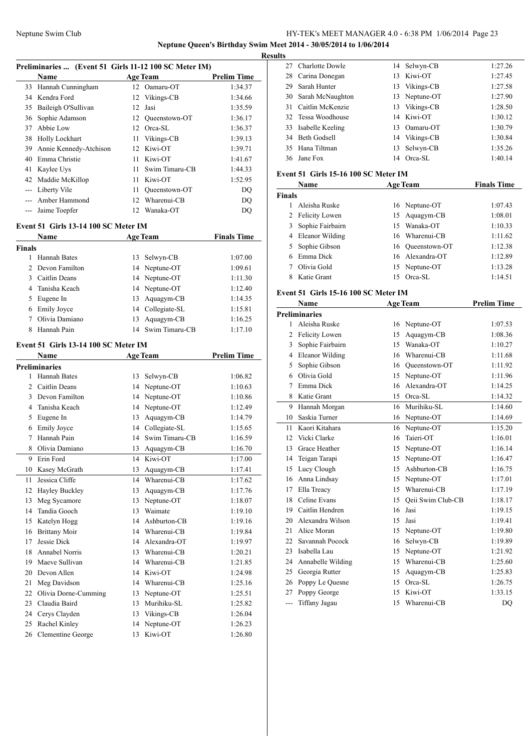Charlotte Dowle 14 Selwyn-CB 1:27.26

Meet 2014 - 30/05/2014 to 1/06/2014

**Results**

|        |                                                       |    |                   | <b>Neptune Queen's Birthday Swim</b> 1<br>Re |
|--------|-------------------------------------------------------|----|-------------------|----------------------------------------------|
|        | Preliminaries  (Event 51 Girls 11-12 100 SC Meter IM) |    |                   |                                              |
|        | Name                                                  |    | <b>Age Team</b>   | <b>Prelim Time</b>                           |
| 33     | Hannah Cunningham                                     | 12 | Oamaru-OT         | 1:34.37                                      |
|        | 34 Kendra Ford                                        | 12 | Vikings-CB        | 1:34.66                                      |
|        | 35 Baileigh O'Sullivan                                | 12 | Jasi              | 1:35.59                                      |
| 36     | Sophie Adamson                                        |    | 12 Queenstown-OT  | 1:36.17                                      |
| 37     | Abbie Low                                             |    | 12 Orca-SL        | 1:36.37                                      |
|        | 38 Holly Lockhart                                     |    | 11 Vikings-CB     | 1:39.13                                      |
|        | 39 Annie Kennedy-Atchison                             |    | 12 Kiwi-OT        | 1:39.71                                      |
|        | 40 Emma Christie                                      |    | 11 Kiwi-OT        | 1:41.67                                      |
| 41     | Kaylee Uys                                            | 11 | Swim Timaru-CB    | 1:44.33                                      |
|        | 42 Maddie McKillop                                    |    | 11 Kiwi-OT        | 1:52.95                                      |
|        | --- Liberty Vile                                      | 11 | Queenstown-OT     | DQ                                           |
|        | --- Amber Hammond                                     |    | 12 Wharenui-CB    | DQ                                           |
|        | --- Jaime Toepfer                                     |    | 12 Wanaka-OT      | DQ                                           |
|        | <b>Event 51 Girls 13-14 100 SC Meter IM</b><br>Name   |    | <b>Age Team</b>   | <b>Finals Time</b>                           |
| Finals |                                                       |    |                   |                                              |
| 1      | <b>Hannah Bates</b>                                   | 13 | Selwyn-CB         | 1:07.00                                      |
| 2      | Devon Familton                                        |    | 14 Neptune-OT     | 1:09.61                                      |
|        | 3 Caitlin Deans                                       |    | 14 Neptune-OT     | 1:11.30                                      |
|        | 4 Tanisha Keach                                       |    | 14 Neptune-OT     | 1:12.40                                      |
| 5      | Eugene In                                             |    | 13 Aquagym-CB     | 1:14.35                                      |
|        | 6 Emily Joyce                                         |    | 14 Collegiate-SL  | 1:15.81                                      |
| $\tau$ | Olivia Damiano                                        |    | 13 Aquagym-CB     | 1:16.25                                      |
| 8      | Hannah Pain                                           |    | 14 Swim Timaru-CB | 1:17.10                                      |
|        | <b>Event 51 Girls 13-14 100 SC Meter IM</b>           |    |                   |                                              |
|        | Name                                                  |    | <b>Age Team</b>   | <b>Prelim Time</b>                           |
|        | Preliminaries                                         |    |                   |                                              |
| 1      | Hannah Bates                                          | 13 | Selwyn-CB         | 1:06.82                                      |
|        | 2 Caitlin Deans                                       |    | 14 Neptune-OT     | 1:10.63                                      |
|        | 3 Devon Familton                                      |    | 14 Neptune-OT     | 1:10.86                                      |
|        | 4 Tanisha Keach                                       |    | 14 Neptune-OT     | 1:12.49                                      |
| 5      | Eugene In                                             |    | 13 Aquagym-CB     | 1:14.79                                      |
|        | 6 Emily Joyce                                         |    | 14 Collegiate-SL  | 1:15.65                                      |
|        | 7 Hannah Pain                                         |    | 14 Swim Timaru-CB | 1:16.59                                      |
| 8      | Olivia Damiano                                        | 13 | Aquagym-CB        | 1:16.70                                      |
| 9      | Erin Ford                                             | 14 | Kiwi-OT           | 1:17.00                                      |
| 10     | Kasey McGrath                                         | 13 | Aquagym-CB        | 1:17.41                                      |
| 11     | Jessica Cliffe                                        | 14 | Wharenui-CB       | 1:17.62                                      |
| 12     | Hayley Buckley                                        | 13 | Aquagym-CB        | 1:17.76                                      |
| 13     | Meg Sycamore                                          | 13 | Neptune-OT        | 1:18.07                                      |
| 14     | Tandia Gooch                                          | 13 | Waimate           | 1:19.10                                      |
| 15     | Katelyn Hogg                                          | 14 | Ashburton-CB      | 1:19.16                                      |
| 16     | <b>Brittany Moir</b>                                  | 14 | Wharenui-CB       | 1:19.84                                      |
| 17     | Jessie Dick                                           | 14 | Alexandra-OT      | 1:19.97                                      |
| 18     | <b>Annabel Norris</b>                                 | 13 | Wharenui-CB       | 1:20.21                                      |
| 19     | Maeve Sullivan                                        | 14 | Wharenui-CB       | 1:21.85                                      |
| 20     | Devon Allen                                           | 14 | Kiwi-OT           | 1:24.98                                      |
| 21     | Meg Davidson                                          | 14 | Wharenui-CB       | 1:25.16                                      |
| 22     | Olivia Dorne-Cumming                                  | 13 | Neptune-OT        | 1:25.51                                      |

 Claudia Baird 13 Murihiku-SL 1:25.82 24 Cerys Clayden 13 Vikings-CB 1:26.04 25 Rachel Kinley 14 Neptune-OT 1:26.23 26 Clementine George 13 Kiwi-OT 1:26.80

| 28             | Carina Donegan                              | 13 | Kiwi-OT           | 1:27.45            |  |  |  |
|----------------|---------------------------------------------|----|-------------------|--------------------|--|--|--|
| 29             | Sarah Hunter                                | 13 | Vikings-CB        | 1:27.58            |  |  |  |
| 30             | Sarah McNaughton                            |    | 13 Neptune-OT     | 1:27.90            |  |  |  |
| 31             | Caitlin McKenzie                            |    | 13 Vikings-CB     | 1:28.50            |  |  |  |
| 32             | Tessa Woodhouse                             |    | 14 Kiwi-OT        | 1:30.12            |  |  |  |
|                | 33 Isabelle Keeling                         |    | 13 Oamaru-OT      | 1:30.79            |  |  |  |
|                | 34 Beth Godsell                             |    | 14 Vikings-CB     | 1:30.84            |  |  |  |
| 35             | Hana Tiltman                                | 13 | Selwyn-CB         | 1:35.26            |  |  |  |
| 36             | Jane Fox                                    |    | 14 Orca-SL        | 1:40.14            |  |  |  |
|                | <b>Event 51 Girls 15-16 100 SC Meter IM</b> |    |                   |                    |  |  |  |
|                | Name                                        |    | <b>Age Team</b>   | <b>Finals Time</b> |  |  |  |
| <b>Finals</b>  |                                             |    |                   |                    |  |  |  |
| $\mathbf{1}$   | Aleisha Ruske                               |    | 16 Neptune-OT     | 1:07.43            |  |  |  |
| $\overline{2}$ | Felicity Lowen                              | 15 | Aquagym-CB        | 1:08.01            |  |  |  |
| 3              | Sophie Fairbairn                            |    | 15 Wanaka-OT      | 1:10.33            |  |  |  |
| $\overline{4}$ | Eleanor Wilding                             |    | 16 Wharenui-CB    | 1:11.62            |  |  |  |
| 5              | Sophie Gibson                               |    | 16 Queenstown-OT  | 1:12.38            |  |  |  |
|                | 6 Emma Dick                                 |    | 16 Alexandra-OT   | 1:12.89            |  |  |  |
| 7              | Olivia Gold                                 |    | 15 Neptune-OT     | 1:13.28            |  |  |  |
| 8              | Katie Grant                                 |    | 15 Orca-SL        | 1:14.51            |  |  |  |
|                |                                             |    |                   |                    |  |  |  |
|                | Event 51 Girls 15-16 100 SC Meter IM        |    |                   |                    |  |  |  |
|                | <b>Name</b>                                 |    | <b>Age Team</b>   | <b>Prelim Time</b> |  |  |  |
|                | <b>Preliminaries</b>                        |    |                   |                    |  |  |  |
|                | 1 Aleisha Ruske                             |    | 16 Neptune-OT     | 1:07.53            |  |  |  |
|                | 2 Felicity Lowen                            |    | 15 Aquagym-CB     | 1:08.36            |  |  |  |
| 3              | Sophie Fairbairn                            |    | 15 Wanaka-OT      | 1:10.27            |  |  |  |
| 4              | <b>Eleanor Wilding</b>                      |    | 16 Wharenui-CB    | 1:11.68            |  |  |  |
| 5              | Sophie Gibson                               |    | 16 Queenstown-OT  | 1:11.92            |  |  |  |
| 6              | Olivia Gold                                 |    | 15 Neptune-OT     | 1:11.96            |  |  |  |
| 7              | Emma Dick                                   |    | 16 Alexandra-OT   | 1:14.25            |  |  |  |
| 8              | Katie Grant                                 |    | 15 Orca-SL        | 1:14.32            |  |  |  |
| 9              | Hannah Morgan                               |    | 16 Murihiku-SL    | 1:14.60            |  |  |  |
| 10             | Saskia Turner                               |    | 16 Neptune-OT     | 1:14.69            |  |  |  |
| 11             | Kaori Kitahara                              |    | 16 Neptune-OT     | 1:15.20            |  |  |  |
| 12             | Vicki Clarke                                | 16 | Taieri-OT         | 1:16.01            |  |  |  |
| 13             | Grace Heather                               |    | 15 Neptune-OT     | 1:16.14            |  |  |  |
| 14             | Teigan Tarapi                               |    | 15 Neptune-OT     | 1:16.47            |  |  |  |
| 15             | Lucy Clough                                 | 15 | Ashburton-CB      | 1:16.75            |  |  |  |
|                | 16 Anna Lindsay                             | 15 | Neptune-OT        | 1:17.01            |  |  |  |
| 17             | Ella Treacy                                 | 15 | Wharenui-CB       | 1:17.19            |  |  |  |
| 18             | Celine Evans                                | 15 | Qeii Swim Club-CB | 1:18.17            |  |  |  |
| 19             | Caitlin Hendren                             | 16 | Jasi              | 1:19.15            |  |  |  |
| 20             | Alexandra Wilson                            | 15 | Jasi              | 1:19.41            |  |  |  |
| 21             | Alice Moran                                 | 15 | Neptune-OT        | 1:19.80            |  |  |  |
| 22             | Savannah Pocock                             | 16 | Selwyn-CB         | 1:19.89            |  |  |  |
| 23             | Isabella Lau                                | 15 | Neptune-OT        | 1:21.92            |  |  |  |
| 24             | Annabelle Wilding                           | 15 | Wharenui-CB       | 1:25.60            |  |  |  |
| 25             | Georgia Rutter                              | 15 | Aquagym-CB        | 1:25.83            |  |  |  |
| 26             | Poppy Le Quesne                             | 15 | Orca-SL           | 1:26.75            |  |  |  |
| 27             | Poppy George                                | 15 | Kiwi-OT           | 1:33.15            |  |  |  |
| $\overline{a}$ | Tiffany Jagau                               |    | 15 Wharenui-CB    | DQ                 |  |  |  |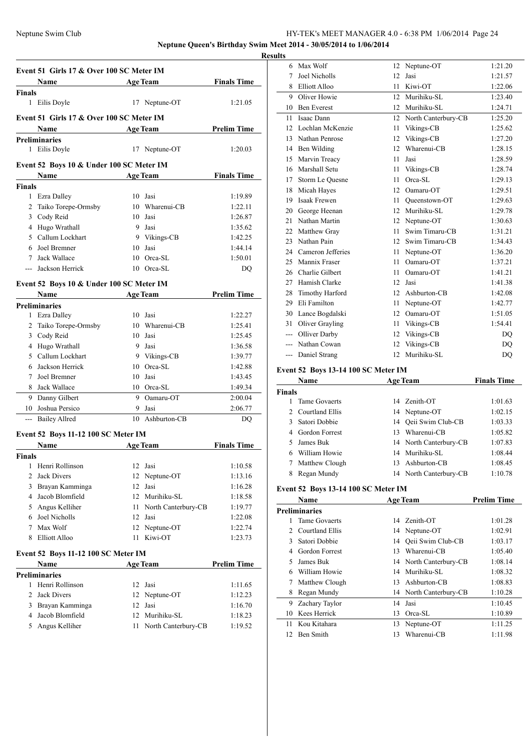**Neptune Queen's Birthday Swim Meet 2014 - 30/05/2014 to 1/06/2014 Results**

|                | Event 51 Girls 17 & Over 100 SC Meter IM               |    |                         |                    |
|----------------|--------------------------------------------------------|----|-------------------------|--------------------|
|                | Name<br>Age Team                                       |    |                         | <b>Finals Time</b> |
| Finals         |                                                        |    |                         |                    |
|                | 1 Eilis Doyle                                          |    | 17 Neptune-OT           | 1:21.05            |
|                | Event 51 Girls 17 & Over 100 SC Meter IM               |    |                         |                    |
|                | Name                                                   |    | <b>Age Team</b>         | <b>Prelim Time</b> |
|                | <b>Preliminaries</b>                                   |    |                         |                    |
| 1              | Eilis Doyle                                            |    | 17 Neptune-OT           | 1:20.03            |
|                |                                                        |    |                         |                    |
|                | Event 52 Boys 10 & Under 100 SC Meter IM               |    |                         |                    |
|                | <b>Name</b><br><u> 1980 - Johann Barbara, martxa a</u> |    | <b>Age Team</b>         | <b>Finals Time</b> |
| <b>Finals</b>  |                                                        |    |                         |                    |
|                | 1 Ezra Dalley                                          |    | 10 Jasi                 | 1:19.89            |
| $\overline{2}$ | Taiko Torepe-Ormsby                                    |    | 10 Wharenui-CB          | 1:22.11            |
|                | 3 Cody Reid                                            |    | 10 Jasi                 | 1:26.87            |
|                | 4 Hugo Wrathall                                        |    | 9 Jasi                  | 1:35.62            |
|                | 5 Callum Lockhart<br>6 Joel Bremner                    |    | 9 Vikings-CB<br>10 Jasi | 1:42.25            |
| $\tau$         | Jack Wallace                                           |    | 10 Orca-SL              | 1:44.14<br>1:50.01 |
|                | Jackson Herrick                                        |    | 10 Orca-SL              | DO                 |
|                |                                                        |    |                         |                    |
|                | Event 52 Boys 10 & Under 100 SC Meter IM               |    |                         |                    |
|                | <b>Name</b>                                            |    | <b>Age Team</b>         | <b>Prelim Time</b> |
|                | <b>Preliminaries</b>                                   |    |                         |                    |
|                | 1 Ezra Dalley                                          |    | 10 Jasi                 | 1:22.27            |
|                | 2 Taiko Torepe-Ormsby                                  |    | 10 Wharenui-CB          | 1:25.41            |
|                | 3 Cody Reid                                            |    | 10 Jasi                 | 1:25.45            |
|                | 4 Hugo Wrathall                                        |    | 9 Jasi                  | 1:36.58            |
|                | 5 Callum Lockhart                                      |    | 9 Vikings-CB            | 1:39.77            |
| 6              | Jackson Herrick                                        |    | 10 Orca-SL              | 1:42.88            |
| 7              | Joel Bremner                                           |    | 10 Jasi                 | 1:43.45            |
| 8              | Jack Wallace                                           |    | 10 Orca-SL              | 1:49.34            |
|                | 9 Danny Gilbert                                        |    | 9 Oamaru-OT             | 2:00.04            |
| 10             | Joshua Persico                                         | 9  | Jasi                    | 2:06.77            |
|                | --- Bailey Allred                                      |    | 10 Ashburton-CB         | DQ                 |
|                | Event 52 Boys 11-12 100 SC Meter IM                    |    |                         |                    |
|                | Name                                                   |    | <b>Age Team</b>         | <b>Finals Time</b> |
| <b>Finals</b>  |                                                        |    |                         |                    |
|                | 1 Henri Rollinson                                      |    | 12 Jasi                 | 1:10.58            |
| 2              | Jack Divers                                            | 12 | Neptune-OT              | 1:13.16            |
| 3              | Brayan Kamminga                                        | 12 | Jasi                    | 1:16.28            |
| 4              | Jacob Blomfield                                        |    | 12 Murihiku-SL          | 1:18.58            |
| 5              | Angus Kelliher                                         | 11 | North Canterbury-CB     | 1:19.77            |
| 6              | Joel Nicholls                                          | 12 | Jasi                    | 1:22.08            |
| $\tau$         | Max Wolf                                               |    | 12 Neptune-OT           | 1:22.74            |
| 8              | Elliott Alloo                                          | 11 | Kiwi-OT                 | 1:23.73            |
|                | Event 52 Boys 11-12 100 SC Meter IM                    |    |                         |                    |
|                | Name                                                   |    | <b>Age Team</b>         | <b>Prelim Time</b> |
|                | <b>Preliminaries</b>                                   |    |                         |                    |
| 1              | Henri Rollinson                                        | 12 | Jasi                    | 1:11.65            |
| $\overline{2}$ | <b>Jack Divers</b>                                     | 12 | Neptune-OT              | 1:12.23            |
| 3              | Brayan Kamminga                                        |    | 12 Jasi                 | 1:16.70            |
| $\overline{4}$ | Jacob Blomfield                                        |    | 12 Murihiku-SL          | 1:18.23            |
| 5              | Angus Kelliher                                         | 11 | North Canterbury-CB     | 1:19.52            |
|                |                                                        |    |                         |                    |

| unts |     |                    |    |                     |                |
|------|-----|--------------------|----|---------------------|----------------|
|      | 6   | Max Wolf           | 12 | Neptune-OT          | 1:21.20        |
|      | 7   | Joel Nicholls      | 12 | Jasi                | 1:21.57        |
|      | 8   | Elliott Alloo      | 11 | Kiwi-OT             | 1:22.06        |
|      | 9   | Oliver Howie       | 12 | Murihiku-SL         | 1:23.40        |
|      | 10  | <b>Ben Everest</b> | 12 | Murihiku-SL         | 1:24.71        |
|      | 11  | Isaac Dann         | 12 | North Canterbury-CB | 1:25.20        |
|      | 12  | Lochlan McKenzie   | 11 | Vikings-CB          | 1:25.62        |
|      | 13  | Nathan Penrose     | 12 | Vikings-CB          | 1:27.20        |
|      | 14  | Ben Wilding        | 12 | Wharenui-CB         | 1:28.15        |
|      | 15  | Marvin Treacy      | 11 | Jasi                | 1:28.59        |
|      | 16  | Marshall Setu      | 11 | Vikings-CB          | 1:28.74        |
|      | 17  | Storm Le Quesne    | 11 | Orca-SL             | 1:29.13        |
|      | 18  | Micah Hayes        | 12 | Oamaru-OT           | 1:29.51        |
|      | 19  | Isaak Frewen       | 11 | Oueenstown-OT       | 1:29.63        |
|      | 20  | George Heenan      | 12 | Murihiku-SL         | 1:29.78        |
|      | 21  | Nathan Martin      | 12 | Neptune-OT          | 1:30.63        |
|      | 22  | Matthew Gray       | 11 | Swim Timaru-CB      | 1:31.21        |
|      | 23  | Nathan Pain        | 12 | Swim Timaru-CB      | 1:34.43        |
|      | 24  | Cameron Jefferies  | 11 | Neptune-OT          | 1:36.20        |
|      | 25  | Mannix Fraser      | 11 | Oamaru-OT           | 1:37.21        |
|      | 26  | Charlie Gilbert    | 11 | Oamaru-OT           | 1:41.21        |
|      | 27  | Hamish Clarke      | 12 | Jasi                | 1:41.38        |
|      | 28  | Timothy Harford    | 12 | Ashburton-CB        | 1:42.08        |
|      | 29  | Eli Familton       | 11 | Neptune-OT          | 1:42.77        |
|      | 30  | Lance Bogdalski    | 12 | Oamaru-OT           | 1:51.05        |
|      | 31  | Oliver Grayling    | 11 | Vikings-CB          | 1:54.41        |
|      | --- | Olliver Darby      | 12 | Vikings-CB          | D <sub>O</sub> |
|      |     | Nathan Cowan       | 12 | Vikings-CB          | DQ             |
|      | --- | Daniel Strang      | 12 | Murihiku-SL         | D <sub>O</sub> |
|      |     |                    |    |                     |                |

### **Event 52 Boys 13-14 100 SC Meter IM**

| Name          |                   |     | <b>Age Team</b>        | <b>Finals Time</b> |  |
|---------------|-------------------|-----|------------------------|--------------------|--|
| <b>Finals</b> |                   |     |                        |                    |  |
|               | Tame Govaerts     |     | 14 Zenith-OT           | 1:01.63            |  |
|               | 2 Courtland Ellis |     | 14 Neptune-OT          | 1:02.15            |  |
| 3             | Satori Dobbie     |     | 14 Oeii Swim Club-CB   | 1:03.33            |  |
|               | 4 Gordon Forrest  | 13. | Wharenui-CB            | 1:05.82            |  |
|               | James Buk         |     | 14 North Canterbury-CB | 1:07.83            |  |
| 6             | William Howie     |     | 14 Murihiku-SL         | 1:08.44            |  |
| 7             | Matthew Clough    | 13. | Ashburton-CB           | 1:08.45            |  |
|               | Regan Mundy       |     | 14 North Canterbury-CB | 1:10.78            |  |

### **Event 52 Boys 13-14 100 SC Meter IM**

|    | Name                 |    | <b>Age Team</b>        | <b>Prelim Time</b> |
|----|----------------------|----|------------------------|--------------------|
|    | <b>Preliminaries</b> |    |                        |                    |
|    | Tame Govaerts        |    | 14 Zenith-OT           | 1:01.28            |
| 2  | Courtland Ellis      |    | 14 Neptune-OT          | 1:02.91            |
| 3  | Satori Dobbie        | 14 | Qeii Swim Club-CB      | 1:03.17            |
| 4  | Gordon Forrest       | 13 | Wharenui-CB            | 1:05.40            |
| 5  | James Buk            |    | 14 North Canterbury-CB | 1:08.14            |
| 6  | William Howie        | 14 | Murihiku-SL            | 1:08.32            |
| 7  | Matthew Clough       | 13 | Ashburton-CB           | 1:08.83            |
| 8  | Regan Mundy          | 14 | North Canterbury-CB    | 1:10.28            |
| 9  | Zachary Taylor       | 14 | Jasi                   | 1:10.45            |
| 10 | Kees Herrick         | 13 | Orca-SL                | 1:10.89            |
| 11 | Kou Kitahara         | 13 | Neptune-OT             | 1:11.25            |
| 12 | <b>Ben Smith</b>     | 13 | Wharenui-CB            | 1:11.98            |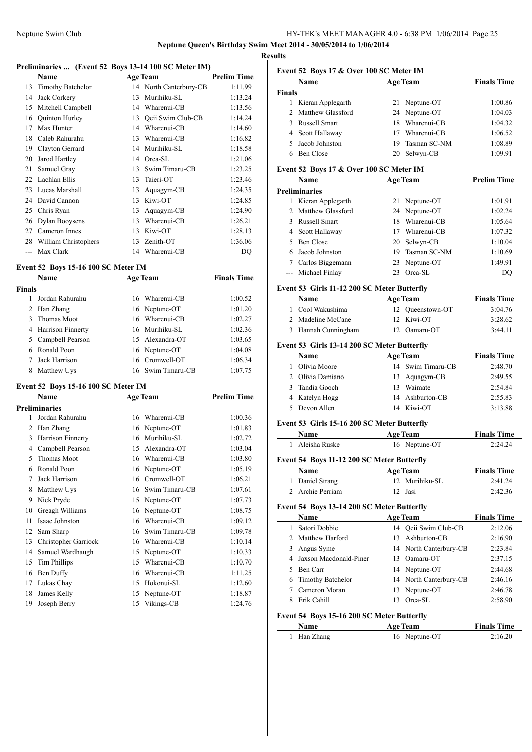### Neptune Swim Club HY-TEK's MEET MANAGER 4.0 - 6:38 PM 1/06/2014 Page 25 **Neptune Queen's Birthday Swim Meet 2014 - 30/05/2014 to 1/06/2014**

**Results**

 $\overline{\phantom{a}}$ 

### **Preliminaries ... (Event 52 Boys 13-14 100 SC Meter IM)**

|       | <b>Name</b>          |    | <b>Age Team</b>        | <b>Prelim Time</b> |
|-------|----------------------|----|------------------------|--------------------|
|       | 13 Timothy Batchelor |    | 14 North Canterbury-CB | 1:11.99            |
| 14    | Jack Corkery         | 13 | Murihiku-SL            | 1:13.24            |
| 15    | Mitchell Campbell    | 14 | Wharenui-CB            | 1:13.56            |
| 16    | Quinton Hurley       | 13 | Qeii Swim Club-CB      | 1:14.24            |
| 17    | Max Hunter           | 14 | Wharenui-CB            | 1:14.60            |
| 18    | Caleb Rahurahu       | 13 | Wharenui-CB            | 1:16.82            |
| 19    | Clayton Gerrard      | 14 | Murihiku-SL            | 1:18.58            |
| 20    | Jarod Hartley        | 14 | Orca-SL                | 1:21.06            |
| 21    | Samuel Gray          | 13 | Swim Timaru-CB         | 1:23.25            |
| 22    | Lachlan Ellis        | 13 | Taieri-OT              | 1:23.46            |
| 23    | Lucas Marshall       | 13 | Aquagym-CB             | 1:24.35            |
| 24    | David Cannon         | 13 | Kiwi-OT                | 1:24.85            |
| 25    | Chris Ryan           | 13 | Aquagym-CB             | 1:24.90            |
| 26    | Dylan Booysens       | 13 | Wharenui-CB            | 1:26.21            |
| 27    | Cameron Innes        | 13 | Kiwi-OT                | 1:28.13            |
| 28    | William Christophers | 13 | Zenith-OT              | 1:36.06            |
| $---$ | Max Clark            |    | 14 Wharenui-CB         | DO                 |

#### **Event 52 Boys 15-16 100 SC Meter IM**

|        | Name                | <b>Age Team</b> |                   | <b>Finals Time</b> |
|--------|---------------------|-----------------|-------------------|--------------------|
| Finals |                     |                 |                   |                    |
|        | Jordan Rahurahu     |                 | 16 Wharenui-CB    | 1:00.52            |
| 2      | Han Zhang           |                 | 16 Neptune-OT     | 1:01.20            |
| 3      | Thomas Moot         |                 | 16 Wharenui-CB    | 1:02.27            |
|        | 4 Harrison Finnerty |                 | 16 Murihiku-SL    | 1:02.36            |
|        | 5 Campbell Pearson  |                 | 15 Alexandra-OT   | 1:03.65            |
| 6      | Ronald Poon         |                 | 16 Neptune-OT     | 1:04.08            |
|        | Jack Harrison       |                 | 16 Cromwell-OT    | 1:06.34            |
| 8      | Matthew Uys         |                 | 16 Swim Timaru-CB | 1:07.75            |
|        |                     |                 |                   |                    |

#### **Event 52 Boys 15-16 100 SC Meter IM**

|    | Name                 |    | <b>Age Team</b> | <b>Prelim Time</b> |
|----|----------------------|----|-----------------|--------------------|
|    | Preliminaries        |    |                 |                    |
| 1  | Jordan Rahurahu      | 16 | Wharenui-CB     | 1:00.36            |
| 2  | Han Zhang            | 16 | Neptune-OT      | 1:01.83            |
| 3  | Harrison Finnerty    | 16 | Murihiku-SL     | 1:02.72            |
| 4  | Campbell Pearson     | 15 | Alexandra-OT    | 1:03.04            |
| 5  | <b>Thomas Moot</b>   | 16 | Wharenui-CB     | 1:03.80            |
| 6  | Ronald Poon          | 16 | Neptune-OT      | 1:05.19            |
| 7  | Jack Harrison        | 16 | Cromwell-OT     | 1:06.21            |
| 8  | Matthew Uys          | 16 | Swim Timaru-CB  | 1:07.61            |
| 9  | Nick Pryde           | 15 | Neptune-OT      | 1:07.73            |
| 10 | Greagh Williams      | 16 | Neptune-OT      | 1:08.75            |
| 11 | Isaac Johnston       | 16 | Wharenui-CB     | 1:09.12            |
| 12 | Sam Sharp            | 16 | Swim Timaru-CB  | 1:09.78            |
| 13 | Christopher Garriock | 16 | Wharenui-CB     | 1:10.14            |
| 14 | Samuel Wardhaugh     | 15 | Neptune-OT      | 1:10.33            |
| 15 | <b>Tim Phillips</b>  | 15 | Wharenui-CB     | 1:10.70            |
| 16 | Ben Duffy            | 16 | Wharenui-CB     | 1:11.25            |
| 17 | Lukas Chay           | 15 | Hokonui-SL      | 1:12.60            |
| 18 | James Kelly          | 15 | Neptune-OT      | 1:18.87            |
| 19 | Joseph Berry         | 15 | Vikings-CB      | 1:24.76            |

### **Event 52 Boys 17 & Over 100 SC Meter IM**

|               | <b>Name</b><br><b>Age Team</b> |     |               | <b>Finals Time</b> |
|---------------|--------------------------------|-----|---------------|--------------------|
| <b>Finals</b> |                                |     |               |                    |
|               | Kieran Applegarth              |     | 21 Neptune-OT | 1:00.86            |
|               | 2 Matthew Glassford            |     | 24 Neptune-OT | 1:04.03            |
| 3.            | Russell Smart                  | 18. | Wharenui-CB   | 1:04.32            |
|               | 4 Scott Hallaway               | 17  | Wharenui-CB   | 1:06.52            |
| 5.            | Jacob Johnston                 | 19  | Tasman SC-NM  | 1:08.89            |
|               | Ben Close                      | 20  | Selwyn-CB     | 1:09.91            |

### **Event 52 Boys 17 & Over 100 SC Meter IM**

|    | <b>Name</b>          |     | <b>Age Team</b> | <b>Prelim Time</b> |
|----|----------------------|-----|-----------------|--------------------|
|    | <b>Preliminaries</b> |     |                 |                    |
| 1  | Kieran Applegarth    |     | 21 Neptune-OT   | 1:01.91            |
|    | 2 Matthew Glassford  |     | 24 Neptune-OT   | 1:02.24            |
|    | 3 Russell Smart      | 18  | Wharenui-CB     | 1:05.64            |
|    | 4 Scott Hallaway     |     | Wharenui-CB     | 1:07.32            |
| 5. | Ben Close            |     | 20 Selwyn-CB    | 1:10.04            |
|    | 6 Jacob Johnston     | 19. | Tasman SC-NM    | 1:10.69            |
|    | Carlos Biggemann     |     | 23 Neptune-OT   | 1:49.91            |
|    | --- Michael Finlay   | 23  | Orca-SL         | DO                 |

#### **Event 53 Girls 11-12 200 SC Meter Butterfly**

| <b>Name</b>         | <b>Age Team</b>  | <b>Finals Time</b> |
|---------------------|------------------|--------------------|
| 1 Cool Wakushima    | 12 Oueenstown-OT | 3:04.76            |
| 2 Madeline McCane   | 12 Kiwi-OT       | 3:28.62            |
| 3 Hannah Cunningham | 12 Oamaru-OT     | 3:44.11            |

#### **Event 53 Girls 13-14 200 SC Meter Butterfly**

| <b>Name</b>      | <b>Age Team</b>   | <b>Finals Time</b> |
|------------------|-------------------|--------------------|
| Olivia Moore     | 14 Swim Timaru-CB | 2:48.70            |
| 2 Olivia Damiano | 13 Aquagym-CB     | 2:49.55            |
| Tandia Gooch     | Waimate<br>13     | 2:54.84            |
| 4 Katelyn Hogg   | 14 Ashburton-CB   | 2:55.83            |
| 5 Devon Allen    | 14 Kiwi-OT        | 3:13.88            |

#### **Event 53 Girls 15-16 200 SC Meter Butterfly**

| Name |                 | <b>Age Team</b> | <b>Finals Time</b> |
|------|-----------------|-----------------|--------------------|
|      | 1 Aleisha Ruske | 16 Neptune-OT   | 2:24.24            |

### **Event 54 Boys 11-12 200 SC Meter Butterfly**

| <b>Name</b>      | <b>Age Team</b> | <b>Finals Time</b> |  |
|------------------|-----------------|--------------------|--|
| 1 Daniel Strang  | 12 Murihiku-SL  | 2.41.24            |  |
| 2 Archie Perriam | 12 Jasi         | 2:42.36            |  |

### **Event 54 Boys 13-14 200 SC Meter Butterfly**

| Name                     |     | <b>Age Team</b>        | <b>Finals Time</b> |
|--------------------------|-----|------------------------|--------------------|
| Satori Dobbie            |     | 14 Oeii Swim Club-CB   | 2:12.06            |
| 2 Matthew Harford        | 13. | Ashburton-CB           | 2:16.90            |
| Angus Syme               |     | 14 North Canterbury-CB | 2:23.84            |
| 4 Jaxson Macdonald-Piner |     | 13 Oamaru-OT           | 2:37.15            |
| Ben Carr                 |     | 14 Neptune-OT          | 2:44.68            |
| 6 Timothy Batchelor      |     | 14 North Canterbury-CB | 2:46.16            |
| Cameron Moran            |     | 13 Neptune-OT          | 2:46.78            |
| Erik Cahill              | 13  | Orca-SL                | 2:58.90            |

# **Event 54 Boys 15-16 200 SC Meter Butterfly**

| Name :      | <b>Age Team</b> | <b>Finals Time</b> |  |
|-------------|-----------------|--------------------|--|
| 1 Han Zhang | 16 Neptune-OT   | 2:16.20            |  |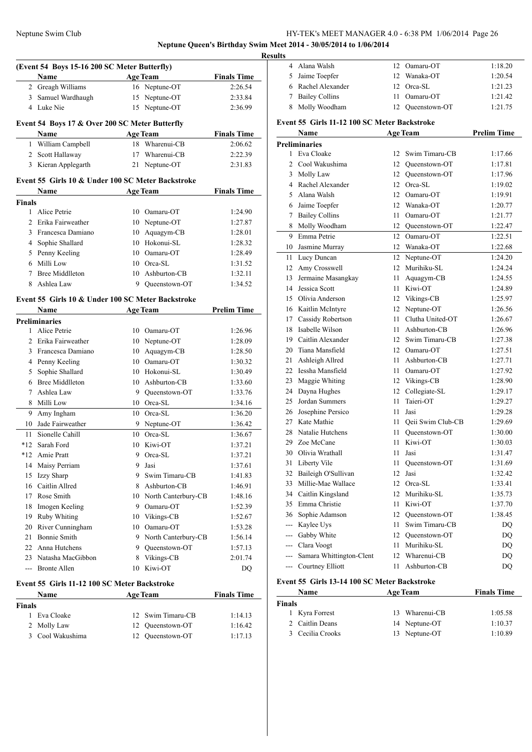### Neptune Swim Club HY-TEK's MEET MANAGER 4.0 - 6:38 PM 1/06/2014 Page 26 **Neptune Queen's Birthday Swim Meet 2014 - 30/05/2014 to 1/06/2014**

**<u>esults</u>** 

|              | (Event 54 Boys 15-16 200 SC Meter Butterfly)         |         |                                  |                               |
|--------------|------------------------------------------------------|---------|----------------------------------|-------------------------------|
|              | Name<br>2 Greagh Williams                            |         | <b>Age Team</b><br>16 Neptune-OT | <b>Finals Time</b><br>2:26.54 |
|              |                                                      |         |                                  |                               |
| 3            | Samuel Wardhaugh<br>4 Luke Nie                       | 15      | Neptune-OT                       | 2:33.84                       |
|              |                                                      | 15      | Neptune-OT                       | 2:36.99                       |
|              | Event 54 Boys 17 & Over 200 SC Meter Butterfly       |         |                                  |                               |
|              | Name                                                 |         | <b>Age Team</b>                  | <b>Finals Time</b>            |
| 1            | William Campbell                                     | 18      | Wharenui-CB                      | 2:06.62                       |
| 2            | Scott Hallaway                                       | 17      | Wharenui-CB                      | 2:22.39                       |
|              | 3 Kieran Applegarth                                  | 21      | Neptune-OT                       | 2:31.83                       |
|              | Event 55 Girls 10 & Under 100 SC Meter Backstroke    |         |                                  |                               |
|              | Name                                                 |         | <b>Age Team</b>                  | <b>Finals Time</b>            |
| Finals       |                                                      |         |                                  |                               |
| $\mathbf{1}$ | Alice Petrie                                         |         | 10 Oamaru-OT                     | 1:24.90                       |
| 2            | Erika Fairweather                                    | 10      | Neptune-OT                       | 1:27.87                       |
| 3            | Francesca Damiano                                    | 10      | Aquagym-CB                       | 1:28.01                       |
| 4            | Sophie Shallard                                      | 10      | Hokonui-SL                       | 1:28.32                       |
| 5            | Penny Keeling                                        | 10      | Oamaru-OT                        | 1:28.49                       |
| 6            | Milli Low                                            | 10      | Orca-SL                          | 1:31.52                       |
| 7            | <b>Bree Middlleton</b>                               | 10      | Ashburton-CB                     | 1:32.11                       |
| 8            | Ashlea Law                                           |         | 9 Queenstown-OT                  | 1:34.52                       |
|              | Event 55 Girls 10 & Under 100 SC Meter Backstroke    |         |                                  |                               |
|              | Name                                                 |         | <b>Age Team</b>                  | <b>Prelim Time</b>            |
|              | <b>Preliminaries</b>                                 |         |                                  |                               |
| $\mathbf{1}$ | Alice Petrie                                         | 10      | Oamaru-OT                        | 1:26.96                       |
| 2            | Erika Fairweather                                    | 10      | Neptune-OT                       | 1:28.09                       |
| 3            | Francesca Damiano                                    | 10      | Aquagym-CB                       | 1:28.50                       |
| 4            | Penny Keeling                                        | 10      | Oamaru-OT                        | 1:30.32                       |
| 5            | Sophie Shallard                                      | 10      | Hokonui-SL                       | 1:30.49                       |
| 6            | <b>Bree Middlleton</b>                               | 10      | Ashburton-CB                     | 1:33.60                       |
| 7            | Ashlea Law                                           | 9       | Queenstown-OT                    | 1:33.76                       |
| 8            | Milli Low                                            | 10      | Orca-SL                          | 1:34.16                       |
| 9            | Amy Ingham                                           | 10      | Orca-SL                          | 1:36.20                       |
| 10           | Jade Fairweather                                     | 9       | Neptune-OT                       | 1:36.42                       |
| 11           | Sionelle Cahill                                      | 10      | Orca-SL                          | 1:36.67                       |
| $*12$        | Sarah Ford                                           | 10      | Kiwi-OT                          | 1:37.21                       |
|              | *12 Amie Pratt                                       |         | 9 Orca-SL                        | 1:37.21                       |
|              | 14 Maisy Perriam                                     | 9.      | Jasi                             | 1:37.61                       |
| 15           | Izzy Sharp                                           | 9       | Swim Timaru-CB                   | 1:41.83                       |
| 16           | Caitlin Allred                                       | 8       | Ashburton-CB                     | 1:46.91                       |
| 17           | Rose Smith                                           |         | 10 North Canterbury-CB           | 1:48.16                       |
| 18           | Imogen Keeling                                       |         | 9 Oamaru-OT                      | 1:52.39                       |
| 19           | Ruby Whiting                                         |         | 10 Vikings-CB                    | 1:52.67                       |
| 20           | River Cunningham                                     |         | 10 Oamaru-OT                     | 1:53.28                       |
| 21           | <b>Bonnie Smith</b>                                  | 9.      | North Canterbury-CB              | 1:56.14                       |
|              | 22 Anna Hutchens                                     |         |                                  |                               |
|              |                                                      | 9       | Queenstown-OT                    | 1:57.13                       |
|              | 23 Natasha MacGibbon<br>--- Bronte Allen             | 8<br>10 | Vikings-CB<br>Kiwi-OT            | 2:01.74<br>DQ                 |
|              |                                                      |         |                                  |                               |
|              | Event 55 Girls 11-12 100 SC Meter Backstroke<br>Name |         | <b>Age Team</b>                  | <b>Finals Time</b>            |
| Finals       |                                                      |         |                                  |                               |
| 1            | Eva Cloake                                           | 12      | Swim Timaru-CB                   | 1:14.13                       |
| 2            | Molly Law                                            | 12      | Queenstown-OT                    | 1:16.42                       |
| 3            | Cool Wakushima                                       |         | 12 Queenstown-OT                 | 1:17.13                       |
|              |                                                      |         |                                  |                               |

| 4                                            | Alana Walsh                                  | 12   | Oamaru-OT            | 1:18.20            |  |  |
|----------------------------------------------|----------------------------------------------|------|----------------------|--------------------|--|--|
|                                              | 5 Jaime Toepfer                              | 12   | Wanaka-OT            | 1:20.54            |  |  |
|                                              | 6 Rachel Alexander                           | 12   | Orca-SL              | 1:21.23            |  |  |
| 7                                            | <b>Bailey Collins</b>                        | 11   | Oamaru-OT            | 1:21.42            |  |  |
| 8                                            | Molly Woodham                                | 12   | Queenstown-OT        | 1:21.75            |  |  |
|                                              |                                              |      |                      |                    |  |  |
|                                              | Event 55 Girls 11-12 100 SC Meter Backstroke |      |                      |                    |  |  |
|                                              | Name                                         |      | <b>Age Team</b>      | <b>Prelim Time</b> |  |  |
|                                              | <b>Preliminaries</b>                         |      |                      |                    |  |  |
|                                              | 1 Eva Cloake                                 | 12   | Swim Timaru-CB       | 1:17.66            |  |  |
|                                              | 2 Cool Wakushima                             |      | 12 Queenstown-OT     | 1:17.81            |  |  |
| 3                                            | Molly Law                                    |      | 12 Queenstown-OT     | 1:17.96            |  |  |
|                                              | 4 Rachel Alexander                           |      | 12 Orca-SL           | 1:19.02            |  |  |
| 5                                            | Alana Walsh                                  |      | 12 Oamaru-OT         | 1:19.91            |  |  |
|                                              | 6 Jaime Toepfer                              | 12   | Wanaka-OT            | 1:20.77            |  |  |
| 7                                            | <b>Bailey Collins</b>                        | 11   | Oamaru-OT            | 1:21.77            |  |  |
| 8                                            | Molly Woodham                                |      | 12 Queenstown-OT     | 1:22.47            |  |  |
|                                              | 9 Emma Petrie                                | 12   | Oamaru-OT            | 1:22.51            |  |  |
|                                              | 10 Jasmine Murray                            | 12   | Wanaka-OT            | 1:22.68            |  |  |
|                                              | 11 Lucy Duncan                               | 12   | Neptune-OT           | 1:24.20            |  |  |
|                                              | 12 Amy Crosswell                             | 12   | Murihiku-SL          | 1:24.24            |  |  |
|                                              | 13 Jermaine Masangkay                        | 11   | Aquagym-CB           | 1:24.55            |  |  |
|                                              | 14 Jessica Scott                             | 11   | Kiwi-OT              | 1:24.89            |  |  |
|                                              | 15 Olivia Anderson                           |      | 12 Vikings-CB        | 1:25.97            |  |  |
|                                              | 16 Kaitlin McIntyre                          |      | 12 Neptune-OT        | 1:26.56            |  |  |
|                                              | 17 Cassidy Robertson                         |      | 11 Clutha United-OT  | 1:26.67            |  |  |
|                                              | 18 Isabelle Wilson                           |      | 11 Ashburton-CB      | 1:26.96            |  |  |
|                                              | 19 Caitlin Alexander                         | 12   | Swim Timaru-CB       | 1:27.38            |  |  |
|                                              | 20 Tiana Mansfield                           |      | 12 Oamaru-OT         | 1:27.51            |  |  |
| 21                                           | Ashleigh Allred                              | 11   | Ashburton-CB         | 1:27.71            |  |  |
|                                              | 22 Iessha Mansfield                          | 11   | Oamaru-OT            | 1:27.92            |  |  |
|                                              | 23 Maggie Whiting                            |      | 12 Vikings-CB        | 1:28.90            |  |  |
|                                              | 24 Dayna Hughes                              |      | 12 Collegiate-SL     | 1:29.17            |  |  |
| 25                                           | Jordan Summers                               | 11   | Taieri-OT            | 1:29.27            |  |  |
|                                              | 26 Josephine Persico                         | 11   | Jasi                 | 1:29.28            |  |  |
|                                              | 27 Kate Mathie                               |      | 11 Oeii Swim Club-CB | 1:29.69            |  |  |
| 28                                           | Natalie Hutchens                             | 11   | Queenstown-OT        | 1:30.00            |  |  |
| 29                                           | Zoe McCane                                   | 11   | Kiwi-OT              | 1:30.03            |  |  |
|                                              | 30 Olivia Wrathall                           | 11   | Jasi                 | 1:31.47            |  |  |
| 31                                           | Liberty Vile                                 | 11   | Queenstown-OT        | 1:31.69            |  |  |
| 32                                           | Baileigh O'Sullivan                          | 12   | Jasi                 | 1:32.42            |  |  |
|                                              | 33 Millie-Mae Wallace                        |      | 12 Orca-SL           | 1:33.41            |  |  |
|                                              | 34 Caitlin Kingsland                         |      | 12 Murihiku-SL       | 1:35.73            |  |  |
|                                              | 35 Emma Christie                             |      | 11 Kiwi-OT           | 1:37.70            |  |  |
|                                              | 36 Sophie Adamson                            |      | 12 Queenstown-OT     | 1:38.45            |  |  |
|                                              | --- Kaylee Uys                               | 11 - | Swim Timaru-CB       | DQ                 |  |  |
|                                              | --- Gabby White                              |      | 12 Queenstown-OT     | DQ                 |  |  |
|                                              | --- Clara Voogt                              |      | 11 Murihiku-SL       | DQ                 |  |  |
|                                              | --- Samara Whittington-Clent                 |      | 12 Wharenui-CB       | DQ                 |  |  |
|                                              | --- Courtney Elliott                         |      | 11 Ashburton-CB      | DQ                 |  |  |
| Event 55 Girls 13-14 100 SC Meter Backstroke |                                              |      |                      |                    |  |  |
|                                              | Name                                         |      | <b>Age Team</b>      | <b>Finals Time</b> |  |  |
| <b>Finals</b>                                |                                              |      |                      |                    |  |  |
|                                              | 1 Kyra Forrest                               |      | 13 Wharenui-CB       | 1:05.58            |  |  |

| ------- |                  |                |         |
|---------|------------------|----------------|---------|
|         | 1 Kyra Forrest   | 13 Wharenui-CB | 1:05.58 |
|         | 2 Caitlin Deans  | 14 Neptune-OT  | 1:10.37 |
|         | 3 Cecilia Crooks | 13 Neptune-OT  | 1:10.89 |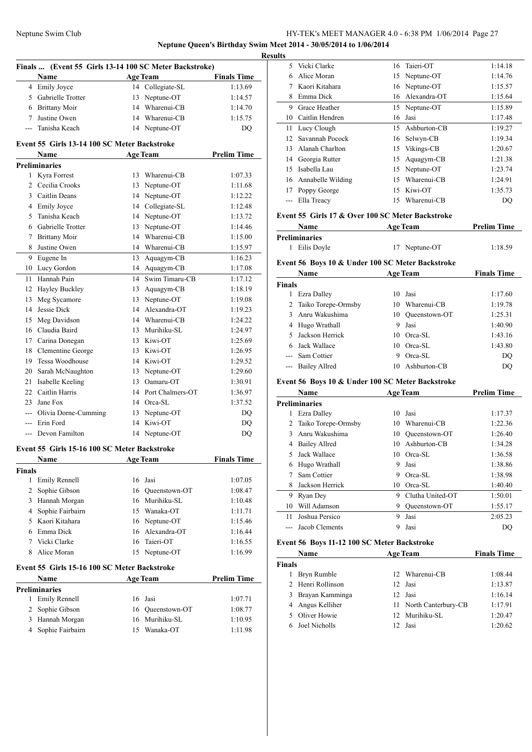### Neptune Swim Club HY-TEK's MEET MANAGER 4.0 - 6:38 PM 1/06/2014 Page 27 **Neptune Queen's Birthday Swim Meet 2014 - 30/05/2014 to 1/06/2014**

**Finals ... (Event 55 Girls 13-14 100 SC Meter Backstroke) Name Age Team Finals Time** 4 Emily Joyce 14 Collegiate-SL 1:13.69 5 Gabrielle Trotter 13 Neptune-OT 1:14.57 6 Brittany Moir 14 Wharenui-CB 1:14.70 7 Justine Owen 14 Wharenui-CB 1:15.75 --- Tanisha Keach 14 Neptune-OT DQ **Event 55 Girls 13-14 100 SC Meter Backstroke Name Age Team Prelim Time Preliminaries** 1 Kyra Forrest 13 Wharenui-CB 1:07.33 2 Cecilia Crooks 13 Neptune-OT 1:11.68 3 Caitlin Deans 14 Neptune-OT 1:12.22 4 Emily Joyce 14 Collegiate-SL 1:12.48 5 Tanisha Keach 14 Neptune-OT 1:13.72 6 Gabrielle Trotter 13 Neptune-OT 1:14.46 7 Brittany Moir 14 Wharenui-CB 1:15.00 8 Justine Owen 14 Wharenui-CB 1:15.97 9 Eugene In 13 Aquagym-CB 1:16.23 10 Lucy Gordon 14 Aquagym-CB 1:17.08 11 Hannah Pain 14 Swim Timaru-CB 1:17.12 12 Hayley Buckley 13 Aquagym-CB 1:18.19 13 Meg Sycamore 13 Neptune-OT 1:19.08 14 Jessie Dick 14 Alexandra-OT 1:19.23 15 Meg Davidson 14 Wharenui-CB 1:24.22 16 Claudia Baird 13 Murihiku-SL 1:24.97 17 Carina Donegan 13 Kiwi-OT 1:25.69 18 Clementine George 13 Kiwi-OT 1:26.95 19 Tessa Woodhouse 14 Kiwi-OT 1:29.52 20 Sarah McNaughton 13 Neptune-OT 1:29.60 21 Isabelle Keeling 13 Oamaru-OT 1:30.91 22 Caitlin Harris 14 Port Chalmers-OT 1:36.97 23 Jane Fox 14 Orca-SL 1:37.52 --- Olivia Dorne-Cumming 13 Neptune-OT DQ --- Erin Ford 14 Kiwi-OT DQ --- Devon Familton 14 Neptune-OT DQ

### **Event 55 Girls 15-16 100 SC Meter Backstroke**

| <b>Name</b><br><b>Finals</b> |                    | <b>Age Team</b> |                  | <b>Finals Time</b> |  |
|------------------------------|--------------------|-----------------|------------------|--------------------|--|
|                              |                    |                 |                  |                    |  |
| 1                            | Emily Rennell      |                 | 16 Jasi          | 1:07.05            |  |
|                              | 2 Sophie Gibson    |                 | 16 Oueenstown-OT | 1:08.47            |  |
| 3                            | Hannah Morgan      |                 | 16 Murihiku-SL   | 1:10.48            |  |
|                              | 4 Sophie Fairbairn |                 | 15 Wanaka-OT     | 1:11.71            |  |
|                              | 5 Kaori Kitahara   |                 | 16 Neptune-OT    | 1:15.46            |  |
| 6.                           | Emma Dick          |                 | 16 Alexandra-OT  | 1:16.44            |  |
|                              | Vicki Clarke       |                 | 16 Taieri-OT     | 1:16.55            |  |
| 8                            | Alice Moran        |                 | 15 Neptune-OT    | 1:16.99            |  |

#### **Event 55 Girls 15-16 100 SC Meter Backstroke**

| <b>Prelim Time</b> |  |
|--------------------|--|
|                    |  |
| 1:07.71            |  |
| 1:08.77            |  |
| 1:10.95            |  |
| 1:11.98            |  |
|                    |  |

| <b>Results</b>  |                   |    |                 |         |
|-----------------|-------------------|----|-----------------|---------|
| 5.              | Vicki Clarke      |    | 16 Taieri-OT    | 1:14.18 |
| 6               | Alice Moran       |    | 15 Neptune-OT   | 1:14.76 |
| 7               | Kaori Kitahara    |    | 16 Neptune-OT   | 1:15.57 |
| 8               | Emma Dick         |    | 16 Alexandra-OT | 1:15.64 |
| 9               | Grace Heather     |    | 15 Neptune-OT   | 1:15.89 |
| 10              | Caitlin Hendren   | 16 | Jasi            | 1:17.48 |
|                 | 11 Lucy Clough    | 15 | Ashburton-CB    | 1:19.27 |
| 12 <sub>1</sub> | Savannah Pocock   |    | 16 Selwyn-CB    | 1:19.34 |
| 13              | Alanah Charlton   |    | 15 Vikings-CB   | 1:20.67 |
| 14              | Georgia Rutter    | 15 | Aquagym-CB      | 1:21.38 |
| 15              | Isabella Lau      | 15 | Neptune-OT      | 1:23.74 |
| 16              | Annabelle Wilding | 15 | Wharenui-CB     | 1:24.91 |
| 17              | Poppy George      | 15 | Kiwi-OT         | 1:35.73 |
|                 | Ella Treacy       | 15 | Wharenui-CB     | DQ      |
|                 |                   |    |                 |         |

#### **Event 55 Girls 17 & Over 100 SC Meter Backstroke**

| <b>Name</b>   | <b>Age Team</b> | <b>Prelim Time</b> |  |
|---------------|-----------------|--------------------|--|
| Preliminaries |                 |                    |  |
| 1 Eilis Doyle | 17 Neptune-OT   | 1:18.59            |  |

#### **Event 56 Boys 10 & Under 100 SC Meter Backstroke**

| Name          |                       | <b>Age Team</b> |               | <b>Finals Time</b> |  |
|---------------|-----------------------|-----------------|---------------|--------------------|--|
| <b>Finals</b> |                       |                 |               |                    |  |
|               | Ezra Dalley           | 10.             | Jasi          | 1:17.60            |  |
|               | 2 Taiko Torepe-Ormsby | 10              | Wharenui-CB   | 1:19.78            |  |
|               | 3 Anru Wakushima      | 10              | Oueenstown-OT | 1:25.31            |  |
|               | 4 Hugo Wrathall       | 9               | Jasi          | 1:40.90            |  |
| 5.            | Jackson Herrick       | 10.             | Orca-SL       | 1:43.16            |  |
|               | 6 Jack Wallace        | 10              | Orca-SL       | 1:43.80            |  |
|               | --- Sam Cottier       | 9               | Orca-SL       | DO                 |  |
|               | --- Bailey Allred     | 10              | Ashburton-CB  | DO                 |  |

#### **Event 56 Boys 10 & Under 100 SC Meter Backstroke**

|    | Name                |    | <b>Age Team</b>  | <b>Prelim Time</b> |
|----|---------------------|----|------------------|--------------------|
|    | Preliminaries       |    |                  |                    |
| 1  | Ezra Dalley         | 10 | Jasi             | 1:17.37            |
| 2  | Taiko Torepe-Ormsby | 10 | Wharenui-CB      | 1:22.36            |
| 3  | Anru Wakushima      | 10 | Oueenstown-OT    | 1:26.40            |
| 4  | Bailey Allred       | 10 | Ashburton-CB     | 1:34.28            |
| 5  | Jack Wallace        | 10 | Orca-SL          | 1:36.58            |
| 6  | Hugo Wrathall       | 9  | Jasi             | 1:38.86            |
|    | Sam Cottier         | 9  | Orca-SL          | 1:38.98            |
| 8  | Jackson Herrick     | 10 | Orca-SL          | 1:40.40            |
| 9  | Ryan Dey            | 9  | Clutha United-OT | 1:50.01            |
| 10 | Will Adamson        | 9  | Oueenstown-OT    | 1:55.17            |
| 11 | Joshua Persico      | 9  | Jasi             | 2:05.23            |
|    | Jacob Clements      | 9  | Jasi             | DO                 |
|    |                     |    |                  |                    |

#### **Event 56 Boys 11-12 100 SC Meter Backstroke**

| Name          |                   | <b>Age Team</b>        | <b>Finals Time</b> |  |
|---------------|-------------------|------------------------|--------------------|--|
| <b>Finals</b> |                   |                        |                    |  |
|               | Bryn Rumble       | 12 Wharenui-CB         | 1:08.44            |  |
|               | 2 Henri Rollinson | 12 Jasi                | 1:13.87            |  |
|               | 3 Brayan Kamminga | 12 Jasi                | 1:16.14            |  |
|               | 4 Angus Kelliher  | 11 North Canterbury-CB | 1:17.91            |  |
|               | 5 Oliver Howie    | 12 Murihiku-SL         | 1:20.47            |  |
|               | 6 Joel Nicholls   | 12 Jasi                | 1:20.62            |  |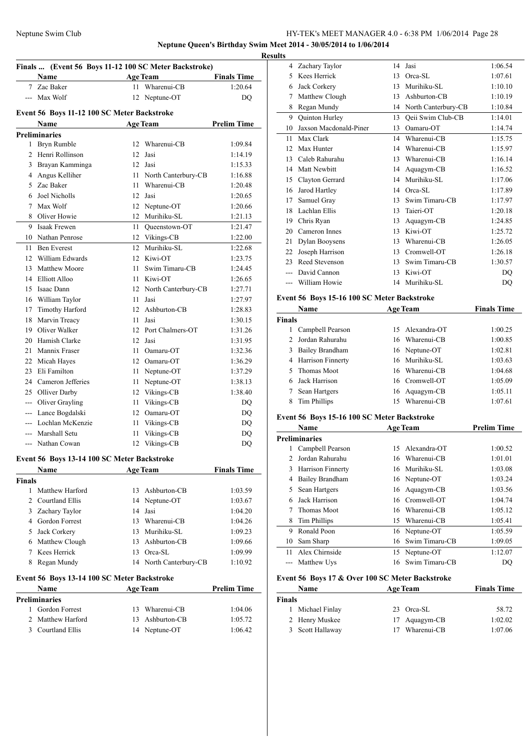### Neptune Swim Club HY-TEK's MEET MANAGER 4.0 - 6:38 PM 1/06/2014 Page 28 **Neptune Queen's Birthday Swim Meet 2014 - 30/05/2014 to 1/06/2014**

**Resul** 

| Finals  (Event 56 Boys 11-12 100 SC Meter Backstroke) |                                             |    |                        |                    |  |
|-------------------------------------------------------|---------------------------------------------|----|------------------------|--------------------|--|
|                                                       | Name                                        |    | <b>Age Team</b>        | <b>Finals Time</b> |  |
| 7                                                     | Zac Baker                                   | 11 | Wharenui-CB            | 1:20.64            |  |
| $\overline{a}$                                        | Max Wolf                                    | 12 | Neptune-OT             | DQ                 |  |
|                                                       | Event 56 Boys 11-12 100 SC Meter Backstroke |    |                        |                    |  |
|                                                       | Name                                        |    | <b>Age Team</b>        | <b>Prelim Time</b> |  |
|                                                       | <b>Preliminaries</b>                        |    |                        |                    |  |
| 1                                                     | Bryn Rumble                                 | 12 | Wharenui-CB            | 1:09.84            |  |
| $\overline{c}$                                        | Henri Rollinson                             | 12 | Jasi                   | 1:14.19            |  |
|                                                       | 3 Brayan Kamminga                           | 12 | Jasi                   | 1:15.33            |  |
|                                                       | 4 Angus Kelliher                            |    | 11 North Canterbury-CB | 1:16.88            |  |
| 5                                                     | Zac Baker                                   | 11 | Wharenui-CB            | 1:20.48            |  |
| 6                                                     | Joel Nicholls                               | 12 | Jasi                   | 1:20.65            |  |
| 7                                                     | Max Wolf                                    |    | 12 Neptune-OT          | 1:20.66            |  |
|                                                       | 8 Oliver Howie                              |    | 12 Murihiku-SL         | 1:21.13            |  |
| 9                                                     | <b>Isaak Frewen</b>                         | 11 | Queenstown-OT          | 1:21.47            |  |
|                                                       | 10 Nathan Penrose                           |    | 12 Vikings-CB          | 1:22.00            |  |
| 11                                                    | <b>Ben</b> Everest                          | 12 | Murihiku-SL            | 1:22.68            |  |
| 12                                                    | William Edwards                             |    | 12 Kiwi-OT             | 1:23.75            |  |
| 13                                                    | <b>Matthew Moore</b>                        | 11 | Swim Timaru-CB         | 1:24.45            |  |
| 14                                                    | Elliott Alloo                               |    | 11 Kiwi-OT             | 1:26.65            |  |
| 15                                                    | Isaac Dann                                  |    | 12 North Canterbury-CB | 1:27.71            |  |
|                                                       | 16 William Taylor                           | 11 | Jasi                   | 1:27.97            |  |
| 17                                                    | Timothy Harford                             |    | 12 Ashburton-CB        | 1:28.83            |  |
| 18                                                    | Marvin Treacy                               | 11 | Jasi                   | 1:30.15            |  |
| 19                                                    | Oliver Walker                               | 12 | Port Chalmers-OT       | 1:31.26            |  |
| 20                                                    | Hamish Clarke                               | 12 | Jasi                   | 1:31.95            |  |
| 21                                                    | Mannix Fraser                               | 11 | Oamaru-OT              | 1:32.36            |  |
| 22                                                    | Micah Hayes                                 |    | 12 Oamaru-OT           | 1:36.29            |  |
| 23                                                    | Eli Familton                                | 11 | Neptune-OT             | 1:37.29            |  |
| 24                                                    | Cameron Jefferies                           | 11 | Neptune-OT             | 1:38.13            |  |
|                                                       | 25 Olliver Darby                            |    | 12 Vikings-CB          | 1:38.40            |  |
| ---                                                   | Oliver Grayling                             | 11 | Vikings-CB             | DQ                 |  |
| $--$                                                  | Lance Bogdalski                             | 12 | Oamaru-OT              | DQ                 |  |
| ---                                                   | Lochlan McKenzie                            | 11 | Vikings-CB             | DQ                 |  |
| ---                                                   | Marshall Setu                               | 11 | Vikings-CB             | DQ                 |  |
|                                                       | --- Nathan Cowan                            | 12 | Vikings-CB             | DQ                 |  |
|                                                       |                                             |    |                        |                    |  |

### **Event 56 Boys 13-14 100 SC Meter Backstroke**

|               | <b>Name</b>           | <b>Age Team</b> |                        | <b>Finals Time</b> |  |
|---------------|-----------------------|-----------------|------------------------|--------------------|--|
| <b>Finals</b> |                       |                 |                        |                    |  |
|               | Matthew Harford       | 13              | Ashburton-CB           | 1:03.59            |  |
|               | 2 Courtland Ellis     |                 | 14 Neptune-OT          | 1:03.67            |  |
| 3             | Zachary Taylor        |                 | 14 Jasi                | 1:04.20            |  |
| 4             | <b>Gordon Forrest</b> | 13              | Wharenui-CB            | 1:04.26            |  |
| 5             | Jack Corkery          | 13.             | Murihiku-SL            | 1:09.23            |  |
| 6             | Matthew Clough        | 13              | Ashburton-CB           | 1:09.66            |  |
|               | Kees Herrick          | 13              | Orca-SL                | 1:09.99            |  |
| 8             | Regan Mundy           |                 | 14 North Canterbury-CB | 1:10.92            |  |

### **Event 56 Boys 13-14 100 SC Meter Backstroke**

| Name |                      | <b>Age Team</b> |                 | <b>Prelim Time</b> |  |
|------|----------------------|-----------------|-----------------|--------------------|--|
|      | <b>Preliminaries</b> |                 |                 |                    |  |
|      | 1 Gordon Forrest     |                 | 13 Wharenui-CB  | 1:04.06            |  |
|      | 2 Matthew Harford    |                 | 13 Ashburton-CB | 1:05.72            |  |
|      | 3 Courtland Ellis    |                 | 14 Neptune-OT   | 1:06.42            |  |

| ults |     |                        |    |                     |         |
|------|-----|------------------------|----|---------------------|---------|
|      | 4   | Zachary Taylor         | 14 | Jasi                | 1:06.54 |
|      | 5   | Kees Herrick           | 13 | Orca-SL             | 1:07.61 |
|      | 6   | Jack Corkery           | 13 | Murihiku-SL         | 1:10.10 |
|      | 7   | Matthew Clough         | 13 | Ashburton-CB        | 1:10.19 |
|      | 8   | Regan Mundy            | 14 | North Canterbury-CB | 1:10.84 |
|      | 9   | Quinton Hurley         | 13 | Qeii Swim Club-CB   | 1:14.01 |
|      | 10  | Jaxson Macdonald-Piner | 13 | Oamaru-OT           | 1:14.74 |
|      | 11  | Max Clark              | 14 | Wharenui-CB         | 1:15.75 |
|      | 12. | Max Hunter             | 14 | Wharenui-CB         | 1:15.97 |
|      | 13  | Caleb Rahurahu         | 13 | Wharenui-CB         | 1:16.14 |
|      | 14  | Matt Newbitt           | 14 | Aquagym-CB          | 1:16.52 |
|      | 15  | Clayton Gerrard        | 14 | Murihiku-SL         | 1:17.06 |
|      | 16  | Jarod Hartley          | 14 | Orca-SL             | 1:17.89 |
|      | 17  | Samuel Gray            | 13 | Swim Timaru-CB      | 1:17.97 |
|      | 18  | Lachlan Ellis          | 13 | Taieri-OT           | 1:20.18 |
|      | 19  | Chris Ryan             | 13 | Aquagym-CB          | 1:24.85 |
|      | 20  | Cameron Innes          | 13 | Kiwi-OT             | 1:25.72 |
|      | 21  | Dylan Booysens         | 13 | Wharenui-CB         | 1:26.05 |
|      | 22  | Joseph Harrison        | 13 | Cromwell-OT         | 1:26.18 |
|      | 23  | Reed Stevenson         | 13 | Swim Timaru-CB      | 1:30.57 |
|      |     | David Cannon           | 13 | Kiwi-OT             | DO      |
|      |     | William Howie          | 14 | Murihiku-SL         | DQ      |
|      |     |                        |    |                     |         |

### **Event 56 Boys 15-16 100 SC Meter Backstroke**

|               | Name                   | <b>Age Team</b>    | <b>Finals Time</b> |
|---------------|------------------------|--------------------|--------------------|
| <b>Finals</b> |                        |                    |                    |
|               | Campbell Pearson       | 15 Alexandra-OT    | 1:00.25            |
| 2.            | Jordan Rahurahu        | 16 Wharenui-CB     | 1:00.85            |
| 3             | <b>Bailey Brandham</b> | 16 Neptune-OT      | 1:02.81            |
|               | 4 Harrison Finnerty    | 16 Murihiku-SL     | 1:03.63            |
| 5.            | Thomas Moot            | 16 Wharenui-CB     | 1:04.68            |
|               | Jack Harrison          | 16 Cromwell-OT     | 1:05.09            |
| 7             | Sean Hartgers          | 16 Aquagym-CB      | 1:05.11            |
|               | Tim Phillips           | Wharenui-CB<br>15. | 1:07.61            |

### **Event 56 Boys 15-16 100 SC Meter Backstroke**

|              | <b>Name</b>              | <b>Age Team</b> |                | <b>Prelim Time</b> |
|--------------|--------------------------|-----------------|----------------|--------------------|
|              | <b>Preliminaries</b>     |                 |                |                    |
| $\mathbf{1}$ | Campbell Pearson         | 15              | Alexandra-OT   | 1:00.52            |
|              | Jordan Rahurahu          |                 | 16 Wharenui-CB | 1:01.01            |
| 3            | <b>Harrison Finnerty</b> |                 | 16 Murihiku-SL | 1:03.08            |
| 4            | <b>Bailey Brandham</b>   |                 | 16 Neptune-OT  | 1:03.24            |
| 5            | Sean Hartgers            |                 | 16 Aquagym-CB  | 1:03.56            |
| 6            | Jack Harrison            | 16              | Cromwell-OT    | 1:04.74            |
|              | Thomas Moot              |                 | 16 Wharenui-CB | 1:05.12            |
| 8            | Tim Phillips             | 15              | Wharenui-CB    | 1:05.41            |
| 9            | Ronald Poon              |                 | 16 Neptune-OT  | 1:05.59            |
| 10           | Sam Sharp                | 16              | Swim Timaru-CB | 1:09.05            |
| 11           | Alex Chirnside           |                 | 15 Neptune-OT  | 1:12.07            |
|              | Matthew Uys              | 16.             | Swim Timaru-CB | DO                 |

### **Event 56 Boys 17 & Over 100 SC Meter Backstroke**

| <b>Name</b>      | <b>Age Team</b>   | <b>Finals Time</b> |
|------------------|-------------------|--------------------|
| Finals           |                   |                    |
| Michael Finlay   | 23 Orca-SL        | 58.72              |
| 2 Henry Muskee   | 17 Aquagym-CB     | 1:02.02            |
| 3 Scott Hallaway | Wharenui-CB<br>17 | 1:07.06            |
|                  |                   |                    |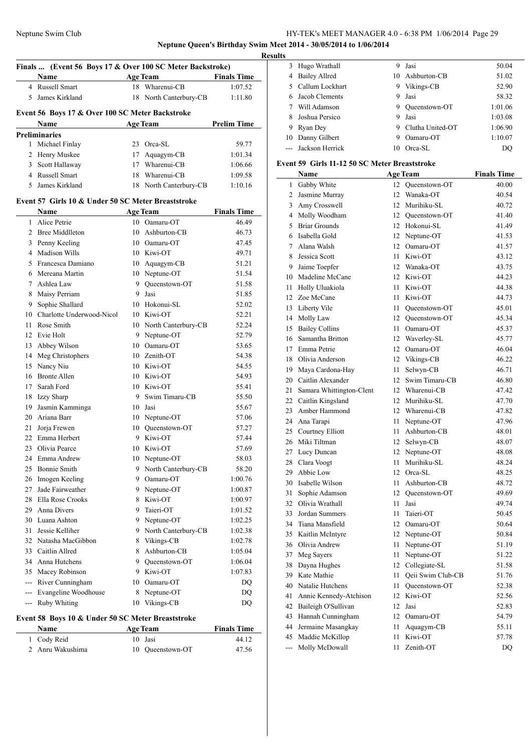### **Neptune Queen's Birthday Swim Meet 2014 - 30/05/2014 to 1/06/2014 Results**

 $\overline{\phantom{0}}$ 

| <b>Age Team</b><br><b>Finals Time</b><br>Name<br>4 Russell Smart<br>18<br>Wharenui-CB<br>1:07.52<br>James Kirkland<br>5<br>18<br>North Canterbury-CB<br>1:11.80<br>Event 56 Boys 17 & Over 100 SC Meter Backstroke<br><b>Prelim Time</b><br><b>Age Team</b><br><b>Name</b><br><b>Preliminaries</b><br>Michael Finlay<br>23 Orca-SL<br>59.77<br>1<br>2 Henry Muskee<br>17 Aquagym-CB<br>1:01.34<br>17 Wharenui-CB<br>Scott Hallaway<br>3<br>1:06.66<br>4 Russell Smart<br>Wharenui-CB<br>1:09.58<br>18<br>5<br>James Kirkland<br>North Canterbury-CB<br>1:10.16<br>18<br>Event 57 Girls 10 & Under 50 SC Meter Breaststroke<br>Name<br><b>Age Team</b><br><b>Finals Time</b><br>Alice Petrie<br>10 Oamaru-OT<br>46.49<br>1<br>2 Bree Middlleton<br>46.73<br>10<br>Ashburton-CB<br>10 Oamaru-OT<br>3<br>Penny Keeling<br>47.45<br><b>Madison Wills</b><br>10 Kiwi-OT<br>$\overline{4}$<br>49.71<br>Francesca Damiano<br>10 Aquagym-CB<br>51.21<br>5<br>10 Neptune-OT<br>Mereana Martin<br>51.54<br>6<br>9 Oueenstown-OT<br>7<br>Ashlea Law<br>51.58<br>Maisy Perriam<br>9<br>Jasi<br>8<br>51.85<br>Sophie Shallard<br>10 Hokonui-SL<br>9<br>52.02<br>10 Charlotte Underwood-Nicol<br>10 Kiwi-OT<br>52.21<br>Rose Smith<br>10 North Canterbury-CB<br>11<br>52.24<br>9 Neptune-OT<br>12<br>Evie Holt<br>52.79<br>Abbey Wilson<br>10 Oamaru-OT<br>13<br>53.65<br>Meg Christophers<br>10 Zenith-OT<br>14<br>54.38<br>Nancy Niu<br>15<br>10 Kiwi-OT<br>54.55<br><b>Bronte Allen</b><br>16<br>10 Kiwi-OT<br>54.93<br>17<br>Sarah Ford<br>10 Kiwi-OT<br>55.41<br>Swim Timaru-CB<br>18<br><b>Izzy Sharp</b><br>9.<br>55.50<br>Jasmin Kamminga<br>19<br>10 Jasi<br>55.67<br>20 Ariana Barr<br>10 Neptune-OT<br>57.06<br>21<br>10 Queenstown-OT<br>Jorja Frewen<br>57.27<br>22 Emma Herbert<br>9 Kiwi-OT<br>57.44<br>23<br>Olivia Pearce<br>10 Kiwi-OT<br>57.69<br>58.03<br>24 Emma Andrew<br>10 Neptune-OT<br>9 North Canterbury-CB<br><b>Bonnie Smith</b><br>25<br>58.20<br>Imogen Keeling<br>9<br>Oamaru-OT<br>26<br>1:00.76 | Finals  (Event 56 Boys 17 & Over 100 SC Meter Backstroke) |  |  |  |  |
|---------------------------------------------------------------------------------------------------------------------------------------------------------------------------------------------------------------------------------------------------------------------------------------------------------------------------------------------------------------------------------------------------------------------------------------------------------------------------------------------------------------------------------------------------------------------------------------------------------------------------------------------------------------------------------------------------------------------------------------------------------------------------------------------------------------------------------------------------------------------------------------------------------------------------------------------------------------------------------------------------------------------------------------------------------------------------------------------------------------------------------------------------------------------------------------------------------------------------------------------------------------------------------------------------------------------------------------------------------------------------------------------------------------------------------------------------------------------------------------------------------------------------------------------------------------------------------------------------------------------------------------------------------------------------------------------------------------------------------------------------------------------------------------------------------------------------------------------------------------------------------------------------------------------------------------------------------------------------------------------------------------------|-----------------------------------------------------------|--|--|--|--|
|                                                                                                                                                                                                                                                                                                                                                                                                                                                                                                                                                                                                                                                                                                                                                                                                                                                                                                                                                                                                                                                                                                                                                                                                                                                                                                                                                                                                                                                                                                                                                                                                                                                                                                                                                                                                                                                                                                                                                                                                                     |                                                           |  |  |  |  |
|                                                                                                                                                                                                                                                                                                                                                                                                                                                                                                                                                                                                                                                                                                                                                                                                                                                                                                                                                                                                                                                                                                                                                                                                                                                                                                                                                                                                                                                                                                                                                                                                                                                                                                                                                                                                                                                                                                                                                                                                                     |                                                           |  |  |  |  |
|                                                                                                                                                                                                                                                                                                                                                                                                                                                                                                                                                                                                                                                                                                                                                                                                                                                                                                                                                                                                                                                                                                                                                                                                                                                                                                                                                                                                                                                                                                                                                                                                                                                                                                                                                                                                                                                                                                                                                                                                                     |                                                           |  |  |  |  |
|                                                                                                                                                                                                                                                                                                                                                                                                                                                                                                                                                                                                                                                                                                                                                                                                                                                                                                                                                                                                                                                                                                                                                                                                                                                                                                                                                                                                                                                                                                                                                                                                                                                                                                                                                                                                                                                                                                                                                                                                                     |                                                           |  |  |  |  |
|                                                                                                                                                                                                                                                                                                                                                                                                                                                                                                                                                                                                                                                                                                                                                                                                                                                                                                                                                                                                                                                                                                                                                                                                                                                                                                                                                                                                                                                                                                                                                                                                                                                                                                                                                                                                                                                                                                                                                                                                                     |                                                           |  |  |  |  |
|                                                                                                                                                                                                                                                                                                                                                                                                                                                                                                                                                                                                                                                                                                                                                                                                                                                                                                                                                                                                                                                                                                                                                                                                                                                                                                                                                                                                                                                                                                                                                                                                                                                                                                                                                                                                                                                                                                                                                                                                                     |                                                           |  |  |  |  |
|                                                                                                                                                                                                                                                                                                                                                                                                                                                                                                                                                                                                                                                                                                                                                                                                                                                                                                                                                                                                                                                                                                                                                                                                                                                                                                                                                                                                                                                                                                                                                                                                                                                                                                                                                                                                                                                                                                                                                                                                                     |                                                           |  |  |  |  |
|                                                                                                                                                                                                                                                                                                                                                                                                                                                                                                                                                                                                                                                                                                                                                                                                                                                                                                                                                                                                                                                                                                                                                                                                                                                                                                                                                                                                                                                                                                                                                                                                                                                                                                                                                                                                                                                                                                                                                                                                                     |                                                           |  |  |  |  |
|                                                                                                                                                                                                                                                                                                                                                                                                                                                                                                                                                                                                                                                                                                                                                                                                                                                                                                                                                                                                                                                                                                                                                                                                                                                                                                                                                                                                                                                                                                                                                                                                                                                                                                                                                                                                                                                                                                                                                                                                                     |                                                           |  |  |  |  |
|                                                                                                                                                                                                                                                                                                                                                                                                                                                                                                                                                                                                                                                                                                                                                                                                                                                                                                                                                                                                                                                                                                                                                                                                                                                                                                                                                                                                                                                                                                                                                                                                                                                                                                                                                                                                                                                                                                                                                                                                                     |                                                           |  |  |  |  |
|                                                                                                                                                                                                                                                                                                                                                                                                                                                                                                                                                                                                                                                                                                                                                                                                                                                                                                                                                                                                                                                                                                                                                                                                                                                                                                                                                                                                                                                                                                                                                                                                                                                                                                                                                                                                                                                                                                                                                                                                                     |                                                           |  |  |  |  |
|                                                                                                                                                                                                                                                                                                                                                                                                                                                                                                                                                                                                                                                                                                                                                                                                                                                                                                                                                                                                                                                                                                                                                                                                                                                                                                                                                                                                                                                                                                                                                                                                                                                                                                                                                                                                                                                                                                                                                                                                                     |                                                           |  |  |  |  |
|                                                                                                                                                                                                                                                                                                                                                                                                                                                                                                                                                                                                                                                                                                                                                                                                                                                                                                                                                                                                                                                                                                                                                                                                                                                                                                                                                                                                                                                                                                                                                                                                                                                                                                                                                                                                                                                                                                                                                                                                                     |                                                           |  |  |  |  |
|                                                                                                                                                                                                                                                                                                                                                                                                                                                                                                                                                                                                                                                                                                                                                                                                                                                                                                                                                                                                                                                                                                                                                                                                                                                                                                                                                                                                                                                                                                                                                                                                                                                                                                                                                                                                                                                                                                                                                                                                                     |                                                           |  |  |  |  |
|                                                                                                                                                                                                                                                                                                                                                                                                                                                                                                                                                                                                                                                                                                                                                                                                                                                                                                                                                                                                                                                                                                                                                                                                                                                                                                                                                                                                                                                                                                                                                                                                                                                                                                                                                                                                                                                                                                                                                                                                                     |                                                           |  |  |  |  |
|                                                                                                                                                                                                                                                                                                                                                                                                                                                                                                                                                                                                                                                                                                                                                                                                                                                                                                                                                                                                                                                                                                                                                                                                                                                                                                                                                                                                                                                                                                                                                                                                                                                                                                                                                                                                                                                                                                                                                                                                                     |                                                           |  |  |  |  |
|                                                                                                                                                                                                                                                                                                                                                                                                                                                                                                                                                                                                                                                                                                                                                                                                                                                                                                                                                                                                                                                                                                                                                                                                                                                                                                                                                                                                                                                                                                                                                                                                                                                                                                                                                                                                                                                                                                                                                                                                                     |                                                           |  |  |  |  |
|                                                                                                                                                                                                                                                                                                                                                                                                                                                                                                                                                                                                                                                                                                                                                                                                                                                                                                                                                                                                                                                                                                                                                                                                                                                                                                                                                                                                                                                                                                                                                                                                                                                                                                                                                                                                                                                                                                                                                                                                                     |                                                           |  |  |  |  |
|                                                                                                                                                                                                                                                                                                                                                                                                                                                                                                                                                                                                                                                                                                                                                                                                                                                                                                                                                                                                                                                                                                                                                                                                                                                                                                                                                                                                                                                                                                                                                                                                                                                                                                                                                                                                                                                                                                                                                                                                                     |                                                           |  |  |  |  |
|                                                                                                                                                                                                                                                                                                                                                                                                                                                                                                                                                                                                                                                                                                                                                                                                                                                                                                                                                                                                                                                                                                                                                                                                                                                                                                                                                                                                                                                                                                                                                                                                                                                                                                                                                                                                                                                                                                                                                                                                                     |                                                           |  |  |  |  |
|                                                                                                                                                                                                                                                                                                                                                                                                                                                                                                                                                                                                                                                                                                                                                                                                                                                                                                                                                                                                                                                                                                                                                                                                                                                                                                                                                                                                                                                                                                                                                                                                                                                                                                                                                                                                                                                                                                                                                                                                                     |                                                           |  |  |  |  |
|                                                                                                                                                                                                                                                                                                                                                                                                                                                                                                                                                                                                                                                                                                                                                                                                                                                                                                                                                                                                                                                                                                                                                                                                                                                                                                                                                                                                                                                                                                                                                                                                                                                                                                                                                                                                                                                                                                                                                                                                                     |                                                           |  |  |  |  |
|                                                                                                                                                                                                                                                                                                                                                                                                                                                                                                                                                                                                                                                                                                                                                                                                                                                                                                                                                                                                                                                                                                                                                                                                                                                                                                                                                                                                                                                                                                                                                                                                                                                                                                                                                                                                                                                                                                                                                                                                                     |                                                           |  |  |  |  |
|                                                                                                                                                                                                                                                                                                                                                                                                                                                                                                                                                                                                                                                                                                                                                                                                                                                                                                                                                                                                                                                                                                                                                                                                                                                                                                                                                                                                                                                                                                                                                                                                                                                                                                                                                                                                                                                                                                                                                                                                                     |                                                           |  |  |  |  |
|                                                                                                                                                                                                                                                                                                                                                                                                                                                                                                                                                                                                                                                                                                                                                                                                                                                                                                                                                                                                                                                                                                                                                                                                                                                                                                                                                                                                                                                                                                                                                                                                                                                                                                                                                                                                                                                                                                                                                                                                                     |                                                           |  |  |  |  |
|                                                                                                                                                                                                                                                                                                                                                                                                                                                                                                                                                                                                                                                                                                                                                                                                                                                                                                                                                                                                                                                                                                                                                                                                                                                                                                                                                                                                                                                                                                                                                                                                                                                                                                                                                                                                                                                                                                                                                                                                                     |                                                           |  |  |  |  |
|                                                                                                                                                                                                                                                                                                                                                                                                                                                                                                                                                                                                                                                                                                                                                                                                                                                                                                                                                                                                                                                                                                                                                                                                                                                                                                                                                                                                                                                                                                                                                                                                                                                                                                                                                                                                                                                                                                                                                                                                                     |                                                           |  |  |  |  |
|                                                                                                                                                                                                                                                                                                                                                                                                                                                                                                                                                                                                                                                                                                                                                                                                                                                                                                                                                                                                                                                                                                                                                                                                                                                                                                                                                                                                                                                                                                                                                                                                                                                                                                                                                                                                                                                                                                                                                                                                                     |                                                           |  |  |  |  |
|                                                                                                                                                                                                                                                                                                                                                                                                                                                                                                                                                                                                                                                                                                                                                                                                                                                                                                                                                                                                                                                                                                                                                                                                                                                                                                                                                                                                                                                                                                                                                                                                                                                                                                                                                                                                                                                                                                                                                                                                                     |                                                           |  |  |  |  |
|                                                                                                                                                                                                                                                                                                                                                                                                                                                                                                                                                                                                                                                                                                                                                                                                                                                                                                                                                                                                                                                                                                                                                                                                                                                                                                                                                                                                                                                                                                                                                                                                                                                                                                                                                                                                                                                                                                                                                                                                                     |                                                           |  |  |  |  |
|                                                                                                                                                                                                                                                                                                                                                                                                                                                                                                                                                                                                                                                                                                                                                                                                                                                                                                                                                                                                                                                                                                                                                                                                                                                                                                                                                                                                                                                                                                                                                                                                                                                                                                                                                                                                                                                                                                                                                                                                                     |                                                           |  |  |  |  |
|                                                                                                                                                                                                                                                                                                                                                                                                                                                                                                                                                                                                                                                                                                                                                                                                                                                                                                                                                                                                                                                                                                                                                                                                                                                                                                                                                                                                                                                                                                                                                                                                                                                                                                                                                                                                                                                                                                                                                                                                                     |                                                           |  |  |  |  |
|                                                                                                                                                                                                                                                                                                                                                                                                                                                                                                                                                                                                                                                                                                                                                                                                                                                                                                                                                                                                                                                                                                                                                                                                                                                                                                                                                                                                                                                                                                                                                                                                                                                                                                                                                                                                                                                                                                                                                                                                                     |                                                           |  |  |  |  |
|                                                                                                                                                                                                                                                                                                                                                                                                                                                                                                                                                                                                                                                                                                                                                                                                                                                                                                                                                                                                                                                                                                                                                                                                                                                                                                                                                                                                                                                                                                                                                                                                                                                                                                                                                                                                                                                                                                                                                                                                                     |                                                           |  |  |  |  |
|                                                                                                                                                                                                                                                                                                                                                                                                                                                                                                                                                                                                                                                                                                                                                                                                                                                                                                                                                                                                                                                                                                                                                                                                                                                                                                                                                                                                                                                                                                                                                                                                                                                                                                                                                                                                                                                                                                                                                                                                                     |                                                           |  |  |  |  |
|                                                                                                                                                                                                                                                                                                                                                                                                                                                                                                                                                                                                                                                                                                                                                                                                                                                                                                                                                                                                                                                                                                                                                                                                                                                                                                                                                                                                                                                                                                                                                                                                                                                                                                                                                                                                                                                                                                                                                                                                                     |                                                           |  |  |  |  |
|                                                                                                                                                                                                                                                                                                                                                                                                                                                                                                                                                                                                                                                                                                                                                                                                                                                                                                                                                                                                                                                                                                                                                                                                                                                                                                                                                                                                                                                                                                                                                                                                                                                                                                                                                                                                                                                                                                                                                                                                                     |                                                           |  |  |  |  |
|                                                                                                                                                                                                                                                                                                                                                                                                                                                                                                                                                                                                                                                                                                                                                                                                                                                                                                                                                                                                                                                                                                                                                                                                                                                                                                                                                                                                                                                                                                                                                                                                                                                                                                                                                                                                                                                                                                                                                                                                                     |                                                           |  |  |  |  |
|                                                                                                                                                                                                                                                                                                                                                                                                                                                                                                                                                                                                                                                                                                                                                                                                                                                                                                                                                                                                                                                                                                                                                                                                                                                                                                                                                                                                                                                                                                                                                                                                                                                                                                                                                                                                                                                                                                                                                                                                                     |                                                           |  |  |  |  |
|                                                                                                                                                                                                                                                                                                                                                                                                                                                                                                                                                                                                                                                                                                                                                                                                                                                                                                                                                                                                                                                                                                                                                                                                                                                                                                                                                                                                                                                                                                                                                                                                                                                                                                                                                                                                                                                                                                                                                                                                                     |                                                           |  |  |  |  |
| Jade Fairweather<br>Neptune-OT<br>27<br>9<br>1:00.87<br>Ella Rose Crooks<br>Kiwi-OT                                                                                                                                                                                                                                                                                                                                                                                                                                                                                                                                                                                                                                                                                                                                                                                                                                                                                                                                                                                                                                                                                                                                                                                                                                                                                                                                                                                                                                                                                                                                                                                                                                                                                                                                                                                                                                                                                                                                 |                                                           |  |  |  |  |
| 28<br>8<br>1:00.97<br>Anna Divers<br>29<br>9                                                                                                                                                                                                                                                                                                                                                                                                                                                                                                                                                                                                                                                                                                                                                                                                                                                                                                                                                                                                                                                                                                                                                                                                                                                                                                                                                                                                                                                                                                                                                                                                                                                                                                                                                                                                                                                                                                                                                                        |                                                           |  |  |  |  |
| Taieri-OT<br>1:01.52<br>Luana Ashton<br>Neptune-OT<br>30<br>1:02.25<br>9.                                                                                                                                                                                                                                                                                                                                                                                                                                                                                                                                                                                                                                                                                                                                                                                                                                                                                                                                                                                                                                                                                                                                                                                                                                                                                                                                                                                                                                                                                                                                                                                                                                                                                                                                                                                                                                                                                                                                           |                                                           |  |  |  |  |
| 31<br>Jessie Kelliher<br>North Canterbury-CB<br>9.                                                                                                                                                                                                                                                                                                                                                                                                                                                                                                                                                                                                                                                                                                                                                                                                                                                                                                                                                                                                                                                                                                                                                                                                                                                                                                                                                                                                                                                                                                                                                                                                                                                                                                                                                                                                                                                                                                                                                                  |                                                           |  |  |  |  |
| 1:02.38<br>32<br>Natasha MacGibbon<br>Vikings-CB<br>1:02.78<br>8                                                                                                                                                                                                                                                                                                                                                                                                                                                                                                                                                                                                                                                                                                                                                                                                                                                                                                                                                                                                                                                                                                                                                                                                                                                                                                                                                                                                                                                                                                                                                                                                                                                                                                                                                                                                                                                                                                                                                    |                                                           |  |  |  |  |
| Ashburton-CB<br>33<br>Caitlin Allred<br>8<br>1:05.04                                                                                                                                                                                                                                                                                                                                                                                                                                                                                                                                                                                                                                                                                                                                                                                                                                                                                                                                                                                                                                                                                                                                                                                                                                                                                                                                                                                                                                                                                                                                                                                                                                                                                                                                                                                                                                                                                                                                                                |                                                           |  |  |  |  |
| Anna Hutchens<br>34<br>9 Oueenstown-OT<br>1:06.04                                                                                                                                                                                                                                                                                                                                                                                                                                                                                                                                                                                                                                                                                                                                                                                                                                                                                                                                                                                                                                                                                                                                                                                                                                                                                                                                                                                                                                                                                                                                                                                                                                                                                                                                                                                                                                                                                                                                                                   |                                                           |  |  |  |  |
| Macey Robinson<br>Kiwi-OT<br>35<br>9.<br>1:07.83                                                                                                                                                                                                                                                                                                                                                                                                                                                                                                                                                                                                                                                                                                                                                                                                                                                                                                                                                                                                                                                                                                                                                                                                                                                                                                                                                                                                                                                                                                                                                                                                                                                                                                                                                                                                                                                                                                                                                                    |                                                           |  |  |  |  |
| --- River Cunningham<br>10 Oamaru-OT<br>DQ                                                                                                                                                                                                                                                                                                                                                                                                                                                                                                                                                                                                                                                                                                                                                                                                                                                                                                                                                                                                                                                                                                                                                                                                                                                                                                                                                                                                                                                                                                                                                                                                                                                                                                                                                                                                                                                                                                                                                                          |                                                           |  |  |  |  |
| --- Evangeline Woodhouse<br>Neptune-OT<br>DQ<br>8                                                                                                                                                                                                                                                                                                                                                                                                                                                                                                                                                                                                                                                                                                                                                                                                                                                                                                                                                                                                                                                                                                                                                                                                                                                                                                                                                                                                                                                                                                                                                                                                                                                                                                                                                                                                                                                                                                                                                                   |                                                           |  |  |  |  |
| Vikings-CB<br>--- Ruby Whiting<br>10<br>DQ                                                                                                                                                                                                                                                                                                                                                                                                                                                                                                                                                                                                                                                                                                                                                                                                                                                                                                                                                                                                                                                                                                                                                                                                                                                                                                                                                                                                                                                                                                                                                                                                                                                                                                                                                                                                                                                                                                                                                                          |                                                           |  |  |  |  |
|                                                                                                                                                                                                                                                                                                                                                                                                                                                                                                                                                                                                                                                                                                                                                                                                                                                                                                                                                                                                                                                                                                                                                                                                                                                                                                                                                                                                                                                                                                                                                                                                                                                                                                                                                                                                                                                                                                                                                                                                                     |                                                           |  |  |  |  |
| Event 58 Boys 10 & Under 50 SC Meter Breaststroke<br><b>Name</b><br>Age Team<br><b>Finals Time</b>                                                                                                                                                                                                                                                                                                                                                                                                                                                                                                                                                                                                                                                                                                                                                                                                                                                                                                                                                                                                                                                                                                                                                                                                                                                                                                                                                                                                                                                                                                                                                                                                                                                                                                                                                                                                                                                                                                                  |                                                           |  |  |  |  |

| <b>Name</b>      | <b>Age Team</b>  | <b>Finals Time</b> |
|------------------|------------------|--------------------|
| 1 Cody Reid      | 10 Jasi          | 44.12              |
| 2 Anru Wakushima | 10 Oueenstown-OT | 47.56              |

|       | 3 Hugo Wrathall      | 9  | Jasi             | 50.04   |
|-------|----------------------|----|------------------|---------|
| 4     | <b>Bailey Allred</b> | 10 | Ashburton-CB     | 51.02   |
|       | 5 Callum Lockhart    | 9  | Vikings-CB       | 52.90   |
| 6.    | Jacob Clements       | 9  | Jasi             | 58.32   |
|       | Will Adamson         | 9  | Oueenstown-OT    | 1:01.06 |
| 8     | Joshua Persico       | 9  | Jasi             | 1:03.08 |
| 9     | Ryan Dey             | 9  | Clutha United-OT | 1:06.90 |
|       | 10 Danny Gilbert     | 9  | Oamaru-OT        | 1:10.07 |
| $---$ | Jackson Herrick      | 10 | Orea-SL          | DO      |
|       |                      |    |                  |         |

### **Event 59 Girls 11-12 50 SC Meter Breaststroke**

|     | Name                     |    | <b>Age Team</b>   | <b>Finals Time</b> |
|-----|--------------------------|----|-------------------|--------------------|
| 1   | Gabby White              | 12 | Queenstown-OT     | 40.00              |
| 2   | Jasmine Murray           | 12 | Wanaka-OT         | 40.54              |
| 3   | Amy Crosswell            | 12 | Murihiku-SL       | 40.72              |
| 4   | Molly Woodham            | 12 | Oueenstown-OT     | 41.40              |
| 5   | <b>Briar Grounds</b>     | 12 | Hokonui-SL        | 41.49              |
| 6   | Isabella Gold            | 12 | Neptune-OT        | 41.53              |
| 7   | Alana Walsh              | 12 | Oamaru-OT         | 41.57              |
| 8   | Jessica Scott            | 11 | Kiwi-OT           | 43.12              |
| 9   | Jaime Toepfer            | 12 | Wanaka-OT         | 43.75              |
| 10  | Madeline McCane          | 12 | Kiwi-OT           | 44.23              |
| 11  | Holly Uluakiola          | 11 | Kiwi-OT           | 44.38              |
| 12  | Zoe McCane               | 11 | Kiwi-OT           | 44.73              |
| 13  | Liberty Vile             | 11 | Queenstown-OT     | 45.01              |
| 14  | Molly Law                | 12 | Queenstown-OT     | 45.34              |
| 15  | <b>Bailey Collins</b>    | 11 | Oamaru-OT         | 45.37              |
| 16  | Samantha Britton         | 12 | Waverley-SL       | 45.77              |
| 17  | Emma Petrie              | 12 | Oamaru-OT         | 46.04              |
| 18  | Olivia Anderson          | 12 | Vikings-CB        | 46.22              |
| 19  | Maya Cardona-Hay         | 11 | Selwyn-CB         | 46.71              |
| 20  | Caitlin Alexander        | 12 | Swim Timaru-CB    | 46.80              |
| 21  | Samara Whittington-Clent | 12 | Wharenui-CB       | 47.42              |
| 22  | Caitlin Kingsland        | 12 | Murihiku-SL       | 47.70              |
| 23  | Amber Hammond            | 12 | Wharenui-CB       | 47.82              |
| 24  | Ana Tarapi               | 11 | Neptune-OT        | 47.96              |
| 25  | Courtney Elliott         | 11 | Ashburton-CB      | 48.01              |
| 26  | Miki Tiltman             | 12 | Selwyn-CB         | 48.07              |
| 27  | Lucy Duncan              | 12 | Neptune-OT        | 48.08              |
| 28  | Clara Voogt              | 11 | Murihiku-SL       | 48.24              |
| 29  | Abbie Low                | 12 | Orca-SL           | 48.25              |
| 30  | Isabelle Wilson          | 11 | Ashburton-CB      | 48.72              |
| 31  | Sophie Adamson           | 12 | Queenstown-OT     | 49.69              |
| 32  | Olivia Wrathall          | 11 | Jasi              | 49.74              |
| 33  | Jordan Summers           | 11 | Taieri-OT         | 50.45              |
| 34  | Tiana Mansfield          | 12 | Oamaru-OT         | 50.64              |
| 35  | Kaitlin McIntyre         | 12 | Neptune-OT        | 50.84              |
| 36  | Olivia Andrew            | 11 | Neptune-OT        | 51.19              |
| 37  | Meg Sayers               | 11 | Neptune-OT        | 51.22              |
| 38  | Dayna Hughes             | 12 | Collegiate-SL     | 51.58              |
| 39  | Kate Mathie              | 11 | Qeii Swim Club-CB | 51.76              |
| 40  | Natalie Hutchens         | 11 | Queenstown-OT     | 52.38              |
| 41  | Annie Kennedy-Atchison   | 12 | Kiwi-OT           | 52.56              |
| 42  | Baileigh O'Sullivan      | 12 | Jasi              | 52.83              |
| 43  | Hannah Cunningham        | 12 | Oamaru-OT         | 54.79              |
| 44  | Jermaine Masangkay       | 11 | Aquagym-CB        | 55.11              |
| 45  | Maddie McKillop          | 11 | Kiwi-OT           | 57.78              |
| --- | Molly McDowall           | 11 | Zenith-OT         | DQ                 |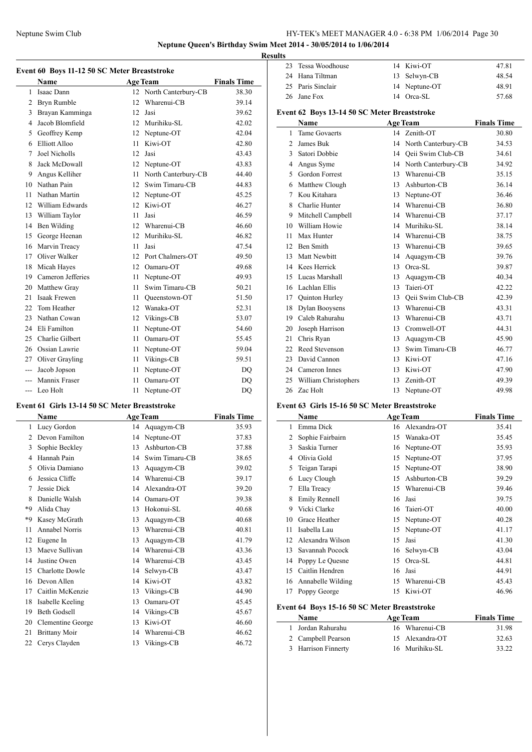**Neptune Queen's Birthday Swim Meet 2014 - 30/05/2014 to 1/06/2014**

**Event 60 Boys 11-12 50 SC Meter Breaststroke**

|                | Name               |    | <b>Age Team</b>        | <b>Finals Time</b> |  |  |
|----------------|--------------------|----|------------------------|--------------------|--|--|
|                | 1 Isaac Dann       |    | 12 North Canterbury-CB | 38.30              |  |  |
|                | 2 Bryn Rumble      | 12 | Wharenui-CB            | 39.14              |  |  |
| $\overline{3}$ | Brayan Kamminga    | 12 | Jasi                   | 39.62              |  |  |
| 4              | Jacob Blomfield    | 12 | Murihiku-SL            | 42.02              |  |  |
| 5              | Geoffrey Kemp      | 12 | Neptune-OT             | 42.04              |  |  |
| 6              | Elliott Alloo      | 11 | Kiwi-OT                | 42.80              |  |  |
| 7              | Joel Nicholls      | 12 | Jasi                   | 43.43              |  |  |
| 8              | Jack McDowall      | 12 | Neptune-OT             | 43.83              |  |  |
| 9              | Angus Kelliher     | 11 | North Canterbury-CB    | 44.40              |  |  |
| 10             | Nathan Pain        | 12 | Swim Timaru-CB         | 44.83              |  |  |
| 11             | Nathan Martin      | 12 | Neptune-OT             | 45.25              |  |  |
|                | 12 William Edwards | 12 | Kiwi-OT                | 46.27              |  |  |
| 13             | William Taylor     | 11 | Jasi                   | 46.59              |  |  |
| 14             | Ben Wilding        | 12 | Wharenui-CB            | 46.60              |  |  |
| 15             | George Heenan      | 12 | Murihiku-SL            | 46.82              |  |  |
| 16             | Marvin Treacy      | 11 | Jasi                   | 47.54              |  |  |
| 17             | Oliver Walker      | 12 | Port Chalmers-OT       | 49.50              |  |  |
| 18             | Micah Hayes        | 12 | Oamaru-OT              | 49.68              |  |  |
| 19             | Cameron Jefferies  | 11 | Neptune-OT             | 49.93              |  |  |
| 20             | Matthew Gray       | 11 | Swim Timaru-CB         | 50.21              |  |  |
| 21             | Isaak Frewen       | 11 | Oueenstown-OT          | 51.50              |  |  |
| 22             | Tom Heather        | 12 | Wanaka-OT              | 52.31              |  |  |
| 23             | Nathan Cowan       | 12 | Vikings-CB             | 53.07              |  |  |
| 24             | Eli Familton       | 11 | Neptune-OT             | 54.60              |  |  |
| 25             | Charlie Gilbert    | 11 | Oamaru-OT              | 55.45              |  |  |
| 26             | Ossian Lawrie      | 11 | Neptune-OT             | 59.04              |  |  |
| 27             | Oliver Grayling    | 11 | Vikings-CB             | 59.51              |  |  |
| $---$          | Jacob Jopson       | 11 | Neptune-OT             | DQ                 |  |  |
| $\frac{1}{2}$  | Mannix Fraser      | 11 | Oamaru-OT              | <b>DQ</b>          |  |  |
| ---            | Leo Holt           | 11 | Neptune-OT             | DO                 |  |  |

#### **Event 61 Girls 13-14 50 SC Meter Breaststroke**

|      | Name                 |    | <b>Age Team</b> | <b>Finals Time</b> |
|------|----------------------|----|-----------------|--------------------|
| 1    | Lucy Gordon          | 14 | Aquagym-CB      | 35.93              |
| 2    | Devon Familton       | 14 | Neptune-OT      | 37.83              |
| 3    | Sophie Beckley       | 13 | Ashburton-CB    | 37.88              |
| 4    | Hannah Pain          | 14 | Swim Timaru-CB  | 38.65              |
| 5    | Olivia Damiano       | 13 | Aquagym-CB      | 39.02              |
| 6    | Jessica Cliffe       | 14 | Wharenui-CB     | 39.17              |
| 7    | Jessie Dick          | 14 | Alexandra-OT    | 39.20              |
| 8    | Danielle Walsh       | 14 | Oamaru-OT       | 39.38              |
| *9   | Alida Chay           | 13 | Hokonui-SL      | 40.68              |
| $*9$ | Kasey McGrath        | 13 | Aquagym-CB      | 40.68              |
| 11   | Annabel Norris       | 13 | Wharenui-CB     | 40.81              |
| 12   | Eugene In            | 13 | Aquagym-CB      | 41.79              |
| 13   | Maeve Sullivan       | 14 | Wharenui-CB     | 43.36              |
| 14   | Justine Owen         | 14 | Wharenui-CB     | 43.45              |
| 15   | Charlotte Dowle      | 14 | Selwyn-CB       | 43.47              |
| 16   | Devon Allen          | 14 | Kiwi-OT         | 43.82              |
| 17   | Caitlin McKenzie     | 13 | Vikings-CB      | 44.90              |
| 18   | Isabelle Keeling     | 13 | Oamaru-OT       | 45.45              |
| 19   | <b>Beth Godsell</b>  | 14 | Vikings-CB      | 45.67              |
| 20   | Clementine George    | 13 | Kiwi-OT         | 46.60              |
| 21   | <b>Brittany Moir</b> | 14 | Wharenui-CB     | 46.62              |
| 22   | Cerys Clayden        | 13 | Vikings-CB      | 46.72              |

| <b>Results</b> |                    |  |               |       |  |
|----------------|--------------------|--|---------------|-------|--|
|                | 23 Tessa Woodhouse |  | 14 Kiwi-OT    | 47.81 |  |
|                | 24 Hana Tiltman    |  | 13 Selwyn-CB  | 48.54 |  |
|                | 25 Paris Sinclair  |  | 14 Neptune-OT | 48.91 |  |
|                | 26 Jane Fox        |  | 14 Orca-SL    | 57.68 |  |

### **Event 62 Boys 13-14 50 SC Meter Breaststroke**

|                | Name                  |    | <b>Age Team</b>        | <b>Finals Time</b> |
|----------------|-----------------------|----|------------------------|--------------------|
| 1              | <b>Tame Govaerts</b>  | 14 | Zenith-OT              | 30.80              |
| $\overline{c}$ | James Buk             |    | 14 North Canterbury-CB | 34.53              |
| 3              | Satori Dobbie         | 14 | Qeii Swim Club-CB      | 34.61              |
| 4              | Angus Syme            | 14 | North Canterbury-CB    | 34.92              |
| 5              | <b>Gordon Forrest</b> | 13 | Wharenui-CB            | 35.15              |
| 6              | Matthew Clough        | 13 | Ashburton-CB           | 36.14              |
| 7              | Kou Kitahara          | 13 | Neptune-OT             | 36.46              |
| 8              | Charlie Hunter        | 14 | Wharenui-CB            | 36.80              |
| 9              | Mitchell Campbell     | 14 | Wharenui-CB            | 37.17              |
| 10             | William Howie         | 14 | Murihiku-SL            | 38.14              |
| 11             | Max Hunter            | 14 | Wharenui-CB            | 38.75              |
| 12             | <b>Ben Smith</b>      | 13 | Wharenui-CB            | 39.65              |
| 13             | Matt Newbitt          | 14 | Aquagym-CB             | 39.76              |
| 14             | Kees Herrick          | 13 | Orca-SL                | 39.87              |
| 15             | Lucas Marshall        | 13 | Aquagym-CB             | 40.34              |
| 16             | Lachlan Ellis         | 13 | Taieri-OT              | 42.22              |
| 17             | Quinton Hurley        | 13 | Qeii Swim Club-CB      | 42.39              |
| 18             | Dylan Booysens        | 13 | Wharenui-CB            | 43.31              |
| 19             | Caleb Rahurahu        | 13 | Wharenui-CB            | 43.71              |
| 20             | Joseph Harrison       | 13 | Cromwell-OT            | 44.31              |
| 21             | Chris Ryan            | 13 | Aquagym-CB             | 45.90              |
| 22             | Reed Stevenson        | 13 | Swim Timaru-CB         | 46.77              |
| 23             | David Cannon          | 13 | Kiwi-OT                | 47.16              |
| 24             | Cameron Innes         | 13 | Kiwi-OT                | 47.90              |
| 25             | William Christophers  | 13 | Zenith-OT              | 49.39              |
| 26             | Zac Holt              | 13 | Neptune-OT             | 49.98              |

#### **Event 63 Girls 15-16 50 SC Meter Breaststroke**

 $\overline{a}$ 

 $\overline{a}$ 

|    | <b>Name</b>          |    | <b>Age Team</b> | <b>Finals Time</b> |
|----|----------------------|----|-----------------|--------------------|
| 1  | Emma Dick            | 16 | Alexandra-OT    | 35.41              |
| 2  | Sophie Fairbairn     | 15 | Wanaka-OT       | 35.45              |
| 3  | Saskia Turner        | 16 | Neptune-OT      | 35.93              |
| 4  | Olivia Gold          | 15 | Neptune-OT      | 37.95              |
| 5  | Teigan Tarapi        | 15 | Neptune-OT      | 38.90              |
| 6  | Lucy Clough          | 15 | Ashburton-CB    | 39.29              |
| 7  | Ella Treacy          | 15 | Wharenui-CB     | 39.46              |
| 8  | <b>Emily Rennell</b> | 16 | Jasi            | 39.75              |
| 9  | Vicki Clarke         | 16 | Taieri-OT       | 40.00              |
| 10 | Grace Heather        | 15 | Neptune-OT      | 40.28              |
| 11 | Isabella Lau         | 15 | Neptune-OT      | 41.17              |
| 12 | Alexandra Wilson     | 15 | Jasi            | 41.30              |
| 13 | Savannah Pocock      | 16 | Selwyn-CB       | 43.04              |
| 14 | Poppy Le Quesne      | 15 | Orca-SL         | 44.81              |
| 15 | Caitlin Hendren      | 16 | Jasi            | 44.91              |
| 16 | Annabelle Wilding    | 15 | Wharenui-CB     | 45.43              |
| 17 | Poppy George         | 15 | Kiwi-OT         | 46.96              |

### **Event 64 Boys 15-16 50 SC Meter Breaststroke**

| <b>Name</b>         | <b>Age Team</b> | <b>Finals Time</b> |
|---------------------|-----------------|--------------------|
| Jordan Rahurahu     | 16 Wharenui-CB  | 31.98              |
| 2 Campbell Pearson  | 15 Alexandra-OT | 32.63              |
| 3 Harrison Finnerty | 16 Murihiku-SL  | 33.22              |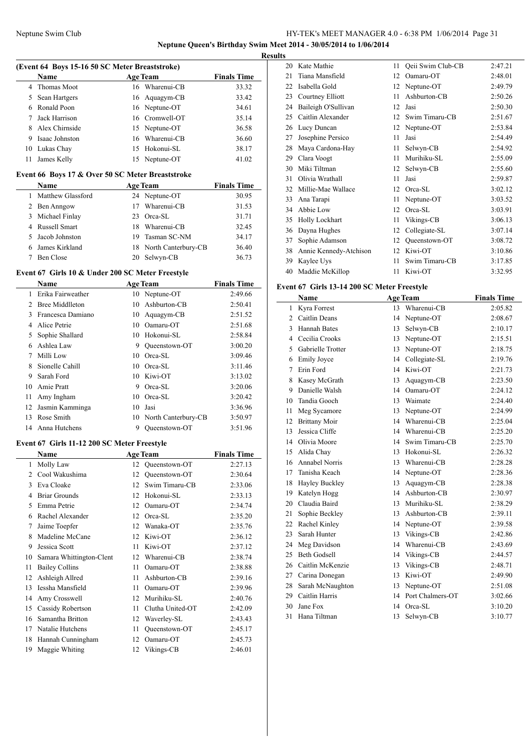$\overline{a}$ 

L.

 $\overline{a}$ 

### Neptune Swim Club HY-TEK's MEET MANAGER 4.0 - 6:38 PM 1/06/2014 Page 31 **Neptune Queen's Birthday Swim Meet 2014 - 30/05/2014 to 1/06/2014**

**Results**

 $\frac{1}{2}$ 

| (Event 64 Boys 15-16 50 SC Meter Breaststroke) |                |    |                 |                    |  |
|------------------------------------------------|----------------|----|-----------------|--------------------|--|
|                                                | <b>Name</b>    |    | <b>Age Team</b> | <b>Finals Time</b> |  |
| 4                                              | Thomas Moot    |    | 16 Wharenui-CB  | 33.32              |  |
| 5.                                             | Sean Hartgers  |    | 16 Aquagym-CB   | 33.42              |  |
| 6                                              | Ronald Poon    |    | 16 Neptune-OT   | 34.61              |  |
| 7                                              | Jack Harrison  |    | 16 Cromwell-OT  | 35.14              |  |
| 8                                              | Alex Chirnside |    | 15 Neptune-OT   | 36.58              |  |
| 9                                              | Isaac Johnston | 16 | Wharenui-CB     | 36.60              |  |
| 10                                             | Lukas Chay     | 15 | Hokonui-SL      | 38.17              |  |
| 11                                             | James Kelly    | 15 | Neptune-OT      | 41.02              |  |
|                                                |                |    |                 |                    |  |

#### **Event 66 Boys 17 & Over 50 SC Meter Breaststroke**

| <b>Name</b>          | <b>Age Team</b>        | <b>Finals Time</b> |
|----------------------|------------------------|--------------------|
| Matthew Glassford    | 24 Neptune-OT          | 30.95              |
| 2 Ben Anngow         | Wharenui-CB<br>17      | 31.53              |
| Michael Finlay<br>3. | 23 Orca-SL             | 31.71              |
| 4 Russell Smart      | 18 Wharenui-CB         | 32.45              |
| Jacob Johnston       | 19 Tasman SC-NM        | 34.17              |
| James Kirkland       | 18 North Canterbury-CB | 36.40              |
| Ben Close            | 20 Selwyn-CB           | 36.73              |

#### **Event 67 Girls 10 & Under 200 SC Meter Freestyle**

|               | Name              |    | <b>Age Team</b>        | <b>Finals Time</b> |
|---------------|-------------------|----|------------------------|--------------------|
| 1             | Erika Fairweather |    | 10 Neptune-OT          | 2:49.66            |
| $\mathcal{L}$ | Bree Middlleton   | 10 | Ashburton-CB           | 2:50.41            |
| $\mathbf{3}$  | Francesca Damiano | 10 | Aquagym-CB             | 2:51.52            |
| 4             | Alice Petrie      | 10 | Oamaru-OT              | 2:51.68            |
| 5             | Sophie Shallard   | 10 | Hokonui-SL             | 2:58.84            |
| 6             | Ashlea Law        | 9  | Oueenstown-OT          | 3:00.20            |
| 7             | Milli Low         | 10 | Orca-SL                | 3:09.46            |
| 8             | Sionelle Cahill   | 10 | Orca-SL                | 3:11.46            |
| 9             | Sarah Ford        | 10 | Kiwi-OT                | 3:13.02            |
| 10            | Amie Pratt        | 9  | Orca-SL                | 3:20.06            |
| 11            | Amy Ingham        | 10 | Orca-SL                | 3:20.42            |
| 12            | Jasmin Kamminga   | 10 | Jasi                   | 3:36.96            |
| 13            | Rose Smith        |    | 10 North Canterbury-CB | 3:50.97            |
|               | 14 Anna Hutchens  | 9  | Oueenstown-OT          | 3:51.96            |

### **Event 67 Girls 11-12 200 SC Meter Freestyle**

|    | Name                     |    | <b>Age Team</b>  | <b>Finals Time</b> |  |
|----|--------------------------|----|------------------|--------------------|--|
| 1  | Molly Law                | 12 | Queenstown-OT    | 2:27.13            |  |
| 2  | Cool Wakushima           | 12 | Oueenstown-OT    | 2:30.64            |  |
| 3  | Eva Cloake               | 12 | Swim Timaru-CB   | 2:33.06            |  |
| 4  | <b>Briar Grounds</b>     | 12 | Hokonui-SL       | 2:33.13            |  |
| 5  | Emma Petrie              | 12 | Oamaru-OT        | 2:34.74            |  |
| 6  | Rachel Alexander         | 12 | Orca-SL          | 2:35.20            |  |
| 7  | Jaime Toepfer            | 12 | Wanaka-OT        | 2:35.76            |  |
| 8  | Madeline McCane          | 12 | Kiwi-OT          | 2:36.12            |  |
| 9  | Jessica Scott            | 11 | Kiwi-OT          | 2:37.12            |  |
| 10 | Samara Whittington-Clent | 12 | Wharenui-CB      | 2:38.74            |  |
| 11 | <b>Bailey Collins</b>    | 11 | Oamaru-OT        | 2:38.88            |  |
| 12 | Ashleigh Allred          | 11 | Ashburton-CB     | 2:39.16            |  |
| 13 | Iessha Mansfield         | 11 | Oamaru-OT        | 2:39.96            |  |
| 14 | Amy Crosswell            | 12 | Murihiku-SL      | 2:40.76            |  |
| 15 | Cassidy Robertson        | 11 | Clutha United-OT | 2:42.09            |  |
| 16 | Samantha Britton         | 12 | Waverley-SL      | 2:43.43            |  |
| 17 | Natalie Hutchens         | 11 | Oueenstown-OT    | 2:45.17            |  |
| 18 | Hannah Cunningham        | 12 | Oamaru-OT        | 2:45.73            |  |
| 19 | Maggie Whiting           | 12 | Vikings-CB       | 2:46.01            |  |

| 20 | Kate Mathie            | 11 | Qeii Swim Club-CB | 2:47.21 |
|----|------------------------|----|-------------------|---------|
| 21 | Tiana Mansfield        | 12 | Oamaru-OT         | 2:48.01 |
| 22 | Isabella Gold          | 12 | Neptune-OT        | 2:49.79 |
| 23 | Courtney Elliott       | 11 | Ashburton-CB      | 2:50.26 |
| 24 | Baileigh O'Sullivan    | 12 | Jasi              | 2:50.30 |
| 25 | Caitlin Alexander      | 12 | Swim Timaru-CB    | 2:51.67 |
| 26 | Lucy Duncan            | 12 | Neptune-OT        | 2:53.84 |
| 27 | Josephine Persico      | 11 | Jasi              | 2:54.49 |
| 28 | Maya Cardona-Hay       | 11 | Selwyn-CB         | 2:54.92 |
| 29 | Clara Voogt            | 11 | Murihiku-SL       | 2:55.09 |
| 30 | Miki Tiltman           | 12 | Selwyn-CB         | 2:55.60 |
| 31 | Olivia Wrathall        | 11 | Jasi              | 2:59.87 |
| 32 | Millie-Mae Wallace     | 12 | Orca-SL           | 3:02.12 |
| 33 | Ana Tarapi             | 11 | Neptune-OT        | 3:03.52 |
| 34 | Abbie Low              | 12 | Orca-SL           | 3:03.91 |
| 35 | Holly Lockhart         | 11 | Vikings-CB        | 3:06.13 |
| 36 | Dayna Hughes           | 12 | Collegiate-SL     | 3:07.14 |
| 37 | Sophie Adamson         | 12 | Oueenstown-OT     | 3:08.72 |
| 38 | Annie Kennedy-Atchison | 12 | Kiwi-OT           | 3:10.86 |
| 39 | Kaylee Uys             | 11 | Swim Timaru-CB    | 3:17.85 |
| 40 | Maddie McKillop        | 11 | Kiwi-OT           | 3:32.95 |
|    |                        |    |                   |         |

### **Event 67 Girls 13-14 200 SC Meter Freestyle**

|    | Name                  | <b>Age Team</b> |                  | <b>Finals Time</b> |
|----|-----------------------|-----------------|------------------|--------------------|
| 1  | Kyra Forrest          | 13              | Wharenui-CB      | 2:05.82            |
| 2  | Caitlin Deans         | 14              | Neptune-OT       | 2:08.67            |
| 3  | <b>Hannah Bates</b>   | 13              | Selwyn-CB        | 2:10.17            |
| 4  | Cecilia Crooks        | 13              | Neptune-OT       | 2:15.51            |
| 5  | Gabrielle Trotter     | 13              | Neptune-OT       | 2:18.75            |
| 6  | <b>Emily Joyce</b>    | 14              | Collegiate-SL    | 2:19.76            |
| 7  | Erin Ford             | 14              | Kiwi-OT          | 2:21.73            |
| 8  | Kasey McGrath         | 13              | Aquagym-CB       | 2:23.50            |
| 9  | Danielle Walsh        | 14              | Oamaru-OT        | 2:24.12            |
| 10 | Tandia Gooch          | 13              | Waimate          | 2:24.40            |
| 11 | Meg Sycamore          | 13              | Neptune-OT       | 2:24.99            |
| 12 | <b>Brittany Moir</b>  | 14              | Wharenui-CB      | 2:25.04            |
| 13 | Jessica Cliffe        | 14              | Wharenui-CB      | 2:25.20            |
| 14 | Olivia Moore          | 14              | Swim Timaru-CB   | 2:25.70            |
| 15 | Alida Chay            | 13              | Hokonui-SL       | 2:26.32            |
| 16 | <b>Annabel Norris</b> | 13              | Wharenui-CB      | 2:28.28            |
| 17 | Tanisha Keach         | 14              | Neptune-OT       | 2:28.36            |
| 18 | Hayley Buckley        | 13              | Aquagym-CB       | 2:28.38            |
| 19 | Katelyn Hogg          | 14              | Ashburton-CB     | 2:30.97            |
| 20 | Claudia Baird         | 13              | Murihiku-SL      | 2:38.29            |
| 21 | Sophie Beckley        | 13              | Ashburton-CB     | 2:39.11            |
| 22 | Rachel Kinley         | 14              | Neptune-OT       | 2:39.58            |
| 23 | Sarah Hunter          | 13              | Vikings-CB       | 2:42.86            |
| 24 | Meg Davidson          | 14              | Wharenui-CB      | 2:43.69            |
| 25 | <b>Beth Godsell</b>   | 14              | Vikings-CB       | 2:44.57            |
| 26 | Caitlin McKenzie      | 13              | Vikings-CB       | 2:48.71            |
| 27 | Carina Donegan        | 13              | Kiwi-OT          | 2:49.90            |
| 28 | Sarah McNaughton      | 13              | Neptune-OT       | 2:51.08            |
| 29 | Caitlin Harris        | 14              | Port Chalmers-OT | 3:02.66            |
| 30 | Jane Fox              | 14              | Orca-SL          | 3:10.20            |
| 31 | Hana Tiltman          | 13              | Selwyn-CB        | 3:10.77            |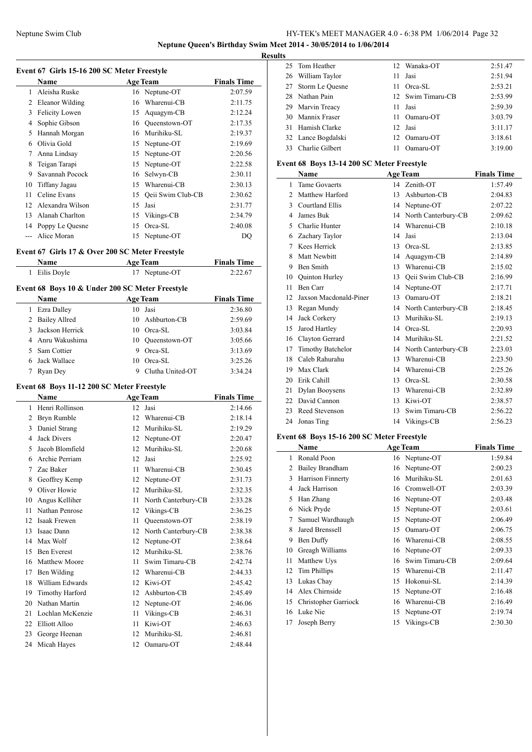**Event 67 Girls 15-16 200 SC Meter Freestyle**

# Neptune Swim Club HY-TEK's MEET MANAGER 4.0 - 6:38 PM 1/06/2014 Page 32

**Neptune Queen's Birthday Swim Meet 2014 - 30/05/2014 to 1/06/2014**

**Results**

|                | Name                                            |    | <b>Age Team</b>     | <b>Finals Time</b> |
|----------------|-------------------------------------------------|----|---------------------|--------------------|
| 1              | Aleisha Ruske                                   |    | 16 Neptune-OT       | 2:07.59            |
| 2              | Eleanor Wilding                                 | 16 | Wharenui-CB         | 2:11.75            |
| 3              | Felicity Lowen                                  | 15 | Aquagym-CB          | 2:12.24            |
| 4              | Sophie Gibson                                   |    | 16 Queenstown-OT    | 2:17.35            |
| 5              | Hannah Morgan                                   |    | 16 Murihiku-SL      | 2:19.37            |
|                | 6 Olivia Gold                                   |    | 15 Neptune-OT       | 2:19.69            |
| 7              | Anna Lindsay                                    |    | 15 Neptune-OT       | 2:20.56            |
| 8              | Teigan Tarapi                                   | 15 | Neptune-OT          | 2:22.58            |
| 9              | Savannah Pocock                                 | 16 | Selwyn-CB           | 2:30.11            |
| 10             | Tiffany Jagau                                   |    | 15 Wharenui-CB      | 2:30.13            |
| 11             | Celine Evans                                    | 15 | Qeii Swim Club-CB   | 2:30.62            |
| 12             | Alexandra Wilson                                | 15 | Jasi                | 2:31.77            |
| 13             | Alanah Charlton                                 | 15 | Vikings-CB          | 2:34.79            |
|                | 14 Poppy Le Quesne                              | 15 | Orca-SL             | 2:40.08            |
| $---$          | Alice Moran                                     | 15 | Neptune-OT          |                    |
|                |                                                 |    |                     | DQ                 |
|                | Event 67 Girls 17 & Over 200 SC Meter Freestyle |    |                     |                    |
|                | Name                                            |    | <b>Age Team</b>     | <b>Finals Time</b> |
| 1              | Eilis Doyle                                     |    | 17 Neptune-OT       | 2:22.67            |
|                | Event 68 Boys 10 & Under 200 SC Meter Freestyle |    |                     |                    |
|                | Name                                            |    | <b>Age Team</b>     | <b>Finals Time</b> |
|                | 1 Ezra Dalley                                   |    | 10 Jasi             | 2:36.80            |
|                | 2 Bailey Allred                                 |    | 10 Ashburton-CB     | 2:59.69            |
| 3              | Jackson Herrick                                 |    | 10 Orca-SL          | 3:03.84            |
| 4              | Anru Wakushima                                  |    | 10 Queenstown-OT    | 3:05.66            |
| 5              | Sam Cottier                                     | 9. | Orca-SL             | 3:13.69            |
| 6              | Jack Wallace                                    | 10 | Orca-SL             | 3:25.26            |
| 7              | Ryan Dey                                        | 9  | Clutha United-OT    | 3:34.24            |
|                |                                                 |    |                     |                    |
|                | Event 68 Boys 11-12 200 SC Meter Freestyle      |    |                     |                    |
|                | Name                                            |    | <b>Age Team</b>     | <b>Finals Time</b> |
|                | 1 Henri Rollinson                               | 12 | Jasi                | 2:14.66            |
|                | 2 Bryn Rumble                                   | 12 | Wharenui-CB         | 2:18.14            |
| 3              | Daniel Strang                                   |    | 12 Murihiku-SL      | 2:19.29            |
| $\overline{4}$ | <b>Jack Divers</b>                              |    | 12 Neptune-OT       | 2:20.47            |
| 5              | Jacob Blomfield                                 |    | 12 Murihiku-SL      | 2:20.68            |
| 6              | Archie Perriam                                  | 12 | Jasi                | 2:25.92            |
| $\tau$         | Zac Baker                                       | 11 | Wharenui-CB         | 2:30.45            |
| 8              | Geoffrey Kemp                                   | 12 | Neptune-OT          | 2:31.73            |
| 9              | Oliver Howie                                    | 12 | Murihiku-SL         | 2:32.35            |
| 10             | Angus Kelliher                                  | 11 | North Canterbury-CB | 2:33.28            |
| 11             | Nathan Penrose                                  | 12 | Vikings-CB          | 2:36.25            |
| 12             | Isaak Frewen                                    | 11 | Queenstown-OT       | 2:38.19            |
| 13             | Isaac Dann                                      | 12 | North Canterbury-CB | 2:38.38            |
| 14             | Max Wolf                                        | 12 | Neptune-OT          | 2:38.64            |
| 15             | Ben Everest                                     | 12 | Murihiku-SL         | 2:38.76            |
| 16             | Matthew Moore                                   | 11 | Swim Timaru-CB      | 2:42.74            |
| 17             | Ben Wilding                                     | 12 | Wharenui-CB         | 2:44.33            |
| 18             | William Edwards                                 | 12 | Kiwi-OT             | 2:45.42            |
| 19             | Timothy Harford                                 | 12 | Ashburton-CB        | 2:45.49            |
| 20             | Nathan Martin                                   | 12 | Neptune-OT          | 2:46.06            |
| 21             | Lochlan McKenzie                                | 11 | Vikings-CB          | 2:46.31            |
| 22             | Elliott Alloo                                   | 11 | Kiwi-OT             | 2:46.63            |
| 23             | George Heenan                                   | 12 | Murihiku-SL         | 2:46.81            |
| 24             | Micah Hayes                                     | 12 | Oamaru-OT           | 2:48.44            |
|                |                                                 |    |                     |                    |
|                |                                                 |    |                     |                    |

| ĽS |                    |     |                   |         |
|----|--------------------|-----|-------------------|---------|
|    | 25 Tom Heather     |     | 12 Wanaka-OT      | 2:51.47 |
|    | 26 William Taylor  | 11. | Jasi              | 2:51.94 |
|    | 27 Storm Le Ouesne |     | 11 Orca-SL        | 2:53.21 |
|    | 28 Nathan Pain     |     | 12 Swim Timaru-CB | 2:53.99 |
|    | 29 Marvin Treacy   |     | 11 Jasi           | 2:59.39 |
|    | 30 Mannix Fraser   |     | 11 Oamaru-OT      | 3:03.79 |
|    | 31 Hamish Clarke   |     | 12 Jasi           | 3:11.17 |
|    | 32 Lance Bogdalski |     | 12 Oamaru-OT      | 3:18.61 |
|    | 33 Charlie Gilbert | 11  | Oamaru-OT         | 3:19.00 |

### **Event 68 Boys 13-14 200 SC Meter Freestyle**

| Name           |                          |    | <b>Age Team</b>     | <b>Finals Time</b> |
|----------------|--------------------------|----|---------------------|--------------------|
| 1              | <b>Tame Govaerts</b>     | 14 | Zenith-OT           | 1:57.49            |
| $\mathfrak{D}$ | Matthew Harford          | 13 | Ashburton-CB        | 2:04.83            |
| 3              | <b>Courtland Ellis</b>   | 14 | Neptune-OT          | 2:07.22            |
| 4              | James Buk                | 14 | North Canterbury-CB | 2:09.62            |
| 5              | Charlie Hunter           | 14 | Wharenui-CB         | 2:10.18            |
| 6              | Zachary Taylor           | 14 | Jasi                | 2:13.04            |
| 7              | Kees Herrick             | 13 | $Orea-SL$           | 2:13.85            |
| 8              | <b>Matt Newbitt</b>      | 14 | Aquagym-CB          | 2:14.89            |
| 9              | <b>Ben Smith</b>         | 13 | Wharenui-CB         | 2:15.02            |
| 10             | Quinton Hurley           | 13 | Qeii Swim Club-CB   | 2:16.99            |
| 11             | <b>Ben Carr</b>          | 14 | Neptune-OT          | 2:17.71            |
| 12             | Jaxson Macdonald-Piner   | 13 | Oamaru-OT           | 2:18.21            |
| 13             | Regan Mundy              | 14 | North Canterbury-CB | 2:18.45            |
| 14             | Jack Corkery             | 13 | Murihiku-SL         | 2:19.13            |
| 15             | Jarod Hartley            | 14 | Orca-SL             | 2:20.93            |
| 16             | Clayton Gerrard          | 14 | Murihiku-SL         | 2:21.52            |
| 17             | <b>Timothy Batchelor</b> | 14 | North Canterbury-CB | 2:23.03            |
| 18             | Caleb Rahurahu           | 13 | Wharenui-CB         | 2:23.50            |
| 19             | Max Clark                | 14 | Wharenui-CB         | 2:25.26            |
| 20             | Erik Cahill              | 13 | Orca-SL             | 2:30.58            |
| 21             | Dylan Booysens           | 13 | Wharenui-CB         | 2:32.89            |
| 22             | David Cannon             | 13 | Kiwi-OT             | 2:38.57            |
| 23             | Reed Stevenson           | 13 | Swim Timaru-CB      | 2:56.22            |
| 24             | Jonas Ting               | 14 | Vikings-CB          | 2:56.23            |
|                |                          |    |                     |                    |

### **Event 68 Boys 15-16 200 SC Meter Freestyle**

|    | Name                 | <b>Age Team</b> |                | <b>Finals Time</b> |
|----|----------------------|-----------------|----------------|--------------------|
| 1  | Ronald Poon          |                 | 16 Neptune-OT  | 1:59.84            |
| 2  | Bailey Brandham      |                 | 16 Neptune-OT  | 2:00.23            |
| 3  | Harrison Finnerty    | 16              | Murihiku-SL    | 2:01.63            |
| 4  | Jack Harrison        |                 | 16 Cromwell-OT | 2:03.39            |
| 5  | Han Zhang            |                 | 16 Neptune-OT  | 2:03.48            |
| 6  | Nick Pryde           | 15              | Neptune-OT     | 2:03.61            |
| 7  | Samuel Wardhaugh     | 15              | Neptune-OT     | 2:06.49            |
| 8  | Jared Brenssell      | 15              | Oamaru-OT      | 2:06.75            |
| 9  | Ben Duffy            | 16              | Wharenui-CB    | 2:08.55            |
| 10 | Greagh Williams      | 16              | Neptune-OT     | 2:09.33            |
| 11 | Matthew Uys          | 16              | Swim Timaru-CB | 2:09.64            |
| 12 | Tim Phillips         | 15              | Wharenui-CB    | 2:11.47            |
| 13 | Lukas Chay           | 15              | Hokonui-SL     | 2:14.39            |
| 14 | Alex Chirnside       | 15              | Neptune-OT     | 2:16.48            |
| 15 | Christopher Garriock | 16              | Wharenui-CB    | 2:16.49            |
| 16 | Luke Nie             | 15              | Neptune-OT     | 2:19.74            |
| 17 | Joseph Berry         | 15              | Vikings-CB     | 2:30.30            |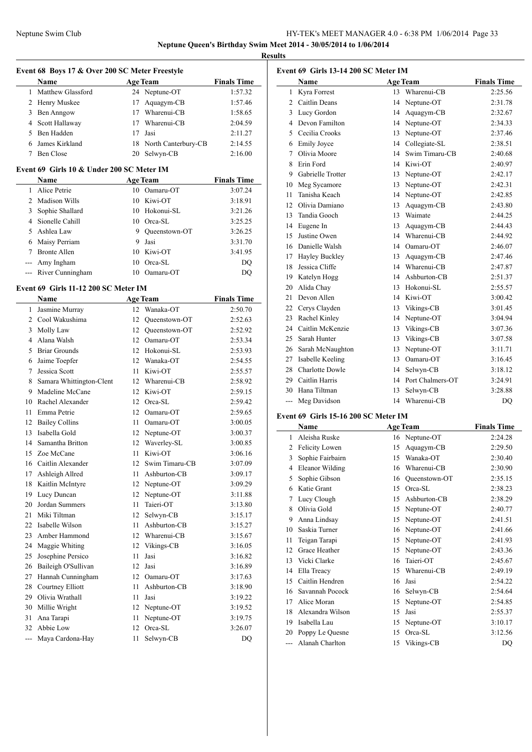### Neptune Swim Club HY-TEK's MEET MANAGER 4.0 - 6:38 PM 1/06/2014 Page 33 **Neptune Queen's Birthday Swim Meet 2014 - 30/05/2014 to 1/06/2014**

**Results**

### **Event 68 Boys 17 & Over 200 SC Meter Freestyle**

|   | <b>Name</b>       | <b>Age Team</b> |                        | <b>Finals Time</b> |
|---|-------------------|-----------------|------------------------|--------------------|
|   | Matthew Glassford |                 | 24 Neptune-OT          | 1:57.32            |
|   | 2 Henry Muskee    |                 | 17 Aquagym-CB          | 1:57.46            |
| 3 | Ben Anngow        | 17              | Wharenui-CB            | 1:58.65            |
|   | 4 Scott Hallaway  |                 | 17 Wharenui-CB         | 2:04.59            |
|   | Ben Hadden        | 17              | Jasi                   | 2:11.27            |
|   | James Kirkland    |                 | 18 North Canterbury-CB | 2:14.55            |
|   | Ben Close         |                 | 20 Selwyn-CB           | 2:16.00            |

### **Event 69 Girls 10 & Under 200 SC Meter IM**

|    | <b>Name</b>          | <b>Age Team</b> |               |         |
|----|----------------------|-----------------|---------------|---------|
|    | Alice Petrie         | 10              | Oamaru-OT     | 3:07.24 |
| 2  | Madison Wills        | 10              | Kiwi-OT       | 3:18.91 |
| 3  | Sophie Shallard      | 10              | Hokonui-SL    | 3:21.26 |
|    | 4 Sionelle Cahill    | 10              | Orca-SL       | 3:25.25 |
| 5. | Ashlea Law           | 9               | Oueenstown-OT | 3:26.25 |
| 6  | Maisy Perriam        | 9               | Jasi          | 3:31.70 |
|    | <b>Bronte Allen</b>  | 10              | Kiwi-OT       | 3:41.95 |
|    | --- Amy Ingham       | 10              | Orca-SL       | DQ      |
|    | --- River Cunningham | 10              | Oamaru-OT     | DO      |

#### **Event 69 Girls 11-12 200 SC Meter IM**

 $\overline{\phantom{a}}$ 

|                | <b>Name</b>              |     | <b>Age Team</b> | <b>Finals Time</b> |
|----------------|--------------------------|-----|-----------------|--------------------|
| 1              | Jasmine Murray           | 12  | Wanaka-OT       | 2:50.70            |
| $\overline{2}$ | Cool Wakushima           | 12  | Queenstown-OT   | 2:52.63            |
| 3              | Molly Law                | 12  | Oueenstown-OT   | 2:52.92            |
| 4              | Alana Walsh              | 12  | Oamaru-OT       | 2:53.34            |
| 5              | <b>Briar Grounds</b>     | 12  | Hokonui-SL      | 2:53.93            |
| 6              | Jaime Toepfer            | 12  | Wanaka-OT       | 2:54.55            |
| 7              | Jessica Scott            | 11  | Kiwi-OT         | 2:55.57            |
| 8              | Samara Whittington-Clent | 12  | Wharenui-CB     | 2:58.92            |
| 9              | Madeline McCane          | 12  | Kiwi-OT         | 2:59.15            |
| 10             | Rachel Alexander         | 12. | Orca-SL         | 2:59.42            |
| 11             | Emma Petrie              | 12  | Oamaru-OT       | 2:59.65            |
| 12             | <b>Bailey Collins</b>    | 11  | Oamaru-OT       | 3:00.05            |
| 13             | Isabella Gold            | 12  | Neptune-OT      | 3:00.37            |
| 14             | Samantha Britton         | 12  | Waverley-SL     | 3:00.85            |
| 15             | Zoe McCane               | 11  | Kiwi-OT         | 3:06.16            |
| 16             | Caitlin Alexander        | 12  | Swim Timaru-CB  | 3:07.09            |
| 17             | Ashleigh Allred          | 11  | Ashburton-CB    | 3:09.17            |
| 18             | Kaitlin McIntyre         | 12  | Neptune-OT      | 3:09.29            |
| 19             | Lucy Duncan              | 12  | Neptune-OT      | 3:11.88            |
| 20             | Jordan Summers           | 11  | Taieri-OT       | 3:13.80            |
| 21             | Miki Tiltman             | 12  | Selwyn-CB       | 3:15.17            |
| 22             | Isabelle Wilson          | 11  | Ashburton-CB    | 3:15.27            |
| 23             | Amber Hammond            | 12  | Wharenui-CB     | 3:15.67            |
| 24             | Maggie Whiting           | 12  | Vikings-CB      | 3:16.05            |
| 25             | Josephine Persico        | 11  | Jasi            | 3:16.82            |
| 26             | Baileigh O'Sullivan      | 12  | Jasi            | 3:16.89            |
| 27             | Hannah Cunningham        | 12  | Oamaru-OT       | 3:17.63            |
| 28             | Courtney Elliott         | 11  | Ashburton-CB    | 3:18.90            |
| 29             | Olivia Wrathall          | 11  | Jasi            | 3:19.22            |
| 30             | Millie Wright            | 12  | Neptune-OT      | 3:19.52            |
| 31             | Ana Tarapi               | 11  | Neptune-OT      | 3:19.75            |
| 32             | Abbie Low                | 12  | Orca-SL         | 3:26.07            |
| ---            | Maya Cardona-Hay         | 11  | Selwyn-CB       | <b>DQ</b>          |

|              | Event 69 Girls 13-14 200 SC Meter IM |    |                  |                    |  |  |  |
|--------------|--------------------------------------|----|------------------|--------------------|--|--|--|
|              | Name                                 |    | <b>Age Team</b>  | <b>Finals Time</b> |  |  |  |
| 1            | Kyra Forrest                         | 13 | Wharenui-CB      | 2:25.56            |  |  |  |
| $\mathbf{2}$ | Caitlin Deans                        | 14 | Neptune-OT       | 2:31.78            |  |  |  |
| 3            | Lucy Gordon                          | 14 | Aquagym-CB       | 2:32.67            |  |  |  |
| 4            | Devon Familton                       | 14 | Neptune-OT       | 2:34.33            |  |  |  |
| 5            | Cecilia Crooks                       | 13 | Neptune-OT       | 2:37.46            |  |  |  |
| 6            | <b>Emily Joyce</b>                   | 14 | Collegiate-SL    | 2:38.51            |  |  |  |
| 7            | Olivia Moore                         | 14 | Swim Timaru-CB   | 2:40.68            |  |  |  |
| 8            | Erin Ford                            | 14 | Kiwi-OT          | 2:40.97            |  |  |  |
| 9            | Gabrielle Trotter                    | 13 | Neptune-OT       | 2:42.17            |  |  |  |
| 10           | Meg Sycamore                         | 13 | Neptune-OT       | 2:42.31            |  |  |  |
| 11           | Tanisha Keach                        | 14 | Neptune-OT       | 2:42.85            |  |  |  |
| 12.          | Olivia Damiano                       | 13 | Aquagym-CB       | 2:43.80            |  |  |  |
| 13           | Tandia Gooch                         | 13 | Waimate          | 2:44.25            |  |  |  |
| 14           | Eugene In                            | 13 | Aquagym-CB       | 2:44.43            |  |  |  |
| 15           | Justine Owen                         | 14 | Wharenui-CB      | 2:44.92            |  |  |  |
| 16           | Danielle Walsh                       |    | 14 Oamaru-OT     | 2:46.07            |  |  |  |
| 17           | Hayley Buckley                       | 13 | Aquagym-CB       | 2:47.46            |  |  |  |
| 18           | Jessica Cliffe                       | 14 | Wharenui-CB      | 2:47.87            |  |  |  |
| 19           | Katelyn Hogg                         | 14 | Ashburton-CB     | 2:51.37            |  |  |  |
| 20           | Alida Chay                           | 13 | Hokonui-SL       | 2:55.57            |  |  |  |
| 21           | Devon Allen                          | 14 | Kiwi-OT          | 3:00.42            |  |  |  |
| 22           | Cerys Clayden                        | 13 | Vikings-CB       | 3:01.45            |  |  |  |
| 23           | Rachel Kinley                        | 14 | Neptune-OT       | 3:04.94            |  |  |  |
| 24           | Caitlin McKenzie                     | 13 | Vikings-CB       | 3:07.36            |  |  |  |
| 25           | Sarah Hunter                         | 13 | Vikings-CB       | 3:07.58            |  |  |  |
| 26           | Sarah McNaughton                     | 13 | Neptune-OT       | 3:11.71            |  |  |  |
| 27           | Isabelle Keeling                     | 13 | Oamaru-OT        | 3:16.45            |  |  |  |
| 28           | <b>Charlotte Dowle</b>               | 14 | Selwyn-CB        | 3:18.12            |  |  |  |
| 29           | Caitlin Harris                       | 14 | Port Chalmers-OT | 3:24.91            |  |  |  |
| 30           | Hana Tiltman                         | 13 | Selwyn-CB        | 3:28.88            |  |  |  |
| $---$        | Meg Davidson                         | 14 | Wharenui-CB      | DQ                 |  |  |  |

### **Event 69 Girls 15-16 200 SC Meter IM**

|                | Name                   |    | <b>Age Team</b> | <b>Finals Time</b> |
|----------------|------------------------|----|-----------------|--------------------|
| 1              | Aleisha Ruske          |    | 16 Neptune-OT   | 2:24.28            |
| $\overline{c}$ | Felicity Lowen         | 15 | Aquagym-CB      | 2:29.50            |
| 3              | Sophie Fairbairn       | 15 | Wanaka-OT       | 2:30.40            |
| 4              | <b>Eleanor Wilding</b> | 16 | Wharenui-CB     | 2:30.90            |
| 5              | Sophie Gibson          | 16 | Queenstown-OT   | 2:35.15            |
| 6              | Katie Grant            | 15 | $Orea-SL$       | 2:38.23            |
| 7              | Lucy Clough            | 15 | Ashburton-CB    | 2:38.29            |
| 8              | Olivia Gold            | 15 | Neptune-OT      | 2:40.77            |
| 9              | Anna Lindsay           | 15 | Neptune-OT      | 2:41.51            |
| 10             | Saskia Turner          | 16 | Neptune-OT      | 2:41.66            |
| 11             | Teigan Tarapi          | 15 | Neptune-OT      | 2:41.93            |
| 12             | Grace Heather          | 15 | Neptune-OT      | 2:43.36            |
| 13             | Vicki Clarke           | 16 | Taieri-OT       | 2:45.67            |
| 14             | Ella Treacy            | 15 | Wharenui-CB     | 2:49.19            |
| 15             | Caitlin Hendren        | 16 | Jasi            | 2:54.22            |
| 16             | Savannah Pocock        | 16 | Selwyn-CB       | 2:54.64            |
| 17             | Alice Moran            | 15 | Neptune-OT      | 2:54.85            |
| 18             | Alexandra Wilson       | 15 | Jasi            | 2:55.37            |
| 19             | Isabella Lau           | 15 | Neptune-OT      | 3:10.17            |
| 20             | Poppy Le Quesne        | 15 | Orca-SL         | 3:12.56            |
| ---            | Alanah Charlton        | 15 | Vikings-CB      | DQ                 |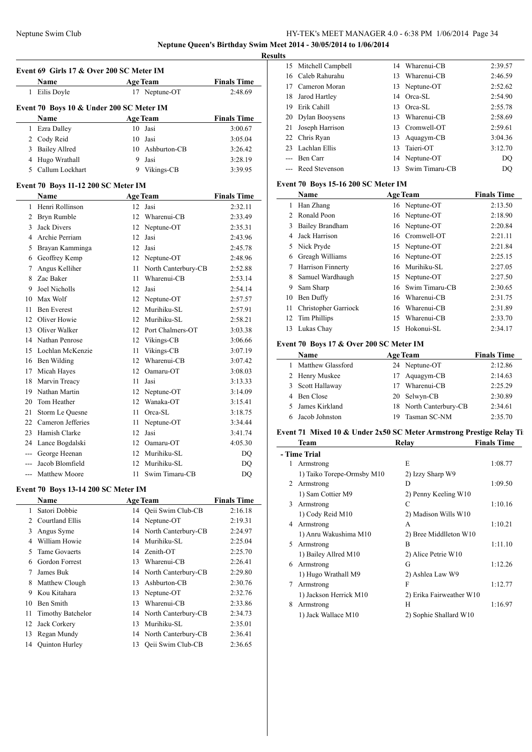**Neptune Queen's Birthday Swim Meet 2014 - 30/05/2014 to 1/06/2014**

L.

| Event 69 Girls 17 & Over 200 SC Meter IM |                                            |      |                                 |                    |  |
|------------------------------------------|--------------------------------------------|------|---------------------------------|--------------------|--|
|                                          | Name                                       |      | <b>Age Team</b>                 | <b>Finals Time</b> |  |
|                                          | 1 Eilis Doyle                              |      | 17 Neptune-OT                   | 2:48.69            |  |
|                                          | Event 70 Boys 10 & Under 200 SC Meter IM   |      |                                 |                    |  |
|                                          | Name                                       |      | <b>Age Team</b>                 | <b>Finals Time</b> |  |
| 1                                        | Ezra Dalley                                | 10   | Jasi                            | 3:00.67            |  |
| 2                                        | Cody Reid                                  | 10   | Jasi                            | 3:05.04            |  |
| 3                                        | <b>Bailey Allred</b>                       |      | 10 Ashburton-CB                 | 3:26.42            |  |
| 4                                        | Hugo Wrathall                              | 9    | Jasi                            | 3:28.19            |  |
| 5                                        | Callum Lockhart                            |      | 9 Vikings-CB                    | 3:39.95            |  |
|                                          | Event 70 Boys 11-12 200 SC Meter IM        |      |                                 |                    |  |
|                                          | <b>Name</b>                                |      | <b>Age Team</b>                 | <b>Finals Time</b> |  |
| 1                                        | Henri Rollinson                            | 12   | Jasi                            | 2:32.11            |  |
| 2                                        | Bryn Rumble                                | 12   | Wharenui-CB                     | 2:33.49            |  |
| 3                                        | <b>Jack Divers</b>                         |      | 12 Neptune-OT                   | 2:35.31            |  |
| 4                                        | Archie Perriam                             | 12   | Jasi                            | 2:43.96            |  |
| 5                                        | Brayan Kamminga                            | 12   | Jasi                            | 2:45.78            |  |
| 6                                        | Geoffrey Kemp                              | 12   | Neptune-OT                      | 2:48.96            |  |
| 7                                        | Angus Kelliher                             | 11   | North Canterbury-CB             | 2:52.88            |  |
| 8                                        | Zac Baker                                  | 11   | Wharenui-CB                     | 2:53.14            |  |
| 9                                        | Joel Nicholls                              |      | 12 Jasi                         | 2:54.14            |  |
| 10                                       | Max Wolf                                   |      |                                 |                    |  |
| 11                                       | <b>Ben Everest</b>                         |      | 12 Neptune-OT<br>12 Murihiku-SL | 2:57.57            |  |
| 12                                       | Oliver Howie                               |      | 12 Murihiku-SL                  | 2:57.91            |  |
|                                          |                                            |      |                                 | 2:58.21            |  |
| 13                                       | Oliver Walker                              |      | 12 Port Chalmers-OT             | 3:03.38            |  |
| 14                                       | Nathan Penrose                             |      | 12 Vikings-CB                   | 3:06.66            |  |
| 15                                       | Lochlan McKenzie                           | 11   | Vikings-CB                      | 3:07.19            |  |
| 16                                       | Ben Wilding                                |      | 12 Wharenui-CB                  | 3:07.42            |  |
| 17                                       | Micah Hayes                                |      | 12 Oamaru-OT                    | 3:08.03            |  |
| 18                                       | Marvin Treacy                              | 11   | Jasi                            | 3:13.33            |  |
| 19                                       | Nathan Martin                              |      | 12 Neptune-OT                   | 3:14.09            |  |
| 20                                       | Tom Heather                                |      | 12 Wanaka-OT                    | 3:15.41            |  |
| 21                                       | Storm Le Quesne                            | 11 - | Orca-SL                         | 3:18.75            |  |
| 22                                       | Cameron Jefferies                          | 11   | Neptune-OT                      | 3:34.44            |  |
| 23                                       | Hamish Clarke                              | 12   | Jasi                            | 3:41.74            |  |
| 24                                       | Lance Bogdalski                            |      | 12 Oamaru-OT                    | 4:05.30            |  |
|                                          | --- George Heenan                          |      | 12 Murihiku-SL                  | DQ                 |  |
|                                          | Jacob Blomfield                            |      | 12 Murihiku-SL                  | DQ                 |  |
| ---                                      | Matthew Moore                              |      | 11 Swim Timaru-CB               | DO                 |  |
|                                          | <b>Event 70 Boys 13-14 200 SC Meter IM</b> |      |                                 |                    |  |
|                                          | Name                                       |      | <b>Age Team</b>                 | <b>Finals Time</b> |  |
| 1                                        | Satori Dobbie                              | 14   | Qeii Swim Club-CB               | 2:16.18            |  |
| 2                                        | Courtland Ellis                            | 14   | Neptune-OT                      | 2:19.31            |  |
| 3                                        | Angus Syme                                 | 14   | North Canterbury-CB             | 2:24.97            |  |
| 4                                        | William Howie                              |      | 14 Murihiku-SL                  | 2:25.04            |  |
| 5                                        | <b>Tame Govaerts</b>                       |      | 14 Zenith-OT                    | 2:25.70            |  |
| 6                                        | Gordon Forrest                             |      | 13 Wharenui-CB                  | 2:26.41            |  |
| 7                                        | James Buk                                  |      | 14 North Canterbury-CB          | 2:29.80            |  |
| 8                                        | Matthew Clough                             |      | 13 Ashburton-CB                 | 2:30.76            |  |
| 9                                        | Kou Kitahara                               |      | 13 Neptune-OT                   | 2:32.76            |  |
| 10                                       | Ben Smith                                  |      | 13 Wharenui-CB                  | 2:33.86            |  |
| 11                                       | <b>Timothy Batchelor</b>                   |      | 14 North Canterbury-CB          | 2:34.73            |  |
| 12                                       | Jack Corkery                               | 13   | Murihiku-SL                     | 2:35.01            |  |
| 13                                       | Regan Mundy                                |      | 14 North Canterbury-CB          | 2:36.41            |  |
| 14                                       | Quinton Hurley                             |      | 13 Qeii Swim Club-CB            | 2:36.65            |  |

| <b>Results</b> |             |                                                                                                                                                                                                      |                |                                                                                                                                                      |  |  |
|----------------|-------------|------------------------------------------------------------------------------------------------------------------------------------------------------------------------------------------------------|----------------|------------------------------------------------------------------------------------------------------------------------------------------------------|--|--|
|                |             | 14                                                                                                                                                                                                   |                | 2:39.57                                                                                                                                              |  |  |
|                |             | 13.                                                                                                                                                                                                  |                | 2:46.59                                                                                                                                              |  |  |
|                |             |                                                                                                                                                                                                      |                | 2:52.62                                                                                                                                              |  |  |
| 18             |             |                                                                                                                                                                                                      |                | 2:54.90                                                                                                                                              |  |  |
| 19             | Erik Cahill | 13                                                                                                                                                                                                   |                | 2:55.78                                                                                                                                              |  |  |
|                |             | 13.                                                                                                                                                                                                  |                | 2:58.69                                                                                                                                              |  |  |
|                |             |                                                                                                                                                                                                      |                | 2:59.61                                                                                                                                              |  |  |
|                |             |                                                                                                                                                                                                      |                | 3:04.36                                                                                                                                              |  |  |
|                |             | 13                                                                                                                                                                                                   |                | 3:12.70                                                                                                                                              |  |  |
|                |             |                                                                                                                                                                                                      |                | DO                                                                                                                                                   |  |  |
|                |             | 13.                                                                                                                                                                                                  | Swim Timaru-CB | DQ                                                                                                                                                   |  |  |
|                |             | 15 Mitchell Campbell<br>16 Caleb Rahurahu<br>17 Cameron Moran<br>Jarod Hartley<br>20 Dylan Booysens<br>21 Joseph Harrison<br>22 Chris Ryan<br>23 Lachlan Ellis<br>--- Ben Carr<br>--- Reed Stevenson |                | Wharenui-CB<br>Wharenui-CB<br>13 Neptune-OT<br>14 Orca-SL<br>Orca-SL<br>Wharenui-CB<br>13 Cromwell-OT<br>13 Aquagym-CB<br>Taieri-OT<br>14 Neptune-OT |  |  |

### **Event 70 Boys 15-16 200 SC Meter IM**

|                | Name                     |     | <b>Age Team</b> | <b>Finals Time</b> |
|----------------|--------------------------|-----|-----------------|--------------------|
| 1              | Han Zhang                |     | 16 Neptune-OT   | 2:13.50            |
| $\mathfrak{D}$ | Ronald Poon              |     | 16 Neptune-OT   | 2:18.90            |
| 3              | <b>Bailey Brandham</b>   |     | 16 Neptune-OT   | 2:20.84            |
| 4              | Jack Harrison            | 16  | Cromwell-OT     | 2:21.11            |
|                | 5 Nick Pryde             |     | 15 Neptune-OT   | 2:21.84            |
| 6              | Greagh Williams          |     | 16 Neptune-OT   | 2:25.15            |
| 7              | <b>Harrison Finnerty</b> | 16  | Murihiku-SL     | 2:27.05            |
| 8              | Samuel Wardhaugh         |     | 15 Neptune-OT   | 2:27.50            |
| 9              | Sam Sharp                | 16. | Swim Timaru-CB  | 2:30.65            |
| 10             | Ben Duffy                | 16  | Wharenui-CB     | 2:31.75            |
| 11             | Christopher Garriock     | 16  | Wharenui-CB     | 2:31.89            |
| 12             | Tim Phillips             | 15  | Wharenui-CB     | 2:33.70            |
| 13             | Lukas Chay               | 15  | Hokonui-SL      | 2:34.17            |

### **Event 70 Boys 17 & Over 200 SC Meter IM**

| Name                |    | <b>Age Team</b>        | <b>Finals Time</b> |
|---------------------|----|------------------------|--------------------|
| 1 Matthew Glassford |    | 24 Neptune-OT          | 2:12.86            |
| 2 Henry Muskee      |    | 17 Aquagym-CB          | 2:14.63            |
| 3 Scott Hallaway    | 17 | Wharenui-CB            | 2:25.29            |
| 4 Ben Close         |    | 20 Selwyn-CB           | 2:30.89            |
| 5 James Kirkland    |    | 18 North Canterbury-CB | 2:34.61            |
| 6 Jacob Johnston    | 19 | Tasman SC-NM           | 2:35.70            |

### **Event 71 Mixed 10 & Under 2x50 SC Meter Armstrong Prestige Relay Ti**

|   | Team                       | Relay                    | <b>Finals Time</b> |  |  |  |
|---|----------------------------|--------------------------|--------------------|--|--|--|
|   | - Time Trial               |                          |                    |  |  |  |
| 1 | Armstrong                  | E                        | 1:08.77            |  |  |  |
|   | 1) Taiko Torepe-Ormsby M10 | 2) Izzy Sharp W9         |                    |  |  |  |
| 2 | Armstrong                  | D                        | 1:09.50            |  |  |  |
|   | 1) Sam Cottier M9          | 2) Penny Keeling W10     |                    |  |  |  |
| 3 | Armstrong                  | C                        | 1:10.16            |  |  |  |
|   | 1) Cody Reid M10           | 2) Madison Wills W10     |                    |  |  |  |
| 4 | Armstrong                  | A                        | 1:10.21            |  |  |  |
|   | 1) Anru Wakushima M10      | 2) Bree Middlleton W10   |                    |  |  |  |
| 5 | Armstrong                  | B                        | 1:11.10            |  |  |  |
|   | 1) Bailey Allred M10       | 2) Alice Petrie W10      |                    |  |  |  |
| 6 | Armstrong                  | G                        | 1:12.26            |  |  |  |
|   | 1) Hugo Wrathall M9        | 2) Ashlea Law W9         |                    |  |  |  |
| 7 | Armstrong                  | F                        | 1:12.77            |  |  |  |
|   | 1) Jackson Herrick M10     | 2) Erika Fairweather W10 |                    |  |  |  |
| 8 | Armstrong                  | Н                        | 1:16.97            |  |  |  |
|   | 1) Jack Wallace M10        | 2) Sophie Shallard W10   |                    |  |  |  |